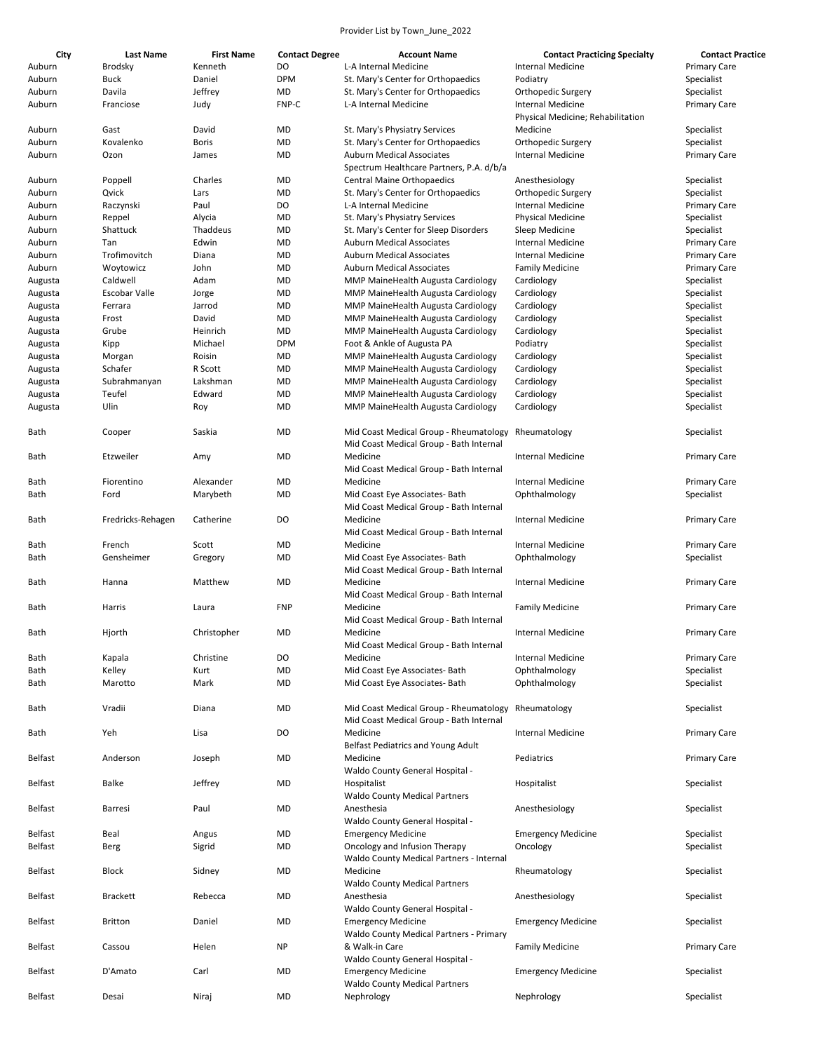| City<br>Auburn   | <b>Last Name</b><br>Brodsky | <b>First Name</b><br>Kenneth | <b>Contact Degree</b><br>DO. | <b>Account Name</b><br>L-A Internal Medicine                                      | <b>Contact Practicing Specialty</b><br><b>Internal Medicine</b> | <b>Contact Practice</b><br><b>Primary Care</b> |
|------------------|-----------------------------|------------------------------|------------------------------|-----------------------------------------------------------------------------------|-----------------------------------------------------------------|------------------------------------------------|
| Auburn           | <b>Buck</b>                 | Daniel                       | <b>DPM</b>                   | St. Mary's Center for Orthopaedics                                                | Podiatry                                                        | Specialist                                     |
|                  |                             |                              |                              |                                                                                   |                                                                 | Specialist                                     |
| Auburn<br>Auburn | Davila<br>Franciose         | Jeffrey<br>Judy              | MD<br>FNP-C                  | St. Mary's Center for Orthopaedics<br>L-A Internal Medicine                       | Orthopedic Surgery<br>Internal Medicine                         | <b>Primary Care</b>                            |
|                  |                             |                              |                              |                                                                                   | Physical Medicine; Rehabilitation                               |                                                |
| Auburn           | Gast                        | David                        | MD                           | St. Mary's Physiatry Services                                                     | Medicine                                                        | Specialist                                     |
| Auburn           | Kovalenko                   | <b>Boris</b>                 | <b>MD</b>                    | St. Mary's Center for Orthopaedics                                                | Orthopedic Surgery                                              | Specialist                                     |
| Auburn           | Ozon                        | James                        | <b>MD</b>                    | <b>Auburn Medical Associates</b><br>Spectrum Healthcare Partners, P.A. d/b/a      | <b>Internal Medicine</b>                                        | <b>Primary Care</b>                            |
| Auburn           | Poppell                     | Charles                      | <b>MD</b>                    | <b>Central Maine Orthopaedics</b>                                                 | Anesthesiology                                                  | Specialist                                     |
| Auburn           | Qvick                       | Lars                         | <b>MD</b>                    | St. Mary's Center for Orthopaedics                                                | Orthopedic Surgery                                              | Specialist                                     |
| Auburn           | Raczynski                   | Paul                         | DO                           | L-A Internal Medicine                                                             | <b>Internal Medicine</b>                                        | <b>Primary Care</b>                            |
| Auburn           | Reppel                      | Alycia                       | <b>MD</b>                    | St. Mary's Physiatry Services                                                     | <b>Physical Medicine</b>                                        | Specialist                                     |
| Auburn           | Shattuck                    | Thaddeus                     | <b>MD</b>                    | St. Mary's Center for Sleep Disorders                                             | Sleep Medicine                                                  | Specialist                                     |
| Auburn           | Tan                         | Edwin                        | MD                           | <b>Auburn Medical Associates</b>                                                  | Internal Medicine                                               | <b>Primary Care</b>                            |
| Auburn           | Trofimovitch                | Diana                        | <b>MD</b>                    | <b>Auburn Medical Associates</b>                                                  | <b>Internal Medicine</b>                                        | <b>Primary Care</b>                            |
| Auburn           | Woytowicz                   | John                         | MD                           | <b>Auburn Medical Associates</b>                                                  | <b>Family Medicine</b>                                          | <b>Primary Care</b>                            |
| Augusta          | Caldwell                    | Adam                         | MD                           | MMP MaineHealth Augusta Cardiology                                                | Cardiology                                                      | Specialist                                     |
| Augusta          | Escobar Valle               | Jorge                        | MD                           | MMP MaineHealth Augusta Cardiology                                                | Cardiology                                                      | Specialist                                     |
| Augusta          | Ferrara                     | Jarrod                       | MD                           | MMP MaineHealth Augusta Cardiology                                                | Cardiology                                                      | Specialist                                     |
| Augusta          | Frost                       | David                        | MD                           | MMP MaineHealth Augusta Cardiology                                                | Cardiology                                                      | Specialist                                     |
| Augusta          | Grube                       | Heinrich                     | MD                           | MMP MaineHealth Augusta Cardiology                                                | Cardiology                                                      | Specialist                                     |
| Augusta          | Kipp                        | Michael                      | <b>DPM</b>                   | Foot & Ankle of Augusta PA                                                        | Podiatry                                                        | Specialist                                     |
| Augusta          | Morgan                      | Roisin                       | MD                           | MMP MaineHealth Augusta Cardiology                                                | Cardiology                                                      | Specialist                                     |
| Augusta          | Schafer                     | R Scott                      | <b>MD</b>                    | MMP MaineHealth Augusta Cardiology                                                | Cardiology                                                      | Specialist                                     |
|                  |                             | Lakshman                     | <b>MD</b>                    |                                                                                   |                                                                 |                                                |
| Augusta          | Subrahmanyan                |                              |                              | MMP MaineHealth Augusta Cardiology                                                | Cardiology                                                      | Specialist<br>Specialist                       |
| Augusta          | Teufel                      | Edward                       | MD                           | MMP MaineHealth Augusta Cardiology                                                | Cardiology                                                      |                                                |
| Augusta          | Ulin                        | Roy                          | <b>MD</b>                    | MMP MaineHealth Augusta Cardiology                                                | Cardiology                                                      | Specialist                                     |
| Bath             | Cooper                      | Saskia                       | MD                           | Mid Coast Medical Group - Rheumatology<br>Mid Coast Medical Group - Bath Internal | Rheumatology                                                    | Specialist                                     |
| Bath             | Etzweiler                   | Amy                          | MD                           | Medicine                                                                          | <b>Internal Medicine</b>                                        | <b>Primary Care</b>                            |
|                  |                             |                              |                              | Mid Coast Medical Group - Bath Internal                                           |                                                                 |                                                |
| Bath             | Fiorentino                  | Alexander                    | MD                           | Medicine                                                                          | <b>Internal Medicine</b>                                        | <b>Primary Care</b>                            |
| Bath             | Ford                        | Marybeth                     | MD                           | Mid Coast Eye Associates- Bath<br>Mid Coast Medical Group - Bath Internal         | Ophthalmology                                                   | Specialist                                     |
| Bath             | Fredricks-Rehagen           | Catherine                    | DO                           | Medicine<br>Mid Coast Medical Group - Bath Internal                               | <b>Internal Medicine</b>                                        | <b>Primary Care</b>                            |
| Bath             | French                      | Scott                        | MD                           | Medicine                                                                          | <b>Internal Medicine</b>                                        | <b>Primary Care</b>                            |
| Bath             | Gensheimer                  | Gregory                      | MD                           | Mid Coast Eye Associates- Bath                                                    | Ophthalmology                                                   | Specialist                                     |
|                  |                             |                              |                              | Mid Coast Medical Group - Bath Internal                                           |                                                                 |                                                |
| Bath             | Hanna                       | Matthew                      | MD                           | Medicine<br>Mid Coast Medical Group - Bath Internal                               | <b>Internal Medicine</b>                                        | <b>Primary Care</b>                            |
| Bath             | Harris                      | Laura                        | <b>FNP</b>                   | Medicine                                                                          | <b>Family Medicine</b>                                          | <b>Primary Care</b>                            |
|                  |                             |                              |                              | Mid Coast Medical Group - Bath Internal                                           |                                                                 |                                                |
| Bath             | Hjorth                      | Christopher                  | MD                           | Medicine<br>Mid Coast Medical Group - Bath Internal                               | <b>Internal Medicine</b>                                        | <b>Primary Care</b>                            |
| Bath             | Kapala                      | Christine                    | DO                           | Medicine                                                                          | Internal Medicine                                               | <b>Primary Care</b>                            |
| Bath             | Kelley                      | Kurt                         | <b>MD</b>                    | Mid Coast Eye Associates- Bath                                                    | Ophthalmology                                                   | Specialist                                     |
| Bath             | Marotto                     | Mark                         | MD                           | Mid Coast Eye Associates- Bath                                                    | Ophthalmology                                                   | Specialist                                     |
| Bath             | Vradii                      | Diana                        | <b>MD</b>                    | Mid Coast Medical Group - Rheumatology                                            | Rheumatology                                                    | Specialist                                     |
| Bath             | Yeh                         | Lisa                         | DO                           | Mid Coast Medical Group - Bath Internal<br>Medicine                               | <b>Internal Medicine</b>                                        | <b>Primary Care</b>                            |
| Belfast          | Anderson                    | Joseph                       | MD                           | Belfast Pediatrics and Young Adult<br>Medicine                                    | Pediatrics                                                      | <b>Primary Care</b>                            |
| <b>Belfast</b>   | <b>Balke</b>                | Jeffrey                      | MD                           | Waldo County General Hospital -<br>Hospitalist                                    | Hospitalist                                                     | Specialist                                     |
|                  |                             |                              |                              | <b>Waldo County Medical Partners</b>                                              |                                                                 |                                                |
| <b>Belfast</b>   | <b>Barresi</b>              | Paul                         | MD                           | Anesthesia<br>Waldo County General Hospital -                                     | Anesthesiology                                                  | Specialist                                     |
| Belfast          | Beal                        | Angus                        | MD                           | <b>Emergency Medicine</b>                                                         | <b>Emergency Medicine</b>                                       | Specialist                                     |
| Belfast          | Berg                        | Sigrid                       | MD                           | Oncology and Infusion Therapy<br>Waldo County Medical Partners - Internal         | Oncology                                                        | Specialist                                     |
| <b>Belfast</b>   | <b>Block</b>                | Sidney                       | MD                           | Medicine                                                                          | Rheumatology                                                    | Specialist                                     |
| Belfast          | <b>Brackett</b>             | Rebecca                      | MD                           | <b>Waldo County Medical Partners</b><br>Anesthesia                                | Anesthesiology                                                  | Specialist                                     |
| Belfast          | <b>Britton</b>              | Daniel                       | MD                           | Waldo County General Hospital -<br><b>Emergency Medicine</b>                      | <b>Emergency Medicine</b>                                       | Specialist                                     |
| <b>Belfast</b>   | Cassou                      | Helen                        | <b>NP</b>                    | Waldo County Medical Partners - Primary<br>& Walk-in Care                         | <b>Family Medicine</b>                                          | <b>Primary Care</b>                            |
|                  |                             |                              |                              | Waldo County General Hospital -                                                   |                                                                 |                                                |
| <b>Belfast</b>   | D'Amato                     | Carl                         | MD                           | <b>Emergency Medicine</b><br><b>Waldo County Medical Partners</b>                 | <b>Emergency Medicine</b>                                       | Specialist                                     |
| Belfast          | Desai                       | Niraj                        | MD                           | Nephrology                                                                        | Nephrology                                                      | Specialist                                     |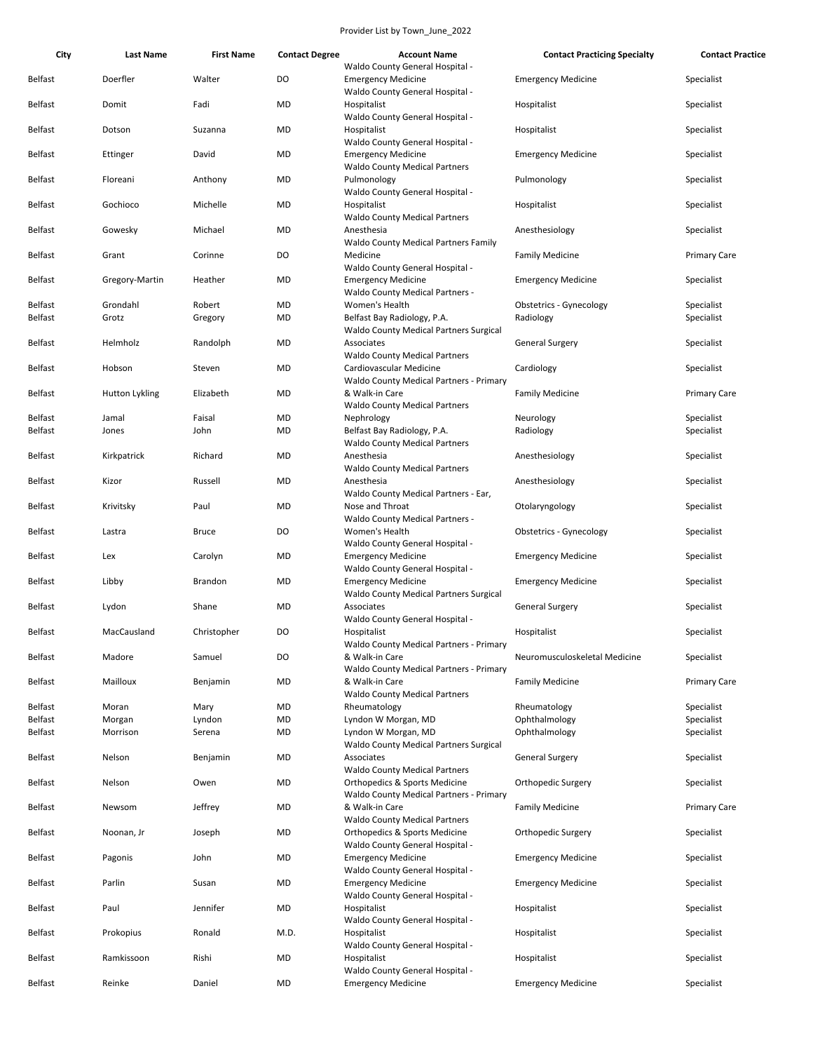| City                             | <b>Last Name</b>   | <b>First Name</b>  | <b>Contact Degree</b> | <b>Account Name</b>                                                                               | <b>Contact Practicing Specialty</b>                    | <b>Contact Practice</b>  |
|----------------------------------|--------------------|--------------------|-----------------------|---------------------------------------------------------------------------------------------------|--------------------------------------------------------|--------------------------|
| <b>Belfast</b>                   | Doerfler           | Walter             | DO                    | Waldo County General Hospital -<br><b>Emergency Medicine</b>                                      | <b>Emergency Medicine</b>                              | Specialist               |
| <b>Belfast</b>                   | Domit              | Fadi               | MD                    | Waldo County General Hospital -<br>Hospitalist                                                    | Hospitalist                                            | Specialist               |
| <b>Belfast</b>                   | Dotson             | Suzanna            | MD                    | Waldo County General Hospital -<br>Hospitalist                                                    | Hospitalist                                            | Specialist               |
| <b>Belfast</b>                   | Ettinger           | David              | <b>MD</b>             | Waldo County General Hospital -<br><b>Emergency Medicine</b>                                      | <b>Emergency Medicine</b>                              | Specialist               |
| <b>Belfast</b>                   | Floreani           | Anthony            | MD                    | <b>Waldo County Medical Partners</b><br>Pulmonology                                               | Pulmonology                                            | Specialist               |
| <b>Belfast</b>                   | Gochioco           | Michelle           | MD                    | Waldo County General Hospital -<br>Hospitalist                                                    | Hospitalist                                            | Specialist               |
| <b>Belfast</b>                   | Gowesky            | Michael            | MD                    | <b>Waldo County Medical Partners</b><br>Anesthesia<br><b>Waldo County Medical Partners Family</b> | Anesthesiology                                         | Specialist               |
| <b>Belfast</b>                   | Grant              | Corinne            | DO                    | Medicine<br>Waldo County General Hospital -                                                       | <b>Family Medicine</b>                                 | <b>Primary Care</b>      |
| <b>Belfast</b>                   | Gregory-Martin     | Heather            | MD                    | <b>Emergency Medicine</b><br><b>Waldo County Medical Partners -</b>                               | <b>Emergency Medicine</b>                              | Specialist               |
| <b>Belfast</b>                   | Grondahl           | Robert             | MD                    | Women's Health                                                                                    | <b>Obstetrics - Gynecology</b>                         | Specialist               |
|                                  |                    |                    |                       |                                                                                                   |                                                        |                          |
| <b>Belfast</b>                   | Grotz              | Gregory            | MD                    | Belfast Bay Radiology, P.A.                                                                       | Radiology                                              | Specialist               |
| <b>Belfast</b>                   | Helmholz           | Randolph           | MD                    | Waldo County Medical Partners Surgical<br>Associates                                              | <b>General Surgery</b>                                 | Specialist               |
|                                  |                    |                    |                       | <b>Waldo County Medical Partners</b>                                                              |                                                        |                          |
| <b>Belfast</b>                   | Hobson             | Steven             | MD                    | Cardiovascular Medicine<br>Waldo County Medical Partners - Primary                                | Cardiology                                             | Specialist               |
| <b>Belfast</b>                   | Hutton Lykling     | Elizabeth          | MD                    | & Walk-in Care<br><b>Waldo County Medical Partners</b>                                            | <b>Family Medicine</b>                                 | <b>Primary Care</b>      |
| Belfast                          | Jamal              | Faisal             | MD                    | Nephrology                                                                                        | Neurology                                              | Specialist               |
| <b>Belfast</b>                   | Jones              | John               | MD                    | Belfast Bay Radiology, P.A.<br><b>Waldo County Medical Partners</b>                               | Radiology                                              | Specialist               |
| <b>Belfast</b>                   | Kirkpatrick        | Richard            | MD                    | Anesthesia<br><b>Waldo County Medical Partners</b>                                                | Anesthesiology                                         | Specialist               |
| Belfast                          | Kizor              | Russell            | <b>MD</b>             | Anesthesia<br>Waldo County Medical Partners - Ear,                                                | Anesthesiology                                         | Specialist               |
| <b>Belfast</b><br><b>Belfast</b> | Krivitsky          | Paul<br>Bruce      | MD<br>DO              | Nose and Throat<br><b>Waldo County Medical Partners -</b><br>Women's Health                       | Otolaryngology                                         | Specialist<br>Specialist |
| <b>Belfast</b>                   | Lastra             |                    | MD                    | Waldo County General Hospital -                                                                   | Obstetrics - Gynecology                                | Specialist               |
| <b>Belfast</b>                   | Lex<br>Libby       | Carolyn<br>Brandon | MD                    | <b>Emergency Medicine</b><br>Waldo County General Hospital -<br><b>Emergency Medicine</b>         | <b>Emergency Medicine</b><br><b>Emergency Medicine</b> | Specialist               |
| <b>Belfast</b>                   | Lydon              | Shane              | <b>MD</b>             | <b>Waldo County Medical Partners Surgical</b><br>Associates                                       | <b>General Surgery</b>                                 | Specialist               |
| <b>Belfast</b>                   | MacCausland        | Christopher        | DO                    | Waldo County General Hospital -<br>Hospitalist                                                    | Hospitalist                                            | Specialist               |
| Belfast                          | Madore             | Samuel             | DO                    | Waldo County Medical Partners - Primary<br>& Walk-in Care                                         | Neuromusculoskeletal Medicine                          | Specialist               |
| <b>Belfast</b>                   | Mailloux           | Benjamin           | MD                    | <b>Waldo County Medical Partners - Primary</b><br>& Walk-in Care                                  | <b>Family Medicine</b>                                 | <b>Primary Care</b>      |
| Belfast                          | Moran              | Mary               | MD                    | <b>Waldo County Medical Partners</b><br>Rheumatology                                              | Rheumatology                                           | Specialist               |
| Belfast                          |                    | Lyndon             | MD                    | Lyndon W Morgan, MD                                                                               | Ophthalmology                                          | Specialist               |
|                                  | Morgan             |                    |                       |                                                                                                   | Ophthalmology                                          | Specialist               |
| Belfast<br><b>Belfast</b>        | Morrison<br>Nelson | Serena<br>Benjamin | MD<br>MD              | Lyndon W Morgan, MD<br><b>Waldo County Medical Partners Surgical</b><br>Associates                | <b>General Surgery</b>                                 | Specialist               |
| Belfast                          | Nelson             | Owen               | <b>MD</b>             | <b>Waldo County Medical Partners</b><br>Orthopedics & Sports Medicine                             | Orthopedic Surgery                                     | Specialist               |
| Belfast                          | Newsom             | Jeffrey            | MD                    | Waldo County Medical Partners - Primary<br>& Walk-in Care                                         | <b>Family Medicine</b>                                 | <b>Primary Care</b>      |
| <b>Belfast</b>                   | Noonan, Jr         | Joseph             | MD                    | <b>Waldo County Medical Partners</b><br>Orthopedics & Sports Medicine                             | Orthopedic Surgery                                     | Specialist               |
| <b>Belfast</b>                   | Pagonis            | John               | MD                    | Waldo County General Hospital -<br><b>Emergency Medicine</b>                                      | <b>Emergency Medicine</b>                              | Specialist               |
| Belfast                          | Parlin             | Susan              | MD                    | Waldo County General Hospital -<br><b>Emergency Medicine</b>                                      | <b>Emergency Medicine</b>                              | Specialist               |
| Belfast                          | Paul               | Jennifer           | MD                    | Waldo County General Hospital -<br>Hospitalist                                                    | Hospitalist                                            | Specialist               |
| Belfast                          | Prokopius          | Ronald             | M.D.                  | Waldo County General Hospital -<br>Hospitalist                                                    | Hospitalist                                            | Specialist               |
| <b>Belfast</b>                   | Ramkissoon         | Rishi              | MD                    | Waldo County General Hospital -<br>Hospitalist                                                    | Hospitalist                                            | Specialist               |
| Belfast                          | Reinke             | Daniel             | MD                    | Waldo County General Hospital -<br><b>Emergency Medicine</b>                                      | <b>Emergency Medicine</b>                              | Specialist               |
|                                  |                    |                    |                       |                                                                                                   |                                                        |                          |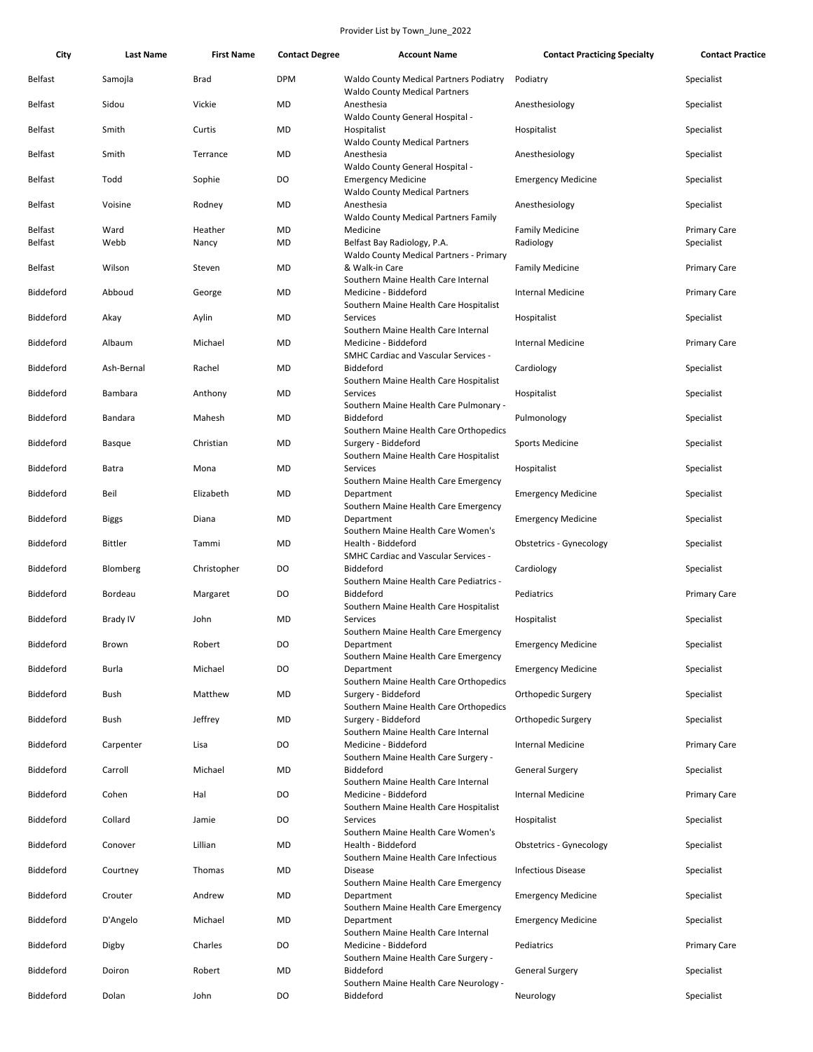| City           | Last Name      | <b>First Name</b> | <b>Contact Degree</b> | <b>Account Name</b>                                                                    | <b>Contact Practicing Specialty</b> | <b>Contact Practice</b> |
|----------------|----------------|-------------------|-----------------------|----------------------------------------------------------------------------------------|-------------------------------------|-------------------------|
| <b>Belfast</b> | Samojla        | Brad              | <b>DPM</b>            | <b>Waldo County Medical Partners Podiatry</b><br><b>Waldo County Medical Partners</b>  | Podiatry                            | Specialist              |
| <b>Belfast</b> | Sidou          | Vickie            | MD                    | Anesthesia                                                                             | Anesthesiology                      | Specialist              |
| <b>Belfast</b> | Smith          | Curtis            | MD                    | Waldo County General Hospital -<br>Hospitalist<br><b>Waldo County Medical Partners</b> | Hospitalist                         | Specialist              |
| <b>Belfast</b> | Smith          | Terrance          | MD                    | Anesthesia<br>Waldo County General Hospital -                                          | Anesthesiology                      | Specialist              |
| <b>Belfast</b> | Todd           | Sophie            | DO                    | <b>Emergency Medicine</b><br><b>Waldo County Medical Partners</b>                      | <b>Emergency Medicine</b>           | Specialist              |
| <b>Belfast</b> | Voisine        | Rodney            | MD                    | Anesthesia<br>Waldo County Medical Partners Family                                     | Anesthesiology                      | Specialist              |
| <b>Belfast</b> | Ward           | Heather           | MD                    | Medicine                                                                               | <b>Family Medicine</b>              | <b>Primary Care</b>     |
| <b>Belfast</b> | Webb           | Nancy             | MD                    | Belfast Bay Radiology, P.A.                                                            | Radiology                           | Specialist              |
|                |                |                   |                       | Waldo County Medical Partners - Primary                                                |                                     |                         |
| <b>Belfast</b> | Wilson         | Steven            | MD                    | & Walk-in Care<br>Southern Maine Health Care Internal                                  | <b>Family Medicine</b>              | <b>Primary Care</b>     |
| Biddeford      | Abboud         | George            | MD                    | Medicine - Biddeford<br>Southern Maine Health Care Hospitalist                         | <b>Internal Medicine</b>            | <b>Primary Care</b>     |
| Biddeford      | Akay           | Aylin             | MD                    | Services<br>Southern Maine Health Care Internal                                        | Hospitalist                         | Specialist              |
| Biddeford      | Albaum         | Michael           | MD                    | Medicine - Biddeford<br><b>SMHC Cardiac and Vascular Services -</b>                    | <b>Internal Medicine</b>            | <b>Primary Care</b>     |
| Biddeford      | Ash-Bernal     | Rachel            | MD                    | Biddeford<br>Southern Maine Health Care Hospitalist                                    | Cardiology                          | Specialist              |
| Biddeford      | Bambara        | Anthony           | MD                    | Services<br>Southern Maine Health Care Pulmonary -                                     | Hospitalist                         | Specialist              |
| Biddeford      | Bandara        | Mahesh            | MD                    | Biddeford<br>Southern Maine Health Care Orthopedics                                    | Pulmonology                         | Specialist              |
| Biddeford      | Basque         | Christian         | MD                    | Surgery - Biddeford<br>Southern Maine Health Care Hospitalist                          | <b>Sports Medicine</b>              | Specialist              |
| Biddeford      | Batra          | Mona              | <b>MD</b>             | Services<br>Southern Maine Health Care Emergency                                       | Hospitalist                         | Specialist              |
| Biddeford      | Beil           | Elizabeth         | MD                    | Department<br>Southern Maine Health Care Emergency                                     | <b>Emergency Medicine</b>           | Specialist              |
| Biddeford      | <b>Biggs</b>   | Diana             | MD                    | Department<br>Southern Maine Health Care Women's                                       | <b>Emergency Medicine</b>           | Specialist              |
| Biddeford      | <b>Bittler</b> | Tammi             | MD                    | Health - Biddeford<br><b>SMHC Cardiac and Vascular Services -</b>                      | Obstetrics - Gynecology             | Specialist              |
| Biddeford      | Blomberg       | Christopher       | DO                    | Biddeford<br>Southern Maine Health Care Pediatrics -                                   | Cardiology                          | Specialist              |
| Biddeford      | Bordeau        | Margaret          | DO                    | Biddeford<br>Southern Maine Health Care Hospitalist                                    | Pediatrics                          | <b>Primary Care</b>     |
| Biddeford      | Brady IV       | John              | MD                    | Services<br>Southern Maine Health Care Emergency                                       | Hospitalist                         | Specialist              |
| Biddeford      | Brown          | Robert            | DO                    | Department<br>Southern Maine Health Care Emergency                                     | <b>Emergency Medicine</b>           | Specialist              |
| Biddeford      | Burla          | Michael           | DO                    | Department<br>Southern Maine Health Care Orthopedics                                   | <b>Emergency Medicine</b>           | Specialist              |
| Biddeford      | Bush           | Matthew           | MD                    | Surgery - Biddeford<br>Southern Maine Health Care Orthopedics                          | Orthopedic Surgery                  | Specialist              |
| Biddeford      | Bush           | Jeffrey           | MD                    | Surgery - Biddeford<br>Southern Maine Health Care Internal                             | Orthopedic Surgery                  | Specialist              |
| Biddeford      | Carpenter      | Lisa              | DO                    | Medicine - Biddeford<br>Southern Maine Health Care Surgery -                           | <b>Internal Medicine</b>            | <b>Primary Care</b>     |
| Biddeford      | Carroll        | Michael           | MD                    | Biddeford<br>Southern Maine Health Care Internal                                       | <b>General Surgery</b>              | Specialist              |
| Biddeford      | Cohen          | Hal               | DO                    | Medicine - Biddeford<br>Southern Maine Health Care Hospitalist                         | <b>Internal Medicine</b>            | <b>Primary Care</b>     |
| Biddeford      | Collard        | Jamie             | DO                    | Services<br>Southern Maine Health Care Women's                                         | Hospitalist                         | Specialist              |
| Biddeford      | Conover        | Lillian           | MD                    | Health - Biddeford<br>Southern Maine Health Care Infectious                            | Obstetrics - Gynecology             | Specialist              |
| Biddeford      | Courtney       | Thomas            | MD                    | <b>Disease</b><br>Southern Maine Health Care Emergency                                 | <b>Infectious Disease</b>           | Specialist              |
| Biddeford      | Crouter        | Andrew            | MD                    | Department<br>Southern Maine Health Care Emergency                                     | <b>Emergency Medicine</b>           | Specialist              |
| Biddeford      | D'Angelo       | Michael           | <b>MD</b>             | Department<br>Southern Maine Health Care Internal                                      | <b>Emergency Medicine</b>           | Specialist              |
| Biddeford      | Digby          | Charles           | DO                    | Medicine - Biddeford<br>Southern Maine Health Care Surgery -                           | Pediatrics                          | <b>Primary Care</b>     |
| Biddeford      | Doiron         | Robert            | MD                    | Biddeford<br>Southern Maine Health Care Neurology -                                    | <b>General Surgery</b>              | Specialist              |
| Biddeford      | Dolan          | John              | DO                    | Biddeford                                                                              | Neurology                           | Specialist              |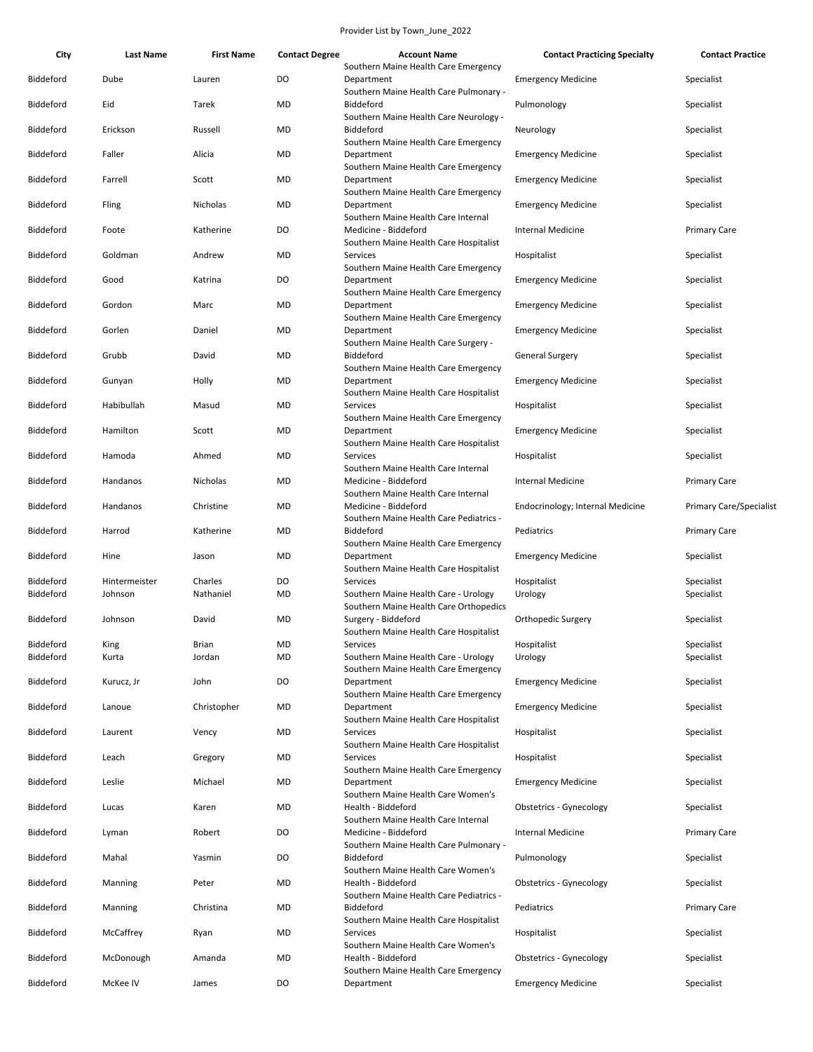| City                   | <b>Last Name</b>       | <b>First Name</b>    | <b>Contact Degree</b> | <b>Account Name</b>                                                                        | <b>Contact Practicing Specialty</b>      | Cont                     |
|------------------------|------------------------|----------------------|-----------------------|--------------------------------------------------------------------------------------------|------------------------------------------|--------------------------|
| Biddeford              | Dube                   | Lauren               | DO                    | Southern Maine Health Care Emergency<br>Department                                         | <b>Emergency Medicine</b>                | Specialist               |
| Biddeford              | Eid                    | Tarek                | MD                    | Southern Maine Health Care Pulmonary -<br>Biddeford                                        | Pulmonology                              | Specialist               |
| Biddeford              | Erickson               | Russell              | MD                    | Southern Maine Health Care Neurology -<br>Biddeford                                        | Neurology                                | Specialist               |
| Biddeford              | Faller                 | Alicia               | MD                    | Southern Maine Health Care Emergency<br>Department<br>Southern Maine Health Care Emergency | <b>Emergency Medicine</b>                | Specialist               |
| Biddeford              | Farrell                | Scott                | MD                    | Department<br>Southern Maine Health Care Emergency                                         | <b>Emergency Medicine</b>                | Specialist               |
| Biddeford              | Fling                  | Nicholas             | MD                    | Department<br>Southern Maine Health Care Internal                                          | <b>Emergency Medicine</b>                | Specialist               |
| Biddeford              | Foote                  | Katherine            | DO                    | Medicine - Biddeford<br>Southern Maine Health Care Hospitalist                             | <b>Internal Medicine</b>                 | Primary (                |
| Biddeford              | Goldman                | Andrew               | MD                    | Services<br>Southern Maine Health Care Emergency                                           | Hospitalist                              | Specialist               |
| Biddeford              | Good                   | Katrina              | DO                    | Department<br>Southern Maine Health Care Emergency                                         | <b>Emergency Medicine</b>                | Specialist               |
| Biddeford              | Gordon                 | Marc                 | MD                    | Department<br>Southern Maine Health Care Emergency                                         | <b>Emergency Medicine</b>                | Specialist               |
| Biddeford              | Gorlen                 | Daniel               | MD                    | Department<br>Southern Maine Health Care Surgery -                                         | <b>Emergency Medicine</b>                | Specialist               |
| Biddeford              | Grubb                  | David                | MD                    | Biddeford<br>Southern Maine Health Care Emergency                                          | <b>General Surgery</b>                   | Specialist               |
| Biddeford              | Gunyan                 | Holly                | MD                    | Department<br>Southern Maine Health Care Hospitalist                                       | <b>Emergency Medicine</b>                | Specialist               |
| Biddeford<br>Biddeford | Habibullah<br>Hamilton | Masud                | MD<br>MD              | Services<br>Southern Maine Health Care Emergency                                           | Hospitalist                              | Specialist               |
| Biddeford              | Hamoda                 | Scott<br>Ahmed       | MD                    | Department<br>Southern Maine Health Care Hospitalist<br>Services                           | <b>Emergency Medicine</b><br>Hospitalist | Specialist<br>Specialist |
| Biddeford              | Handanos               | Nicholas             | MD                    | Southern Maine Health Care Internal<br>Medicine - Biddeford                                | <b>Internal Medicine</b>                 | Primary (                |
| Biddeford              | Handanos               | Christine            | MD                    | Southern Maine Health Care Internal<br>Medicine - Biddeford                                | Endocrinology; Internal Medicine         | Primary (                |
| Biddeford              | Harrod                 | Katherine            | MD                    | Southern Maine Health Care Pediatrics -<br>Biddeford                                       | Pediatrics                               | Primary (                |
| Biddeford              | Hine                   | Jason                | MD                    | Southern Maine Health Care Emergency<br>Department                                         | <b>Emergency Medicine</b>                | Specialist               |
|                        |                        |                      |                       | Southern Maine Health Care Hospitalist                                                     |                                          |                          |
| Biddeford<br>Biddeford | Hintermeister          | Charles<br>Nathaniel | DO<br>MD              | Services                                                                                   | Hospitalist                              | Specialist<br>Specialist |
|                        | Johnson                |                      |                       | Southern Maine Health Care - Urology<br>Southern Maine Health Care Orthopedics             | Urology                                  |                          |
| Biddeford              | Johnson                | David                | MD                    | Surgery - Biddeford<br>Southern Maine Health Care Hospitalist                              | Orthopedic Surgery                       | Specialist               |
| Biddeford              | King                   | Brian                | MD                    | Services                                                                                   | Hospitalist                              | Specialist               |
| Biddeford              | Kurta                  | Jordan               | MD                    | Southern Maine Health Care - Urology<br>Southern Maine Health Care Emergency               | Urology                                  | Specialist               |
| Biddeford              | Kurucz, Jr             | John                 | DO                    | Department<br>Southern Maine Health Care Emergency                                         | <b>Emergency Medicine</b>                | Specialist               |
| Biddeford              | Lanoue                 | Christopher          | MD                    | Department<br>Southern Maine Health Care Hospitalist                                       | <b>Emergency Medicine</b>                | Specialist               |
| Biddeford              | Laurent                | Vency                | MD                    | Services<br>Southern Maine Health Care Hospitalist                                         | Hospitalist                              | Specialist               |
| Biddeford              | Leach                  | Gregory<br>Michael   | MD                    | Services<br>Southern Maine Health Care Emergency                                           | Hospitalist<br><b>Emergency Medicine</b> | Specialist               |
| Biddeford<br>Biddeford | Leslie<br>Lucas        | Karen                | MD<br>MD              | Department<br>Southern Maine Health Care Women's<br>Health - Biddeford                     | <b>Obstetrics - Gynecology</b>           | Specialist<br>Specialist |
| Biddeford              | Lyman                  | Robert               | DO                    | Southern Maine Health Care Internal<br>Medicine - Biddeford                                | <b>Internal Medicine</b>                 | Primary (                |
| Biddeford              | Mahal                  | Yasmin               | DO                    | Southern Maine Health Care Pulmonary -<br>Biddeford                                        | Pulmonology                              | Specialist               |
| Biddeford              | Manning                | Peter                | MD                    | Southern Maine Health Care Women's<br>Health - Biddeford                                   | <b>Obstetrics - Gynecology</b>           | Specialist               |
| Biddeford              | Manning                | Christina            | MD                    | Southern Maine Health Care Pediatrics -<br>Biddeford                                       | Pediatrics                               | Primary (                |
| Biddeford              | McCaffrey              | Ryan                 | MD                    | Southern Maine Health Care Hospitalist<br>Services                                         | Hospitalist                              | Specialist               |
| Biddeford              | McDonough              | Amanda               | MD                    | Southern Maine Health Care Women's<br>Health - Biddeford                                   | Obstetrics - Gynecology                  | Specialist               |
| Biddeford              | McKee IV               | James                | DO                    | Southern Maine Health Care Emergency<br>Department                                         | <b>Emergency Medicine</b>                | Specialist               |

| <b>Account Name</b>                                             | <b>Contact Practicing Specialty</b> | <b>Contact Practice</b>        |
|-----------------------------------------------------------------|-------------------------------------|--------------------------------|
| Southern Maine Health Care Emergency<br>Department              | <b>Emergency Medicine</b>           | Specialist                     |
| Southern Maine Health Care Pulmonary -<br>Biddeford             | Pulmonology                         | Specialist                     |
| Southern Maine Health Care Neurology -<br>Biddeford             | Neurology                           | Specialist                     |
| Southern Maine Health Care Emergency<br>Department              | <b>Emergency Medicine</b>           | Specialist                     |
| Southern Maine Health Care Emergency<br>Department              | <b>Emergency Medicine</b>           | Specialist                     |
| Southern Maine Health Care Emergency<br>Department              | <b>Emergency Medicine</b>           | Specialist                     |
| Southern Maine Health Care Internal                             |                                     |                                |
| Medicine - Biddeford<br>Southern Maine Health Care Hospitalist  | <b>Internal Medicine</b>            | <b>Primary Care</b>            |
| Services<br>Southern Maine Health Care Emergency                | Hospitalist                         | Specialist                     |
| Department<br>Southern Maine Health Care Emergency              | <b>Emergency Medicine</b>           | Specialist                     |
| Department<br>Southern Maine Health Care Emergency              | <b>Emergency Medicine</b>           | Specialist                     |
| Department                                                      | <b>Emergency Medicine</b>           | Specialist                     |
| Southern Maine Health Care Surgery -<br>Biddeford               | <b>General Surgery</b>              | Specialist                     |
| Southern Maine Health Care Emergency<br>Department              | <b>Emergency Medicine</b>           | Specialist                     |
| Southern Maine Health Care Hospitalist<br>Services              | Hospitalist                         | Specialist                     |
| Southern Maine Health Care Emergency<br>Department              | <b>Emergency Medicine</b>           | Specialist                     |
| Southern Maine Health Care Hospitalist<br>Services              | Hospitalist                         | Specialist                     |
| Southern Maine Health Care Internal                             |                                     |                                |
| Medicine - Biddeford<br>Southern Maine Health Care Internal     | <b>Internal Medicine</b>            | <b>Primary Care</b>            |
| Medicine - Biddeford<br>Southern Maine Health Care Pediatrics - | Endocrinology; Internal Medicine    | <b>Primary Care/Specialist</b> |
| Biddeford<br>Southern Maine Health Care Emergency               | Pediatrics                          | <b>Primary Care</b>            |
| Department<br>Southern Maine Health Care Hospitalist            | <b>Emergency Medicine</b>           | Specialist                     |
| Services<br>Southern Maine Health Care - Urology                | Hospitalist<br>Urology              | Specialist<br>Specialist       |
| Southern Maine Health Care Orthopedics                          |                                     |                                |
| Surgery - Biddeford<br>Southern Maine Health Care Hospitalist   | Orthopedic Surgery                  | Specialist                     |
| Services<br>Southern Maine Health Care - Urology                | Hospitalist<br>Urology              | Specialist<br>Specialist       |
| Southern Maine Health Care Emergency<br>Department              | <b>Emergency Medicine</b>           | Specialist                     |
| Southern Maine Health Care Emergency<br>Department              | <b>Emergency Medicine</b>           | Specialist                     |
| Southern Maine Health Care Hospitalist                          |                                     |                                |
| Services<br>Southern Maine Health Care Hospitalist              | Hospitalist                         | Specialist                     |
| Services<br>Southern Maine Health Care Emergency                | Hospitalist                         | Specialist                     |
| Department<br>Southern Maine Health Care Women's                | <b>Emergency Medicine</b>           | Specialist                     |
| Health - Biddeford<br>Southern Maine Health Care Internal       | Obstetrics - Gynecology             | Specialist                     |
| Medicine - Biddeford<br>Southern Maine Health Care Pulmonary -  | <b>Internal Medicine</b>            | <b>Primary Care</b>            |
| Biddeford                                                       | Pulmonology                         | Specialist                     |
| Southern Maine Health Care Women's<br>Health - Biddeford        | <b>Obstetrics - Gynecology</b>      | Specialist                     |
| Southern Maine Health Care Pediatrics -<br>Biddeford            | Pediatrics                          | <b>Primary Care</b>            |
| Southern Maine Health Care Hospitalist<br>Services              | Hospitalist                         | Specialist                     |
| Southern Maine Health Care Women's<br>Health - Biddeford        | <b>Obstetrics - Gynecology</b>      | Specialist                     |
| Southern Maine Health Care Emergency<br>Department              | <b>Emergency Medicine</b>           | Specialist                     |
|                                                                 |                                     |                                |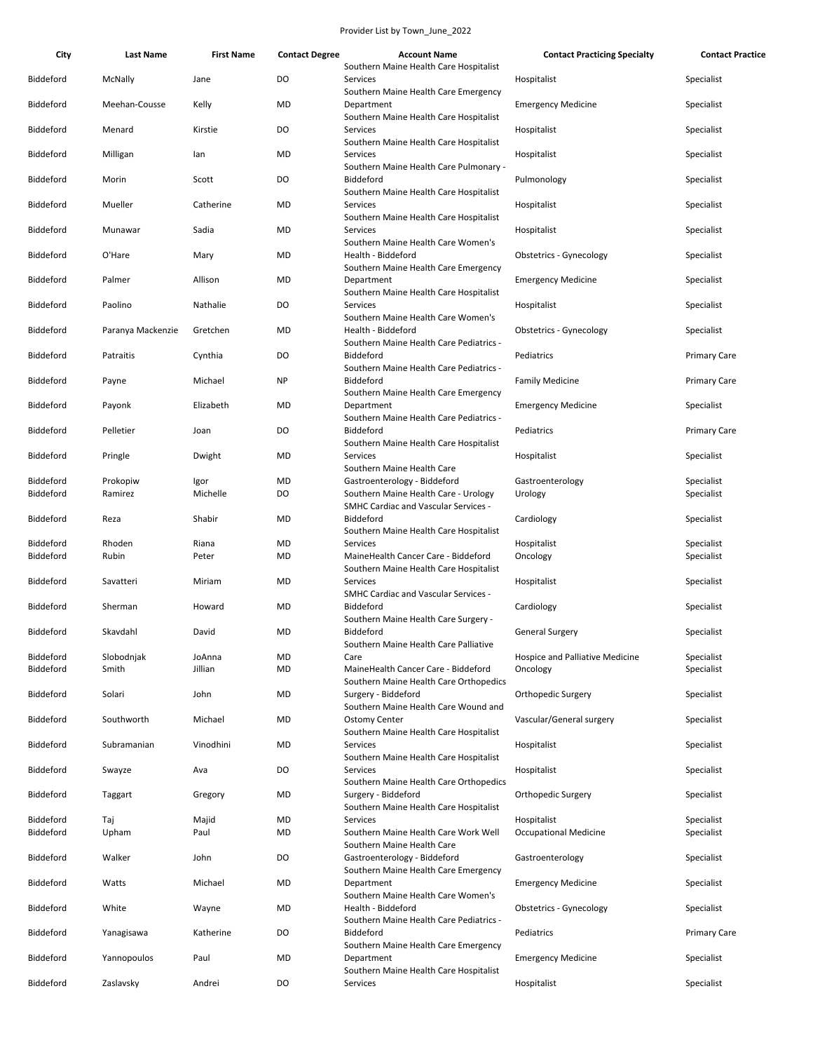| City      | <b>Last Name</b>  | <b>First Name</b> | <b>Contact Degree</b> | <b>Account Name</b>                                                           | <b>Contact Practicing Specialty</b> | Cont       |
|-----------|-------------------|-------------------|-----------------------|-------------------------------------------------------------------------------|-------------------------------------|------------|
| Biddeford | McNally           | Jane              | DO                    | Southern Maine Health Care Hospitalist<br>Services                            | Hospitalist                         | Specialist |
| Biddeford | Meehan-Cousse     | Kelly             | MD                    | Southern Maine Health Care Emergency<br>Department                            | <b>Emergency Medicine</b>           | Specialist |
| Biddeford | Menard            | Kirstie           | DO                    | Southern Maine Health Care Hospitalist<br>Services                            | Hospitalist                         | Specialist |
| Biddeford | Milligan          | lan               | MD                    | Southern Maine Health Care Hospitalist<br>Services                            | Hospitalist                         | Specialist |
| Biddeford | Morin             | Scott             | DO                    | Southern Maine Health Care Pulmonary -<br>Biddeford                           | Pulmonology                         | Specialist |
| Biddeford | Mueller           | Catherine         | MD                    | Southern Maine Health Care Hospitalist<br>Services                            | Hospitalist                         | Specialist |
| Biddeford | Munawar           | Sadia             | MD                    | Southern Maine Health Care Hospitalist<br>Services                            | Hospitalist                         | Specialist |
| Biddeford | O'Hare            | Mary              | MD                    | Southern Maine Health Care Women's<br>Health - Biddeford                      | Obstetrics - Gynecology             | Specialist |
| Biddeford | Palmer            | Allison           | MD                    | Southern Maine Health Care Emergency<br>Department                            | <b>Emergency Medicine</b>           | Specialist |
| Biddeford | Paolino           | Nathalie          | DO                    | Southern Maine Health Care Hospitalist<br>Services                            | Hospitalist                         | Specialist |
| Biddeford | Paranya Mackenzie | Gretchen          | MD                    | Southern Maine Health Care Women's<br>Health - Biddeford                      | <b>Obstetrics - Gynecology</b>      | Specialist |
| Biddeford | Patraitis         | Cynthia           | DO                    | Southern Maine Health Care Pediatrics -<br>Biddeford                          | Pediatrics                          | Primary (  |
| Biddeford | Payne             | Michael           | NP                    | Southern Maine Health Care Pediatrics -<br>Biddeford                          | <b>Family Medicine</b>              | Primary (  |
| Biddeford | Payonk            | Elizabeth         | MD                    | Southern Maine Health Care Emergency<br>Department                            | <b>Emergency Medicine</b>           | Specialist |
| Biddeford | Pelletier         | Joan              | DO                    | Southern Maine Health Care Pediatrics -<br>Biddeford                          | Pediatrics                          | Primary (  |
| Biddeford | Pringle           | Dwight            | MD                    | Southern Maine Health Care Hospitalist<br>Services                            | Hospitalist                         | Specialist |
| Biddeford | Prokopiw          | Igor              | MD                    | Southern Maine Health Care<br>Gastroenterology - Biddeford                    | Gastroenterology                    | Specialist |
| Biddeford | Ramirez           | Michelle          | DO                    | Southern Maine Health Care - Urology                                          | Urology                             | Specialist |
|           |                   |                   |                       | <b>SMHC Cardiac and Vascular Services -</b>                                   |                                     |            |
| Biddeford | Reza              | Shabir            | MD                    | Biddeford<br>Southern Maine Health Care Hospitalist                           | Cardiology                          | Specialist |
| Biddeford | Rhoden            | Riana             | MD                    | Services                                                                      | Hospitalist                         | Specialist |
| Biddeford | Rubin             | Peter             | MD                    | MaineHealth Cancer Care - Biddeford<br>Southern Maine Health Care Hospitalist | Oncology                            | Specialist |
| Biddeford | Savatteri         | Miriam            | MD                    | Services<br><b>SMHC Cardiac and Vascular Services -</b>                       | Hospitalist                         | Specialist |
| Biddeford | Sherman           | Howard            | MD                    | Biddeford<br>Southern Maine Health Care Surgery -                             | Cardiology                          | Specialist |
| Biddeford | Skavdahl          | David             | MD                    | <b>Biddeford</b><br>Southern Maine Health Care Palliative                     | <b>General Surgery</b>              | Specialist |
| Biddeford | Slobodnjak        | JoAnna            | MD                    | Care                                                                          | Hospice and Palliative Medicine     | Specialist |
| Biddeford | Smith             | Jillian           | MD                    | MaineHealth Cancer Care - Biddeford                                           | Oncology                            | Specialist |
| Biddeford | Solari            | John              | MD                    | Southern Maine Health Care Orthopedics<br>Surgery - Biddeford                 | Orthopedic Surgery                  | Specialist |
| Biddeford | Southworth        | Michael           | MD                    | Southern Maine Health Care Wound and<br><b>Ostomy Center</b>                  | Vascular/General surgery            | Specialist |
| Biddeford | Subramanian       | Vinodhini         | MD                    | Southern Maine Health Care Hospitalist<br>Services                            | Hospitalist                         | Specialist |
| Biddeford | Swayze            | Ava               | DO                    | Southern Maine Health Care Hospitalist<br>Services                            | Hospitalist                         | Specialist |
| Biddeford | Taggart           | Gregory           | MD                    | Southern Maine Health Care Orthopedics<br>Surgery - Biddeford                 | Orthopedic Surgery                  | Specialist |
| Biddeford |                   |                   | MD                    | Southern Maine Health Care Hospitalist<br>Services                            | Hospitalist                         | Specialist |
|           | Taj               | Majid             |                       |                                                                               |                                     |            |
| Biddeford | Upham             | Paul              | MD                    | Southern Maine Health Care Work Well<br>Southern Maine Health Care            | <b>Occupational Medicine</b>        | Specialist |
| Biddeford | Walker            | John              | DO                    | Gastroenterology - Biddeford<br>Southern Maine Health Care Emergency          | Gastroenterology                    | Specialist |
| Biddeford | Watts             | Michael           | MD                    | Department<br>Southern Maine Health Care Women's                              | <b>Emergency Medicine</b>           | Specialist |
| Biddeford | White             | Wayne             | MD                    | Health - Biddeford<br>Southern Maine Health Care Pediatrics -                 | <b>Obstetrics - Gynecology</b>      | Specialist |
| Biddeford | Yanagisawa        | Katherine         | DO                    | Biddeford<br>Southern Maine Health Care Emergency                             | Pediatrics                          | Primary (  |
| Biddeford | Yannopoulos       | Paul              | MD                    | Department<br>Southern Maine Health Care Hospitalist                          | <b>Emergency Medicine</b>           | Specialist |
| Biddeford | Zaslavsky         | Andrei            | DO                    | Services                                                                      | Hospitalist                         | Specialist |

| <b>Account Name</b>                                                                 | <b>Contact Practicing Specialty</b> | <b>Contact Practice</b> |
|-------------------------------------------------------------------------------------|-------------------------------------|-------------------------|
| Southern Maine Health Care Hospitalist<br>Services                                  | Hospitalist                         | Specialist              |
| Southern Maine Health Care Emergency<br>Department                                  | <b>Emergency Medicine</b>           | Specialist              |
| Southern Maine Health Care Hospitalist<br>Services                                  | Hospitalist                         | Specialist              |
| Southern Maine Health Care Hospitalist<br>Services                                  | Hospitalist                         | Specialist              |
| Southern Maine Health Care Pulmonary -<br>Biddeford                                 | Pulmonology                         | Specialist              |
| Southern Maine Health Care Hospitalist<br>Services                                  | Hospitalist                         | Specialist              |
| Southern Maine Health Care Hospitalist<br>Services                                  | Hospitalist                         | Specialist              |
| Southern Maine Health Care Women's<br>Health - Biddeford                            | Obstetrics - Gynecology             | Specialist              |
| Southern Maine Health Care Emergency<br>Department                                  | <b>Emergency Medicine</b>           | Specialist              |
| Southern Maine Health Care Hospitalist<br>Services                                  | Hospitalist                         | Specialist              |
| Southern Maine Health Care Women's<br>Health - Biddeford                            | <b>Obstetrics - Gynecology</b>      |                         |
| Southern Maine Health Care Pediatrics -<br>Biddeford                                | Pediatrics                          | Specialist              |
| Southern Maine Health Care Pediatrics -                                             |                                     | <b>Primary Care</b>     |
| Biddeford<br>Southern Maine Health Care Emergency                                   | <b>Family Medicine</b>              | <b>Primary Care</b>     |
| Department<br>Southern Maine Health Care Pediatrics -                               | <b>Emergency Medicine</b>           | Specialist              |
| Biddeford<br>Southern Maine Health Care Hospitalist                                 | Pediatrics                          | <b>Primary Care</b>     |
| Services<br>Southern Maine Health Care                                              | Hospitalist                         | Specialist              |
| Gastroenterology - Biddeford                                                        | Gastroenterology                    | Specialist              |
| Southern Maine Health Care - Urology<br><b>SMHC Cardiac and Vascular Services -</b> | Urology                             | Specialist              |
| Biddeford<br>Southern Maine Health Care Hospitalist                                 | Cardiology                          | Specialist              |
| Services                                                                            | Hospitalist                         | Specialist              |
| MaineHealth Cancer Care - Biddeford                                                 | Oncology                            | Specialist              |
| Southern Maine Health Care Hospitalist<br>Services                                  | Hospitalist                         | Specialist              |
| <b>SMHC Cardiac and Vascular Services -</b><br>Biddeford                            | Cardiology                          | Specialist              |
| Southern Maine Health Care Surgery -<br>Biddeford                                   | General Surgery                     | Specialist              |
| Southern Maine Health Care Palliative<br>Care                                       | Hospice and Palliative Medicine     | Specialist              |
| MaineHealth Cancer Care - Biddeford                                                 | Oncology                            | Specialist              |
| Southern Maine Health Care Orthopedics<br>Surgery - Biddeford                       | Orthopedic Surgery                  | Specialist              |
| Southern Maine Health Care Wound and<br><b>Ostomy Center</b>                        | Vascular/General surgery            | Specialist              |
| Southern Maine Health Care Hospitalist<br>Services                                  | Hospitalist                         | Specialist              |
| Southern Maine Health Care Hospitalist                                              | Hospitalist                         |                         |
| Services<br>Southern Maine Health Care Orthopedics                                  |                                     | Specialist              |
| Surgery - Biddeford<br>Southern Maine Health Care Hospitalist                       | Orthopedic Surgery                  | Specialist              |
| Services                                                                            | Hospitalist                         | Specialist              |
| Southern Maine Health Care Work Well<br>Southern Maine Health Care                  | <b>Occupational Medicine</b>        | Specialist              |
| Gastroenterology - Biddeford<br>Southern Maine Health Care Emergency                | Gastroenterology                    | Specialist              |
| Department<br>Southern Maine Health Care Women's                                    | <b>Emergency Medicine</b>           | Specialist              |
| Health - Biddeford<br>Southern Maine Health Care Pediatrics -                       | <b>Obstetrics - Gynecology</b>      | Specialist              |
| Biddeford<br>Southern Maine Health Care Emergency                                   | Pediatrics                          | <b>Primary Care</b>     |
| Department<br>Southern Maine Health Care Hospitalist                                | <b>Emergency Medicine</b>           | Specialist              |
| Services                                                                            | Hospitalist                         | Specialist              |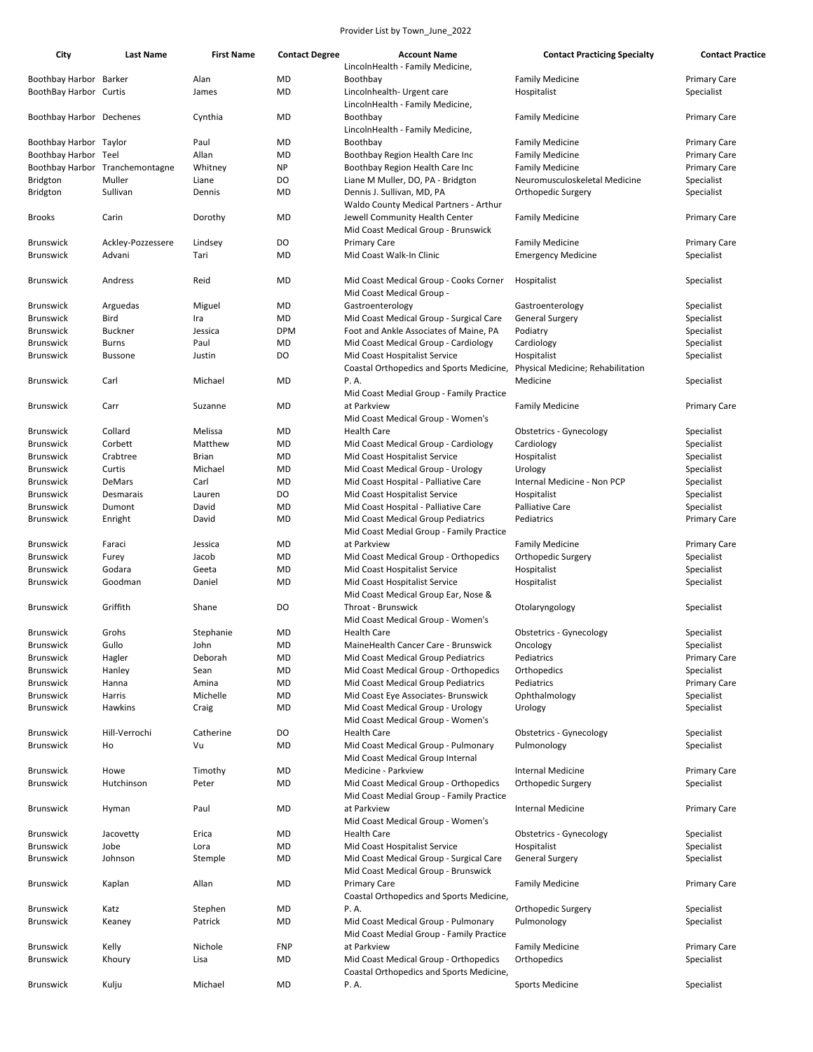| City                     | Last Name         | <b>First Name</b> | <b>Contact Degree</b> | <b>Account Name</b>                      | <b>Contact Practicing Specialty</b> | <b>Contact Practice</b> |
|--------------------------|-------------------|-------------------|-----------------------|------------------------------------------|-------------------------------------|-------------------------|
|                          |                   |                   |                       | LincolnHealth - Family Medicine,         |                                     |                         |
| Boothbay Harbor Barker   |                   | Alan              | MD                    | Boothbay                                 | <b>Family Medicine</b>              | <b>Primary Care</b>     |
| BoothBay Harbor Curtis   |                   | James             | MD                    | Lincolnhealth- Urgent care               | Hospitalist                         | Specialist              |
|                          |                   |                   |                       | LincolnHealth - Family Medicine,         |                                     |                         |
| Boothbay Harbor Dechenes |                   | Cynthia           | MD                    | Boothbay                                 | <b>Family Medicine</b>              | <b>Primary Care</b>     |
|                          |                   |                   |                       | LincolnHealth - Family Medicine,         |                                     |                         |
| Boothbay Harbor Taylor   |                   | Paul              | MD                    | Boothbay                                 | <b>Family Medicine</b>              | <b>Primary Care</b>     |
| Boothbay Harbor          | Teel              | Allan             | <b>MD</b>             | Boothbay Region Health Care Inc          | <b>Family Medicine</b>              | <b>Primary Care</b>     |
| Boothbay Harbor          | Tranchemontagne   | Whitney           | ΝP                    | Boothbay Region Health Care Inc          | <b>Family Medicine</b>              | <b>Primary Care</b>     |
| <b>Bridgton</b>          | Muller            | Liane             | DO                    | Liane M Muller, DO, PA - Bridgton        | Neuromusculoskeletal Medicine       | Specialist              |
| Bridgton                 | Sullivan          | Dennis            | <b>MD</b>             | Dennis J. Sullivan, MD, PA               | Orthopedic Surgery                  | Specialist              |
|                          |                   |                   |                       | Waldo County Medical Partners - Arthur   |                                     |                         |
| <b>Brooks</b>            | Carin             | Dorothy           | MD                    | Jewell Community Health Center           | <b>Family Medicine</b>              | Primary Care            |
|                          |                   |                   |                       | Mid Coast Medical Group - Brunswick      |                                     |                         |
| <b>Brunswick</b>         | Ackley-Pozzessere | Lindsey           | DO                    | <b>Primary Care</b>                      | <b>Family Medicine</b>              | <b>Primary Care</b>     |
| <b>Brunswick</b>         | Advani            | Tari              | MD                    | Mid Coast Walk-In Clinic                 | <b>Emergency Medicine</b>           | Specialist              |
|                          |                   |                   |                       |                                          |                                     |                         |
|                          | Andress           | Reid              | MD                    | Mid Coast Medical Group - Cooks Corner   |                                     | Specialist              |
| Brunswick                |                   |                   |                       |                                          | Hospitalist                         |                         |
|                          |                   |                   |                       | Mid Coast Medical Group -                |                                     |                         |
| <b>Brunswick</b>         | Arguedas          | Miguel            | MD                    | Gastroenterology                         | Gastroenterology                    | Specialist              |
| <b>Brunswick</b>         | Bird              | Ira               | MD                    | Mid Coast Medical Group - Surgical Care  | <b>General Surgery</b>              | Specialist              |
| <b>Brunswick</b>         | <b>Buckner</b>    | Jessica           | <b>DPM</b>            | Foot and Ankle Associates of Maine, PA   | Podiatry                            | Specialist              |
| <b>Brunswick</b>         | <b>Burns</b>      | Paul              | MD                    | Mid Coast Medical Group - Cardiology     | Cardiology                          | Specialist              |
| <b>Brunswick</b>         | <b>Bussone</b>    | Justin            | DO                    | Mid Coast Hospitalist Service            | Hospitalist                         | Specialist              |
|                          |                   |                   |                       | Coastal Orthopedics and Sports Medicine, | Physical Medicine; Rehabilitation   |                         |
| <b>Brunswick</b>         | Carl              | Michael           | MD                    | P. A.                                    | Medicine                            | Specialist              |
|                          |                   |                   |                       | Mid Coast Medial Group - Family Practice |                                     |                         |
|                          | Carr              | Suzanne           | MD                    | at Parkview                              |                                     |                         |
| <b>Brunswick</b>         |                   |                   |                       |                                          | <b>Family Medicine</b>              | <b>Primary Care</b>     |
|                          |                   |                   |                       | Mid Coast Medical Group - Women's        |                                     |                         |
| <b>Brunswick</b>         | Collard           | Melissa           | MD                    | <b>Health Care</b>                       | Obstetrics - Gynecology             | Specialist              |
| Brunswick                | Corbett           | Matthew           | MD                    | Mid Coast Medical Group - Cardiology     | Cardiology                          | Specialist              |
| <b>Brunswick</b>         | Crabtree          | Brian             | MD                    | Mid Coast Hospitalist Service            | Hospitalist                         | Specialist              |
| <b>Brunswick</b>         | Curtis            | Michael           | MD                    | Mid Coast Medical Group - Urology        | Urology                             | Specialist              |
| <b>Brunswick</b>         | DeMars            | Carl              | MD                    | Mid Coast Hospital - Palliative Care     | Internal Medicine - Non PCP         | Specialist              |
| <b>Brunswick</b>         | Desmarais         | Lauren            | DO                    | Mid Coast Hospitalist Service            | Hospitalist                         | Specialist              |
| <b>Brunswick</b>         | Dumont            | David             | MD                    | Mid Coast Hospital - Palliative Care     | <b>Palliative Care</b>              | Specialist              |
| <b>Brunswick</b>         | Enright           | David             | MD                    | Mid Coast Medical Group Pediatrics       | Pediatrics                          | <b>Primary Care</b>     |
|                          |                   |                   |                       |                                          |                                     |                         |
|                          |                   |                   |                       | Mid Coast Medial Group - Family Practice |                                     |                         |
| <b>Brunswick</b>         | Faraci            | Jessica           | MD                    | at Parkview                              | <b>Family Medicine</b>              | <b>Primary Care</b>     |
| <b>Brunswick</b>         | Furey             | Jacob             | <b>MD</b>             | Mid Coast Medical Group - Orthopedics    | Orthopedic Surgery                  | Specialist              |
| Brunswick                | Godara            | Geeta             | MD                    | Mid Coast Hospitalist Service            | Hospitalist                         | Specialist              |
| <b>Brunswick</b>         | Goodman           | Daniel            | MD                    | Mid Coast Hospitalist Service            | Hospitalist                         | Specialist              |
|                          |                   |                   |                       | Mid Coast Medical Group Ear, Nose &      |                                     |                         |
| <b>Brunswick</b>         | Griffith          | Shane             | DO                    | Throat - Brunswick                       | Otolaryngology                      | Specialist              |
|                          |                   |                   |                       | Mid Coast Medical Group - Women's        |                                     |                         |
| <b>Brunswick</b>         | Grohs             | Stephanie         | MD                    | <b>Health Care</b>                       | Obstetrics - Gynecology             | Specialist              |
| <b>Brunswick</b>         | Gullo             | John              | MD                    | MaineHealth Cancer Care - Brunswick      | Oncology                            | Specialist              |
| <b>Brunswick</b>         | Hagler            | Deborah           | MD                    | Mid Coast Medical Group Pediatrics       | Pediatrics                          | <b>Primary Care</b>     |
| <b>Brunswick</b>         | Hanley            | Sean              | MD                    | Mid Coast Medical Group - Orthopedics    | Orthopedics                         | Specialist              |
|                          | Hanna             | Amina             |                       | Mid Coast Medical Group Pediatrics       | Pediatrics                          |                         |
| <b>Brunswick</b>         |                   |                   | MD                    |                                          |                                     | <b>Primary Care</b>     |
| <b>Brunswick</b>         | Harris            | Michelle          | MD                    | Mid Coast Eye Associates- Brunswick      | Ophthalmology                       | Specialist              |
| <b>Brunswick</b>         | Hawkins           | Craig             | MD                    | Mid Coast Medical Group - Urology        | Urology                             | Specialist              |
|                          |                   |                   |                       | Mid Coast Medical Group - Women's        |                                     |                         |
| <b>Brunswick</b>         | Hill-Verrochi     | Catherine         | DO                    | <b>Health Care</b>                       | Obstetrics - Gynecology             | Specialist              |
| <b>Brunswick</b>         | Ho                | Vu                | MD                    | Mid Coast Medical Group - Pulmonary      | Pulmonology                         | Specialist              |
|                          |                   |                   |                       | Mid Coast Medical Group Internal         |                                     |                         |
| <b>Brunswick</b>         | Howe              | Timothy           | MD                    | Medicine - Parkview                      | <b>Internal Medicine</b>            | <b>Primary Care</b>     |
| <b>Brunswick</b>         | Hutchinson        | Peter             | MD                    | Mid Coast Medical Group - Orthopedics    | Orthopedic Surgery                  | Specialist              |
|                          |                   |                   |                       | Mid Coast Medial Group - Family Practice |                                     |                         |
| <b>Brunswick</b>         | Hyman             | Paul              | MD                    | at Parkview                              | <b>Internal Medicine</b>            | <b>Primary Care</b>     |
|                          |                   |                   |                       |                                          |                                     |                         |
|                          |                   |                   |                       | Mid Coast Medical Group - Women's        |                                     |                         |
| <b>Brunswick</b>         | Jacovetty         | Erica             | MD                    | <b>Health Care</b>                       | Obstetrics - Gynecology             | Specialist              |
| Brunswick                | Jobe              | Lora              | MD                    | Mid Coast Hospitalist Service            | Hospitalist                         | Specialist              |
| <b>Brunswick</b>         | Johnson           | Stemple           | MD                    | Mid Coast Medical Group - Surgical Care  | General Surgery                     | Specialist              |
|                          |                   |                   |                       | Mid Coast Medical Group - Brunswick      |                                     |                         |
| <b>Brunswick</b>         | Kaplan            | Allan             | MD                    | <b>Primary Care</b>                      | <b>Family Medicine</b>              | Primary Care            |
|                          |                   |                   |                       | Coastal Orthopedics and Sports Medicine, |                                     |                         |
| <b>Brunswick</b>         | Katz              | Stephen           | MD                    | P.A.                                     | Orthopedic Surgery                  | Specialist              |
| <b>Brunswick</b>         | Keaney            | Patrick           | MD                    | Mid Coast Medical Group - Pulmonary      | Pulmonology                         | Specialist              |
|                          |                   |                   |                       |                                          |                                     |                         |
|                          |                   |                   |                       | Mid Coast Medial Group - Family Practice |                                     |                         |
| <b>Brunswick</b>         | Kelly             | Nichole           | <b>FNP</b>            | at Parkview                              | <b>Family Medicine</b>              | <b>Primary Care</b>     |
| <b>Brunswick</b>         | Khoury            | Lisa              | MD                    | Mid Coast Medical Group - Orthopedics    | Orthopedics                         | Specialist              |
|                          |                   |                   |                       | Coastal Orthopedics and Sports Medicine, |                                     |                         |
| <b>Brunswick</b>         | Kulju             | Michael           | MD                    | P.A.                                     | <b>Sports Medicine</b>              | Specialist              |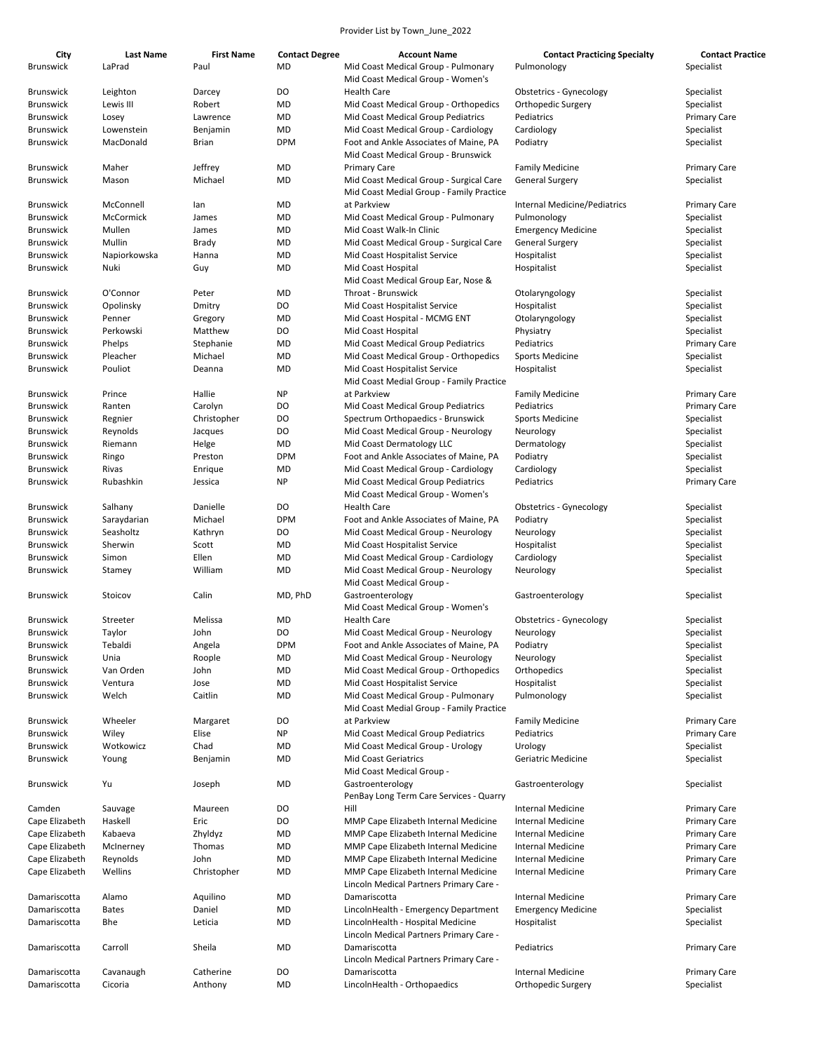| City             | Last Name    | <b>First Name</b> | <b>Contact Degree</b> | <b>Account Name</b>                                                                 | <b>Contact Practicing Specialty</b> | <b>Contact Practice</b> |
|------------------|--------------|-------------------|-----------------------|-------------------------------------------------------------------------------------|-------------------------------------|-------------------------|
| Brunswick        | LaPrad       | Paul              | MD                    | Mid Coast Medical Group - Pulmonary                                                 | Pulmonology                         | Specialist              |
|                  |              |                   |                       | Mid Coast Medical Group - Women's                                                   |                                     |                         |
| <b>Brunswick</b> | Leighton     | Darcey            | DO                    | <b>Health Care</b>                                                                  | Obstetrics - Gynecology             | Specialist              |
| <b>Brunswick</b> | Lewis III    | Robert            | MD                    | Mid Coast Medical Group - Orthopedics                                               | Orthopedic Surgery                  | Specialist              |
|                  |              |                   |                       |                                                                                     |                                     |                         |
| Brunswick        | Losey        | Lawrence          | MD                    | Mid Coast Medical Group Pediatrics                                                  | Pediatrics                          | <b>Primary Care</b>     |
| <b>Brunswick</b> | Lowenstein   | Benjamin          | MD                    | Mid Coast Medical Group - Cardiology                                                | Cardiology                          | Specialist              |
| <b>Brunswick</b> | MacDonald    | Brian             | <b>DPM</b>            | Foot and Ankle Associates of Maine, PA<br>Mid Coast Medical Group - Brunswick       | Podiatry                            | Specialist              |
| <b>Brunswick</b> | Maher        | Jeffrey           | MD                    | <b>Primary Care</b>                                                                 |                                     |                         |
|                  |              |                   |                       |                                                                                     | <b>Family Medicine</b>              | <b>Primary Care</b>     |
| <b>Brunswick</b> | Mason        | Michael           | MD                    | Mid Coast Medical Group - Surgical Care<br>Mid Coast Medial Group - Family Practice | General Surgery                     | Specialist              |
| Brunswick        | McConnell    | lan               | MD                    | at Parkview                                                                         | <b>Internal Medicine/Pediatrics</b> | <b>Primary Care</b>     |
| <b>Brunswick</b> | McCormick    | James             | MD                    | Mid Coast Medical Group - Pulmonary                                                 | Pulmonology                         | Specialist              |
| Brunswick        | Mullen       | James             | MD                    | Mid Coast Walk-In Clinic                                                            | <b>Emergency Medicine</b>           | Specialist              |
|                  |              |                   |                       |                                                                                     |                                     |                         |
| Brunswick        | Mullin       | Brady             | MD                    | Mid Coast Medical Group - Surgical Care                                             | <b>General Surgery</b>              | Specialist              |
| <b>Brunswick</b> | Napiorkowska | Hanna             | MD                    | Mid Coast Hospitalist Service                                                       | Hospitalist                         | Specialist              |
| Brunswick        | Nuki         | Guy               | MD                    | Mid Coast Hospital<br>Mid Coast Medical Group Ear, Nose &                           | Hospitalist                         | Specialist              |
| Brunswick        | O'Connor     | Peter             | MD                    | Throat - Brunswick                                                                  | Otolaryngology                      | Specialist              |
| Brunswick        | Opolinsky    | Dmitry            | DO                    | Mid Coast Hospitalist Service                                                       | Hospitalist                         | Specialist              |
|                  |              |                   |                       |                                                                                     |                                     |                         |
| Brunswick        | Penner       | Gregory           | MD                    | Mid Coast Hospital - MCMG ENT                                                       | Otolaryngology                      | Specialist              |
| <b>Brunswick</b> | Perkowski    | Matthew           | DO                    | Mid Coast Hospital                                                                  | Physiatry                           | Specialist              |
| <b>Brunswick</b> | Phelps       | Stephanie         | MD                    | Mid Coast Medical Group Pediatrics                                                  | Pediatrics                          | <b>Primary Care</b>     |
| Brunswick        | Pleacher     | Michael           | MD                    | Mid Coast Medical Group - Orthopedics                                               | <b>Sports Medicine</b>              | Specialist              |
| <b>Brunswick</b> | Pouliot      | Deanna            | MD                    | Mid Coast Hospitalist Service                                                       | Hospitalist                         | Specialist              |
|                  |              |                   |                       | Mid Coast Medial Group - Family Practice                                            |                                     |                         |
| Brunswick        | Prince       | Hallie            | <b>NP</b>             | at Parkview                                                                         | <b>Family Medicine</b>              | <b>Primary Care</b>     |
| <b>Brunswick</b> | Ranten       | Carolyn           | DO                    | Mid Coast Medical Group Pediatrics                                                  | Pediatrics                          | <b>Primary Care</b>     |
| <b>Brunswick</b> | Regnier      | Christopher       | DO                    | Spectrum Orthopaedics - Brunswick                                                   | <b>Sports Medicine</b>              | Specialist              |
| Brunswick        | Reynolds     | Jacques           | DO                    | Mid Coast Medical Group - Neurology                                                 | Neurology                           | Specialist              |
| Brunswick        | Riemann      | Helge             | MD                    | Mid Coast Dermatology LLC                                                           | Dermatology                         | Specialist              |
| <b>Brunswick</b> | Ringo        | Preston           | <b>DPM</b>            | Foot and Ankle Associates of Maine, PA                                              | Podiatry                            | Specialist              |
| Brunswick        | Rivas        | Enrique           | MD                    | Mid Coast Medical Group - Cardiology                                                | Cardiology                          | Specialist              |
|                  | Rubashkin    |                   |                       |                                                                                     |                                     |                         |
| Brunswick        |              | Jessica           | <b>NP</b>             | Mid Coast Medical Group Pediatrics<br>Mid Coast Medical Group - Women's             | Pediatrics                          | <b>Primary Care</b>     |
| Brunswick        | Salhany      | Danielle          | DO                    | <b>Health Care</b>                                                                  | <b>Obstetrics - Gynecology</b>      | Specialist              |
| <b>Brunswick</b> | Saraydarian  | Michael           | <b>DPM</b>            | Foot and Ankle Associates of Maine, PA                                              | Podiatry                            | Specialist              |
| Brunswick        | Seasholtz    | Kathryn           | DO                    | Mid Coast Medical Group - Neurology                                                 | Neurology                           | Specialist              |
| Brunswick        | Sherwin      | Scott             |                       | Mid Coast Hospitalist Service                                                       | Hospitalist                         | Specialist              |
|                  |              |                   | MD                    |                                                                                     |                                     |                         |
| <b>Brunswick</b> | Simon        | Ellen             | MD                    | Mid Coast Medical Group - Cardiology                                                | Cardiology                          | Specialist              |
| <b>Brunswick</b> | Stamey       | William           | MD                    | Mid Coast Medical Group - Neurology<br>Mid Coast Medical Group -                    | Neurology                           | Specialist              |
| Brunswick        | Stoicov      | Calin             | MD, PhD               | Gastroenterology                                                                    | Gastroenterology                    | Specialist              |
|                  |              |                   |                       | Mid Coast Medical Group - Women's                                                   |                                     |                         |
| <b>Brunswick</b> | Streeter     | Melissa           | MD                    | <b>Health Care</b>                                                                  | <b>Obstetrics - Gynecology</b>      | Specialist              |
| Brunswick        | Taylor       | John              | DO                    | Mid Coast Medical Group - Neurology                                                 | Neurology                           | Specialist              |
| <b>Brunswick</b> | Tebaldi      |                   | <b>DPM</b>            |                                                                                     |                                     |                         |
|                  |              | Angela            |                       | Foot and Ankle Associates of Maine, PA                                              | Podiatry                            | Specialist              |
| Brunswick        | Unia         | Roople            | MD                    | Mid Coast Medical Group - Neurology                                                 | Neurology                           | Specialist              |
| Brunswick        | Van Orden    | John              | MD                    | Mid Coast Medical Group - Orthopedics                                               | Orthopedics                         | Specialist              |
| Brunswick        | Ventura      | Jose              | MD                    | Mid Coast Hospitalist Service                                                       | Hospitalist                         | Specialist              |
| Brunswick        | Welch        | Caitlin           | MD                    | Mid Coast Medical Group - Pulmonary                                                 | Pulmonology                         | Specialist              |
|                  |              |                   |                       | Mid Coast Medial Group - Family Practice                                            |                                     |                         |
| Brunswick        | Wheeler      | Margaret          | DO                    | at Parkview                                                                         | <b>Family Medicine</b>              | <b>Primary Care</b>     |
| Brunswick        | Wiley        | Elise             | <b>NP</b>             | Mid Coast Medical Group Pediatrics                                                  | Pediatrics                          | <b>Primary Care</b>     |
| Brunswick        | Wotkowicz    | Chad              | MD                    | Mid Coast Medical Group - Urology                                                   | Urology                             | Specialist              |
| Brunswick        | Young        | Benjamin          | MD                    | <b>Mid Coast Geriatrics</b>                                                         | Geriatric Medicine                  | Specialist              |
|                  |              |                   |                       | Mid Coast Medical Group -                                                           |                                     |                         |
| Brunswick        | Yu           | Joseph            | MD                    | Gastroenterology<br>PenBay Long Term Care Services - Quarry                         | Gastroenterology                    | Specialist              |
| Camden           | Sauvage      | Maureen           | DO                    | Hill                                                                                | Internal Medicine                   | <b>Primary Care</b>     |
| Cape Elizabeth   | Haskell      | Eric              | DO                    | MMP Cape Elizabeth Internal Medicine                                                | Internal Medicine                   |                         |
|                  |              |                   |                       |                                                                                     |                                     | <b>Primary Care</b>     |
| Cape Elizabeth   | Kabaeva      | Zhyldyz           | MD                    | MMP Cape Elizabeth Internal Medicine                                                | Internal Medicine                   | <b>Primary Care</b>     |
| Cape Elizabeth   | McInerney    | Thomas            | MD                    | MMP Cape Elizabeth Internal Medicine                                                | <b>Internal Medicine</b>            | <b>Primary Care</b>     |
| Cape Elizabeth   | Reynolds     | John              | MD                    | MMP Cape Elizabeth Internal Medicine                                                | Internal Medicine                   | Primary Care            |
| Cape Elizabeth   | Wellins      | Christopher       | MD                    | MMP Cape Elizabeth Internal Medicine                                                | <b>Internal Medicine</b>            | Primary Care            |
|                  |              |                   |                       | Lincoln Medical Partners Primary Care -                                             |                                     |                         |
| Damariscotta     | Alamo        | Aquilino          | MD                    | Damariscotta                                                                        | Internal Medicine                   | <b>Primary Care</b>     |
| Damariscotta     | <b>Bates</b> | Daniel            | MD                    | LincolnHealth - Emergency Department                                                | <b>Emergency Medicine</b>           | Specialist              |
| Damariscotta     | Bhe          | Leticia           | MD                    | LincolnHealth - Hospital Medicine<br>Lincoln Medical Partners Primary Care -        | Hospitalist                         | Specialist              |
| Damariscotta     | Carroll      | Sheila            | MD                    | Damariscotta                                                                        | Pediatrics                          | <b>Primary Care</b>     |
|                  |              |                   |                       | Lincoln Medical Partners Primary Care -                                             |                                     |                         |
| Damariscotta     | Cavanaugh    | Catherine         | DO                    | Damariscotta                                                                        | <b>Internal Medicine</b>            | <b>Primary Care</b>     |
| Damariscotta     | Cicoria      | Anthony           | MD                    | LincolnHealth - Orthopaedics                                                        | Orthopedic Surgery                  | Specialist              |
|                  |              |                   |                       |                                                                                     |                                     |                         |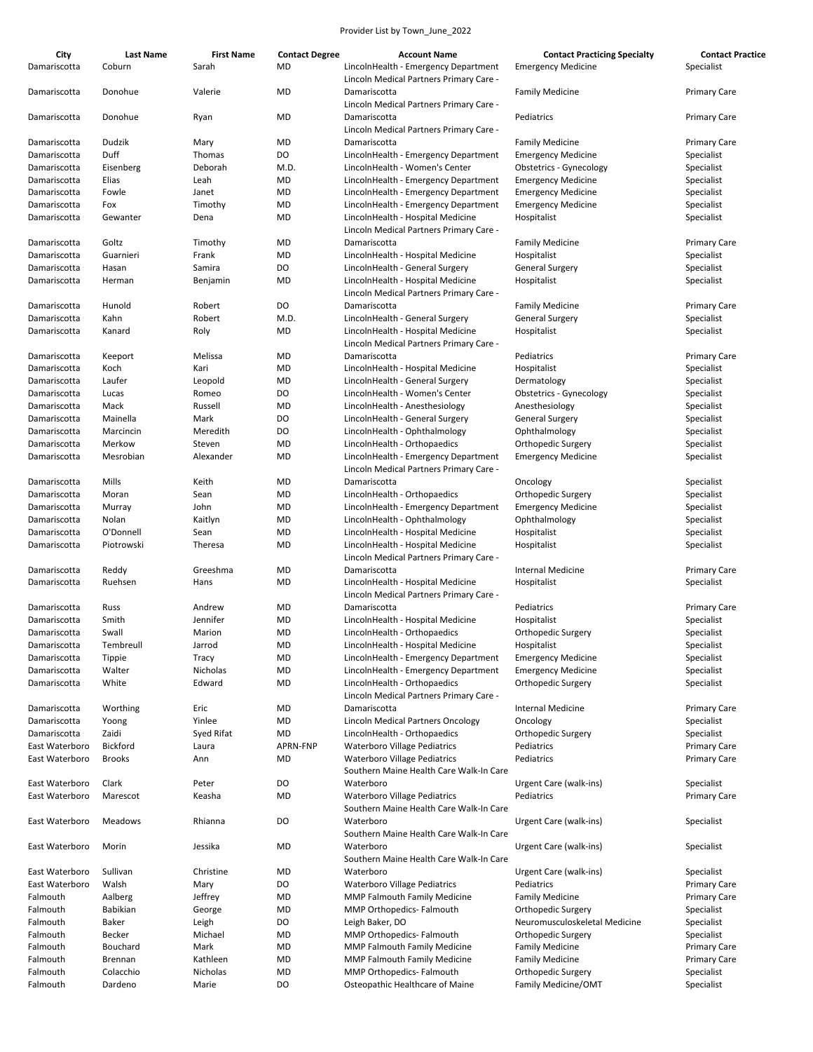| City           | <b>Last Name</b> | <b>First Name</b> | <b>Contact Degree</b> | <b>Account Name</b>                     | <b>Contact Practicing Specialty</b> | <b>Contact Practice</b> |
|----------------|------------------|-------------------|-----------------------|-----------------------------------------|-------------------------------------|-------------------------|
| Damariscotta   | Coburn           | Sarah             | <b>MD</b>             | LincolnHealth - Emergency Department    | <b>Emergency Medicine</b>           | Specialist              |
|                |                  |                   |                       | Lincoln Medical Partners Primary Care - |                                     |                         |
| Damariscotta   | Donohue          | Valerie           | <b>MD</b>             | Damariscotta                            | <b>Family Medicine</b>              | <b>Primary Care</b>     |
|                |                  |                   |                       | Lincoln Medical Partners Primary Care - |                                     |                         |
|                |                  |                   |                       |                                         |                                     |                         |
| Damariscotta   | Donohue          | Ryan              | <b>MD</b>             | Damariscotta                            | Pediatrics                          | <b>Primary Care</b>     |
|                |                  |                   |                       | Lincoln Medical Partners Primary Care - |                                     |                         |
| Damariscotta   | Dudzik           | Mary              | <b>MD</b>             | Damariscotta                            | <b>Family Medicine</b>              | <b>Primary Care</b>     |
| Damariscotta   | Duff             | Thomas            | DO                    | LincolnHealth - Emergency Department    | <b>Emergency Medicine</b>           | Specialist              |
| Damariscotta   | Eisenberg        | Deborah           | M.D.                  | LincolnHealth - Women's Center          | <b>Obstetrics - Gynecology</b>      | Specialist              |
| Damariscotta   | Elias            | Leah              | MD                    | LincolnHealth - Emergency Department    | <b>Emergency Medicine</b>           | Specialist              |
|                |                  |                   |                       |                                         |                                     |                         |
| Damariscotta   | Fowle            | Janet             | <b>MD</b>             | LincolnHealth - Emergency Department    | <b>Emergency Medicine</b>           | Specialist              |
| Damariscotta   | Fox              | Timothy           | MD                    | LincolnHealth - Emergency Department    | <b>Emergency Medicine</b>           | Specialist              |
| Damariscotta   | Gewanter         | Dena              | MD                    | LincolnHealth - Hospital Medicine       | Hospitalist                         | Specialist              |
|                |                  |                   |                       | Lincoln Medical Partners Primary Care - |                                     |                         |
| Damariscotta   | Goltz            | Timothy           | MD                    | Damariscotta                            | <b>Family Medicine</b>              | <b>Primary Care</b>     |
|                |                  |                   |                       |                                         |                                     |                         |
| Damariscotta   | Guarnieri        | Frank             | MD                    | LincolnHealth - Hospital Medicine       | Hospitalist                         | Specialist              |
| Damariscotta   | Hasan            | Samira            | DO                    | LincolnHealth - General Surgery         | <b>General Surgery</b>              | Specialist              |
| Damariscotta   | Herman           | Benjamin          | MD                    | LincolnHealth - Hospital Medicine       | Hospitalist                         | Specialist              |
|                |                  |                   |                       | Lincoln Medical Partners Primary Care - |                                     |                         |
| Damariscotta   | Hunold           | Robert            | DO                    | Damariscotta                            | <b>Family Medicine</b>              | <b>Primary Care</b>     |
|                | Kahn             | Robert            | M.D.                  |                                         | <b>General Surgery</b>              |                         |
| Damariscotta   |                  |                   |                       | LincolnHealth - General Surgery         |                                     | Specialist              |
| Damariscotta   | Kanard           | Roly              | MD                    | LincolnHealth - Hospital Medicine       | Hospitalist                         | Specialist              |
|                |                  |                   |                       | Lincoln Medical Partners Primary Care - |                                     |                         |
| Damariscotta   | Keeport          | Melissa           | MD                    | Damariscotta                            | Pediatrics                          | <b>Primary Care</b>     |
| Damariscotta   | Koch             | Kari              | MD                    | LincolnHealth - Hospital Medicine       | Hospitalist                         | Specialist              |
| Damariscotta   | Laufer           | Leopold           | MD                    |                                         |                                     |                         |
|                |                  |                   |                       | LincolnHealth - General Surgery         | Dermatology                         | Specialist              |
| Damariscotta   | Lucas            | Romeo             | DO                    | LincolnHealth - Women's Center          | Obstetrics - Gynecology             | Specialist              |
| Damariscotta   | Mack             | Russell           | MD                    | LincolnHealth - Anesthesiology          | Anesthesiology                      | Specialist              |
| Damariscotta   | Mainella         | Mark              | DO                    | LincolnHealth - General Surgery         | <b>General Surgery</b>              | Specialist              |
| Damariscotta   | Marcincin        | Meredith          | DO                    | LincolnHealth - Ophthalmology           | Ophthalmology                       | Specialist              |
| Damariscotta   | Merkow           | Steven            | MD                    | LincolnHealth - Orthopaedics            | Orthopedic Surgery                  | Specialist              |
|                |                  |                   |                       |                                         |                                     |                         |
| Damariscotta   | Mesrobian        | Alexander         | <b>MD</b>             | LincolnHealth - Emergency Department    | <b>Emergency Medicine</b>           | Specialist              |
|                |                  |                   |                       | Lincoln Medical Partners Primary Care - |                                     |                         |
| Damariscotta   | Mills            | Keith             | MD                    | Damariscotta                            | Oncology                            | Specialist              |
| Damariscotta   | Moran            | Sean              | MD                    | LincolnHealth - Orthopaedics            | Orthopedic Surgery                  | Specialist              |
| Damariscotta   | Murray           | John              | MD                    | LincolnHealth - Emergency Department    | <b>Emergency Medicine</b>           | Specialist              |
|                |                  |                   |                       |                                         |                                     |                         |
| Damariscotta   | Nolan            | Kaitlyn           | MD                    | LincolnHealth - Ophthalmology           | Ophthalmology                       | Specialist              |
| Damariscotta   | O'Donnell        | Sean              | MD                    | LincolnHealth - Hospital Medicine       | Hospitalist                         | Specialist              |
| Damariscotta   | Piotrowski       | Theresa           | MD                    | LincolnHealth - Hospital Medicine       | Hospitalist                         | Specialist              |
|                |                  |                   |                       | Lincoln Medical Partners Primary Care - |                                     |                         |
| Damariscotta   | Reddy            | Greeshma          | MD                    | Damariscotta                            | <b>Internal Medicine</b>            | <b>Primary Care</b>     |
| Damariscotta   | Ruehsen          | Hans              | MD                    | LincolnHealth - Hospital Medicine       | Hospitalist                         | Specialist              |
|                |                  |                   |                       |                                         |                                     |                         |
|                |                  |                   |                       | Lincoln Medical Partners Primary Care - |                                     |                         |
| Damariscotta   | Russ             | Andrew            | MD                    | Damariscotta                            | Pediatrics                          | <b>Primary Care</b>     |
| Damariscotta   | Smith            | Jennifer          | <b>MD</b>             | LincolnHealth - Hospital Medicine       | Hospitalist                         | Specialist              |
| Damariscotta   | Swall            | Marion            | <b>MD</b>             | LincolnHealth - Orthopaedics            | Orthopedic Surgery                  | Specialist              |
| Damariscotta   | Tembreull        | Jarrod            | MD                    | LincolnHealth - Hospital Medicine       | Hospitalist                         | Specialist              |
|                |                  |                   |                       |                                         |                                     |                         |
| Damariscotta   | Tippie           | Tracy             | <b>MD</b>             | LincolnHealth - Emergency Department    | <b>Emergency Medicine</b>           | Specialist              |
| Damariscotta   | Walter           | Nicholas          | <b>MD</b>             | LincolnHealth - Emergency Department    | <b>Emergency Medicine</b>           | Specialist              |
| Damariscotta   | White            | Edward            | MD                    | LincolnHealth - Orthopaedics            | Orthopedic Surgery                  | Specialist              |
|                |                  |                   |                       | Lincoln Medical Partners Primary Care - |                                     |                         |
| Damariscotta   | Worthing         | Eric              | MD                    | Damariscotta                            | Internal Medicine                   | <b>Primary Care</b>     |
| Damariscotta   |                  | Yinlee            | MD                    | Lincoln Medical Partners Oncology       | Oncology                            | Specialist              |
|                | Yoong            |                   |                       |                                         |                                     |                         |
| Damariscotta   | Zaidi            | Syed Rifat        | MD                    | LincolnHealth - Orthopaedics            | Orthopedic Surgery                  | Specialist              |
| East Waterboro | Bickford         | Laura             | APRN-FNP              | <b>Waterboro Village Pediatrics</b>     | Pediatrics                          | <b>Primary Care</b>     |
| East Waterboro | <b>Brooks</b>    | Ann               | MD                    | <b>Waterboro Village Pediatrics</b>     | Pediatrics                          | <b>Primary Care</b>     |
|                |                  |                   |                       | Southern Maine Health Care Walk-In Care |                                     |                         |
| East Waterboro | Clark            | Peter             | DO                    | Waterboro                               | Urgent Care (walk-ins)              | Specialist              |
|                |                  |                   |                       |                                         |                                     |                         |
| East Waterboro | Marescot         | Keasha            | MD                    | <b>Waterboro Village Pediatrics</b>     | Pediatrics                          | <b>Primary Care</b>     |
|                |                  |                   |                       | Southern Maine Health Care Walk-In Care |                                     |                         |
| East Waterboro | Meadows          | Rhianna           | DO                    | Waterboro                               | Urgent Care (walk-ins)              | Specialist              |
|                |                  |                   |                       | Southern Maine Health Care Walk-In Care |                                     |                         |
| East Waterboro | Morin            | Jessika           | MD                    | Waterboro                               | Urgent Care (walk-ins)              | Specialist              |
|                |                  |                   |                       |                                         |                                     |                         |
|                |                  |                   |                       | Southern Maine Health Care Walk-In Care |                                     |                         |
| East Waterboro | Sullivan         | Christine         | MD                    | Waterboro                               | Urgent Care (walk-ins)              | Specialist              |
| East Waterboro | Walsh            | Mary              | DO                    | <b>Waterboro Village Pediatrics</b>     | Pediatrics                          | <b>Primary Care</b>     |
| Falmouth       | Aalberg          | Jeffrey           | MD                    | MMP Falmouth Family Medicine            | <b>Family Medicine</b>              | <b>Primary Care</b>     |
| Falmouth       | Babikian         | George            | MD                    | MMP Orthopedics- Falmouth               | Orthopedic Surgery                  | Specialist              |
| Falmouth       | Baker            |                   | DO                    | Leigh Baker, DO                         | Neuromusculoskeletal Medicine       | Specialist              |
|                |                  | Leigh             |                       |                                         |                                     |                         |
| Falmouth       | Becker           | Michael           | MD                    | MMP Orthopedics- Falmouth               | Orthopedic Surgery                  | Specialist              |
| Falmouth       | Bouchard         | Mark              | MD                    | MMP Falmouth Family Medicine            | <b>Family Medicine</b>              | <b>Primary Care</b>     |
| Falmouth       | Brennan          | Kathleen          | MD                    | MMP Falmouth Family Medicine            | <b>Family Medicine</b>              | <b>Primary Care</b>     |
| Falmouth       | Colacchio        | Nicholas          | MD                    | MMP Orthopedics- Falmouth               | Orthopedic Surgery                  | Specialist              |
| Falmouth       | Dardeno          | Marie             | DO                    | Osteopathic Healthcare of Maine         | Family Medicine/OMT                 | Specialist              |
|                |                  |                   |                       |                                         |                                     |                         |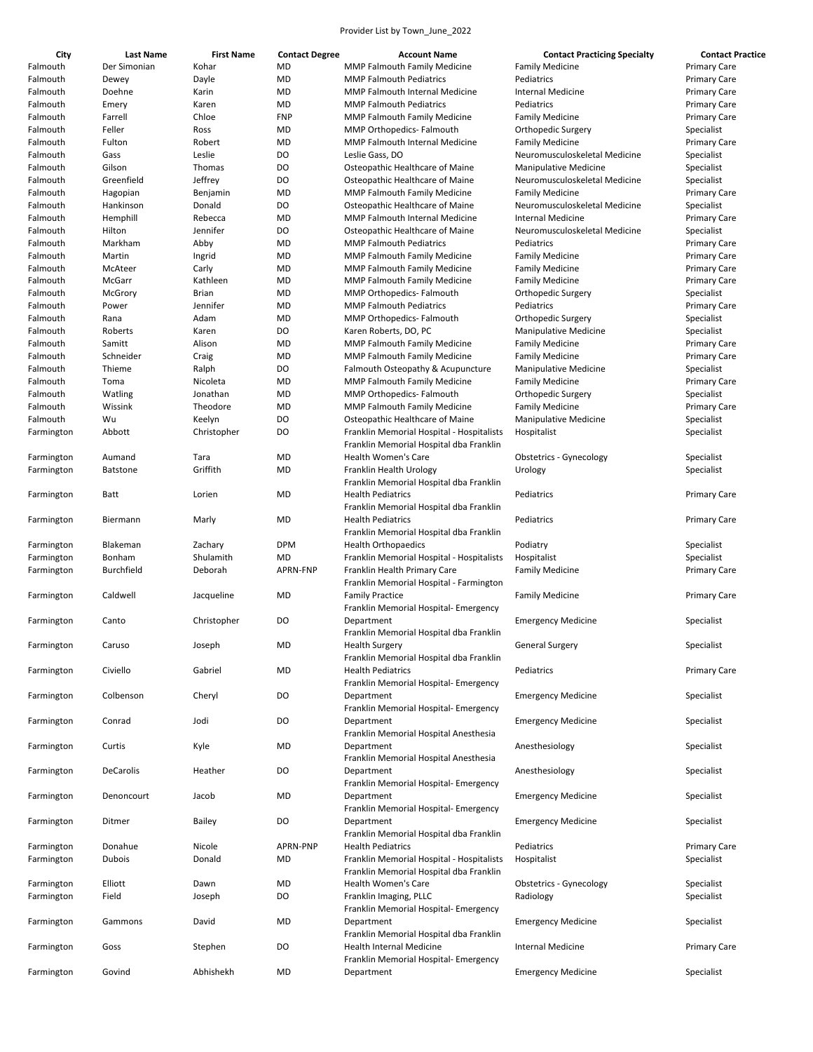| City       | <b>Last Name</b> | <b>First Name</b> | <b>Contact Degree</b> | <b>Account Name</b>                       | <b>Contact Practicing Specialty</b> | <b>Contact Practice</b> |
|------------|------------------|-------------------|-----------------------|-------------------------------------------|-------------------------------------|-------------------------|
| Falmouth   | Der Simonian     | Kohar             | MD                    | <b>MMP Falmouth Family Medicine</b>       | <b>Family Medicine</b>              | <b>Primary Care</b>     |
| Falmouth   | Dewey            | Dayle             | MD                    | <b>MMP Falmouth Pediatrics</b>            | Pediatrics                          | <b>Primary Care</b>     |
| Falmouth   | Doehne           | Karin             | MD                    | MMP Falmouth Internal Medicine            | <b>Internal Medicine</b>            | <b>Primary Care</b>     |
|            |                  |                   |                       |                                           |                                     |                         |
| Falmouth   | Emery            | Karen             | MD                    | <b>MMP Falmouth Pediatrics</b>            | Pediatrics                          | <b>Primary Care</b>     |
| Falmouth   | Farrell          | Chloe             | <b>FNP</b>            | MMP Falmouth Family Medicine              | <b>Family Medicine</b>              | <b>Primary Care</b>     |
| Falmouth   | Feller           | Ross              | MD                    | MMP Orthopedics- Falmouth                 | Orthopedic Surgery                  | Specialist              |
| Falmouth   | Fulton           | Robert            | MD                    | <b>MMP Falmouth Internal Medicine</b>     | <b>Family Medicine</b>              | <b>Primary Care</b>     |
| Falmouth   | Gass             | Leslie            | DO                    | Leslie Gass, DO                           | Neuromusculoskeletal Medicine       | Specialist              |
| Falmouth   | Gilson           | Thomas            | DO                    | Osteopathic Healthcare of Maine           | <b>Manipulative Medicine</b>        | Specialist              |
| Falmouth   | Greenfield       | Jeffrey           | DO                    | Osteopathic Healthcare of Maine           | Neuromusculoskeletal Medicine       | Specialist              |
| Falmouth   | Hagopian         | Benjamin          | MD                    | MMP Falmouth Family Medicine              | <b>Family Medicine</b>              | <b>Primary Care</b>     |
| Falmouth   | Hankinson        | Donald            | DO                    | Osteopathic Healthcare of Maine           | Neuromusculoskeletal Medicine       | Specialist              |
| Falmouth   | Hemphill         | Rebecca           | MD                    | MMP Falmouth Internal Medicine            | <b>Internal Medicine</b>            | <b>Primary Care</b>     |
| Falmouth   | Hilton           | Jennifer          | DO                    | Osteopathic Healthcare of Maine           | Neuromusculoskeletal Medicine       | Specialist              |
| Falmouth   | Markham          | Abby              | MD                    | <b>MMP Falmouth Pediatrics</b>            | Pediatrics                          | <b>Primary Care</b>     |
| Falmouth   | Martin           |                   | MD                    | <b>MMP Falmouth Family Medicine</b>       | <b>Family Medicine</b>              | <b>Primary Care</b>     |
|            |                  | Ingrid            |                       |                                           |                                     |                         |
| Falmouth   | McAteer          | Carly             | MD                    | <b>MMP Falmouth Family Medicine</b>       | <b>Family Medicine</b>              | <b>Primary Care</b>     |
| Falmouth   | McGarr           | Kathleen          | MD                    | <b>MMP Falmouth Family Medicine</b>       | <b>Family Medicine</b>              | <b>Primary Care</b>     |
| Falmouth   | McGrory          | Brian             | MD                    | MMP Orthopedics- Falmouth                 | Orthopedic Surgery                  | Specialist              |
| Falmouth   | Power            | Jennifer          | MD                    | <b>MMP Falmouth Pediatrics</b>            | Pediatrics                          | <b>Primary Care</b>     |
| Falmouth   | Rana             | Adam              | MD                    | MMP Orthopedics- Falmouth                 | Orthopedic Surgery                  | Specialist              |
| Falmouth   | Roberts          | Karen             | DO                    | Karen Roberts, DO, PC                     | <b>Manipulative Medicine</b>        | Specialist              |
| Falmouth   | Samitt           | Alison            | MD                    | <b>MMP Falmouth Family Medicine</b>       | <b>Family Medicine</b>              | <b>Primary Care</b>     |
| Falmouth   | Schneider        | Craig             | MD                    | <b>MMP Falmouth Family Medicine</b>       | <b>Family Medicine</b>              | <b>Primary Care</b>     |
| Falmouth   | Thieme           | Ralph             | DO                    | Falmouth Osteopathy & Acupuncture         | <b>Manipulative Medicine</b>        | Specialist              |
| Falmouth   | Toma             | Nicoleta          | MD                    | <b>MMP Falmouth Family Medicine</b>       | <b>Family Medicine</b>              | <b>Primary Care</b>     |
| Falmouth   | Watling          | Jonathan          | MD                    | <b>MMP Orthopedics-Falmouth</b>           | Orthopedic Surgery                  | Specialist              |
| Falmouth   | Wissink          | Theodore          | MD                    |                                           | <b>Family Medicine</b>              |                         |
|            |                  |                   |                       | <b>MMP Falmouth Family Medicine</b>       |                                     | <b>Primary Care</b>     |
| Falmouth   | Wu               | Keelyn            | DO                    | Osteopathic Healthcare of Maine           | <b>Manipulative Medicine</b>        | Specialist              |
| Farmington | Abbott           | Christopher       | DO                    | Franklin Memorial Hospital - Hospitalists | Hospitalist                         | Specialist              |
|            |                  |                   |                       | Franklin Memorial Hospital dba Franklin   |                                     |                         |
| Farmington | Aumand           | Tara              | MD                    | Health Women's Care                       | Obstetrics - Gynecology             | Specialist              |
| Farmington | Batstone         | Griffith          | <b>MD</b>             | Franklin Health Urology                   | Urology                             | Specialist              |
|            |                  |                   |                       | Franklin Memorial Hospital dba Franklin   |                                     |                         |
| Farmington | Batt             | Lorien            | MD                    | <b>Health Pediatrics</b>                  | Pediatrics                          | <b>Primary Care</b>     |
|            |                  |                   |                       | Franklin Memorial Hospital dba Franklin   |                                     |                         |
| Farmington | Biermann         | Marly             | MD                    | <b>Health Pediatrics</b>                  | Pediatrics                          | <b>Primary Care</b>     |
|            |                  |                   |                       | Franklin Memorial Hospital dba Franklin   |                                     |                         |
| Farmington | Blakeman         | Zachary           | <b>DPM</b>            | <b>Health Orthopaedics</b>                | Podiatry                            | Specialist              |
| Farmington | Bonham           | Shulamith         | MD                    | Franklin Memorial Hospital - Hospitalists | Hospitalist                         | Specialist              |
|            |                  |                   |                       | Franklin Health Primary Care              |                                     |                         |
| Farmington | Burchfield       | Deborah           | APRN-FNP              |                                           | <b>Family Medicine</b>              | <b>Primary Care</b>     |
|            |                  |                   |                       | Franklin Memorial Hospital - Farmington   |                                     |                         |
| Farmington | Caldwell         | Jacqueline        | MD                    | <b>Family Practice</b>                    | <b>Family Medicine</b>              | <b>Primary Care</b>     |
|            |                  |                   |                       | Franklin Memorial Hospital- Emergency     |                                     |                         |
| Farmington | Canto            | Christopher       | DO                    | Department                                | <b>Emergency Medicine</b>           | Specialist              |
|            |                  |                   |                       | Franklin Memorial Hospital dba Franklin   |                                     |                         |
| Farmington | Caruso           | Joseph            | <b>MD</b>             | <b>Health Surgery</b>                     | <b>General Surgery</b>              | Specialist              |
|            |                  |                   |                       | Franklin Memorial Hospital dba Franklin   |                                     |                         |
| Farmington | Civiello         | Gabriel           | MD                    | <b>Health Pediatrics</b>                  | Pediatrics                          | <b>Primary Care</b>     |
|            |                  |                   |                       | Franklin Memorial Hospital- Emergency     |                                     |                         |
| Farmington | Colbenson        | Cheryl            | DO                    | Department                                | <b>Emergency Medicine</b>           | Specialist              |
|            |                  |                   |                       | Franklin Memorial Hospital- Emergency     |                                     |                         |
| Farmington | Conrad           | Jodi              | DO                    | Department                                | <b>Emergency Medicine</b>           | Specialist              |
|            |                  |                   |                       | Franklin Memorial Hospital Anesthesia     |                                     |                         |
|            |                  |                   |                       |                                           |                                     |                         |
| Farmington | Curtis           | Kyle              | MD                    | Department                                | Anesthesiology                      | Specialist              |
|            |                  |                   |                       | Franklin Memorial Hospital Anesthesia     |                                     |                         |
| Farmington | DeCarolis        | Heather           | DO                    | Department                                | Anesthesiology                      | Specialist              |
|            |                  |                   |                       | Franklin Memorial Hospital- Emergency     |                                     |                         |
| Farmington | Denoncourt       | Jacob             | MD                    | Department                                | <b>Emergency Medicine</b>           | Specialist              |
|            |                  |                   |                       | Franklin Memorial Hospital- Emergency     |                                     |                         |
| Farmington | Ditmer           | Bailey            | DO                    | Department                                | <b>Emergency Medicine</b>           | Specialist              |
|            |                  |                   |                       | Franklin Memorial Hospital dba Franklin   |                                     |                         |
| Farmington | Donahue          | Nicole            | APRN-PNP              | <b>Health Pediatrics</b>                  | Pediatrics                          | <b>Primary Care</b>     |
| Farmington | Dubois           | Donald            | MD                    | Franklin Memorial Hospital - Hospitalists | Hospitalist                         | Specialist              |
|            |                  |                   |                       | Franklin Memorial Hospital dba Franklin   |                                     |                         |
|            |                  |                   |                       |                                           |                                     |                         |
| Farmington | Elliott          | Dawn              | MD                    | Health Women's Care                       | Obstetrics - Gynecology             | Specialist              |
| Farmington | Field            | Joseph            | DO                    | Franklin Imaging, PLLC                    | Radiology                           | Specialist              |
|            |                  |                   |                       | Franklin Memorial Hospital- Emergency     |                                     |                         |
| Farmington | Gammons          | David             | MD                    | Department                                | <b>Emergency Medicine</b>           | Specialist              |
|            |                  |                   |                       | Franklin Memorial Hospital dba Franklin   |                                     |                         |
| Farmington | Goss             | Stephen           | DO                    | <b>Health Internal Medicine</b>           | Internal Medicine                   | <b>Primary Care</b>     |
|            |                  |                   |                       | Franklin Memorial Hospital- Emergency     |                                     |                         |
| Farmington | Govind           | Abhishekh         | <b>MD</b>             | Department                                | <b>Emergency Medicine</b>           | Specialist              |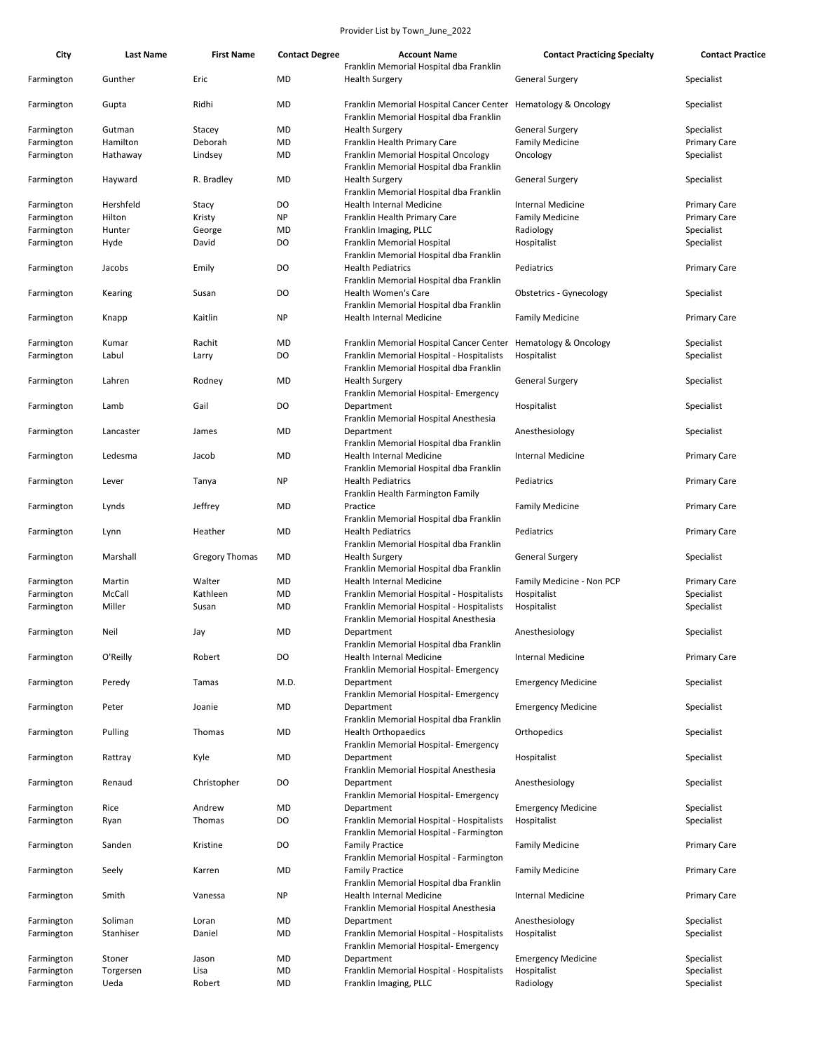| City       | Last Name | <b>First Name</b>     | <b>Contact Degree</b> | <b>Account Name</b>                                                                                         | <b>Contact Practicing Specialty</b> | <b>Contact Practice</b> |
|------------|-----------|-----------------------|-----------------------|-------------------------------------------------------------------------------------------------------------|-------------------------------------|-------------------------|
|            |           |                       |                       | Franklin Memorial Hospital dba Franklin                                                                     |                                     |                         |
| Farmington | Gunther   | Eric                  | MD                    | <b>Health Surgery</b>                                                                                       | <b>General Surgery</b>              | Specialist              |
| Farmington | Gupta     | Ridhi                 | MD                    | Franklin Memorial Hospital Cancer Center Hematology & Oncology<br>Franklin Memorial Hospital dba Franklin   |                                     | Specialist              |
| Farmington | Gutman    | Stacey                | MD                    | <b>Health Surgery</b>                                                                                       | <b>General Surgery</b>              | Specialist              |
| Farmington | Hamilton  | Deborah               | MD                    | Franklin Health Primary Care                                                                                | <b>Family Medicine</b>              | <b>Primary Care</b>     |
|            |           |                       |                       |                                                                                                             |                                     |                         |
| Farmington | Hathaway  | Lindsey               | MD                    | Franklin Memorial Hospital Oncology<br>Franklin Memorial Hospital dba Franklin                              | Oncology                            | Specialist              |
| Farmington | Hayward   | R. Bradley            | MD                    | <b>Health Surgery</b><br>Franklin Memorial Hospital dba Franklin                                            | General Surgery                     | Specialist              |
| Farmington | Hershfeld | Stacy                 | DO                    | <b>Health Internal Medicine</b>                                                                             | Internal Medicine                   | <b>Primary Care</b>     |
| Farmington | Hilton    | Kristy                | <b>NP</b>             | Franklin Health Primary Care                                                                                | <b>Family Medicine</b>              | <b>Primary Care</b>     |
| Farmington | Hunter    | George                | MD                    | Franklin Imaging, PLLC                                                                                      | Radiology                           | Specialist              |
| Farmington | Hyde      | David                 | DO                    | Franklin Memorial Hospital                                                                                  | Hospitalist                         | Specialist              |
|            |           |                       |                       | Franklin Memorial Hospital dba Franklin                                                                     |                                     |                         |
| Farmington | Jacobs    | Emily                 | DO                    | <b>Health Pediatrics</b><br>Franklin Memorial Hospital dba Franklin                                         | Pediatrics                          | <b>Primary Care</b>     |
| Farmington | Kearing   | Susan                 | DO                    | <b>Health Women's Care</b><br>Franklin Memorial Hospital dba Franklin                                       | Obstetrics - Gynecology             | Specialist              |
| Farmington | Knapp     | Kaitlin               | <b>NP</b>             | <b>Health Internal Medicine</b>                                                                             | <b>Family Medicine</b>              | <b>Primary Care</b>     |
|            |           |                       |                       |                                                                                                             |                                     |                         |
| Farmington | Kumar     | Rachit                | MD                    | Franklin Memorial Hospital Cancer Center                                                                    | Hematology & Oncology               | Specialist              |
| Farmington | Labul     | Larry                 | DO                    | Franklin Memorial Hospital - Hospitalists                                                                   | Hospitalist                         | Specialist              |
|            |           |                       |                       | Franklin Memorial Hospital dba Franklin                                                                     |                                     |                         |
| Farmington | Lahren    | Rodney                | MD                    | <b>Health Surgery</b><br>Franklin Memorial Hospital- Emergency                                              | <b>General Surgery</b>              | Specialist              |
| Farmington | Lamb      | Gail                  | DO                    | Department                                                                                                  | Hospitalist                         | Specialist              |
|            |           |                       |                       | Franklin Memorial Hospital Anesthesia                                                                       |                                     |                         |
| Farmington | Lancaster | James                 | MD                    | Department<br>Franklin Memorial Hospital dba Franklin                                                       | Anesthesiology                      | Specialist              |
| Farmington | Ledesma   | Jacob                 | MD                    | Health Internal Medicine<br>Franklin Memorial Hospital dba Franklin                                         | <b>Internal Medicine</b>            | <b>Primary Care</b>     |
| Farmington | Lever     | Tanya                 | <b>NP</b>             | <b>Health Pediatrics</b>                                                                                    | Pediatrics                          | Primary Care            |
| Farmington | Lynds     | Jeffrey               | MD                    | Franklin Health Farmington Family<br>Practice                                                               | <b>Family Medicine</b>              | <b>Primary Care</b>     |
|            |           |                       |                       | Franklin Memorial Hospital dba Franklin                                                                     |                                     |                         |
| Farmington | Lynn      | Heather               | MD                    | <b>Health Pediatrics</b>                                                                                    | Pediatrics                          | Primary Care            |
| Farmington | Marshall  | <b>Gregory Thomas</b> | MD                    | Franklin Memorial Hospital dba Franklin<br><b>Health Surgery</b><br>Franklin Memorial Hospital dba Franklin | <b>General Surgery</b>              | Specialist              |
| Farmington | Martin    | Walter                | MD                    | <b>Health Internal Medicine</b>                                                                             | Family Medicine - Non PCP           | <b>Primary Care</b>     |
| Farmington | McCall    | Kathleen              | <b>MD</b>             | Franklin Memorial Hospital - Hospitalists                                                                   | Hospitalist                         | Specialist              |
|            | Miller    | Susan                 | MD                    | Franklin Memorial Hospital - Hospitalists                                                                   | Hospitalist                         | Specialist              |
| Farmington |           |                       |                       | Franklin Memorial Hospital Anesthesia                                                                       |                                     |                         |
| Farmington | Neil      | Jay                   | MD                    | Department<br>Franklin Memorial Hospital dba Franklin                                                       | Anesthesiology                      | Specialist              |
| Farmington | O'Reilly  | Robert                | DO                    | <b>Health Internal Medicine</b><br>Franklin Memorial Hospital- Emergency                                    | <b>Internal Medicine</b>            | Primary Care            |
| Farmington | Peredy    | Tamas                 | M.D.                  | Department                                                                                                  | <b>Emergency Medicine</b>           | Specialist              |
|            |           |                       |                       | Franklin Memorial Hospital- Emergency                                                                       |                                     |                         |
| Farmington | Peter     | Joanie                | MD                    | Department<br>Franklin Memorial Hospital dba Franklin                                                       | <b>Emergency Medicine</b>           | Specialist              |
| Farmington | Pulling   | Thomas                | MD                    | <b>Health Orthopaedics</b><br>Franklin Memorial Hospital- Emergency                                         | Orthopedics                         | Specialist              |
| Farmington | Rattray   | Kyle                  | MD                    | Department<br>Franklin Memorial Hospital Anesthesia                                                         | Hospitalist                         | Specialist              |
| Farmington | Renaud    | Christopher           | DO                    | Department                                                                                                  | Anesthesiology                      | Specialist              |
| Farmington | Rice      | Andrew                | MD                    | Franklin Memorial Hospital- Emergency<br>Department                                                         | <b>Emergency Medicine</b>           | Specialist              |
| Farmington | Ryan      | Thomas                | DO                    | Franklin Memorial Hospital - Hospitalists                                                                   | Hospitalist                         | Specialist              |
| Farmington | Sanden    | Kristine              | DO                    | Franklin Memorial Hospital - Farmington<br><b>Family Practice</b>                                           | <b>Family Medicine</b>              | Primary Care            |
| Farmington | Seely     | Karren                | MD                    | Franklin Memorial Hospital - Farmington<br><b>Family Practice</b>                                           | <b>Family Medicine</b>              | <b>Primary Care</b>     |
|            |           |                       |                       | Franklin Memorial Hospital dba Franklin                                                                     |                                     |                         |
| Farmington | Smith     | Vanessa               | <b>NP</b>             | <b>Health Internal Medicine</b><br>Franklin Memorial Hospital Anesthesia                                    | <b>Internal Medicine</b>            | <b>Primary Care</b>     |
| Farmington | Soliman   | Loran                 | MD                    | Department                                                                                                  | Anesthesiology                      | Specialist              |
| Farmington | Stanhiser | Daniel                | MD                    | Franklin Memorial Hospital - Hospitalists                                                                   | Hospitalist                         | Specialist              |
|            |           |                       |                       | Franklin Memorial Hospital- Emergency                                                                       |                                     |                         |
| Farmington | Stoner    | Jason                 | MD                    | Department                                                                                                  | <b>Emergency Medicine</b>           | Specialist              |
| Farmington | Torgersen | Lisa                  | MD                    | Franklin Memorial Hospital - Hospitalists                                                                   | Hospitalist                         | Specialist              |
| Farmington | Ueda      | Robert                | MD                    | Franklin Imaging, PLLC                                                                                      | Radiology                           | Specialist              |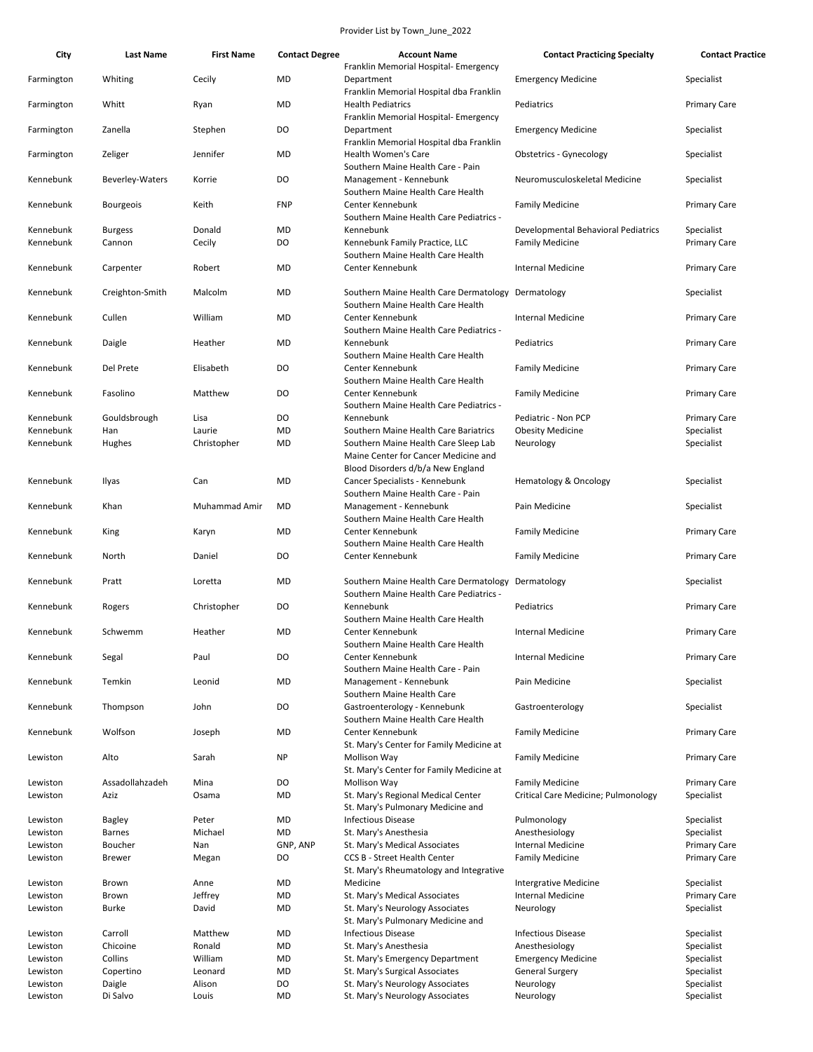| City       | Last Name        | <b>First Name</b> | <b>Contact Degree</b> | <b>Account Name</b>                                                               | <b>Contact Practicing Specialty</b> | <b>Contact Practice</b> |
|------------|------------------|-------------------|-----------------------|-----------------------------------------------------------------------------------|-------------------------------------|-------------------------|
| Farmington | Whiting          | Cecily            | MD                    | Franklin Memorial Hospital- Emergency<br>Department                               | <b>Emergency Medicine</b>           | Specialist              |
|            |                  |                   |                       | Franklin Memorial Hospital dba Franklin                                           |                                     |                         |
| Farmington | Whitt            | Ryan              | MD                    | <b>Health Pediatrics</b><br>Franklin Memorial Hospital- Emergency                 | Pediatrics                          | <b>Primary Care</b>     |
| Farmington | Zanella          | Stephen           | DO                    | Department<br>Franklin Memorial Hospital dba Franklin                             | <b>Emergency Medicine</b>           | Specialist              |
| Farmington | Zeliger          | Jennifer          | MD                    | Health Women's Care<br>Southern Maine Health Care - Pain                          | Obstetrics - Gynecology             | Specialist              |
| Kennebunk  | Beverley-Waters  | Korrie            | DO                    | Management - Kennebunk<br>Southern Maine Health Care Health                       | Neuromusculoskeletal Medicine       | Specialist              |
| Kennebunk  | <b>Bourgeois</b> | Keith             | <b>FNP</b>            | Center Kennebunk<br>Southern Maine Health Care Pediatrics -                       | <b>Family Medicine</b>              | <b>Primary Care</b>     |
| Kennebunk  | <b>Burgess</b>   | Donald            | MD                    | Kennebunk                                                                         | Developmental Behavioral Pediatrics | Specialist              |
| Kennebunk  | Cannon           | Cecily            | DO                    | Kennebunk Family Practice, LLC                                                    | <b>Family Medicine</b>              | <b>Primary Care</b>     |
|            |                  |                   |                       | Southern Maine Health Care Health                                                 |                                     |                         |
| Kennebunk  | Carpenter        | Robert            | MD                    | Center Kennebunk                                                                  | Internal Medicine                   | <b>Primary Care</b>     |
| Kennebunk  | Creighton-Smith  | Malcolm           | MD                    | Southern Maine Health Care Dermatology<br>Southern Maine Health Care Health       | Dermatology                         | Specialist              |
| Kennebunk  | Cullen           | William           | MD                    | Center Kennebunk<br>Southern Maine Health Care Pediatrics -                       | <b>Internal Medicine</b>            | <b>Primary Care</b>     |
| Kennebunk  | Daigle           | Heather           | MD                    | Kennebunk<br>Southern Maine Health Care Health                                    | Pediatrics                          | <b>Primary Care</b>     |
| Kennebunk  | Del Prete        | Elisabeth         | DO                    | Center Kennebunk<br>Southern Maine Health Care Health                             | <b>Family Medicine</b>              | <b>Primary Care</b>     |
| Kennebunk  | Fasolino         | Matthew           | DO                    | Center Kennebunk                                                                  | <b>Family Medicine</b>              | <b>Primary Care</b>     |
| Kennebunk  | Gouldsbrough     | Lisa              | DO                    | Southern Maine Health Care Pediatrics -<br>Kennebunk                              | Pediatric - Non PCP                 | <b>Primary Care</b>     |
| Kennebunk  | Han              | Laurie            | MD                    | Southern Maine Health Care Bariatrics                                             | <b>Obesity Medicine</b>             | Specialist              |
| Kennebunk  | Hughes           | Christopher       | MD                    | Southern Maine Health Care Sleep Lab                                              | Neurology                           | Specialist              |
|            |                  |                   |                       | Maine Center for Cancer Medicine and<br>Blood Disorders d/b/a New England         |                                     |                         |
| Kennebunk  | Ilyas            | Can               | MD                    | Cancer Specialists - Kennebunk<br>Southern Maine Health Care - Pain               | Hematology & Oncology               | Specialist              |
| Kennebunk  | Khan             | Muhammad Amir     | MD                    | Management - Kennebunk<br>Southern Maine Health Care Health                       | Pain Medicine                       | Specialist              |
| Kennebunk  | King             | Karyn             | MD                    | Center Kennebunk<br>Southern Maine Health Care Health                             | <b>Family Medicine</b>              | <b>Primary Care</b>     |
| Kennebunk  | North            | Daniel            | DO                    | Center Kennebunk                                                                  | <b>Family Medicine</b>              | <b>Primary Care</b>     |
| Kennebunk  | Pratt            | Loretta           | MD                    | Southern Maine Health Care Dermatology<br>Southern Maine Health Care Pediatrics - | Dermatology                         | Specialist              |
| Kennebunk  | Rogers           | Christopher       | DO                    | Kennebunk<br>Southern Maine Health Care Health                                    | Pediatrics                          | <b>Primary Care</b>     |
| Kennebunk  | Schwemm          | Heather           | MD                    | Center Kennebunk<br>Southern Maine Health Care Health                             | <b>Internal Medicine</b>            | <b>Primary Care</b>     |
| Kennebunk  | Segal            | Paul              | DO                    | Center Kennebunk<br>Southern Maine Health Care - Pain                             | <b>Internal Medicine</b>            | <b>Primary Care</b>     |
| Kennebunk  | Temkin           | Leonid            | MD                    | Management - Kennebunk<br>Southern Maine Health Care                              | Pain Medicine                       | Specialist              |
| Kennebunk  | Thompson         | John              | DO                    | Gastroenterology - Kennebunk<br>Southern Maine Health Care Health                 | Gastroenterology                    | Specialist              |
| Kennebunk  | Wolfson          | Joseph            | MD                    | Center Kennebunk<br>St. Mary's Center for Family Medicine at                      | <b>Family Medicine</b>              | <b>Primary Care</b>     |
| Lewiston   | Alto             | Sarah             | NP                    | Mollison Way                                                                      | <b>Family Medicine</b>              | <b>Primary Care</b>     |
| Lewiston   | Assadollahzadeh  | Mina              | DO                    | St. Mary's Center for Family Medicine at<br>Mollison Way                          | <b>Family Medicine</b>              | <b>Primary Care</b>     |
| Lewiston   | Aziz             | Osama             | MD                    | St. Mary's Regional Medical Center<br>St. Mary's Pulmonary Medicine and           | Critical Care Medicine; Pulmonology | Specialist              |
| Lewiston   | <b>Bagley</b>    | Peter             | MD                    | <b>Infectious Disease</b>                                                         | Pulmonology                         | Specialist              |
| Lewiston   | <b>Barnes</b>    | Michael           | MD                    | St. Mary's Anesthesia                                                             | Anesthesiology                      | Specialist              |
| Lewiston   | Boucher          | Nan               | GNP, ANP              | St. Mary's Medical Associates                                                     | <b>Internal Medicine</b>            | <b>Primary Care</b>     |
| Lewiston   | <b>Brewer</b>    | Megan             | DO                    | CCS B - Street Health Center<br>St. Mary's Rheumatology and Integrative           | <b>Family Medicine</b>              | <b>Primary Care</b>     |
| Lewiston   | Brown            | Anne              | MD                    | Medicine                                                                          | Intergrative Medicine               | Specialist              |
| Lewiston   | Brown            | Jeffrey           | MD                    | St. Mary's Medical Associates                                                     | Internal Medicine                   | <b>Primary Care</b>     |
| Lewiston   | <b>Burke</b>     | David             | MD                    | St. Mary's Neurology Associates<br>St. Mary's Pulmonary Medicine and              | Neurology                           | Specialist              |
| Lewiston   | Carroll          | Matthew           | MD                    | <b>Infectious Disease</b>                                                         | <b>Infectious Disease</b>           | Specialist              |
| Lewiston   | Chicoine         | Ronald            | MD                    | St. Mary's Anesthesia                                                             | Anesthesiology                      | Specialist              |
| Lewiston   | Collins          | William           | MD                    | St. Mary's Emergency Department                                                   | <b>Emergency Medicine</b>           | Specialist              |
| Lewiston   | Copertino        | Leonard           | MD                    | St. Mary's Surgical Associates                                                    | <b>General Surgery</b>              | Specialist              |
| Lewiston   | Daigle           | Alison            | DO                    | St. Mary's Neurology Associates                                                   | Neurology                           | Specialist              |
| Lewiston   | Di Salvo         | Louis             | MD                    | St. Mary's Neurology Associates                                                   | Neurology                           | Specialist              |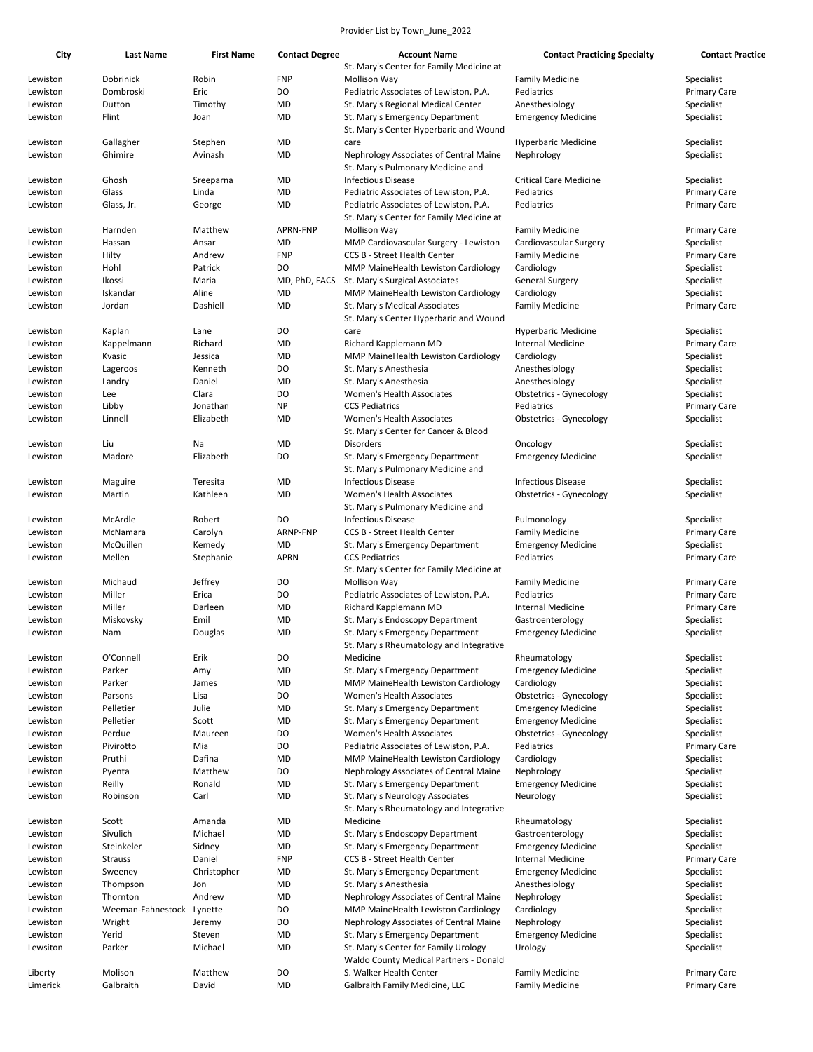| City                 | <b>Last Name</b>  | <b>First Name</b> | <b>Contact Degree</b> | <b>Account Name</b>                                                                | <b>Contact Practicing Specialty</b> | <b>Contact Practice</b> |
|----------------------|-------------------|-------------------|-----------------------|------------------------------------------------------------------------------------|-------------------------------------|-------------------------|
|                      |                   |                   |                       | St. Mary's Center for Family Medicine at                                           |                                     |                         |
| Lewiston             | Dobrinick         | Robin             | <b>FNP</b>            | <b>Mollison Way</b>                                                                | <b>Family Medicine</b>              | Specialist              |
| Lewiston             | Dombroski         | Eric              | DO                    | Pediatric Associates of Lewiston, P.A.                                             | Pediatrics                          | <b>Primary Care</b>     |
| Lewiston             | Dutton            | Timothy           | MD                    | St. Mary's Regional Medical Center                                                 | Anesthesiology                      | Specialist              |
| Lewiston             | Flint             | Joan              | MD                    | St. Mary's Emergency Department<br>St. Mary's Center Hyperbaric and Wound          | <b>Emergency Medicine</b>           | Specialist              |
| Lewiston             | Gallagher         | Stephen           | MD                    | care                                                                               | <b>Hyperbaric Medicine</b>          | Specialist              |
| Lewiston             | Ghimire           | Avinash           | MD                    | Nephrology Associates of Central Maine<br>St. Mary's Pulmonary Medicine and        | Nephrology                          | Specialist              |
| Lewiston             | Ghosh             | Sreeparna         | MD                    | <b>Infectious Disease</b>                                                          | <b>Critical Care Medicine</b>       | Specialist              |
| Lewiston             | Glass             | Linda             | <b>MD</b>             | Pediatric Associates of Lewiston, P.A.                                             | Pediatrics                          | <b>Primary Care</b>     |
| Lewiston             | Glass, Jr.        | George            | MD                    | Pediatric Associates of Lewiston, P.A.<br>St. Mary's Center for Family Medicine at | Pediatrics                          | <b>Primary Care</b>     |
| Lewiston             | Harnden           | Matthew           | APRN-FNP              | <b>Mollison Way</b>                                                                | <b>Family Medicine</b>              | <b>Primary Care</b>     |
| Lewiston             | Hassan            | Ansar             | MD                    | MMP Cardiovascular Surgery - Lewiston                                              | Cardiovascular Surgery              | Specialist              |
| Lewiston             | Hilty             | Andrew            | <b>FNP</b>            | CCS B - Street Health Center                                                       | <b>Family Medicine</b>              | Primary Care            |
| Lewiston             | Hohl              | Patrick           | DO                    | MMP MaineHealth Lewiston Cardiology                                                | Cardiology                          | Specialist              |
| Lewiston             | Ikossi            | Maria             | MD, PhD, FACS         | St. Mary's Surgical Associates                                                     | <b>General Surgery</b>              | Specialist              |
| Lewiston             | Iskandar          | Aline             | MD                    | MMP MaineHealth Lewiston Cardiology                                                | Cardiology                          | Specialist              |
| Lewiston             | Jordan            | Dashiell          | MD                    | St. Mary's Medical Associates<br>St. Mary's Center Hyperbaric and Wound            | <b>Family Medicine</b>              | <b>Primary Care</b>     |
| Lewiston             | Kaplan            | Lane              | DO                    | care                                                                               | Hyperbaric Medicine                 | Specialist              |
| Lewiston             | Kappelmann        | Richard           | MD                    | Richard Kapplemann MD                                                              | <b>Internal Medicine</b>            | <b>Primary Care</b>     |
| Lewiston             | Kvasic            | Jessica           | MD                    | MMP MaineHealth Lewiston Cardiology                                                | Cardiology                          | Specialist              |
| Lewiston             | Lageroos          | Kenneth           | DO                    | St. Mary's Anesthesia                                                              | Anesthesiology                      | Specialist              |
| Lewiston             | Landry            | Daniel            | MD                    | St. Mary's Anesthesia                                                              | Anesthesiology                      | Specialist              |
| Lewiston             | Lee               | Clara             | DO                    | Women's Health Associates                                                          | Obstetrics - Gynecology             | Specialist              |
| Lewiston             | Libby             | Jonathan          | NP                    | <b>CCS Pediatrics</b>                                                              | Pediatrics                          | <b>Primary Care</b>     |
| Lewiston             | Linnell           | Elizabeth         | MD                    | Women's Health Associates<br>St. Mary's Center for Cancer & Blood                  | Obstetrics - Gynecology             | Specialist              |
| Lewiston             | Liu               | Na                | MD                    | <b>Disorders</b>                                                                   | Oncology                            | Specialist              |
| Lewiston             | Madore            | Elizabeth         | DO                    | St. Mary's Emergency Department<br>St. Mary's Pulmonary Medicine and               | <b>Emergency Medicine</b>           | Specialist              |
|                      |                   | Teresita          | MD                    | <b>Infectious Disease</b>                                                          | <b>Infectious Disease</b>           | Specialist              |
| Lewiston<br>Lewiston | Maguire<br>Martin | Kathleen          | MD                    | Women's Health Associates                                                          | <b>Obstetrics - Gynecology</b>      | Specialist              |
|                      |                   |                   |                       | St. Mary's Pulmonary Medicine and                                                  |                                     |                         |
| Lewiston             | McArdle           | Robert            | DO                    | <b>Infectious Disease</b>                                                          | Pulmonology                         | Specialist              |
| Lewiston             | McNamara          | Carolyn           | ARNP-FNP              | CCS B - Street Health Center                                                       | <b>Family Medicine</b>              | <b>Primary Care</b>     |
| Lewiston             | McQuillen         | Kemedy            | MD                    | St. Mary's Emergency Department                                                    | <b>Emergency Medicine</b>           | Specialist              |
| Lewiston             | Mellen            | Stephanie         | <b>APRN</b>           | <b>CCS Pediatrics</b><br>St. Mary's Center for Family Medicine at                  | Pediatrics                          | <b>Primary Care</b>     |
| Lewiston             | Michaud           | Jeffrey           | DO                    | Mollison Way                                                                       | <b>Family Medicine</b>              | <b>Primary Care</b>     |
| Lewiston             | Miller            | Erica             | DO                    | Pediatric Associates of Lewiston, P.A.                                             | Pediatrics                          | <b>Primary Care</b>     |
| Lewiston             | Miller            | Darleen           | MD                    | Richard Kapplemann MD                                                              | <b>Internal Medicine</b>            | <b>Primary Care</b>     |
| Lewiston             | Miskovsky         | Emil              | MD                    | St. Mary's Endoscopy Department                                                    | Gastroenterology                    | Specialist              |
| Lewiston             | Nam               | Douglas           | MD                    | St. Mary's Emergency Department<br>St. Mary's Rheumatology and Integrative         | <b>Emergency Medicine</b>           | Specialist              |
| Lewiston             | O'Connell         | Erik              | DO                    | Medicine                                                                           | Rheumatology                        | Specialist              |
| Lewiston             | Parker            | Amy               | MD                    | St. Mary's Emergency Department                                                    | <b>Emergency Medicine</b>           | Specialist              |
| Lewiston             | Parker            | James             | MD                    | MMP MaineHealth Lewiston Cardiology                                                | Cardiology                          | Specialist              |
| Lewiston             | Parsons           | Lisa              | DO                    | Women's Health Associates                                                          | <b>Obstetrics - Gynecology</b>      | Specialist              |
| Lewiston             | Pelletier         | Julie             | MD                    | St. Mary's Emergency Department                                                    | <b>Emergency Medicine</b>           | Specialist              |
| Lewiston             | Pelletier         | Scott             | MD                    | St. Mary's Emergency Department                                                    | <b>Emergency Medicine</b>           | Specialist              |
| Lewiston             | Perdue            | Maureen           | DO                    | Women's Health Associates                                                          | <b>Obstetrics - Gynecology</b>      | Specialist              |
| Lewiston             | Pivirotto         | Mia               | DO                    | Pediatric Associates of Lewiston, P.A.                                             | Pediatrics                          | <b>Primary Care</b>     |
| Lewiston             | Pruthi            | Dafina            | MD                    | MMP MaineHealth Lewiston Cardiology                                                | Cardiology                          | Specialist              |
| Lewiston             | Pyenta            | Matthew           | DO                    | Nephrology Associates of Central Maine                                             | Nephrology                          | Specialist              |
| Lewiston             | Reilly            | Ronald            | MD                    | St. Mary's Emergency Department                                                    | <b>Emergency Medicine</b>           | Specialist              |
| Lewiston             | Robinson          | Carl              | MD                    | St. Mary's Neurology Associates<br>St. Mary's Rheumatology and Integrative         | Neurology                           | Specialist              |
| Lewiston             | Scott             | Amanda            | MD                    | Medicine                                                                           | Rheumatology                        | Specialist              |
| Lewiston             | Sivulich          | Michael           | MD                    | St. Mary's Endoscopy Department                                                    | Gastroenterology                    | Specialist              |
| Lewiston             | Steinkeler        | Sidney            | MD                    | St. Mary's Emergency Department                                                    | <b>Emergency Medicine</b>           | Specialist              |
| Lewiston             | <b>Strauss</b>    | Daniel            | <b>FNP</b>            | CCS B - Street Health Center                                                       | <b>Internal Medicine</b>            | <b>Primary Care</b>     |
| Lewiston             | Sweeney           | Christopher       | MD                    | St. Mary's Emergency Department                                                    | <b>Emergency Medicine</b>           | Specialist              |
| Lewiston             | Thompson          | Jon               | MD                    | St. Mary's Anesthesia                                                              | Anesthesiology                      | Specialist              |
| Lewiston             | Thornton          | Andrew            | MD                    | Nephrology Associates of Central Maine                                             | Nephrology                          | Specialist              |
| Lewiston             | Weeman-Fahnestock | Lynette           | DO                    | MMP MaineHealth Lewiston Cardiology                                                | Cardiology                          | Specialist              |
| Lewiston             | Wright            | Jeremy            | DO                    | Nephrology Associates of Central Maine                                             | Nephrology                          | Specialist              |
| Lewiston             | Yerid             | Steven            | MD                    | St. Mary's Emergency Department                                                    | <b>Emergency Medicine</b>           | Specialist              |
| Lewsiton             | Parker            | Michael           | MD                    | St. Mary's Center for Family Urology<br>Waldo County Medical Partners - Donald     | Urology                             | Specialist              |
| Liberty              | Molison           | Matthew           | DO                    | S. Walker Health Center                                                            | <b>Family Medicine</b>              | <b>Primary Care</b>     |
| Limerick             | Galbraith         | David             | MD                    | Galbraith Family Medicine, LLC                                                     | <b>Family Medicine</b>              | <b>Primary Care</b>     |
|                      |                   |                   |                       |                                                                                    |                                     |                         |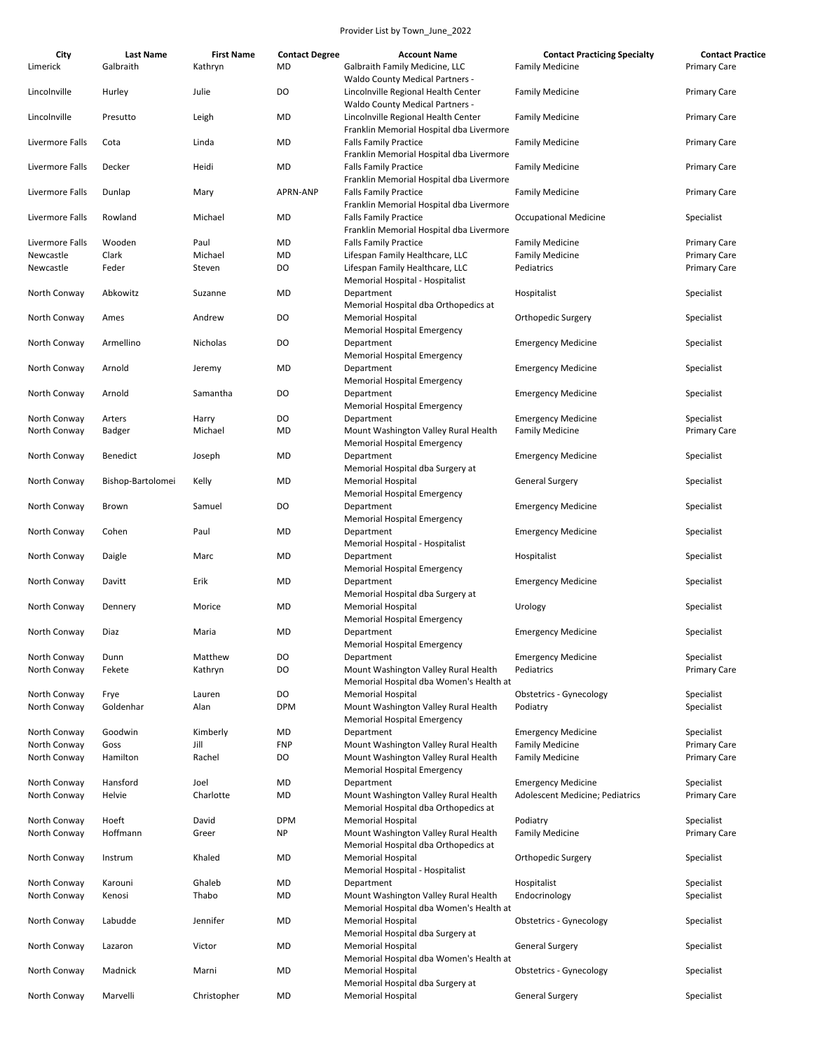| City            | <b>Last Name</b>    | <b>First Name</b> | <b>Contact Degree</b> | <b>Account Name</b>                                                             | <b>Contact Practicing Specialty</b> | <b>Contact Practice</b> |
|-----------------|---------------------|-------------------|-----------------------|---------------------------------------------------------------------------------|-------------------------------------|-------------------------|
| Limerick        | Galbraith           | Kathryn           | MD                    | Galbraith Family Medicine, LLC<br><b>Waldo County Medical Partners -</b>        | <b>Family Medicine</b>              | <b>Primary Care</b>     |
| Lincolnville    | Hurley              | Julie             | DO                    | Lincolnville Regional Health Center<br><b>Waldo County Medical Partners -</b>   | <b>Family Medicine</b>              | <b>Primary Care</b>     |
| Lincolnville    | Presutto            | Leigh             | MD                    | Lincolnville Regional Health Center<br>Franklin Memorial Hospital dba Livermore | <b>Family Medicine</b>              | <b>Primary Care</b>     |
| Livermore Falls | Cota                | Linda             | MD                    | <b>Falls Family Practice</b><br>Franklin Memorial Hospital dba Livermore        | <b>Family Medicine</b>              | <b>Primary Care</b>     |
| Livermore Falls | Decker              | Heidi             | <b>MD</b>             | <b>Falls Family Practice</b><br>Franklin Memorial Hospital dba Livermore        | <b>Family Medicine</b>              | <b>Primary Care</b>     |
| Livermore Falls | Dunlap              | Mary              | APRN-ANP              | <b>Falls Family Practice</b><br>Franklin Memorial Hospital dba Livermore        | <b>Family Medicine</b>              | <b>Primary Care</b>     |
| Livermore Falls | Rowland             | Michael           | MD                    | <b>Falls Family Practice</b><br>Franklin Memorial Hospital dba Livermore        | Occupational Medicine               | Specialist              |
| Livermore Falls | Wooden              | Paul              | MD                    | <b>Falls Family Practice</b>                                                    | <b>Family Medicine</b>              | <b>Primary Care</b>     |
| Newcastle       | Clark               | Michael           | MD                    | Lifespan Family Healthcare, LLC                                                 | <b>Family Medicine</b>              | <b>Primary Care</b>     |
| Newcastle       | Feder               | Steven            | DO                    | Lifespan Family Healthcare, LLC<br>Memorial Hospital - Hospitalist              | Pediatrics                          | <b>Primary Care</b>     |
| North Conway    | Abkowitz            | Suzanne           | MD                    | Department<br>Memorial Hospital dba Orthopedics at                              | Hospitalist                         | Specialist              |
| North Conway    | Ames                | Andrew            | DO                    | <b>Memorial Hospital</b><br>Memorial Hospital Emergency                         | Orthopedic Surgery                  | Specialist              |
| North Conway    | Armellino           | Nicholas          | DO                    | Department<br>Memorial Hospital Emergency                                       | <b>Emergency Medicine</b>           | Specialist              |
| North Conway    | Arnold              | Jeremy            | MD                    | Department<br>Memorial Hospital Emergency                                       | <b>Emergency Medicine</b>           | Specialist              |
| North Conway    | Arnold              | Samantha          | DO                    | Department<br>Memorial Hospital Emergency                                       | <b>Emergency Medicine</b>           | Specialist              |
| North Conway    | Arters              | Harry             | DO                    | Department                                                                      | <b>Emergency Medicine</b>           | Specialist              |
| North Conway    | Badger              | Michael           | MD                    | Mount Washington Valley Rural Health<br>Memorial Hospital Emergency             | <b>Family Medicine</b>              | <b>Primary Care</b>     |
| North Conway    | Benedict            | Joseph            | MD                    | Department<br>Memorial Hospital dba Surgery at                                  | <b>Emergency Medicine</b>           | Specialist              |
| North Conway    | Bishop-Bartolomei   | Kelly             | MD                    | <b>Memorial Hospital</b><br>Memorial Hospital Emergency                         | <b>General Surgery</b>              | Specialist              |
| North Conway    | Brown               | Samuel            | DO                    | Department<br>Memorial Hospital Emergency                                       | <b>Emergency Medicine</b>           | Specialist              |
| North Conway    | Cohen               | Paul              | MD                    | Department<br>Memorial Hospital - Hospitalist                                   | <b>Emergency Medicine</b>           | Specialist              |
| North Conway    | Daigle              | Marc              | MD                    | Department<br>Memorial Hospital Emergency                                       | Hospitalist                         | Specialist              |
| North Conway    | Davitt              | Erik              | MD                    | Department<br>Memorial Hospital dba Surgery at                                  | <b>Emergency Medicine</b>           | Specialist              |
| North Conway    | Dennery             | Morice            | MD                    | <b>Memorial Hospital</b><br>Memorial Hospital Emergency                         | Urology                             | Specialist              |
| North Conway    | Diaz                | Maria             | MD                    | Department<br>Memorial Hospital Emergency                                       | <b>Emergency Medicine</b>           | Specialist              |
| North Conway    | Dunn                | Matthew           | DO                    | Department                                                                      | <b>Emergency Medicine</b>           | Specialist              |
| North Conway    | Fekete              | Kathryn           | DO                    | Mount Washington Valley Rural Health<br>Memorial Hospital dba Women's Health at | Pediatrics                          | <b>Primary Care</b>     |
| North Conway    | Frye                | Lauren            | DO                    | <b>Memorial Hospital</b>                                                        | <b>Obstetrics - Gynecology</b>      | Specialist              |
| North Conway    | Goldenhar           | Alan              | <b>DPM</b>            | Mount Washington Valley Rural Health<br>Memorial Hospital Emergency             | Podiatry                            | Specialist              |
| North Conway    | Goodwin             | Kimberly          | MD                    | Department                                                                      | <b>Emergency Medicine</b>           | Specialist              |
| North Conway    | Goss                | Jill              | <b>FNP</b>            | Mount Washington Valley Rural Health                                            | <b>Family Medicine</b>              | <b>Primary Care</b>     |
| North Conway    | Hamilton            | Rachel            | DO                    | Mount Washington Valley Rural Health<br>Memorial Hospital Emergency             | <b>Family Medicine</b>              | <b>Primary Care</b>     |
| North Conway    | Hansford            | Joel              | <b>MD</b>             | Department                                                                      | <b>Emergency Medicine</b>           | Specialist              |
| North Conway    | Helvie              | Charlotte         | MD                    | Mount Washington Valley Rural Health<br>Memorial Hospital dba Orthopedics at    | Adolescent Medicine; Pediatrics     | <b>Primary Care</b>     |
| North Conway    | Hoeft               | David             | <b>DPM</b>            | <b>Memorial Hospital</b>                                                        | Podiatry                            | Specialist              |
| North Conway    | Hoffmann            | Greer             | <b>NP</b>             | Mount Washington Valley Rural Health<br>Memorial Hospital dba Orthopedics at    | <b>Family Medicine</b>              | <b>Primary Care</b>     |
| North Conway    | Instrum             | Khaled            | MD                    | <b>Memorial Hospital</b><br>Memorial Hospital - Hospitalist                     | Orthopedic Surgery                  | Specialist              |
| North Conway    | Karouni             | Ghaleb            | MD                    | Department                                                                      | Hospitalist                         | Specialist              |
| North Conway    | Kenosi              | Thabo             | MD                    | Mount Washington Valley Rural Health<br>Memorial Hospital dba Women's Health at | Endocrinology                       | Specialist              |
| North Conway    | Labudde             | Jennifer          | MD                    | <b>Memorial Hospital</b><br>Memorial Hospital dba Surgery at                    | <b>Obstetrics - Gynecology</b>      | Specialist              |
| North Conway    | Lazaron             | Victor            | MD                    | <b>Memorial Hospital</b><br>Memorial Hospital dba Women's Health at             | <b>General Surgery</b>              | Specialist              |
| North Conway    | Madnick<br>Marvelli | Marni             | MD<br>MD              | <b>Memorial Hospital</b><br>Memorial Hospital dba Surgery at                    | <b>Obstetrics - Gynecology</b>      | Specialist              |
| North Conway    |                     | Christopher       |                       | <b>Memorial Hospital</b>                                                        | <b>General Surgery</b>              | Specialist              |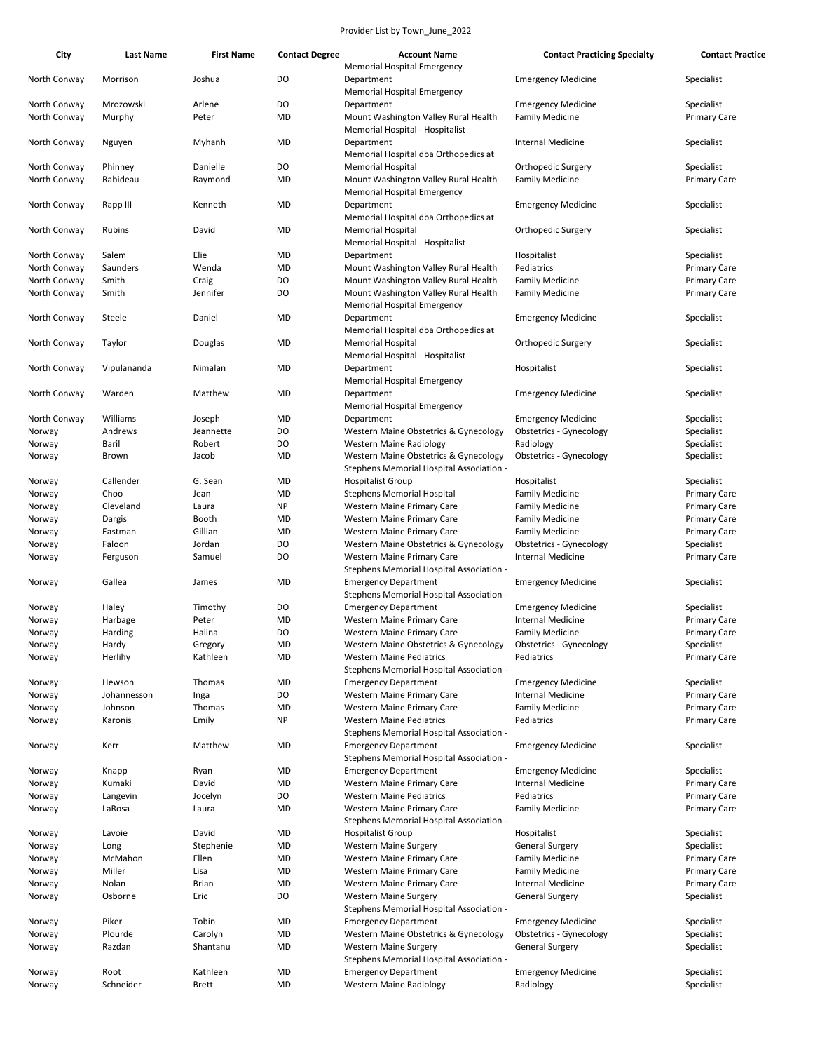| City                         | Last Name         | <b>First Name</b> | <b>Contact Degree</b> | <b>Account Name</b>                                                      | <b>Contact Practicing Specialty</b>                   | <b>Contact Practice</b>           |
|------------------------------|-------------------|-------------------|-----------------------|--------------------------------------------------------------------------|-------------------------------------------------------|-----------------------------------|
| North Conway                 | Morrison          | Joshua            | DO                    | <b>Memorial Hospital Emergency</b><br>Department                         | <b>Emergency Medicine</b>                             | Specialist                        |
|                              |                   |                   |                       | Memorial Hospital Emergency                                              |                                                       |                                   |
| North Conway                 | Mrozowski         | Arlene            | DO                    | Department                                                               | <b>Emergency Medicine</b>                             | Specialist                        |
| North Conway                 | Murphy            | Peter             | MD                    | Mount Washington Valley Rural Health                                     | <b>Family Medicine</b>                                | <b>Primary Care</b>               |
|                              |                   |                   |                       | Memorial Hospital - Hospitalist                                          |                                                       |                                   |
| North Conway                 | Nguyen            | Myhanh            | MD                    | Department                                                               | <b>Internal Medicine</b>                              | Specialist                        |
|                              |                   |                   |                       | Memorial Hospital dba Orthopedics at                                     |                                                       |                                   |
| North Conway                 | Phinney           | Danielle          | DO                    | <b>Memorial Hospital</b>                                                 | Orthopedic Surgery                                    | Specialist                        |
| North Conway                 | Rabideau          | Raymond           | MD                    | Mount Washington Valley Rural Health                                     | <b>Family Medicine</b>                                | Primary Care                      |
|                              |                   |                   |                       | Memorial Hospital Emergency                                              |                                                       |                                   |
| North Conway                 | Rapp III          | Kenneth           | MD                    | Department                                                               | <b>Emergency Medicine</b>                             | Specialist                        |
|                              |                   |                   |                       | Memorial Hospital dba Orthopedics at                                     |                                                       |                                   |
| North Conway                 | Rubins            | David             | MD                    | <b>Memorial Hospital</b>                                                 | Orthopedic Surgery                                    | Specialist                        |
|                              |                   | Elie              |                       | Memorial Hospital - Hospitalist                                          |                                                       |                                   |
| North Conway<br>North Conway | Salem<br>Saunders | Wenda             | MD<br>MD              | Department<br>Mount Washington Valley Rural Health                       | Hospitalist<br>Pediatrics                             | Specialist<br><b>Primary Care</b> |
| North Conway                 | Smith             | Craig             | DO                    | Mount Washington Valley Rural Health                                     | <b>Family Medicine</b>                                | <b>Primary Care</b>               |
| North Conway                 | Smith             | Jennifer          | DO                    | Mount Washington Valley Rural Health                                     | <b>Family Medicine</b>                                | Primary Care                      |
|                              |                   |                   |                       | <b>Memorial Hospital Emergency</b>                                       |                                                       |                                   |
| North Conway                 | Steele            | Daniel            | MD                    | Department                                                               | <b>Emergency Medicine</b>                             | Specialist                        |
|                              |                   |                   |                       | Memorial Hospital dba Orthopedics at                                     |                                                       |                                   |
| North Conway                 | Taylor            | Douglas           | MD                    | <b>Memorial Hospital</b>                                                 | Orthopedic Surgery                                    | Specialist                        |
|                              |                   |                   |                       | Memorial Hospital - Hospitalist                                          |                                                       |                                   |
| North Conway                 | Vipulananda       | Nimalan           | MD                    | Department                                                               | Hospitalist                                           | Specialist                        |
|                              |                   |                   |                       | <b>Memorial Hospital Emergency</b>                                       |                                                       |                                   |
| North Conway                 | Warden            | Matthew           | MD                    | Department                                                               | <b>Emergency Medicine</b>                             | Specialist                        |
|                              |                   |                   |                       | <b>Memorial Hospital Emergency</b>                                       |                                                       |                                   |
| North Conway                 | Williams          | Joseph            | MD                    | Department                                                               | <b>Emergency Medicine</b>                             | Specialist                        |
| Norway                       | Andrews           | Jeannette         | DO                    | Western Maine Obstetrics & Gynecology                                    | <b>Obstetrics - Gynecology</b>                        | Specialist                        |
| Norway                       | Baril             | Robert            | DO                    | <b>Western Maine Radiology</b>                                           | Radiology                                             | Specialist                        |
| Norway                       | Brown             | Jacob             | MD                    | Western Maine Obstetrics & Gynecology                                    | <b>Obstetrics - Gynecology</b>                        | Specialist                        |
|                              | Callender         | G. Sean           | MD                    | Stephens Memorial Hospital Association -<br><b>Hospitalist Group</b>     |                                                       | Specialist                        |
| Norway<br>Norway             | Choo              | Jean              | MD                    | Stephens Memorial Hospital                                               | Hospitalist<br><b>Family Medicine</b>                 | <b>Primary Care</b>               |
| Norway                       | Cleveland         | Laura             | <b>NP</b>             | Western Maine Primary Care                                               | <b>Family Medicine</b>                                | <b>Primary Care</b>               |
| Norway                       | Dargis            | Booth             | MD                    | Western Maine Primary Care                                               | <b>Family Medicine</b>                                | <b>Primary Care</b>               |
| Norway                       | Eastman           | Gillian           | MD                    | Western Maine Primary Care                                               | <b>Family Medicine</b>                                | Primary Care                      |
| Norway                       | Faloon            | Jordan            | DO                    | Western Maine Obstetrics & Gynecology                                    | <b>Obstetrics - Gynecology</b>                        | Specialist                        |
| Norway                       | Ferguson          | Samuel            | DO                    | Western Maine Primary Care                                               | <b>Internal Medicine</b>                              | <b>Primary Care</b>               |
|                              |                   |                   |                       | Stephens Memorial Hospital Association -                                 |                                                       |                                   |
| Norway                       | Gallea            | James             | MD                    | <b>Emergency Department</b>                                              | <b>Emergency Medicine</b>                             | Specialist                        |
|                              |                   |                   |                       | Stephens Memorial Hospital Association -                                 |                                                       |                                   |
| Norway                       | Haley             | Timothy           | DO                    | <b>Emergency Department</b>                                              | <b>Emergency Medicine</b>                             | Specialist                        |
| Norway                       | Harbage           | Peter             | MD                    | Western Maine Primary Care                                               | Internal Medicine                                     | <b>Primary Care</b>               |
| Norway                       | Harding           | Halina            | DO                    | Western Maine Primary Care                                               | <b>Family Medicine</b>                                | <b>Primary Care</b>               |
| Norway                       | Hardy             | Gregory           | <b>MD</b>             | Western Maine Obstetrics & Gynecology                                    | Obstetrics - Gynecology                               | Specialist                        |
| Norway                       | Herlihy           | Kathleen          | MD                    | <b>Western Maine Pediatrics</b>                                          | Pediatrics                                            | <b>Primary Care</b>               |
|                              | Hewson            | Thomas            | MD                    | Stephens Memorial Hospital Association -<br><b>Emergency Department</b>  |                                                       | Specialist                        |
| Norway                       | Johannesson       |                   | DO                    | Western Maine Primary Care                                               | <b>Emergency Medicine</b><br><b>Internal Medicine</b> | <b>Primary Care</b>               |
| Norway<br>Norway             | Johnson           | Inga<br>Thomas    | MD                    | Western Maine Primary Care                                               | <b>Family Medicine</b>                                | Primary Care                      |
| Norway                       | Karonis           | Emily             | <b>NP</b>             | <b>Western Maine Pediatrics</b>                                          | Pediatrics                                            | Primary Care                      |
|                              |                   |                   |                       | Stephens Memorial Hospital Association -                                 |                                                       |                                   |
| Norway                       | Kerr              | Matthew           | MD                    | <b>Emergency Department</b>                                              | <b>Emergency Medicine</b>                             | Specialist                        |
|                              |                   |                   |                       | Stephens Memorial Hospital Association -                                 |                                                       |                                   |
| Norway                       | Knapp             | Ryan              | MD                    | <b>Emergency Department</b>                                              | <b>Emergency Medicine</b>                             | Specialist                        |
| Norway                       | Kumaki            | David             | MD                    | Western Maine Primary Care                                               | Internal Medicine                                     | <b>Primary Care</b>               |
| Norway                       | Langevin          | Jocelyn           | DO                    | <b>Western Maine Pediatrics</b>                                          | Pediatrics                                            | <b>Primary Care</b>               |
| Norway                       | LaRosa            | Laura             | MD                    | Western Maine Primary Care                                               | <b>Family Medicine</b>                                | <b>Primary Care</b>               |
|                              |                   |                   |                       | Stephens Memorial Hospital Association -                                 |                                                       |                                   |
| Norway                       | Lavoie            | David             | MD                    | <b>Hospitalist Group</b>                                                 | Hospitalist                                           | Specialist                        |
| Norway                       | Long              | Stephenie         | MD                    | <b>Western Maine Surgery</b>                                             | <b>General Surgery</b>                                | Specialist                        |
| Norway                       | McMahon           | Ellen             | MD                    | Western Maine Primary Care                                               | <b>Family Medicine</b>                                | <b>Primary Care</b>               |
| Norway                       | Miller            | Lisa              | MD                    | Western Maine Primary Care                                               | <b>Family Medicine</b>                                | <b>Primary Care</b>               |
| Norway                       | Nolan             | <b>Brian</b>      | MD                    | Western Maine Primary Care                                               | <b>Internal Medicine</b>                              | <b>Primary Care</b>               |
| Norway                       | Osborne           | Eric              | DO                    | <b>Western Maine Surgery</b><br>Stephens Memorial Hospital Association - | <b>General Surgery</b>                                | Specialist                        |
| Norway                       | Piker             | Tobin             | MD                    | <b>Emergency Department</b>                                              | <b>Emergency Medicine</b>                             | Specialist                        |
| Norway                       | Plourde           | Carolyn           | MD                    | Western Maine Obstetrics & Gynecology                                    | <b>Obstetrics - Gynecology</b>                        | Specialist                        |
| Norway                       | Razdan            | Shantanu          | MD                    | <b>Western Maine Surgery</b>                                             | <b>General Surgery</b>                                | Specialist                        |
|                              |                   |                   |                       | Stephens Memorial Hospital Association -                                 |                                                       |                                   |
| Norway                       | Root              | Kathleen          | MD                    | <b>Emergency Department</b>                                              | <b>Emergency Medicine</b>                             | Specialist                        |
| Norway                       | Schneider         | <b>Brett</b>      | <b>MD</b>             | <b>Western Maine Radiology</b>                                           | Radiology                                             | Specialist                        |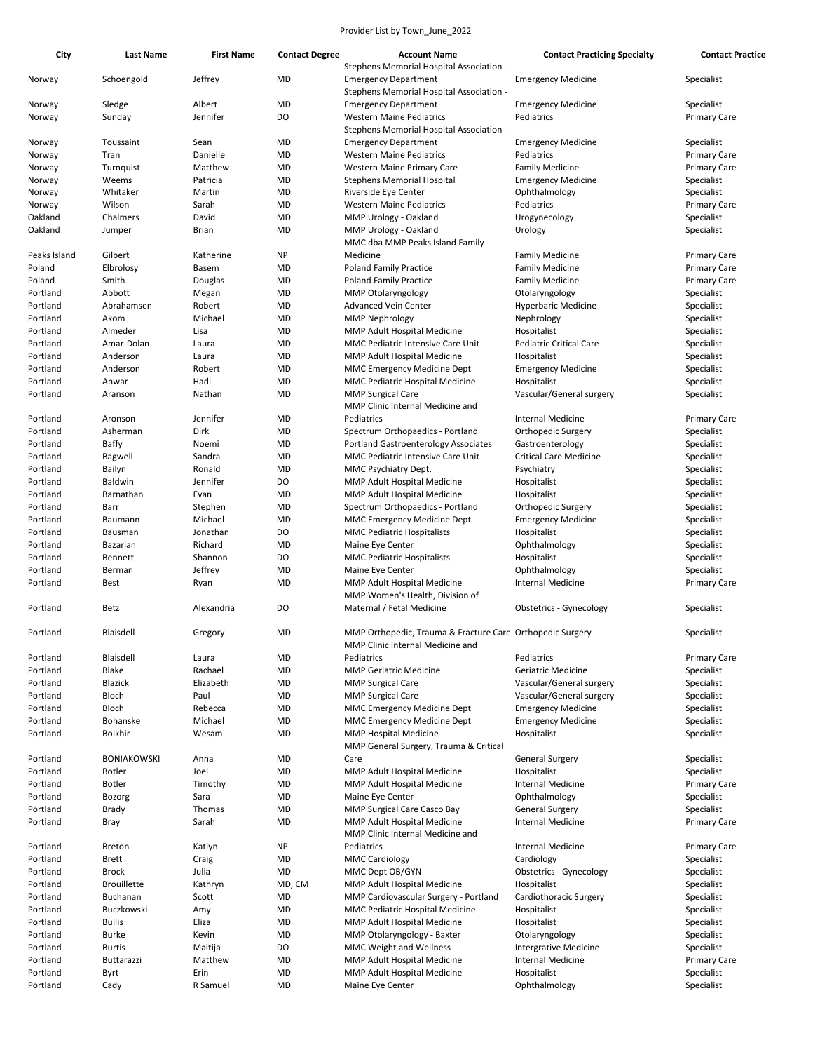| City                 | Last Name          | <b>First Name</b> | <b>Contact Degree</b> | <b>Account Name</b>                                                             | <b>Contact Practicing Specialty</b>     | <b>Contact Practice</b> |
|----------------------|--------------------|-------------------|-----------------------|---------------------------------------------------------------------------------|-----------------------------------------|-------------------------|
|                      |                    |                   |                       | Stephens Memorial Hospital Association -                                        |                                         |                         |
| Norway               | Schoengold         | Jeffrey           | MD                    | <b>Emergency Department</b>                                                     | <b>Emergency Medicine</b>               | Specialist              |
| Norway               | Sledge             | Albert            | MD                    | Stephens Memorial Hospital Association -<br><b>Emergency Department</b>         |                                         | Specialist              |
| Norway               | Sunday             | Jennifer          | DO                    | <b>Western Maine Pediatrics</b>                                                 | <b>Emergency Medicine</b><br>Pediatrics | Primary Care            |
|                      |                    |                   |                       | Stephens Memorial Hospital Association -                                        |                                         |                         |
| Norway               | Toussaint          | Sean              | MD                    | <b>Emergency Department</b>                                                     | <b>Emergency Medicine</b>               | Specialist              |
| Norway               | Tran               | Danielle          | MD                    | <b>Western Maine Pediatrics</b>                                                 | Pediatrics                              | <b>Primary Care</b>     |
| Norway               | Turnquist          | Matthew           | MD                    | Western Maine Primary Care                                                      | <b>Family Medicine</b>                  | Primary Care            |
| Norway               | Weems              | Patricia          | MD                    | <b>Stephens Memorial Hospital</b>                                               | <b>Emergency Medicine</b>               | Specialist              |
| Norway               | Whitaker           | Martin            | MD                    | Riverside Eye Center                                                            | Ophthalmology                           | Specialist              |
| Norway               | Wilson             | Sarah             | MD                    | <b>Western Maine Pediatrics</b>                                                 | Pediatrics                              | <b>Primary Care</b>     |
| Oakland              | Chalmers           | David             | MD                    | MMP Urology - Oakland                                                           | Urogynecology                           | Specialist              |
| Oakland              | Jumper             | Brian             | MD                    | MMP Urology - Oakland                                                           | Urology                                 | Specialist              |
|                      |                    |                   |                       | MMC dba MMP Peaks Island Family                                                 |                                         |                         |
| Peaks Island         | Gilbert            | Katherine         | <b>NP</b>             | Medicine                                                                        | <b>Family Medicine</b>                  | Primary Care            |
| Poland               | Elbrolosy          | Basem             | MD                    | <b>Poland Family Practice</b>                                                   | <b>Family Medicine</b>                  | <b>Primary Care</b>     |
| Poland               | Smith              | Douglas           | MD                    | <b>Poland Family Practice</b>                                                   | <b>Family Medicine</b>                  | <b>Primary Care</b>     |
| Portland             | Abbott             | Megan             | MD                    | <b>MMP Otolaryngology</b>                                                       | Otolaryngology                          | Specialist              |
| Portland             | Abrahamsen         | Robert            | MD                    | <b>Advanced Vein Center</b>                                                     | <b>Hyperbaric Medicine</b>              | Specialist              |
| Portland             | Akom               | Michael           | MD                    | <b>MMP Nephrology</b>                                                           | Nephrology                              | Specialist              |
| Portland             | Almeder            | Lisa              | MD                    | MMP Adult Hospital Medicine                                                     | Hospitalist                             | Specialist              |
| Portland             | Amar-Dolan         | Laura             | MD                    | MMC Pediatric Intensive Care Unit                                               | Pediatric Critical Care                 | Specialist              |
| Portland             | Anderson           | Laura             | MD                    | MMP Adult Hospital Medicine                                                     | Hospitalist                             | Specialist              |
| Portland             | Anderson           | Robert            | MD                    | MMC Emergency Medicine Dept                                                     | <b>Emergency Medicine</b>               | Specialist              |
| Portland             | Anwar              | Hadi              | MD                    | MMC Pediatric Hospital Medicine                                                 | Hospitalist                             | Specialist              |
| Portland             | Aranson            | Nathan            | <b>MD</b>             | <b>MMP Surgical Care</b>                                                        | Vascular/General surgery                | Specialist              |
|                      |                    |                   |                       | MMP Clinic Internal Medicine and                                                |                                         |                         |
| Portland             | Aronson            | Jennifer          | MD                    | Pediatrics                                                                      | <b>Internal Medicine</b>                | <b>Primary Care</b>     |
|                      | Asherman           | Dirk              | MD                    |                                                                                 |                                         |                         |
| Portland<br>Portland | Baffy              | Noemi             | MD                    | Spectrum Orthopaedics - Portland<br><b>Portland Gastroenterology Associates</b> | Orthopedic Surgery                      | Specialist              |
|                      |                    |                   |                       |                                                                                 | Gastroenterology                        | Specialist              |
| Portland             | Bagwell            | Sandra            | MD                    | MMC Pediatric Intensive Care Unit                                               | <b>Critical Care Medicine</b>           | Specialist              |
| Portland             | Bailyn             | Ronald            | MD                    | MMC Psychiatry Dept.                                                            | Psychiatry                              | Specialist              |
| Portland             | Baldwin            | Jennifer          | DO                    | MMP Adult Hospital Medicine                                                     | Hospitalist                             | Specialist              |
| Portland             | Barnathan          | Evan              | MD                    | MMP Adult Hospital Medicine                                                     | Hospitalist                             | Specialist              |
| Portland             | Barr               | Stephen           | MD                    | Spectrum Orthopaedics - Portland                                                | Orthopedic Surgery                      | Specialist              |
| Portland             | Baumann            | Michael           | MD                    | MMC Emergency Medicine Dept                                                     | <b>Emergency Medicine</b>               | Specialist              |
| Portland             | Bausman            | Jonathan          | DO                    | <b>MMC Pediatric Hospitalists</b>                                               | Hospitalist                             | Specialist              |
| Portland             | Bazarian           | Richard           | MD                    | Maine Eye Center                                                                | Ophthalmology                           | Specialist              |
| Portland             | Bennett            | Shannon           | DO                    | <b>MMC Pediatric Hospitalists</b>                                               | Hospitalist                             | Specialist              |
| Portland             | Berman             | Jeffrey           | MD                    | Maine Eye Center                                                                | Ophthalmology                           | Specialist              |
| Portland             | Best               | Ryan              | MD                    | MMP Adult Hospital Medicine                                                     | <b>Internal Medicine</b>                | Primary Care            |
|                      |                    |                   |                       | MMP Women's Health, Division of                                                 |                                         |                         |
| Portland             | Betz               | Alexandria        | DO                    | Maternal / Fetal Medicine                                                       | <b>Obstetrics - Gynecology</b>          | Specialist              |
|                      | Blaisdell          |                   |                       |                                                                                 |                                         |                         |
| Portland             |                    | Gregory           | <b>MD</b>             | MMP Orthopedic, Trauma & Fracture Care Orthopedic Surgery                       |                                         | Specialist              |
|                      |                    |                   |                       | MMP Clinic Internal Medicine and                                                |                                         |                         |
| Portland             | Blaisdell          | Laura             | MD                    | Pediatrics                                                                      | Pediatrics                              | Primary Care            |
| Portland             | Blake              | Rachael           | MD                    | <b>MMP Geriatric Medicine</b>                                                   | <b>Geriatric Medicine</b>               | Specialist              |
| Portland             | Blazick            | Elizabeth         | MD                    | <b>MMP Surgical Care</b>                                                        | Vascular/General surgery                | Specialist              |
| Portland             | Bloch              | Paul              | MD                    | <b>MMP Surgical Care</b>                                                        | Vascular/General surgery                | Specialist              |
| Portland             | Bloch              | Rebecca           | MD                    | <b>MMC Emergency Medicine Dept</b>                                              | <b>Emergency Medicine</b>               | Specialist              |
| Portland             | Bohanske           | Michael           | MD                    | MMC Emergency Medicine Dept                                                     | <b>Emergency Medicine</b>               | Specialist              |
| Portland             | <b>Bolkhir</b>     | Wesam             | MD                    | <b>MMP Hospital Medicine</b>                                                    | Hospitalist                             | Specialist              |
|                      |                    |                   |                       | MMP General Surgery, Trauma & Critical                                          |                                         |                         |
| Portland             | <b>BONIAKOWSKI</b> | Anna              | MD                    | Care                                                                            | General Surgery                         | Specialist              |
| Portland             | Botler             | Joel              | MD                    | MMP Adult Hospital Medicine                                                     | Hospitalist                             | Specialist              |
| Portland             | Botler             | Timothy           | MD                    | MMP Adult Hospital Medicine                                                     | <b>Internal Medicine</b>                | <b>Primary Care</b>     |
| Portland             | Bozorg             | Sara              | MD                    | Maine Eye Center                                                                | Ophthalmology                           | Specialist              |
| Portland             | Brady              | Thomas            | MD                    | MMP Surgical Care Casco Bay                                                     | <b>General Surgery</b>                  | Specialist              |
| Portland             | Bray               | Sarah             | MD                    | MMP Adult Hospital Medicine                                                     | <b>Internal Medicine</b>                | <b>Primary Care</b>     |
|                      |                    |                   |                       | MMP Clinic Internal Medicine and                                                |                                         |                         |
| Portland             | Breton             | Katlyn            | <b>NP</b>             | Pediatrics                                                                      | Internal Medicine                       | <b>Primary Care</b>     |
| Portland             | <b>Brett</b>       | Craig             | MD                    | <b>MMC Cardiology</b>                                                           | Cardiology                              | Specialist              |
| Portland             | <b>Brock</b>       | Julia             | MD                    | MMC Dept OB/GYN                                                                 | <b>Obstetrics - Gynecology</b>          | Specialist              |
| Portland             | <b>Brouillette</b> | Kathryn           | MD, CM                | MMP Adult Hospital Medicine                                                     | Hospitalist                             | Specialist              |
| Portland             | Buchanan           | Scott             | MD                    | MMP Cardiovascular Surgery - Portland                                           | Cardiothoracic Surgery                  | Specialist              |
| Portland             | Buczkowski         | Amy               | MD                    | MMC Pediatric Hospital Medicine                                                 | Hospitalist                             | Specialist              |
| Portland             | <b>Bullis</b>      | Eliza             | MD                    | MMP Adult Hospital Medicine                                                     | Hospitalist                             | Specialist              |
| Portland             | <b>Burke</b>       | Kevin             | MD                    | MMP Otolaryngology - Baxter                                                     | Otolaryngology                          | Specialist              |
| Portland             | <b>Burtis</b>      | Maitija           | DO                    | <b>MMC Weight and Wellness</b>                                                  | <b>Intergrative Medicine</b>            | Specialist              |
| Portland             | Buttarazzi         | Matthew           | MD                    | MMP Adult Hospital Medicine                                                     | <b>Internal Medicine</b>                | <b>Primary Care</b>     |
| Portland             | Byrt               | Erin              | MD                    | MMP Adult Hospital Medicine                                                     | Hospitalist                             | Specialist              |
| Portland             | Cady               | R Samuel          | MD                    | Maine Eye Center                                                                | Ophthalmology                           | Specialist              |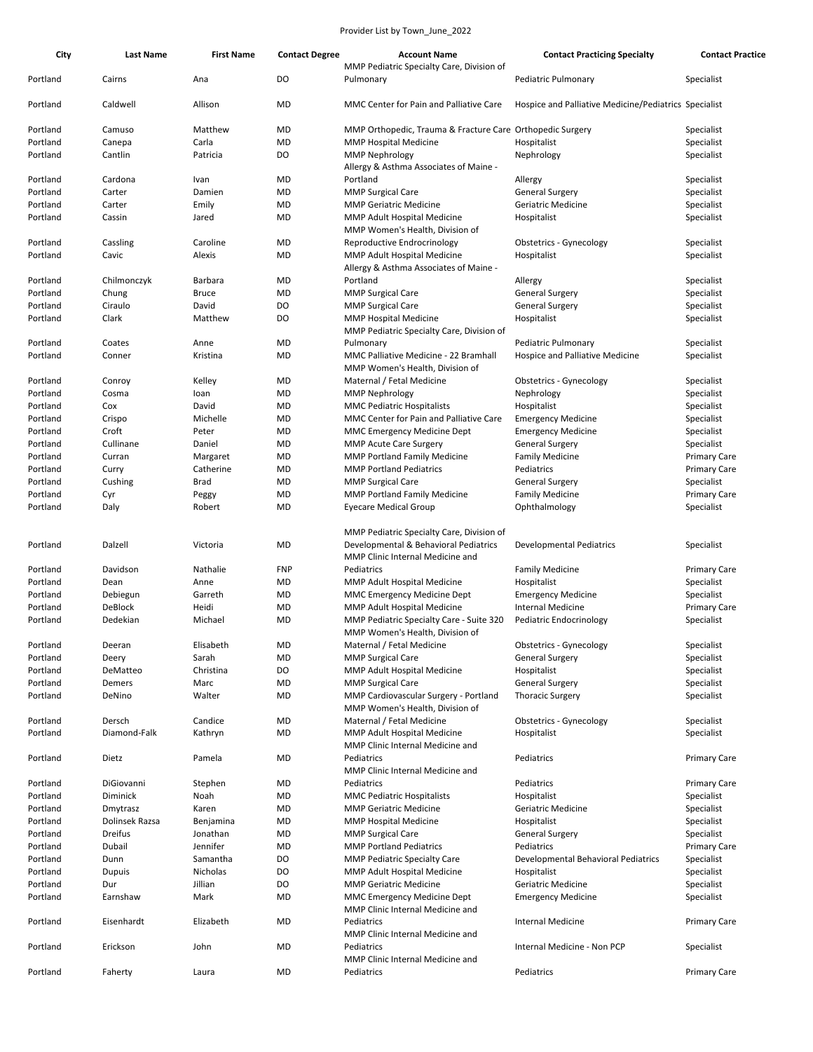| City     | <b>Last Name</b> | <b>First Name</b> | <b>Contact Degree</b> | <b>Account Name</b>                                                         | <b>Contact Practicing Specialty</b>                   | <b>Contact Practice</b> |
|----------|------------------|-------------------|-----------------------|-----------------------------------------------------------------------------|-------------------------------------------------------|-------------------------|
|          |                  |                   |                       | MMP Pediatric Specialty Care, Division of                                   |                                                       |                         |
| Portland | Cairns           | Ana               | DO                    | Pulmonary                                                                   | Pediatric Pulmonary                                   | Specialist              |
| Portland | Caldwell         | Allison           | <b>MD</b>             | MMC Center for Pain and Palliative Care                                     | Hospice and Palliative Medicine/Pediatrics Specialist |                         |
|          |                  | Matthew           |                       |                                                                             |                                                       |                         |
| Portland | Camuso           |                   | MD                    | MMP Orthopedic, Trauma & Fracture Care Orthopedic Surgery                   |                                                       | Specialist              |
| Portland | Canepa           | Carla             | MD                    | <b>MMP Hospital Medicine</b>                                                | Hospitalist                                           | Specialist              |
| Portland | Cantlin          | Patricia          | DO                    | <b>MMP Nephrology</b><br>Allergy & Asthma Associates of Maine -             | Nephrology                                            | Specialist              |
| Portland | Cardona          | Ivan              | MD                    | Portland                                                                    | Allergy                                               | Specialist              |
| Portland | Carter           | Damien            | MD                    | <b>MMP Surgical Care</b>                                                    | <b>General Surgery</b>                                | Specialist              |
| Portland | Carter           | Emily             | MD                    | <b>MMP Geriatric Medicine</b>                                               | Geriatric Medicine                                    | Specialist              |
| Portland | Cassin           | Jared             | MD                    | MMP Adult Hospital Medicine                                                 | Hospitalist                                           | Specialist              |
|          |                  |                   |                       | MMP Women's Health, Division of                                             |                                                       |                         |
| Portland | Cassling         | Caroline          | MD                    | Reproductive Endrocrinology                                                 | <b>Obstetrics - Gynecology</b>                        | Specialist              |
| Portland | Cavic            | Alexis            | MD                    | MMP Adult Hospital Medicine<br>Allergy & Asthma Associates of Maine -       | Hospitalist                                           | Specialist              |
| Portland | Chilmonczyk      | Barbara           | MD                    | Portland                                                                    | Allergy                                               | Specialist              |
| Portland | Chung            | <b>Bruce</b>      | MD                    | <b>MMP Surgical Care</b>                                                    | <b>General Surgery</b>                                | Specialist              |
| Portland | Ciraulo          | David             | DO                    | <b>MMP Surgical Care</b>                                                    | <b>General Surgery</b>                                | Specialist              |
|          | Clark            | Matthew           | DO                    |                                                                             |                                                       |                         |
| Portland |                  |                   |                       | <b>MMP Hospital Medicine</b><br>MMP Pediatric Specialty Care, Division of   | Hospitalist                                           | Specialist              |
| Portland | Coates           | Anne              | MD                    | Pulmonary                                                                   | Pediatric Pulmonary                                   | Specialist              |
| Portland | Conner           | Kristina          | MD                    | MMC Palliative Medicine - 22 Bramhall                                       | Hospice and Palliative Medicine                       | Specialist              |
|          |                  |                   |                       | MMP Women's Health, Division of                                             |                                                       |                         |
| Portland | Conroy           | Kelley            | MD                    | Maternal / Fetal Medicine                                                   | Obstetrics - Gynecology                               | Specialist              |
| Portland | Cosma            | loan              | MD                    | <b>MMP Nephrology</b>                                                       | Nephrology                                            | Specialist              |
| Portland | Cox              | David             | MD                    | <b>MMC Pediatric Hospitalists</b>                                           | Hospitalist                                           | Specialist              |
|          |                  | Michelle          |                       |                                                                             |                                                       |                         |
| Portland | Crispo           |                   | MD                    | MMC Center for Pain and Palliative Care                                     | <b>Emergency Medicine</b>                             | Specialist              |
| Portland | Croft            | Peter             | MD                    | <b>MMC Emergency Medicine Dept</b>                                          | <b>Emergency Medicine</b>                             | Specialist              |
| Portland | Cullinane        | Daniel            | MD                    | <b>MMP Acute Care Surgery</b>                                               | <b>General Surgery</b>                                | Specialist              |
| Portland | Curran           | Margaret          | MD                    | <b>MMP Portland Family Medicine</b>                                         | <b>Family Medicine</b>                                | <b>Primary Care</b>     |
| Portland | Curry            | Catherine         | MD                    | <b>MMP Portland Pediatrics</b>                                              | Pediatrics                                            | <b>Primary Care</b>     |
| Portland | Cushing          | Brad              | MD                    | <b>MMP Surgical Care</b>                                                    | <b>General Surgery</b>                                | Specialist              |
| Portland | Cyr              | Peggy             | MD                    | MMP Portland Family Medicine                                                | <b>Family Medicine</b>                                | <b>Primary Care</b>     |
| Portland | Daly             | Robert            | MD                    | Eyecare Medical Group                                                       | Ophthalmology                                         | Specialist              |
|          |                  |                   |                       | MMP Pediatric Specialty Care, Division of                                   |                                                       |                         |
| Portland | Dalzell          | Victoria          | MD                    | Developmental & Behavioral Pediatrics                                       | <b>Developmental Pediatrics</b>                       | Specialist              |
|          |                  |                   |                       | MMP Clinic Internal Medicine and                                            |                                                       |                         |
| Portland | Davidson         | Nathalie          | <b>FNP</b>            | Pediatrics                                                                  |                                                       | <b>Primary Care</b>     |
|          |                  | Anne              | MD                    | MMP Adult Hospital Medicine                                                 | <b>Family Medicine</b><br>Hospitalist                 |                         |
| Portland | Dean             |                   |                       |                                                                             |                                                       | Specialist              |
| Portland | Debiegun         | Garreth           | MD                    | <b>MMC Emergency Medicine Dept</b>                                          | <b>Emergency Medicine</b>                             | Specialist              |
| Portland | DeBlock          | Heidi             | MD                    | MMP Adult Hospital Medicine                                                 | <b>Internal Medicine</b>                              | <b>Primary Care</b>     |
| Portland | Dedekian         | Michael           | <b>MD</b>             | MMP Pediatric Specialty Care - Suite 320<br>MMP Women's Health, Division of | Pediatric Endocrinology                               | Specialist              |
| Portland | Deeran           | Elisabeth         | MD                    | Maternal / Fetal Medicine                                                   | <b>Obstetrics - Gynecology</b>                        | Specialist              |
| Portland | Deery            | Sarah             | MD                    | <b>MMP Surgical Care</b>                                                    | <b>General Surgery</b>                                | Specialist              |
| Portland | DeMatteo         | Christina         | DO                    | MMP Adult Hospital Medicine                                                 | Hospitalist                                           | Specialist              |
| Portland | Demers           | Marc              | MD                    | <b>MMP Surgical Care</b>                                                    | <b>General Surgery</b>                                | Specialist              |
| Portland | DeNino           | Walter            | MD                    | MMP Cardiovascular Surgery - Portland                                       | <b>Thoracic Surgery</b>                               | Specialist              |
|          |                  |                   |                       | MMP Women's Health, Division of                                             |                                                       |                         |
| Portland | Dersch           | Candice           | MD                    | Maternal / Fetal Medicine                                                   | <b>Obstetrics - Gynecology</b>                        | Specialist              |
| Portland | Diamond-Falk     | Kathryn           | MD                    | MMP Adult Hospital Medicine                                                 | Hospitalist                                           | Specialist              |
| Portland | Dietz            | Pamela            | MD                    | MMP Clinic Internal Medicine and<br>Pediatrics                              | Pediatrics                                            | Primary Care            |
|          |                  |                   |                       | MMP Clinic Internal Medicine and                                            |                                                       |                         |
| Portland | DiGiovanni       | Stephen           | MD                    | Pediatrics                                                                  | Pediatrics                                            | <b>Primary Care</b>     |
| Portland | Diminick         | Noah              | MD                    | <b>MMC Pediatric Hospitalists</b>                                           | Hospitalist                                           | Specialist              |
| Portland | Dmytrasz         | Karen             | MD                    | <b>MMP Geriatric Medicine</b>                                               | Geriatric Medicine                                    | Specialist              |
| Portland | Dolinsek Razsa   | Benjamina         | MD                    | <b>MMP Hospital Medicine</b>                                                | Hospitalist                                           | Specialist              |
| Portland | <b>Dreifus</b>   | Jonathan          | MD                    | <b>MMP Surgical Care</b>                                                    | <b>General Surgery</b>                                | Specialist              |
| Portland | Dubail           | Jennifer          | MD                    | <b>MMP Portland Pediatrics</b>                                              | Pediatrics                                            | <b>Primary Care</b>     |
| Portland | Dunn             | Samantha          | DO                    | <b>MMP Pediatric Specialty Care</b>                                         | Developmental Behavioral Pediatrics                   | Specialist              |
| Portland | Dupuis           | Nicholas          | DO                    | MMP Adult Hospital Medicine                                                 | Hospitalist                                           | Specialist              |
|          |                  |                   |                       |                                                                             |                                                       |                         |
| Portland | Dur              | Jillian           | DO                    | <b>MMP Geriatric Medicine</b>                                               | Geriatric Medicine                                    | Specialist              |
| Portland | Earnshaw         | Mark              | MD                    | <b>MMC Emergency Medicine Dept</b><br>MMP Clinic Internal Medicine and      | <b>Emergency Medicine</b>                             | Specialist              |
| Portland | Eisenhardt       | Elizabeth         | MD                    | Pediatrics                                                                  | Internal Medicine                                     | <b>Primary Care</b>     |
| Portland | Erickson         | John              | MD                    | MMP Clinic Internal Medicine and<br>Pediatrics                              | Internal Medicine - Non PCP                           | Specialist              |
|          |                  |                   |                       | MMP Clinic Internal Medicine and                                            |                                                       |                         |
| Portland | Faherty          | Laura             | MD                    | Pediatrics                                                                  | Pediatrics                                            | <b>Primary Care</b>     |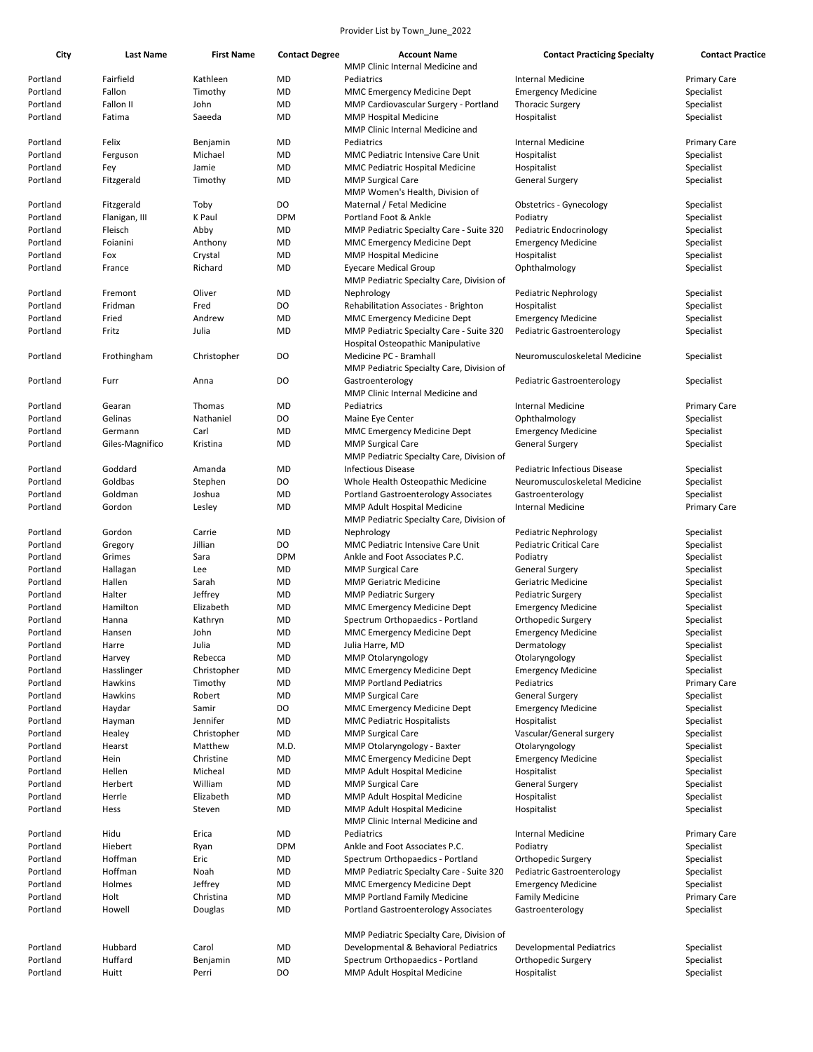| City     | Last Name       | <b>First Name</b> | <b>Contact Degree</b> | <b>Account Name</b>                                                                  | <b>Contact Practicing Specialty</b> | <b>Contact Practice</b> |
|----------|-----------------|-------------------|-----------------------|--------------------------------------------------------------------------------------|-------------------------------------|-------------------------|
|          |                 |                   |                       | MMP Clinic Internal Medicine and                                                     |                                     |                         |
| Portland | Fairfield       | Kathleen          | MD                    | Pediatrics                                                                           | <b>Internal Medicine</b>            | <b>Primary Care</b>     |
| Portland | Fallon          | Timothy           | MD                    | <b>MMC Emergency Medicine Dept</b>                                                   | <b>Emergency Medicine</b>           | Specialist              |
| Portland | Fallon II       | John              | MD                    | MMP Cardiovascular Surgery - Portland                                                | <b>Thoracic Surgery</b>             | Specialist              |
| Portland | Fatima          | Saeeda            | MD                    | <b>MMP Hospital Medicine</b><br>MMP Clinic Internal Medicine and                     | Hospitalist                         | Specialist              |
| Portland | Felix           | Benjamin          | MD                    | Pediatrics                                                                           | Internal Medicine                   | <b>Primary Care</b>     |
| Portland | Ferguson        | Michael           | MD                    | MMC Pediatric Intensive Care Unit                                                    | Hospitalist                         | Specialist              |
| Portland | Fey             | Jamie             | MD                    | MMC Pediatric Hospital Medicine                                                      | Hospitalist                         | Specialist              |
| Portland | Fitzgerald      | Timothy           | MD                    | <b>MMP Surgical Care</b><br>MMP Women's Health, Division of                          | <b>General Surgery</b>              | Specialist              |
| Portland | Fitzgerald      | Toby              | DO                    | Maternal / Fetal Medicine                                                            | Obstetrics - Gynecology             | Specialist              |
| Portland | Flanigan, III   | K Paul            | <b>DPM</b>            | Portland Foot & Ankle                                                                | Podiatry                            | Specialist              |
| Portland | Fleisch         | Abby              | MD                    | MMP Pediatric Specialty Care - Suite 320                                             | Pediatric Endocrinology             | Specialist              |
| Portland | Foianini        | Anthony           | MD                    | <b>MMC Emergency Medicine Dept</b>                                                   | <b>Emergency Medicine</b>           | Specialist              |
| Portland | Fox             | Crystal           | MD                    | <b>MMP Hospital Medicine</b>                                                         | Hospitalist                         | Specialist              |
| Portland | France          | Richard           | MD                    | <b>Eyecare Medical Group</b><br>MMP Pediatric Specialty Care, Division of            | Ophthalmology                       | Specialist              |
| Portland | Fremont         | Oliver            | MD                    | Nephrology                                                                           | Pediatric Nephrology                | Specialist              |
| Portland | Fridman         | Fred              | DO                    | Rehabilitation Associates - Brighton                                                 | Hospitalist                         | Specialist              |
| Portland | Fried           | Andrew            | MD                    | <b>MMC Emergency Medicine Dept</b>                                                   | <b>Emergency Medicine</b>           | Specialist              |
| Portland | Fritz           | Julia             | MD                    | MMP Pediatric Specialty Care - Suite 320<br><b>Hospital Osteopathic Manipulative</b> | Pediatric Gastroenterology          | Specialist              |
| Portland | Frothingham     | Christopher       | DO                    | Medicine PC - Bramhall                                                               | Neuromusculoskeletal Medicine       | Specialist              |
| Portland | Furr            | Anna              | DO                    | MMP Pediatric Specialty Care, Division of<br>Gastroenterology                        | Pediatric Gastroenterology          | Specialist              |
|          |                 |                   |                       | MMP Clinic Internal Medicine and                                                     |                                     |                         |
| Portland | Gearan          | Thomas            | MD                    | Pediatrics                                                                           | <b>Internal Medicine</b>            | <b>Primary Care</b>     |
| Portland | Gelinas         | Nathaniel         | DO                    | Maine Eye Center                                                                     | Ophthalmology                       | Specialist              |
| Portland | Germann         | Carl              | MD                    | <b>MMC Emergency Medicine Dept</b>                                                   | <b>Emergency Medicine</b>           | Specialist              |
| Portland | Giles-Magnifico | Kristina          | MD                    | <b>MMP Surgical Care</b><br>MMP Pediatric Specialty Care, Division of                | <b>General Surgery</b>              | Specialist              |
| Portland | Goddard         | Amanda            | MD                    | <b>Infectious Disease</b>                                                            | <b>Pediatric Infectious Disease</b> | Specialist              |
| Portland | Goldbas         | Stephen           | DO                    | Whole Health Osteopathic Medicine                                                    | Neuromusculoskeletal Medicine       | Specialist              |
| Portland | Goldman         | Joshua            | MD                    | Portland Gastroenterology Associates                                                 | Gastroenterology                    | Specialist              |
| Portland | Gordon          | Lesley            | MD                    | MMP Adult Hospital Medicine<br>MMP Pediatric Specialty Care, Division of             | <b>Internal Medicine</b>            | Primary Care            |
| Portland | Gordon          | Carrie            | MD                    | Nephrology                                                                           | Pediatric Nephrology                | Specialist              |
| Portland | Gregory         | Jillian           | DO                    | MMC Pediatric Intensive Care Unit                                                    | <b>Pediatric Critical Care</b>      | Specialist              |
| Portland | Grimes          | Sara              | <b>DPM</b>            | Ankle and Foot Associates P.C.                                                       | Podiatry                            | Specialist              |
| Portland | Hallagan        | Lee               | MD                    | <b>MMP Surgical Care</b>                                                             | <b>General Surgery</b>              | Specialist              |
| Portland | Hallen          | Sarah             | MD                    | <b>MMP Geriatric Medicine</b>                                                        | Geriatric Medicine                  | Specialist              |
| Portland | Halter          | Jeffrey           | MD                    | <b>MMP Pediatric Surgery</b>                                                         | Pediatric Surgery                   | Specialist              |
| Portland | Hamilton        | Elizabeth         | MD                    | MMC Emergency Medicine Dept                                                          | <b>Emergency Medicine</b>           | Specialist              |
| Portland | Hanna           | Kathryn           | MD                    | Spectrum Orthopaedics - Portland                                                     | Orthopedic Surgery                  | Specialist              |
| Portland | Hansen          | John              | MD                    | <b>MMC Emergency Medicine Dept</b>                                                   | <b>Emergency Medicine</b>           | Specialist              |
| Portland | Harre           | Julia             | MD                    | Julia Harre, MD                                                                      | Dermatology                         | Specialist              |
| Portland | Harvey          | Rebecca           | MD                    | <b>MMP Otolaryngology</b>                                                            | Otolaryngology                      | Specialist              |
| Portland | Hasslinger      | Christopher       | MD                    | <b>MMC Emergency Medicine Dept</b>                                                   | <b>Emergency Medicine</b>           | Specialist              |
| Portland | Hawkins         | Timothy           | MD                    | <b>MMP Portland Pediatrics</b>                                                       | Pediatrics                          | <b>Primary Care</b>     |
| Portland | Hawkins         | Robert            | MD                    | <b>MMP Surgical Care</b>                                                             | <b>General Surgery</b>              | Specialist              |
| Portland | Haydar          | Samir             | DO                    | <b>MMC Emergency Medicine Dept</b>                                                   | <b>Emergency Medicine</b>           | Specialist              |
| Portland | Hayman          | Jennifer          | MD                    | <b>MMC Pediatric Hospitalists</b>                                                    | Hospitalist                         | Specialist              |
| Portland | Healey          | Christopher       | MD                    | <b>MMP Surgical Care</b>                                                             | Vascular/General surgery            | Specialist              |
| Portland | Hearst          | Matthew           | M.D.                  | MMP Otolaryngology - Baxter                                                          | Otolaryngology                      | Specialist              |
| Portland | Hein            | Christine         | MD                    | MMC Emergency Medicine Dept                                                          | <b>Emergency Medicine</b>           | Specialist              |
| Portland | Hellen          | Micheal           | MD                    | MMP Adult Hospital Medicine                                                          | Hospitalist                         | Specialist              |
| Portland | Herbert         | William           | MD                    | <b>MMP Surgical Care</b>                                                             | <b>General Surgery</b>              | Specialist              |
| Portland | Herrle          | Elizabeth         | MD                    | MMP Adult Hospital Medicine                                                          | Hospitalist                         | Specialist              |
| Portland | Hess            | Steven            | MD                    | MMP Adult Hospital Medicine<br>MMP Clinic Internal Medicine and                      | Hospitalist                         | Specialist              |
| Portland | Hidu            | Erica             | MD                    | Pediatrics                                                                           | Internal Medicine                   | <b>Primary Care</b>     |
| Portland | Hiebert         | Ryan              | <b>DPM</b>            | Ankle and Foot Associates P.C.                                                       | Podiatry                            | Specialist              |
| Portland | Hoffman         | Eric              | MD                    | Spectrum Orthopaedics - Portland                                                     | Orthopedic Surgery                  | Specialist              |
| Portland | Hoffman         | Noah              | MD                    | MMP Pediatric Specialty Care - Suite 320                                             | Pediatric Gastroenterology          | Specialist              |
| Portland | Holmes          | Jeffrey           | MD                    | <b>MMC Emergency Medicine Dept</b>                                                   | <b>Emergency Medicine</b>           | Specialist              |
| Portland | Holt            | Christina         | MD                    | <b>MMP Portland Family Medicine</b>                                                  | <b>Family Medicine</b>              | <b>Primary Care</b>     |
| Portland | Howell          | Douglas           | MD                    |                                                                                      | Gastroenterology                    | Specialist              |
|          |                 |                   |                       | Portland Gastroenterology Associates                                                 |                                     |                         |
|          |                 |                   |                       | MMP Pediatric Specialty Care, Division of                                            |                                     |                         |
| Portland | Hubbard         | Carol             | MD                    | Developmental & Behavioral Pediatrics                                                | <b>Developmental Pediatrics</b>     | Specialist              |
| Portland | Huffard         | Benjamin          | MD                    | Spectrum Orthopaedics - Portland                                                     | Orthopedic Surgery                  | Specialist              |
| Portland | Huitt           | Perri             | DO                    | MMP Adult Hospital Medicine                                                          | Hospitalist                         | Specialist              |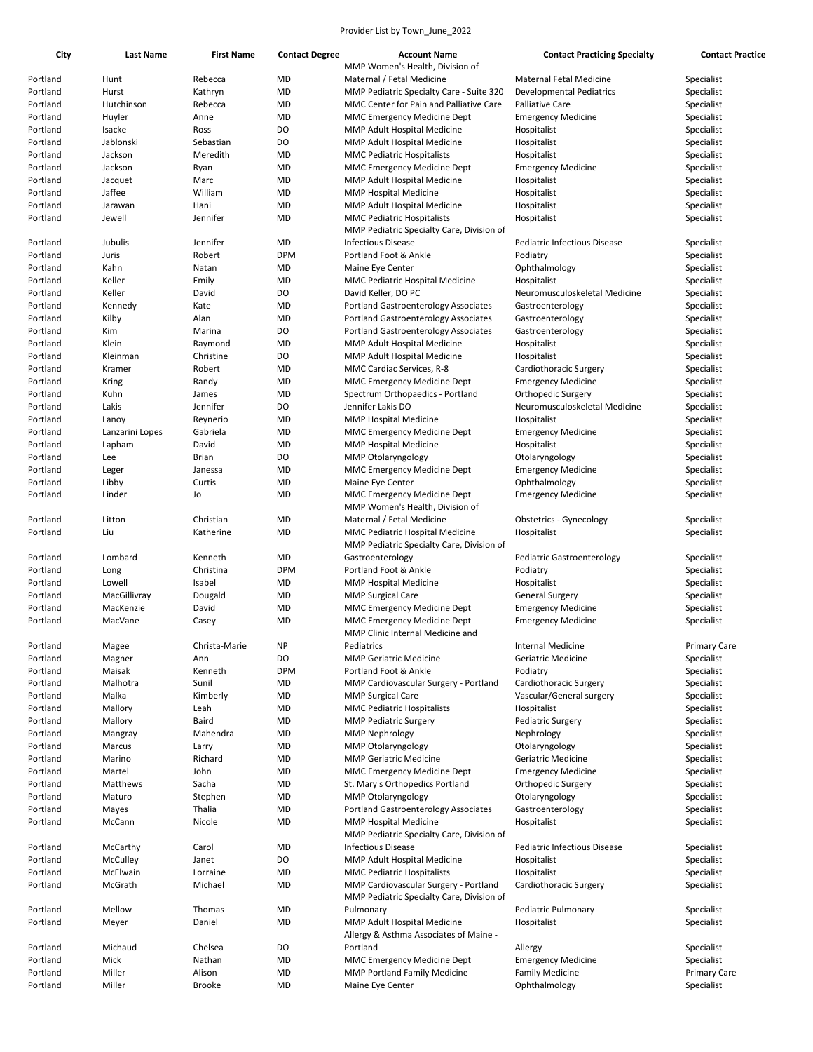| City     | Last Name           | <b>First Name</b> | <b>Contact Degree</b> | <b>Account Name</b>                         | <b>Contact Practicing Specialty</b> | <b>Contact Practice</b> |
|----------|---------------------|-------------------|-----------------------|---------------------------------------------|-------------------------------------|-------------------------|
|          |                     |                   |                       | MMP Women's Health, Division of             |                                     |                         |
| Portland | Hunt                | Rebecca           | MD                    | Maternal / Fetal Medicine                   | <b>Maternal Fetal Medicine</b>      | Specialist              |
| Portland | Hurst<br>Hutchinson | Kathryn           | MD                    | MMP Pediatric Specialty Care - Suite 320    | <b>Developmental Pediatrics</b>     | Specialist              |
| Portland |                     | Rebecca           | MD                    | MMC Center for Pain and Palliative Care     | Palliative Care                     | Specialist              |
| Portland | Huyler              | Anne              | MD                    | MMC Emergency Medicine Dept                 | <b>Emergency Medicine</b>           | Specialist              |
| Portland | Isacke              | Ross              | DO                    | MMP Adult Hospital Medicine                 | Hospitalist                         | Specialist              |
| Portland | Jablonski           | Sebastian         | DO                    | MMP Adult Hospital Medicine                 | Hospitalist                         | Specialist              |
| Portland | Jackson             | Meredith          | MD                    | <b>MMC Pediatric Hospitalists</b>           | Hospitalist                         | Specialist              |
| Portland | Jackson             | Ryan              | MD                    | MMC Emergency Medicine Dept                 | <b>Emergency Medicine</b>           | Specialist              |
| Portland | Jacquet             | Marc              | MD                    | MMP Adult Hospital Medicine                 | Hospitalist                         | Specialist              |
| Portland | Jaffee              | William           | MD                    | <b>MMP Hospital Medicine</b>                | Hospitalist                         | Specialist              |
| Portland | Jarawan             | Hani              | MD                    | MMP Adult Hospital Medicine                 | Hospitalist                         | Specialist              |
| Portland | Jewell              | Jennifer          | MD                    | <b>MMC Pediatric Hospitalists</b>           | Hospitalist                         | Specialist              |
|          |                     |                   |                       | MMP Pediatric Specialty Care, Division of   |                                     |                         |
| Portland | Jubulis             | Jennifer          | <b>MD</b>             | <b>Infectious Disease</b>                   | Pediatric Infectious Disease        | Specialist              |
| Portland | Juris               | Robert            | <b>DPM</b>            | Portland Foot & Ankle                       | Podiatry                            | Specialist              |
| Portland | Kahn                | Natan             | MD                    | Maine Eye Center                            | Ophthalmology                       | Specialist              |
| Portland | Keller              | Emily             | MD                    | MMC Pediatric Hospital Medicine             | Hospitalist                         | Specialist              |
| Portland | Keller              | David             | DO                    | David Keller, DO PC                         | Neuromusculoskeletal Medicine       | Specialist              |
| Portland | Kennedy             | Kate              | MD                    | Portland Gastroenterology Associates        | Gastroenterology                    | Specialist              |
| Portland | Kilby               | Alan              | <b>MD</b>             | <b>Portland Gastroenterology Associates</b> | Gastroenterology                    | Specialist              |
| Portland | Kim                 | Marina            | DO                    | Portland Gastroenterology Associates        | Gastroenterology                    | Specialist              |
| Portland | Klein               | Raymond           | MD                    | MMP Adult Hospital Medicine                 | Hospitalist                         | Specialist              |
| Portland | Kleinman            | Christine         | DO                    | MMP Adult Hospital Medicine                 | Hospitalist                         | Specialist              |
| Portland | Kramer              | Robert            | MD                    | MMC Cardiac Services, R-8                   | Cardiothoracic Surgery              | Specialist              |
| Portland | Kring               | Randy             | <b>MD</b>             | MMC Emergency Medicine Dept                 | <b>Emergency Medicine</b>           | Specialist              |
| Portland | Kuhn                | James             | MD                    | Spectrum Orthopaedics - Portland            | Orthopedic Surgery                  | Specialist              |
| Portland | Lakis               | Jennifer          | DO                    | Jennifer Lakis DO                           | Neuromusculoskeletal Medicine       | Specialist              |
| Portland |                     | Reynerio          | MD                    | <b>MMP Hospital Medicine</b>                | Hospitalist                         | Specialist              |
|          | Lanoy               |                   |                       |                                             |                                     |                         |
| Portland | Lanzarini Lopes     | Gabriela          | <b>MD</b>             | <b>MMC Emergency Medicine Dept</b>          | <b>Emergency Medicine</b>           | Specialist              |
| Portland | Lapham              | David             | MD                    | <b>MMP Hospital Medicine</b>                | Hospitalist                         | Specialist              |
| Portland | Lee                 | <b>Brian</b>      | DO                    | MMP Otolaryngology                          | Otolaryngology                      | Specialist              |
| Portland | Leger               | Janessa           | <b>MD</b>             | MMC Emergency Medicine Dept                 | <b>Emergency Medicine</b>           | Specialist              |
| Portland | Libby               | Curtis            | MD                    | Maine Eye Center                            | Ophthalmology                       | Specialist              |
| Portland | Linder              | Jo                | MD                    | MMC Emergency Medicine Dept                 | <b>Emergency Medicine</b>           | Specialist              |
|          |                     |                   |                       | MMP Women's Health, Division of             |                                     |                         |
| Portland | Litton              | Christian         | MD                    | Maternal / Fetal Medicine                   | Obstetrics - Gynecology             | Specialist              |
| Portland | Liu                 | Katherine         | MD                    | MMC Pediatric Hospital Medicine             | Hospitalist                         | Specialist              |
|          |                     |                   |                       | MMP Pediatric Specialty Care, Division of   |                                     |                         |
| Portland | Lombard             | Kenneth           | MD                    | Gastroenterology                            | Pediatric Gastroenterology          | Specialist              |
| Portland | Long                | Christina         | <b>DPM</b>            | Portland Foot & Ankle                       | Podiatry                            | Specialist              |
| Portland | Lowell              | Isabel            | MD                    | <b>MMP Hospital Medicine</b>                | Hospitalist                         | Specialist              |
| Portland | MacGillivray        | Dougald           | MD                    | <b>MMP Surgical Care</b>                    | <b>General Surgery</b>              | Specialist              |
| Portland | MacKenzie           | David             | MD                    | MMC Emergency Medicine Dept                 | <b>Emergency Medicine</b>           | Specialist              |
| Portland | MacVane             | Casey             | <b>MD</b>             | MMC Emergency Medicine Dept                 | <b>Emergency Medicine</b>           | Specialist              |
|          |                     |                   |                       | MMP Clinic Internal Medicine and            |                                     |                         |
| Portland | Magee               | Christa-Marie     | ΝP                    | Pediatrics                                  | <b>Internal Medicine</b>            | Primary Care            |
| Portland | Magner              | Ann               | DO                    | <b>MMP Geriatric Medicine</b>               | Geriatric Medicine                  | Specialist              |
| Portland | Maisak              | Kenneth           | <b>DPM</b>            | Portland Foot & Ankle                       | Podiatry                            | Specialist              |
| Portland | Malhotra            | Sunil             | MD                    | MMP Cardiovascular Surgery - Portland       | Cardiothoracic Surgery              | Specialist              |
| Portland | Malka               | Kimberly          | MD                    | <b>MMP Surgical Care</b>                    | Vascular/General surgery            | Specialist              |
| Portland | Mallory             | Leah              | MD                    | <b>MMC Pediatric Hospitalists</b>           | Hospitalist                         | Specialist              |
| Portland | Mallory             | <b>Baird</b>      | MD                    | <b>MMP Pediatric Surgery</b>                | Pediatric Surgery                   | Specialist              |
| Portland | Mangray             | Mahendra          | MD                    | <b>MMP Nephrology</b>                       | Nephrology                          | Specialist              |
| Portland | Marcus              | Larry             | MD                    | MMP Otolaryngology                          | Otolaryngology                      | Specialist              |
| Portland |                     |                   |                       |                                             |                                     |                         |
|          | Marino              | Richard           | MD                    | <b>MMP Geriatric Medicine</b>               | Geriatric Medicine                  | Specialist              |
| Portland | Martel              | John              | MD                    | MMC Emergency Medicine Dept                 | <b>Emergency Medicine</b>           | Specialist              |
| Portland | Matthews            | Sacha             | <b>MD</b>             | St. Mary's Orthopedics Portland             | Orthopedic Surgery                  | Specialist              |
| Portland | Maturo              | Stephen           | MD                    | <b>MMP Otolaryngology</b>                   | Otolaryngology                      | Specialist              |
| Portland | Mayes               | Thalia            | MD                    | <b>Portland Gastroenterology Associates</b> | Gastroenterology                    | Specialist              |
| Portland | McCann              | Nicole            | <b>MD</b>             | <b>MMP Hospital Medicine</b>                | Hospitalist                         | Specialist              |
|          |                     |                   |                       | MMP Pediatric Specialty Care, Division of   |                                     |                         |
| Portland | McCarthy            | Carol             | MD                    | <b>Infectious Disease</b>                   | Pediatric Infectious Disease        | Specialist              |
| Portland | McCulley            | Janet             | DO                    | MMP Adult Hospital Medicine                 | Hospitalist                         | Specialist              |
| Portland | McElwain            | Lorraine          | MD                    | <b>MMC Pediatric Hospitalists</b>           | Hospitalist                         | Specialist              |
| Portland | McGrath             | Michael           | MD                    | MMP Cardiovascular Surgery - Portland       | Cardiothoracic Surgery              | Specialist              |
|          |                     |                   |                       | MMP Pediatric Specialty Care, Division of   |                                     |                         |
| Portland | Mellow              | Thomas            | MD                    | Pulmonary                                   | Pediatric Pulmonary                 | Specialist              |
| Portland | Meyer               | Daniel            | MD                    | MMP Adult Hospital Medicine                 | Hospitalist                         | Specialist              |
|          |                     |                   |                       | Allergy & Asthma Associates of Maine -      |                                     |                         |
| Portland | Michaud             | Chelsea           | DO                    | Portland                                    | Allergy                             | Specialist              |
| Portland | Mick                | Nathan            | MD                    | MMC Emergency Medicine Dept                 | <b>Emergency Medicine</b>           | Specialist              |
| Portland | Miller              | Alison            | MD                    | <b>MMP Portland Family Medicine</b>         | <b>Family Medicine</b>              | <b>Primary Care</b>     |
| Portland | Miller              | <b>Brooke</b>     | <b>MD</b>             | Maine Eye Center                            | Ophthalmology                       | Specialist              |
|          |                     |                   |                       |                                             |                                     |                         |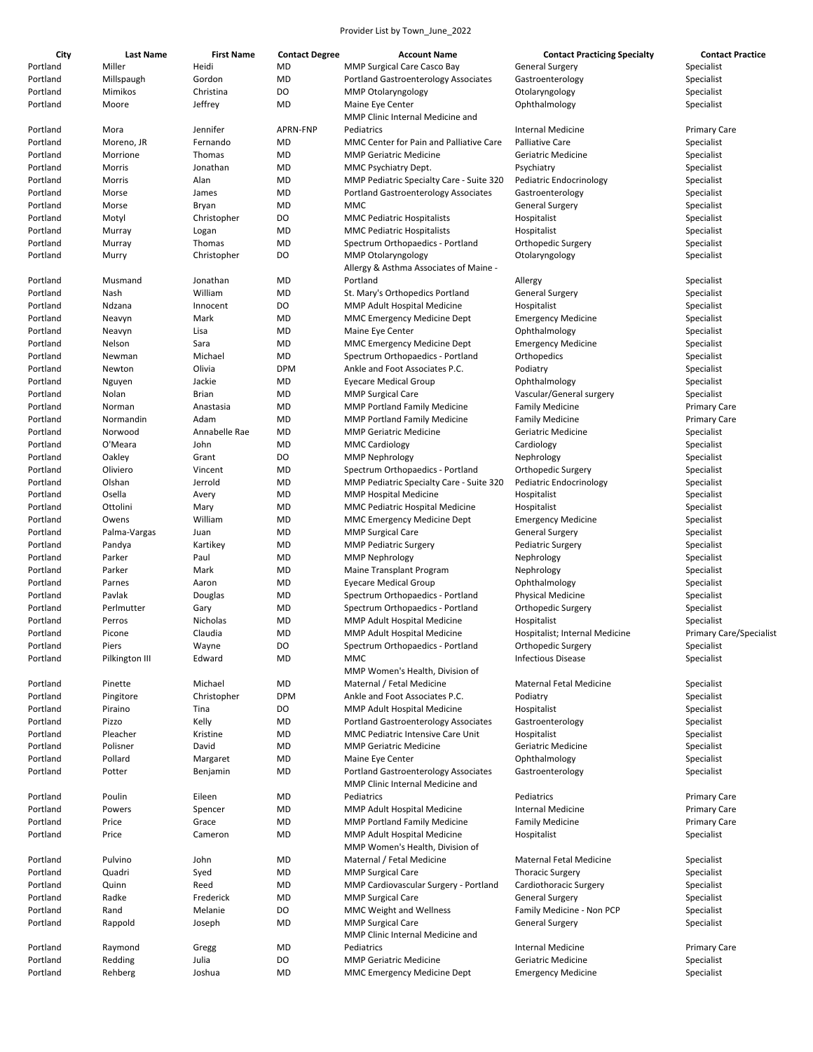| City     | <b>Last Name</b> | <b>First Name</b> | <b>Contact Degree</b> | <b>Account Name</b>                         | <b>Contact Practicing Specialty</b> | <b>Contact Practice</b>        |
|----------|------------------|-------------------|-----------------------|---------------------------------------------|-------------------------------------|--------------------------------|
| Portland | Miller           | Heidi             | MD                    | MMP Surgical Care Casco Bay                 | <b>General Surgery</b>              | Specialist                     |
| Portland | Millspaugh       | Gordon            | MD                    | <b>Portland Gastroenterology Associates</b> | Gastroenterology                    | Specialist                     |
| Portland | Mimikos          | Christina         | DO                    | <b>MMP Otolaryngology</b>                   | Otolaryngology                      | Specialist                     |
| Portland | Moore            | Jeffrey           | <b>MD</b>             | Maine Eye Center                            | Ophthalmology                       | Specialist                     |
|          |                  |                   |                       | MMP Clinic Internal Medicine and            |                                     |                                |
| Portland | Mora             | Jennifer          | APRN-FNP              | Pediatrics                                  | <b>Internal Medicine</b>            | <b>Primary Care</b>            |
| Portland | Moreno, JR       | Fernando          | MD                    | MMC Center for Pain and Palliative Care     | <b>Palliative Care</b>              | Specialist                     |
| Portland | Morrione         | Thomas            | MD                    | <b>MMP Geriatric Medicine</b>               | Geriatric Medicine                  | Specialist                     |
| Portland | Morris           | Jonathan          | MD                    | MMC Psychiatry Dept.                        | Psychiatry                          | Specialist                     |
| Portland | Morris           | Alan              | <b>MD</b>             | MMP Pediatric Specialty Care - Suite 320    | Pediatric Endocrinology             | Specialist                     |
| Portland | Morse            | James             | MD                    | <b>Portland Gastroenterology Associates</b> | Gastroenterology                    | Specialist                     |
| Portland | Morse            | Bryan             | <b>MD</b>             | <b>MMC</b>                                  | <b>General Surgery</b>              | Specialist                     |
| Portland | Motyl            | Christopher       | DO                    | <b>MMC Pediatric Hospitalists</b>           | Hospitalist                         | Specialist                     |
| Portland | Murray           | Logan             | MD                    | <b>MMC Pediatric Hospitalists</b>           | Hospitalist                         | Specialist                     |
| Portland | Murray           | Thomas            | MD                    | Spectrum Orthopaedics - Portland            | Orthopedic Surgery                  | Specialist                     |
| Portland | Murry            | Christopher       | DO                    | <b>MMP Otolaryngology</b>                   | Otolaryngology                      | Specialist                     |
|          |                  |                   |                       | Allergy & Asthma Associates of Maine -      |                                     |                                |
| Portland | Musmand          | Jonathan          | MD                    | Portland                                    | Allergy                             | Specialist                     |
| Portland | Nash             | William           | MD                    | St. Mary's Orthopedics Portland             | <b>General Surgery</b>              | Specialist                     |
|          |                  | Innocent          | DO                    | MMP Adult Hospital Medicine                 |                                     |                                |
| Portland | Ndzana           | Mark              | MD                    | <b>MMC Emergency Medicine Dept</b>          | Hospitalist                         | Specialist                     |
| Portland | Neavyn           | Lisa              | MD                    |                                             | <b>Emergency Medicine</b>           | Specialist                     |
| Portland | Neavyn           |                   |                       | Maine Eye Center                            | Ophthalmology                       | Specialist                     |
| Portland | Nelson           | Sara              | MD                    | MMC Emergency Medicine Dept                 | <b>Emergency Medicine</b>           | Specialist                     |
| Portland | Newman           | Michael           | MD                    | Spectrum Orthopaedics - Portland            | Orthopedics                         | Specialist                     |
| Portland | Newton           | Olivia            | <b>DPM</b>            | Ankle and Foot Associates P.C.              | Podiatry                            | Specialist                     |
| Portland | Nguyen           | Jackie            | MD                    | <b>Eyecare Medical Group</b>                | Ophthalmology                       | Specialist                     |
| Portland | Nolan            | Brian             | MD                    | <b>MMP Surgical Care</b>                    | Vascular/General surgery            | Specialist                     |
| Portland | Norman           | Anastasia         | MD                    | MMP Portland Family Medicine                | <b>Family Medicine</b>              | <b>Primary Care</b>            |
| Portland | Normandin        | Adam              | <b>MD</b>             | <b>MMP Portland Family Medicine</b>         | <b>Family Medicine</b>              | <b>Primary Care</b>            |
| Portland | Norwood          | Annabelle Rae     | MD                    | <b>MMP Geriatric Medicine</b>               | Geriatric Medicine                  | Specialist                     |
| Portland | O'Meara          | John              | <b>MD</b>             | <b>MMC Cardiology</b>                       | Cardiology                          | Specialist                     |
| Portland | Oakley           | Grant             | DO                    | <b>MMP Nephrology</b>                       | Nephrology                          | Specialist                     |
| Portland | Oliviero         | Vincent           | MD                    | Spectrum Orthopaedics - Portland            | Orthopedic Surgery                  | Specialist                     |
| Portland | Olshan           | Jerrold           | MD                    | MMP Pediatric Specialty Care - Suite 320    | Pediatric Endocrinology             | Specialist                     |
| Portland | Osella           | Avery             | MD                    | <b>MMP Hospital Medicine</b>                | Hospitalist                         | Specialist                     |
| Portland | Ottolini         | Mary              | MD                    | MMC Pediatric Hospital Medicine             | Hospitalist                         | Specialist                     |
| Portland | Owens            | William           | MD                    | MMC Emergency Medicine Dept                 | <b>Emergency Medicine</b>           | Specialist                     |
| Portland | Palma-Vargas     | Juan              | <b>MD</b>             | <b>MMP Surgical Care</b>                    | General Surgery                     | Specialist                     |
| Portland | Pandya           | Kartikey          | MD                    | <b>MMP Pediatric Surgery</b>                | Pediatric Surgery                   | Specialist                     |
| Portland | Parker           | Paul              | MD                    | <b>MMP Nephrology</b>                       | Nephrology                          | Specialist                     |
| Portland | Parker           | Mark              | MD                    | Maine Transplant Program                    | Nephrology                          | Specialist                     |
| Portland | Parnes           | Aaron             | MD                    | <b>Eyecare Medical Group</b>                | Ophthalmology                       | Specialist                     |
| Portland | Pavlak           | Douglas           | MD                    | Spectrum Orthopaedics - Portland            | <b>Physical Medicine</b>            | Specialist                     |
| Portland | Perlmutter       | Gary              | <b>MD</b>             | Spectrum Orthopaedics - Portland            | Orthopedic Surgery                  | Specialist                     |
| Portland | Perros           | <b>Nicholas</b>   | MD                    | MMP Adult Hospital Medicine                 | Hospitalist                         | Specialist                     |
| Portland | Picone           | Claudia           | MD                    | MMP Adult Hospital Medicine                 | Hospitalist; Internal Medicine      | <b>Primary Care/Specialist</b> |
| Portland | Piers            | Wayne             | DO                    | Spectrum Orthopaedics - Portland            | Orthopedic Surgery                  | Specialist                     |
| Portland | Pilkington III   | Edward            | MD                    | MMC                                         | <b>Infectious Disease</b>           | Specialist                     |
|          |                  |                   |                       | MMP Women's Health, Division of             |                                     |                                |
| Portland | Pinette          | Michael           | MD                    | Maternal / Fetal Medicine                   | Maternal Fetal Medicine             | Specialist                     |
| Portland | Pingitore        | Christopher       | <b>DPM</b>            | Ankle and Foot Associates P.C.              | Podiatry                            | Specialist                     |
| Portland | Piraino          | Tina              | DO                    | MMP Adult Hospital Medicine                 | Hospitalist                         | Specialist                     |
| Portland | Pizzo            | Kelly             | MD                    | Portland Gastroenterology Associates        | Gastroenterology                    | Specialist                     |
| Portland | Pleacher         | Kristine          | MD                    | MMC Pediatric Intensive Care Unit           | Hospitalist                         | Specialist                     |
| Portland | Polisner         | David             | MD                    | <b>MMP Geriatric Medicine</b>               | Geriatric Medicine                  | Specialist                     |
| Portland | Pollard          | Margaret          | MD                    | Maine Eye Center                            | Ophthalmology                       | Specialist                     |
| Portland | Potter           | Benjamin          | MD                    | <b>Portland Gastroenterology Associates</b> | Gastroenterology                    | Specialist                     |
|          |                  |                   |                       | MMP Clinic Internal Medicine and            |                                     |                                |
| Portland | Poulin           | Eileen            | MD                    | Pediatrics                                  | Pediatrics                          | <b>Primary Care</b>            |
| Portland | Powers           | Spencer           | MD                    | MMP Adult Hospital Medicine                 | <b>Internal Medicine</b>            | <b>Primary Care</b>            |
| Portland | Price            | Grace             | MD                    | <b>MMP Portland Family Medicine</b>         | <b>Family Medicine</b>              | <b>Primary Care</b>            |
| Portland | Price            | Cameron           | MD                    | MMP Adult Hospital Medicine                 | Hospitalist                         | Specialist                     |
|          |                  |                   |                       | MMP Women's Health, Division of             |                                     |                                |
| Portland | Pulvino          | John              | MD                    | Maternal / Fetal Medicine                   | Maternal Fetal Medicine             | Specialist                     |
| Portland | Quadri           | Syed              | MD                    | <b>MMP Surgical Care</b>                    | <b>Thoracic Surgery</b>             | Specialist                     |
| Portland | Quinn            | Reed              | MD                    | MMP Cardiovascular Surgery - Portland       | Cardiothoracic Surgery              | Specialist                     |
| Portland | Radke            | Frederick         | MD                    | <b>MMP Surgical Care</b>                    | <b>General Surgery</b>              | Specialist                     |
| Portland | Rand             | Melanie           | DO                    | MMC Weight and Wellness                     | Family Medicine - Non PCP           | Specialist                     |
| Portland | Rappold          | Joseph            | MD                    | <b>MMP Surgical Care</b>                    | <b>General Surgery</b>              | Specialist                     |
|          |                  |                   |                       | MMP Clinic Internal Medicine and            |                                     |                                |
| Portland | Raymond          | Gregg             | MD                    | Pediatrics                                  | <b>Internal Medicine</b>            | <b>Primary Care</b>            |
| Portland | Redding          | Julia             | DO                    | <b>MMP Geriatric Medicine</b>               | Geriatric Medicine                  | Specialist                     |
| Portland | Rehberg          | Joshua            | MD                    | MMC Emergency Medicine Dept                 | <b>Emergency Medicine</b>           | Specialist                     |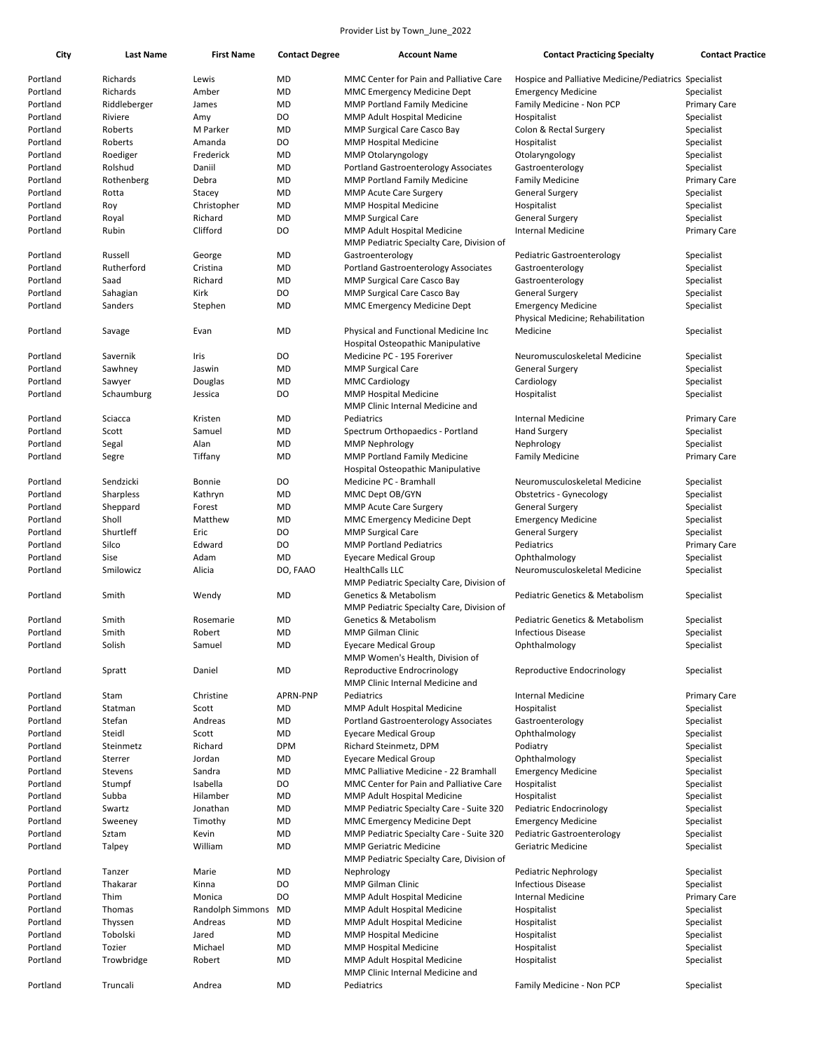| City     | Last Name    | <b>First Name</b> | <b>Contact Degree</b> | <b>Account Name</b>                                                        | <b>Contact Practicing Specialty</b>                            | <b>Contact Practice</b> |
|----------|--------------|-------------------|-----------------------|----------------------------------------------------------------------------|----------------------------------------------------------------|-------------------------|
| Portland | Richards     | Lewis             | MD                    | MMC Center for Pain and Palliative Care                                    | Hospice and Palliative Medicine/Pediatrics Specialist          |                         |
| Portland | Richards     | Amber             | MD                    | <b>MMC Emergency Medicine Dept</b>                                         | <b>Emergency Medicine</b>                                      | Specialist              |
| Portland | Riddleberger | James             | MD                    | <b>MMP Portland Family Medicine</b>                                        | Family Medicine - Non PCP                                      | <b>Primary Care</b>     |
| Portland | Riviere      | Amy               | DO                    | MMP Adult Hospital Medicine                                                | Hospitalist                                                    | Specialist              |
| Portland | Roberts      | M Parker          | MD                    | MMP Surgical Care Casco Bay                                                | Colon & Rectal Surgery                                         | Specialist              |
| Portland | Roberts      | Amanda            | DO                    | <b>MMP Hospital Medicine</b>                                               | Hospitalist                                                    | Specialist              |
| Portland | Roediger     | Frederick         | MD                    | <b>MMP Otolaryngology</b>                                                  | Otolaryngology                                                 | Specialist              |
| Portland | Rolshud      | Daniil            | MD                    | <b>Portland Gastroenterology Associates</b>                                | Gastroenterology                                               | Specialist              |
| Portland | Rothenberg   | Debra             | MD                    | <b>MMP Portland Family Medicine</b>                                        | <b>Family Medicine</b>                                         | <b>Primary Care</b>     |
| Portland | Rotta        | Stacey            | MD                    | <b>MMP Acute Care Surgery</b>                                              | <b>General Surgery</b>                                         | Specialist              |
| Portland | Roy          | Christopher       | MD                    | <b>MMP Hospital Medicine</b>                                               | Hospitalist                                                    | Specialist              |
| Portland | Royal        | Richard           | MD                    | <b>MMP Surgical Care</b>                                                   | <b>General Surgery</b>                                         | Specialist              |
| Portland | Rubin        | Clifford          | DO                    | MMP Adult Hospital Medicine<br>MMP Pediatric Specialty Care, Division of   | <b>Internal Medicine</b>                                       | <b>Primary Care</b>     |
| Portland | Russell      | George            | MD                    | Gastroenterology                                                           | Pediatric Gastroenterology                                     | Specialist              |
| Portland | Rutherford   | Cristina          | MD                    | <b>Portland Gastroenterology Associates</b>                                | Gastroenterology                                               | Specialist              |
| Portland | Saad         | Richard           | MD                    | MMP Surgical Care Casco Bay                                                | Gastroenterology                                               | Specialist              |
| Portland | Sahagian     | Kirk              | DO                    | MMP Surgical Care Casco Bay                                                | General Surgery                                                | Specialist              |
| Portland | Sanders      | Stephen           | <b>MD</b>             | <b>MMC Emergency Medicine Dept</b>                                         | <b>Emergency Medicine</b><br>Physical Medicine; Rehabilitation | Specialist              |
| Portland | Savage       | Evan              | MD                    | Physical and Functional Medicine Inc<br>Hospital Osteopathic Manipulative  | Medicine                                                       | Specialist              |
| Portland | Savernik     | Iris              | DO                    | Medicine PC - 195 Foreriver                                                | Neuromusculoskeletal Medicine                                  | Specialist              |
| Portland | Sawhney      | Jaswin            | MD                    | <b>MMP Surgical Care</b>                                                   | <b>General Surgery</b>                                         | Specialist              |
| Portland | Sawyer       | Douglas           | MD                    | <b>MMC Cardiology</b>                                                      | Cardiology                                                     | Specialist              |
| Portland | Schaumburg   | Jessica           | DO                    | <b>MMP Hospital Medicine</b><br>MMP Clinic Internal Medicine and           | Hospitalist                                                    | Specialist              |
| Portland | Sciacca      | Kristen           | <b>MD</b>             | Pediatrics                                                                 | <b>Internal Medicine</b>                                       | <b>Primary Care</b>     |
| Portland | Scott        | Samuel            | <b>MD</b>             | Spectrum Orthopaedics - Portland                                           | <b>Hand Surgery</b>                                            | Specialist              |
| Portland | Segal        | Alan              | MD                    | <b>MMP Nephrology</b>                                                      | Nephrology                                                     | Specialist              |
| Portland | Segre        | Tiffany           | MD                    | <b>MMP Portland Family Medicine</b><br>Hospital Osteopathic Manipulative   | <b>Family Medicine</b>                                         | <b>Primary Care</b>     |
| Portland | Sendzicki    | Bonnie            | DO                    | Medicine PC - Bramhall                                                     | Neuromusculoskeletal Medicine                                  | Specialist              |
| Portland | Sharpless    | Kathryn           | MD                    | MMC Dept OB/GYN                                                            | Obstetrics - Gynecology                                        | Specialist              |
| Portland | Sheppard     | Forest            | MD                    | MMP Acute Care Surgery                                                     | <b>General Surgery</b>                                         | Specialist              |
| Portland | Sholl        | Matthew           | MD                    | <b>MMC Emergency Medicine Dept</b>                                         | <b>Emergency Medicine</b>                                      | Specialist              |
| Portland | Shurtleff    | Eric              | DO                    | <b>MMP Surgical Care</b>                                                   | <b>General Surgery</b>                                         | Specialist              |
| Portland | Silco        | Edward            | DO                    | <b>MMP Portland Pediatrics</b>                                             | Pediatrics                                                     | <b>Primary Care</b>     |
| Portland | Sise         | Adam              | <b>MD</b>             | <b>Eyecare Medical Group</b>                                               | Ophthalmology                                                  | Specialist              |
| Portland | Smilowicz    | Alicia            | DO, FAAO              | <b>HealthCalls LLC</b><br>MMP Pediatric Specialty Care, Division of        | Neuromusculoskeletal Medicine                                  | Specialist              |
| Portland | Smith        | Wendy             | MD                    | Genetics & Metabolism<br>MMP Pediatric Specialty Care, Division of         | Pediatric Genetics & Metabolism                                | Specialist              |
| Portland | Smith        | Rosemarie         | MD                    | Genetics & Metabolism                                                      | Pediatric Genetics & Metabolism                                | Specialist              |
| Portland | Smith        | Robert            | <b>MD</b>             | <b>MMP Gilman Clinic</b>                                                   | <b>Infectious Disease</b>                                      | Specialist              |
| Portland | Solish       | Samuel            | MD                    | <b>Eyecare Medical Group</b><br>MMP Women's Health, Division of            | Ophthalmology                                                  | Specialist              |
| Portland | Spratt       | Daniel            | MD                    | Reproductive Endrocrinology<br>MMP Clinic Internal Medicine and            | Reproductive Endocrinology                                     | Specialist              |
| Portland | Stam         | Christine         | APRN-PNP              | Pediatrics                                                                 | <b>Internal Medicine</b>                                       | <b>Primary Care</b>     |
| Portland | Statman      | Scott             | MD                    | MMP Adult Hospital Medicine                                                | Hospitalist                                                    | Specialist              |
| Portland | Stefan       | Andreas           | MD                    | <b>Portland Gastroenterology Associates</b>                                | Gastroenterology                                               | Specialist              |
| Portland | Steidl       | Scott             | MD                    | <b>Eyecare Medical Group</b>                                               | Ophthalmology                                                  | Specialist              |
| Portland | Steinmetz    | Richard           | <b>DPM</b>            | Richard Steinmetz, DPM                                                     | Podiatry                                                       | Specialist              |
| Portland | Sterrer      | Jordan            | MD                    | <b>Eyecare Medical Group</b>                                               | Ophthalmology                                                  | Specialist              |
| Portland | Stevens      | Sandra            | MD                    | MMC Palliative Medicine - 22 Bramhall                                      | <b>Emergency Medicine</b>                                      | Specialist              |
| Portland | Stumpf       | Isabella          | DO                    | MMC Center for Pain and Palliative Care                                    | Hospitalist                                                    | Specialist              |
| Portland | Subba        | Hilamber          | MD                    | MMP Adult Hospital Medicine                                                | Hospitalist                                                    | Specialist              |
| Portland | Swartz       | Jonathan          | MD                    | MMP Pediatric Specialty Care - Suite 320                                   | Pediatric Endocrinology                                        | Specialist              |
| Portland | Sweeney      | Timothy           | MD                    | <b>MMC Emergency Medicine Dept</b>                                         | <b>Emergency Medicine</b>                                      | Specialist              |
| Portland | Sztam        | Kevin             | MD                    | MMP Pediatric Specialty Care - Suite 320                                   | Pediatric Gastroenterology                                     | Specialist              |
| Portland | Talpey       | William           | MD                    | <b>MMP Geriatric Medicine</b><br>MMP Pediatric Specialty Care, Division of | Geriatric Medicine                                             | Specialist              |
| Portland | Tanzer       | Marie             | MD                    | Nephrology                                                                 | Pediatric Nephrology                                           | Specialist              |
| Portland | Thakarar     | Kinna             | DO                    | <b>MMP Gilman Clinic</b>                                                   | <b>Infectious Disease</b>                                      | Specialist              |
| Portland | Thim         | Monica            | DO                    | MMP Adult Hospital Medicine                                                | <b>Internal Medicine</b>                                       | <b>Primary Care</b>     |
| Portland | Thomas       | Randolph Simmons  | MD                    | MMP Adult Hospital Medicine                                                | Hospitalist                                                    | Specialist              |
| Portland | Thyssen      | Andreas           | MD                    | MMP Adult Hospital Medicine                                                | Hospitalist                                                    | Specialist              |
| Portland | Tobolski     | Jared             | MD                    | <b>MMP Hospital Medicine</b>                                               | Hospitalist                                                    | Specialist              |
| Portland | Tozier       | Michael           | MD                    | <b>MMP Hospital Medicine</b>                                               | Hospitalist                                                    | Specialist              |
| Portland | Trowbridge   | Robert            | MD                    | MMP Adult Hospital Medicine<br>MMP Clinic Internal Medicine and            | Hospitalist                                                    | Specialist              |
| Portland | Truncali     | Andrea            | <b>MD</b>             | Pediatrics                                                                 | Family Medicine - Non PCP                                      | Specialist              |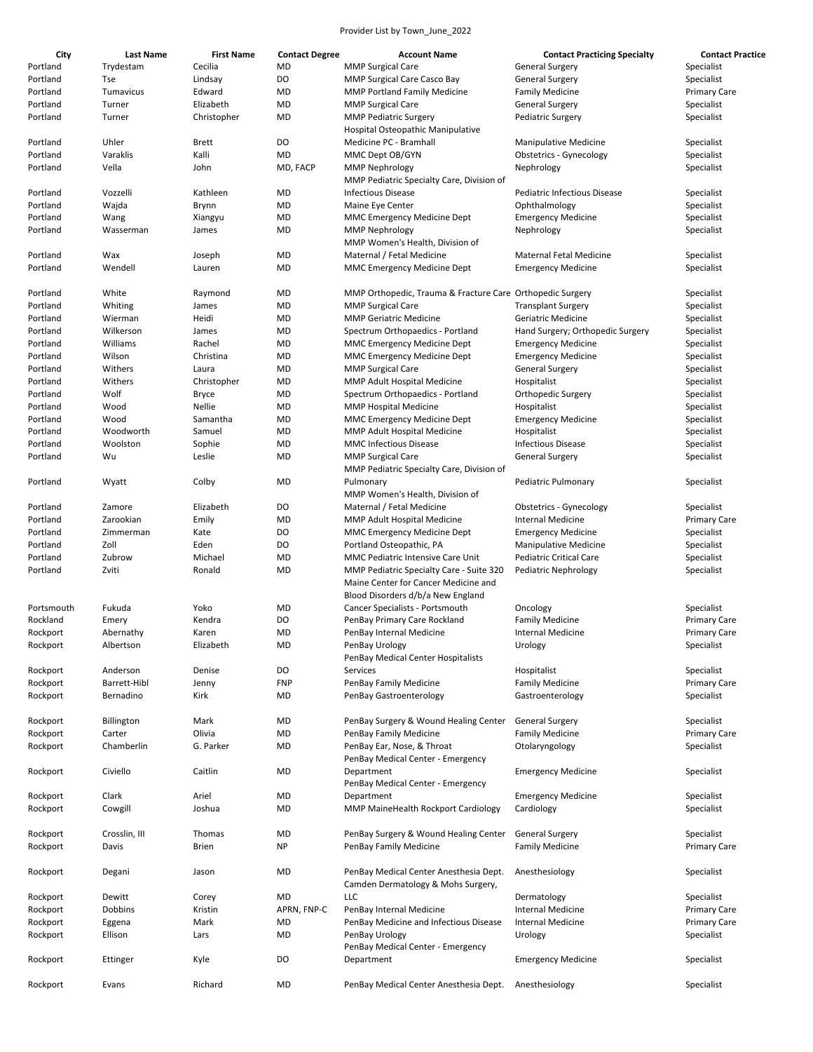| City       | <b>Last Name</b> | <b>First Name</b> | <b>Contact Degree</b> | <b>Account Name</b>                                                       | <b>Contact Practicing Specialty</b> | <b>Contact Practice</b> |
|------------|------------------|-------------------|-----------------------|---------------------------------------------------------------------------|-------------------------------------|-------------------------|
| Portland   | Trydestam        | Cecilia           | <b>MD</b>             | <b>MMP Surgical Care</b>                                                  | <b>General Surgery</b>              | Specialist              |
|            |                  |                   | DO                    |                                                                           |                                     |                         |
| Portland   | Tse              | Lindsay           |                       | MMP Surgical Care Casco Bay                                               | <b>General Surgery</b>              | Specialist              |
| Portland   | Tumavicus        | Edward            | <b>MD</b>             | <b>MMP Portland Family Medicine</b>                                       | <b>Family Medicine</b>              | <b>Primary Care</b>     |
| Portland   | Turner           | Elizabeth         | <b>MD</b>             | <b>MMP Surgical Care</b>                                                  | <b>General Surgery</b>              | Specialist              |
| Portland   | Turner           | Christopher       | <b>MD</b>             | <b>MMP Pediatric Surgery</b>                                              | Pediatric Surgery                   | Specialist              |
|            |                  |                   |                       | Hospital Osteopathic Manipulative                                         |                                     |                         |
| Portland   | Uhler            | Brett             | DO                    | Medicine PC - Bramhall                                                    | <b>Manipulative Medicine</b>        | Specialist              |
|            |                  |                   |                       |                                                                           |                                     |                         |
| Portland   | Varaklis         | Kalli             | <b>MD</b>             | MMC Dept OB/GYN                                                           | <b>Obstetrics - Gynecology</b>      | Specialist              |
| Portland   | Vella            | John              | MD, FACP              | <b>MMP Nephrology</b><br>MMP Pediatric Specialty Care, Division of        | Nephrology                          | Specialist              |
| Portland   | Vozzelli         | Kathleen          | MD                    | <b>Infectious Disease</b>                                                 | Pediatric Infectious Disease        | Specialist              |
| Portland   | Wajda            | Brynn             | <b>MD</b>             | Maine Eye Center                                                          | Ophthalmology                       | Specialist              |
| Portland   | Wang             |                   | <b>MD</b>             | MMC Emergency Medicine Dept                                               | <b>Emergency Medicine</b>           | Specialist              |
|            |                  | Xiangyu           |                       |                                                                           |                                     |                         |
| Portland   | Wasserman        | James             | <b>MD</b>             | <b>MMP Nephrology</b><br>MMP Women's Health, Division of                  | Nephrology                          | Specialist              |
| Portland   | Wax              | Joseph            | <b>MD</b>             | Maternal / Fetal Medicine                                                 | <b>Maternal Fetal Medicine</b>      | Specialist              |
| Portland   | Wendell          | Lauren            | MD                    | MMC Emergency Medicine Dept                                               | <b>Emergency Medicine</b>           | Specialist              |
|            |                  |                   |                       |                                                                           |                                     |                         |
| Portland   | White            | Raymond           | <b>MD</b>             | MMP Orthopedic, Trauma & Fracture Care Orthopedic Surgery                 |                                     | Specialist              |
| Portland   | Whiting          | James             | MD                    | <b>MMP Surgical Care</b>                                                  | <b>Transplant Surgery</b>           | Specialist              |
| Portland   | Wierman          | Heidi             | MD                    | <b>MMP Geriatric Medicine</b>                                             | Geriatric Medicine                  | Specialist              |
|            |                  |                   |                       |                                                                           |                                     |                         |
| Portland   | Wilkerson        | James             | <b>MD</b>             | Spectrum Orthopaedics - Portland                                          | Hand Surgery; Orthopedic Surgery    | Specialist              |
| Portland   | Williams         | Rachel            | MD                    | <b>MMC Emergency Medicine Dept</b>                                        | <b>Emergency Medicine</b>           | Specialist              |
| Portland   | Wilson           | Christina         | MD                    | <b>MMC Emergency Medicine Dept</b>                                        | <b>Emergency Medicine</b>           | Specialist              |
| Portland   | Withers          | Laura             | MD                    | <b>MMP Surgical Care</b>                                                  | <b>General Surgery</b>              | Specialist              |
| Portland   | Withers          | Christopher       | MD                    | MMP Adult Hospital Medicine                                               | Hospitalist                         | Specialist              |
| Portland   | Wolf             | Bryce             | MD                    | Spectrum Orthopaedics - Portland                                          | Orthopedic Surgery                  | Specialist              |
|            |                  |                   |                       |                                                                           |                                     |                         |
| Portland   | Wood             | <b>Nellie</b>     | MD                    | <b>MMP Hospital Medicine</b>                                              | Hospitalist                         | Specialist              |
| Portland   | Wood             | Samantha          | MD                    | MMC Emergency Medicine Dept                                               | <b>Emergency Medicine</b>           | Specialist              |
| Portland   | Woodworth        | Samuel            | MD                    | MMP Adult Hospital Medicine                                               | Hospitalist                         | Specialist              |
| Portland   | Woolston         | Sophie            | <b>MD</b>             | <b>MMC Infectious Disease</b>                                             | <b>Infectious Disease</b>           | Specialist              |
| Portland   | Wu               | Leslie            | MD                    | <b>MMP Surgical Care</b>                                                  | <b>General Surgery</b>              | Specialist              |
|            |                  |                   |                       | MMP Pediatric Specialty Care, Division of                                 |                                     |                         |
| Portland   | Wyatt            | Colby             | MD                    | Pulmonary                                                                 | Pediatric Pulmonary                 | Specialist              |
|            |                  |                   |                       | MMP Women's Health, Division of                                           |                                     |                         |
| Portland   | Zamore           | Elizabeth         | DO                    | Maternal / Fetal Medicine                                                 | <b>Obstetrics - Gynecology</b>      | Specialist              |
| Portland   | Zarookian        | Emily             | MD                    | MMP Adult Hospital Medicine                                               | <b>Internal Medicine</b>            | <b>Primary Care</b>     |
| Portland   | Zimmerman        | Kate              | DO                    | MMC Emergency Medicine Dept                                               | <b>Emergency Medicine</b>           | Specialist              |
|            |                  |                   |                       |                                                                           |                                     |                         |
| Portland   | Zoll             | Eden              | DO                    | Portland Osteopathic, PA                                                  | <b>Manipulative Medicine</b>        | Specialist              |
| Portland   | Zubrow           | Michael           | MD                    | MMC Pediatric Intensive Care Unit                                         | <b>Pediatric Critical Care</b>      | Specialist              |
| Portland   | Zviti            | Ronald            | <b>MD</b>             | MMP Pediatric Specialty Care - Suite 320                                  | Pediatric Nephrology                | Specialist              |
|            |                  |                   |                       | Maine Center for Cancer Medicine and<br>Blood Disorders d/b/a New England |                                     |                         |
| Portsmouth | Fukuda           | Yoko              | MD                    | Cancer Specialists - Portsmouth                                           | Oncology                            | Specialist              |
|            |                  |                   | DO                    |                                                                           |                                     |                         |
| Rockland   | Emery            | Kendra            |                       | PenBay Primary Care Rockland                                              | <b>Family Medicine</b>              | <b>Primary Care</b>     |
| Rockport   | Abernathy        | Karen             | MD                    | PenBay Internal Medicine                                                  | <b>Internal Medicine</b>            | <b>Primary Care</b>     |
| Rockport   | Albertson        | Elizabeth         | MD                    | PenBay Urology<br>PenBay Medical Center Hospitalists                      | Urology                             | Specialist              |
|            |                  |                   |                       |                                                                           |                                     |                         |
| Rockport   | Anderson         | Denise            | DO                    | Services                                                                  | Hospitalist                         | Specialist              |
| Rockport   | Barrett-Hibl     | Jenny             | <b>FNP</b>            | PenBay Family Medicine                                                    | <b>Family Medicine</b>              | <b>Primary Care</b>     |
| Rockport   | Bernadino        | Kirk              | MD                    | PenBay Gastroenterology                                                   | Gastroenterology                    | Specialist              |
|            |                  |                   |                       |                                                                           |                                     |                         |
| Rockport   | Billington       | Mark              | MD                    | PenBay Surgery & Wound Healing Center                                     | <b>General Surgery</b>              | Specialist              |
| Rockport   | Carter           | Olivia            | <b>MD</b>             | PenBay Family Medicine                                                    | <b>Family Medicine</b>              | <b>Primary Care</b>     |
| Rockport   | Chamberlin       | G. Parker         | MD                    | PenBay Ear, Nose, & Throat                                                | Otolaryngology                      | Specialist              |
|            |                  |                   |                       | PenBay Medical Center - Emergency                                         |                                     |                         |
| Rockport   | Civiello         | Caitlin           | <b>MD</b>             | Department                                                                | <b>Emergency Medicine</b>           | Specialist              |
|            |                  |                   |                       | PenBay Medical Center - Emergency                                         |                                     |                         |
| Rockport   | Clark            | Ariel             | MD                    | Department                                                                | <b>Emergency Medicine</b>           | Specialist              |
|            |                  | Joshua            |                       |                                                                           |                                     | Specialist              |
| Rockport   | Cowgill          |                   | MD                    | MMP MaineHealth Rockport Cardiology                                       | Cardiology                          |                         |
| Rockport   | Crosslin, III    | Thomas            | MD                    | PenBay Surgery & Wound Healing Center                                     | <b>General Surgery</b>              | Specialist              |
|            |                  | <b>Brien</b>      |                       |                                                                           |                                     |                         |
| Rockport   | Davis            |                   | <b>NP</b>             | PenBay Family Medicine                                                    | <b>Family Medicine</b>              | <b>Primary Care</b>     |
| Rockport   | Degani           | Jason             | MD                    | PenBay Medical Center Anesthesia Dept.                                    | Anesthesiology                      | Specialist              |
|            |                  |                   |                       | Camden Dermatology & Mohs Surgery,                                        |                                     |                         |
| Rockport   | Dewitt           | Corey             | MD                    | LLC                                                                       | Dermatology                         | Specialist              |
| Rockport   | Dobbins          | Kristin           | APRN, FNP-C           | PenBay Internal Medicine                                                  | <b>Internal Medicine</b>            | <b>Primary Care</b>     |
| Rockport   | Eggena           | Mark              | MD                    | PenBay Medicine and Infectious Disease                                    | Internal Medicine                   | <b>Primary Care</b>     |
| Rockport   | Ellison          | Lars              | MD                    | PenBay Urology                                                            | Urology                             | Specialist              |
|            |                  |                   |                       | PenBay Medical Center - Emergency                                         |                                     |                         |
| Rockport   | Ettinger         | Kyle              | DO                    | Department                                                                | <b>Emergency Medicine</b>           | Specialist              |
|            |                  |                   |                       |                                                                           |                                     |                         |
| Rockport   | Evans            | Richard           | <b>MD</b>             | PenBay Medical Center Anesthesia Dept.                                    | Anesthesiology                      | Specialist              |
|            |                  |                   |                       |                                                                           |                                     |                         |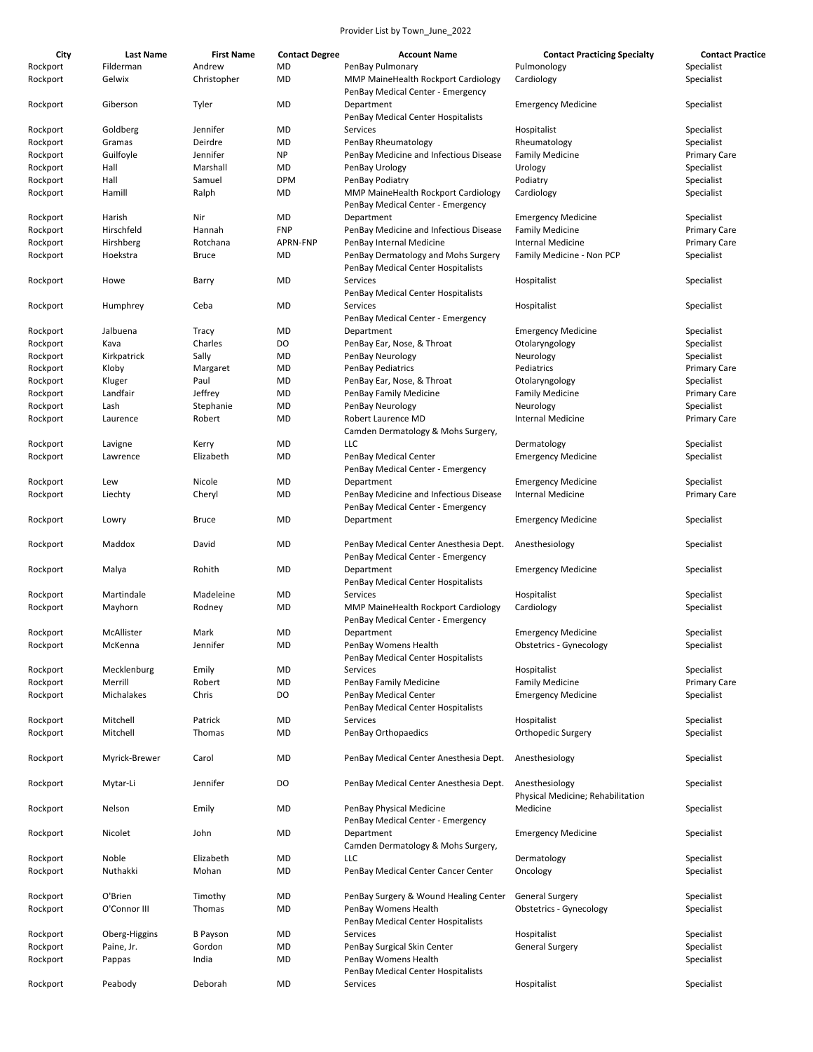| City     | <b>Last Name</b> | <b>First Name</b> | <b>Contact Degree</b> | <b>Account Name</b>                        | <b>Contact Practicing Specialty</b> | <b>Contact Practice</b> |
|----------|------------------|-------------------|-----------------------|--------------------------------------------|-------------------------------------|-------------------------|
| Rockport | Filderman        | Andrew            | MD                    | PenBay Pulmonary                           | Pulmonology                         | Specialist              |
| Rockport | Gelwix           | Christopher       | MD                    | MMP MaineHealth Rockport Cardiology        | Cardiology                          | Specialist              |
|          |                  |                   |                       | PenBay Medical Center - Emergency          |                                     |                         |
| Rockport | Giberson         | Tyler             | MD                    | Department                                 | <b>Emergency Medicine</b>           | Specialist              |
|          |                  |                   |                       | PenBay Medical Center Hospitalists         |                                     |                         |
| Rockport | Goldberg         | Jennifer          | MD                    | Services                                   | Hospitalist                         | Specialist              |
| Rockport | Gramas           | Deirdre           | MD                    | PenBay Rheumatology                        | Rheumatology                        | Specialist              |
| Rockport | Guilfoyle        | Jennifer          | ΝP                    | PenBay Medicine and Infectious Disease     | <b>Family Medicine</b>              | <b>Primary Care</b>     |
| Rockport | Hall             | Marshall          | MD                    | PenBay Urology                             | Urology                             | Specialist              |
| Rockport | Hall             | Samuel            | DPM                   | PenBay Podiatry                            | Podiatry                            | Specialist              |
| Rockport | Hamill           | Ralph             | MD                    | MMP MaineHealth Rockport Cardiology        | Cardiology                          | Specialist              |
|          |                  |                   |                       | PenBay Medical Center - Emergency          |                                     |                         |
| Rockport | Harish           | Nir               | MD                    | Department                                 | <b>Emergency Medicine</b>           | Specialist              |
| Rockport | Hirschfeld       | Hannah            | <b>FNP</b>            | PenBay Medicine and Infectious Disease     | <b>Family Medicine</b>              | <b>Primary Care</b>     |
| Rockport | Hirshberg        | Rotchana          | APRN-FNP              | PenBay Internal Medicine                   | Internal Medicine                   | <b>Primary Care</b>     |
| Rockport | Hoekstra         | <b>Bruce</b>      | MD                    | PenBay Dermatology and Mohs Surgery        | Family Medicine - Non PCP           | Specialist              |
|          |                  |                   |                       | PenBay Medical Center Hospitalists         |                                     |                         |
| Rockport | Howe             | Barry             | MD                    | Services                                   | Hospitalist                         | Specialist              |
|          |                  |                   |                       | PenBay Medical Center Hospitalists         |                                     |                         |
| Rockport | Humphrey         | Ceba              | MD                    | Services                                   | Hospitalist                         | Specialist              |
|          |                  |                   |                       | PenBay Medical Center - Emergency          |                                     |                         |
| Rockport | Jalbuena         | Tracy             | MD                    | Department                                 | <b>Emergency Medicine</b>           | Specialist              |
| Rockport | Kava             | Charles           | DO                    | PenBay Ear, Nose, & Throat                 | Otolaryngology                      | Specialist              |
| Rockport | Kirkpatrick      | Sally             | MD                    | PenBay Neurology                           | Neurology                           | Specialist              |
| Rockport | Kloby            | Margaret          | MD                    | <b>PenBay Pediatrics</b>                   | Pediatrics                          | <b>Primary Care</b>     |
|          |                  | Paul              | MD                    |                                            |                                     | Specialist              |
| Rockport | Kluger           |                   |                       | PenBay Ear, Nose, & Throat                 | Otolaryngology                      |                         |
| Rockport | Landfair         | Jeffrey           | MD                    | PenBay Family Medicine                     | <b>Family Medicine</b>              | <b>Primary Care</b>     |
| Rockport | Lash             | Stephanie         | MD                    | PenBay Neurology                           | Neurology                           | Specialist              |
| Rockport | Laurence         | Robert            | MD                    | Robert Laurence MD                         | Internal Medicine                   | Primary Care            |
|          |                  |                   |                       | Camden Dermatology & Mohs Surgery,         |                                     |                         |
| Rockport | Lavigne          | Kerry             | MD                    | LLC                                        | Dermatology                         | Specialist              |
| Rockport | Lawrence         | Elizabeth         | MD                    | PenBay Medical Center                      | <b>Emergency Medicine</b>           | Specialist              |
|          |                  |                   |                       | PenBay Medical Center - Emergency          |                                     |                         |
| Rockport | Lew              | Nicole            | MD                    | Department                                 | <b>Emergency Medicine</b>           | Specialist              |
| Rockport | Liechty          | Cheryl            | MD                    | PenBay Medicine and Infectious Disease     | <b>Internal Medicine</b>            | <b>Primary Care</b>     |
|          |                  |                   |                       | PenBay Medical Center - Emergency          |                                     |                         |
| Rockport | Lowry            | <b>Bruce</b>      | MD                    | Department                                 | <b>Emergency Medicine</b>           | Specialist              |
|          |                  |                   |                       |                                            |                                     |                         |
| Rockport | Maddox           | David             | MD                    | PenBay Medical Center Anesthesia Dept.     | Anesthesiology                      | Specialist              |
|          |                  |                   |                       | PenBay Medical Center - Emergency          |                                     |                         |
| Rockport | Malya            | Rohith            | MD                    | Department                                 | <b>Emergency Medicine</b>           | Specialist              |
|          |                  |                   |                       | PenBay Medical Center Hospitalists         |                                     |                         |
| Rockport | Martindale       | Madeleine         | MD                    | Services                                   | Hospitalist                         | Specialist              |
| Rockport | Mayhorn          | Rodney            | MD                    | <b>MMP MaineHealth Rockport Cardiology</b> | Cardiology                          | Specialist              |
|          |                  |                   |                       | PenBay Medical Center - Emergency          |                                     |                         |
| Rockport | McAllister       | Mark              | MD                    | Department                                 | <b>Emergency Medicine</b>           | Specialist              |
| Rockport | McKenna          | Jennifer          | MD                    | PenBay Womens Health                       | Obstetrics - Gynecology             | Specialist              |
|          |                  |                   |                       | PenBay Medical Center Hospitalists         |                                     |                         |
| Rockport | Mecklenburg      | Emily             | MD                    | Services                                   | Hospitalist                         | Specialist              |
| Rockport | Merrill          | Robert            | MD                    | PenBay Family Medicine                     | <b>Family Medicine</b>              | <b>Primary Care</b>     |
| Rockport | Michalakes       | Chris             | DO                    | PenBay Medical Center                      | <b>Emergency Medicine</b>           | Specialist              |
|          |                  |                   |                       | PenBay Medical Center Hospitalists         |                                     |                         |
| Rockport | Mitchell         | Patrick           | MD                    | Services                                   | Hospitalist                         | Specialist              |
| Rockport | Mitchell         | Thomas            | MD                    | PenBay Orthopaedics                        | Orthopedic Surgery                  | Specialist              |
|          |                  |                   |                       |                                            |                                     |                         |
| Rockport | Myrick-Brewer    | Carol             | MD                    | PenBay Medical Center Anesthesia Dept.     | Anesthesiology                      | Specialist              |
|          |                  |                   |                       |                                            |                                     |                         |
| Rockport | Mytar-Li         | Jennifer          | DO                    | PenBay Medical Center Anesthesia Dept.     | Anesthesiology                      | Specialist              |
|          |                  |                   |                       |                                            | Physical Medicine; Rehabilitation   |                         |
| Rockport | Nelson           | Emily             | MD                    | PenBay Physical Medicine                   | Medicine                            | Specialist              |
|          |                  |                   |                       | PenBay Medical Center - Emergency          |                                     |                         |
| Rockport | Nicolet          | John              | MD                    | Department                                 | <b>Emergency Medicine</b>           | Specialist              |
|          |                  |                   |                       |                                            |                                     |                         |
|          |                  |                   |                       | Camden Dermatology & Mohs Surgery,         |                                     |                         |
| Rockport | Noble            | Elizabeth         | MD                    | LLC                                        | Dermatology                         | Specialist              |
| Rockport | Nuthakki         | Mohan             | MD                    | PenBay Medical Center Cancer Center        | Oncology                            | Specialist              |
|          |                  |                   |                       |                                            |                                     |                         |
| Rockport | O'Brien          | Timothy           | MD                    | PenBay Surgery & Wound Healing Center      | <b>General Surgery</b>              | Specialist              |
| Rockport | O'Connor III     | Thomas            | MD                    | PenBay Womens Health                       | Obstetrics - Gynecology             | Specialist              |
|          |                  |                   |                       | PenBay Medical Center Hospitalists         |                                     |                         |
| Rockport | Oberg-Higgins    | <b>B</b> Payson   | MD                    | Services                                   | Hospitalist                         | Specialist              |
| Rockport | Paine, Jr.       | Gordon            | MD                    | PenBay Surgical Skin Center                | General Surgery                     | Specialist              |
| Rockport | Pappas           | India             | MD                    | PenBay Womens Health                       |                                     | Specialist              |
|          |                  |                   |                       | PenBay Medical Center Hospitalists         |                                     |                         |
| Rockport | Peabody          | Deborah           | MD                    | Services                                   | Hospitalist                         | Specialist              |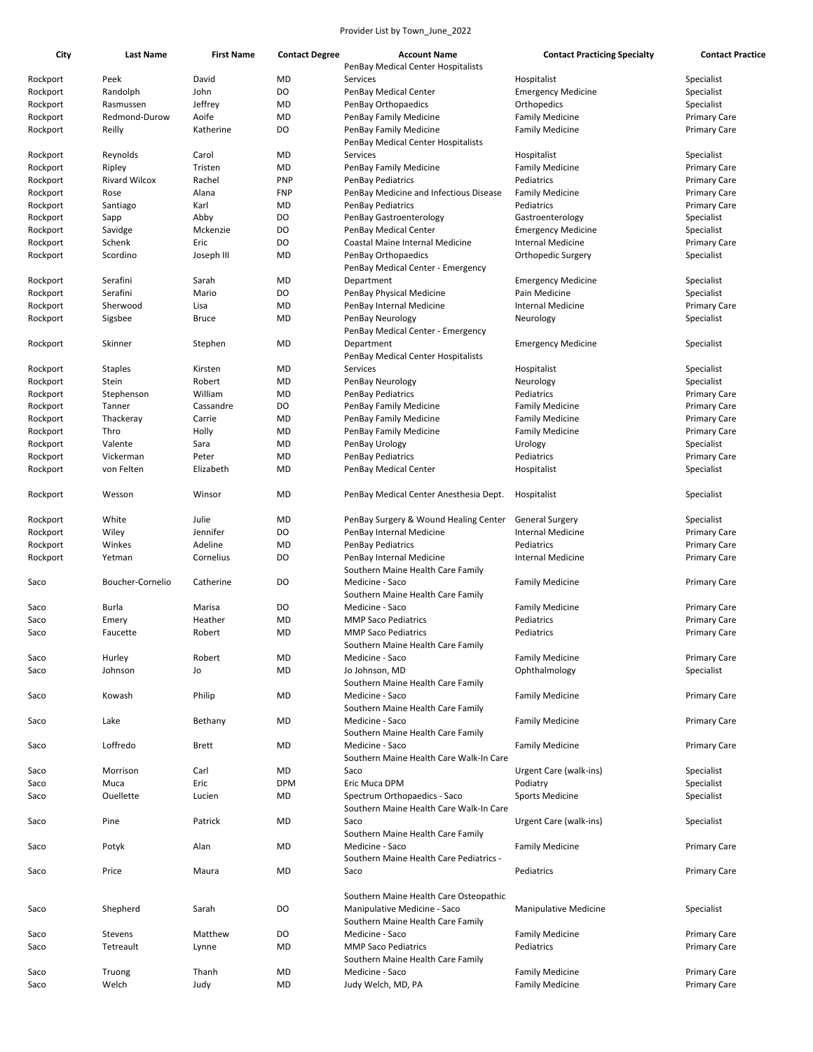| City     | Last Name            | <b>First Name</b> | <b>Contact Degree</b> | <b>Account Name</b>                                                     | <b>Contact Practicing Specialty</b> | <b>Contact Practice</b> |
|----------|----------------------|-------------------|-----------------------|-------------------------------------------------------------------------|-------------------------------------|-------------------------|
|          |                      |                   |                       | PenBay Medical Center Hospitalists                                      |                                     |                         |
| Rockport | Peek                 | David             | MD                    | Services                                                                | Hospitalist                         | Specialist              |
| Rockport | Randolph             | John              | DO                    | PenBay Medical Center                                                   | <b>Emergency Medicine</b>           | Specialist              |
| Rockport | Rasmussen            | Jeffrey           | MD                    | PenBay Orthopaedics                                                     | Orthopedics                         | Specialist              |
| Rockport | Redmond-Durow        | Aoife             | MD                    | PenBay Family Medicine                                                  | <b>Family Medicine</b>              | <b>Primary Care</b>     |
| Rockport | Reilly               | Katherine         | DO                    | PenBay Family Medicine<br>PenBay Medical Center Hospitalists            | <b>Family Medicine</b>              | <b>Primary Care</b>     |
| Rockport | Reynolds             | Carol             | MD                    | Services                                                                | Hospitalist                         | Specialist              |
| Rockport | Ripley               | Tristen           | MD                    | PenBay Family Medicine                                                  | <b>Family Medicine</b>              | <b>Primary Care</b>     |
| Rockport | <b>Rivard Wilcox</b> | Rachel            | PNP                   | <b>PenBay Pediatrics</b>                                                | Pediatrics                          | <b>Primary Care</b>     |
| Rockport | Rose                 | Alana             | <b>FNP</b>            | PenBay Medicine and Infectious Disease                                  | <b>Family Medicine</b>              | <b>Primary Care</b>     |
| Rockport | Santiago             | Karl              | MD                    | <b>PenBay Pediatrics</b>                                                | Pediatrics                          | <b>Primary Care</b>     |
| Rockport | Sapp                 | Abby              | DO                    | PenBay Gastroenterology                                                 | Gastroenterology                    | Specialist              |
|          |                      | Mckenzie          | DO                    |                                                                         | <b>Emergency Medicine</b>           | Specialist              |
| Rockport | Savidge              |                   |                       | PenBay Medical Center                                                   |                                     |                         |
| Rockport | Schenk               | Eric              | DO                    | Coastal Maine Internal Medicine                                         | <b>Internal Medicine</b>            | Primary Care            |
| Rockport | Scordino             | Joseph III        | MD                    | PenBay Orthopaedics<br>PenBay Medical Center - Emergency                | Orthopedic Surgery                  | Specialist              |
| Rockport | Serafini             | Sarah             | MD                    | Department                                                              | <b>Emergency Medicine</b>           | Specialist              |
| Rockport | Serafini             | Mario             | DO                    | PenBay Physical Medicine                                                | Pain Medicine                       | Specialist              |
| Rockport | Sherwood             | Lisa              | MD                    | PenBay Internal Medicine                                                | <b>Internal Medicine</b>            | <b>Primary Care</b>     |
| Rockport | Sigsbee              | <b>Bruce</b>      | MD                    | PenBay Neurology                                                        | Neurology                           | Specialist              |
|          |                      |                   |                       | PenBay Medical Center - Emergency                                       |                                     |                         |
| Rockport | Skinner              | Stephen           | MD                    | Department<br>PenBay Medical Center Hospitalists                        | <b>Emergency Medicine</b>           | Specialist              |
| Rockport | <b>Staples</b>       | Kirsten           | MD                    | Services                                                                | Hospitalist                         | Specialist              |
| Rockport | Stein                | Robert            | MD                    | PenBay Neurology                                                        | Neurology                           | Specialist              |
| Rockport | Stephenson           | William           | MD                    | <b>PenBay Pediatrics</b>                                                | Pediatrics                          | <b>Primary Care</b>     |
|          |                      |                   |                       |                                                                         |                                     |                         |
| Rockport | Tanner               | Cassandre         | DO                    | PenBay Family Medicine                                                  | <b>Family Medicine</b>              | <b>Primary Care</b>     |
| Rockport | Thackeray            | Carrie            | MD                    | PenBay Family Medicine                                                  | <b>Family Medicine</b>              | <b>Primary Care</b>     |
| Rockport | Thro                 | Holly             | MD                    | PenBay Family Medicine                                                  | <b>Family Medicine</b>              | <b>Primary Care</b>     |
| Rockport | Valente              | Sara              | MD                    | PenBay Urology                                                          | Urology                             | Specialist              |
| Rockport | Vickerman            | Peter             | <b>MD</b>             | <b>PenBay Pediatrics</b>                                                | Pediatrics                          | <b>Primary Care</b>     |
| Rockport | von Felten           | Elizabeth         | MD                    | PenBay Medical Center                                                   | Hospitalist                         | Specialist              |
| Rockport | Wesson               | Winsor            | MD                    | PenBay Medical Center Anesthesia Dept.                                  | Hospitalist                         | Specialist              |
| Rockport | White                | Julie             | MD                    | PenBay Surgery & Wound Healing Center                                   | <b>General Surgery</b>              | Specialist              |
| Rockport | Wiley                | Jennifer          | DO                    | PenBay Internal Medicine                                                | <b>Internal Medicine</b>            | <b>Primary Care</b>     |
| Rockport | Winkes               | Adeline           | MD                    | <b>PenBay Pediatrics</b>                                                | Pediatrics                          | <b>Primary Care</b>     |
| Rockport | Yetman               | Cornelius         | DO                    | PenBay Internal Medicine<br>Southern Maine Health Care Family           | <b>Internal Medicine</b>            | <b>Primary Care</b>     |
| Saco     | Boucher-Cornelio     | Catherine         | DO                    | Medicine - Saco<br>Southern Maine Health Care Family                    | <b>Family Medicine</b>              | <b>Primary Care</b>     |
| Saco     | Burla                | Marisa            | DO                    | Medicine - Saco                                                         | <b>Family Medicine</b>              | <b>Primary Care</b>     |
| Saco     | Emery                | Heather           | MD                    | <b>MMP Saco Pediatrics</b>                                              | Pediatrics                          | <b>Primary Care</b>     |
| Saco     | Faucette             | Robert            | MD                    | <b>MMP Saco Pediatrics</b>                                              | Pediatrics                          | <b>Primary Care</b>     |
|          |                      |                   |                       | Southern Maine Health Care Family                                       |                                     |                         |
| Saco     | Hurley               | Robert            | <b>MD</b>             | Medicine - Saco                                                         | <b>Family Medicine</b>              | Primary Care            |
| Saco     | Johnson              | Jo                | MD                    | Jo Johnson, MD                                                          | Ophthalmology                       | Specialist              |
|          |                      |                   |                       | Southern Maine Health Care Family                                       |                                     |                         |
| Saco     | Kowash               | Philip            | MD                    | Medicine - Saco                                                         | <b>Family Medicine</b>              | <b>Primary Care</b>     |
|          |                      |                   |                       | Southern Maine Health Care Family                                       |                                     |                         |
| Saco     | Lake                 | Bethany           | MD                    | Medicine - Saco<br>Southern Maine Health Care Family                    | <b>Family Medicine</b>              | <b>Primary Care</b>     |
| Saco     | Loffredo             | <b>Brett</b>      | MD                    | Medicine - Saco<br>Southern Maine Health Care Walk-In Care              | <b>Family Medicine</b>              | <b>Primary Care</b>     |
| Saco     | Morrison             | Carl              | <b>MD</b>             | Saco                                                                    | Urgent Care (walk-ins)              | Specialist              |
| Saco     | Muca                 | Eric              | <b>DPM</b>            | Eric Muca DPM                                                           | Podiatry                            | Specialist              |
| Saco     | Ouellette            | Lucien            | MD                    | Spectrum Orthopaedics - Saco<br>Southern Maine Health Care Walk-In Care | <b>Sports Medicine</b>              | Specialist              |
| Saco     | Pine                 | Patrick           | MD                    | Saco<br>Southern Maine Health Care Family                               | Urgent Care (walk-ins)              | Specialist              |
| Saco     | Potyk                | Alan              | MD                    | Medicine - Saco<br>Southern Maine Health Care Pediatrics -              | <b>Family Medicine</b>              | <b>Primary Care</b>     |
| Saco     | Price                | Maura             | MD                    | Saco                                                                    | Pediatrics                          | <b>Primary Care</b>     |
|          |                      |                   |                       | Southern Maine Health Care Osteopathic                                  |                                     |                         |
| Saco     | Shepherd             | Sarah             | DO                    | Manipulative Medicine - Saco<br>Southern Maine Health Care Family       | <b>Manipulative Medicine</b>        | Specialist              |
| Saco     | Stevens              | Matthew           | DO                    | Medicine - Saco                                                         | <b>Family Medicine</b>              | <b>Primary Care</b>     |
| Saco     | Tetreault            | Lynne             | MD                    | <b>MMP Saco Pediatrics</b>                                              | Pediatrics                          | Primary Care            |
|          |                      |                   |                       | Southern Maine Health Care Family                                       |                                     |                         |
| Saco     | Truong               | Thanh             | MD                    | Medicine - Saco                                                         | <b>Family Medicine</b>              | <b>Primary Care</b>     |
| Saco     | Welch                | Judy              | <b>MD</b>             | Judy Welch, MD, PA                                                      | <b>Family Medicine</b>              | <b>Primary Care</b>     |
|          |                      |                   |                       |                                                                         |                                     |                         |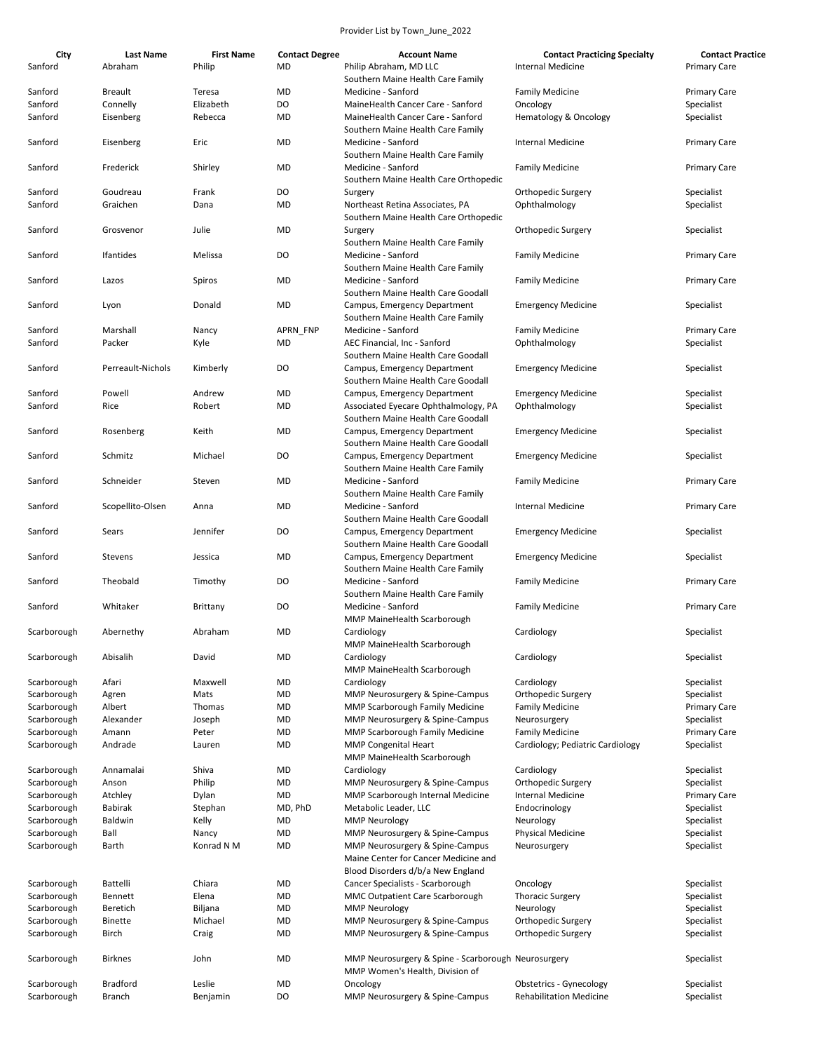| City        | <b>Last Name</b>  | <b>First Name</b> | <b>Contact Degree</b> | <b>Account Name</b>                                 | <b>Contact Practicing Specialty</b> | <b>Contact Practice</b> |
|-------------|-------------------|-------------------|-----------------------|-----------------------------------------------------|-------------------------------------|-------------------------|
| Sanford     | Abraham           | Philip            | MD                    | Philip Abraham, MD LLC                              | <b>Internal Medicine</b>            | <b>Primary Care</b>     |
|             |                   |                   |                       | Southern Maine Health Care Family                   |                                     |                         |
| Sanford     | <b>Breault</b>    | Teresa            | MD                    | Medicine - Sanford                                  | <b>Family Medicine</b>              | <b>Primary Care</b>     |
|             |                   |                   |                       |                                                     |                                     |                         |
| Sanford     | Connelly          | Elizabeth         | DO                    | MaineHealth Cancer Care - Sanford                   | Oncology                            | Specialist              |
| Sanford     | Eisenberg         | Rebecca           | MD                    | MaineHealth Cancer Care - Sanford                   | Hematology & Oncology               | Specialist              |
|             |                   |                   |                       | Southern Maine Health Care Family                   |                                     |                         |
| Sanford     | Eisenberg         | Eric              | MD                    | Medicine - Sanford                                  | <b>Internal Medicine</b>            | <b>Primary Care</b>     |
|             |                   |                   |                       |                                                     |                                     |                         |
|             |                   |                   |                       | Southern Maine Health Care Family                   |                                     |                         |
| Sanford     | Frederick         | Shirley           | MD                    | Medicine - Sanford                                  | <b>Family Medicine</b>              | <b>Primary Care</b>     |
|             |                   |                   |                       | Southern Maine Health Care Orthopedic               |                                     |                         |
| Sanford     | Goudreau          | Frank             | DO                    | Surgery                                             | Orthopedic Surgery                  | Specialist              |
|             | Graichen          |                   |                       |                                                     |                                     |                         |
| Sanford     |                   | Dana              | MD                    | Northeast Retina Associates, PA                     | Ophthalmology                       | Specialist              |
|             |                   |                   |                       | Southern Maine Health Care Orthopedic               |                                     |                         |
| Sanford     | Grosvenor         | Julie             | MD                    | Surgery                                             | Orthopedic Surgery                  | Specialist              |
|             |                   |                   |                       | Southern Maine Health Care Family                   |                                     |                         |
| Sanford     | <b>Ifantides</b>  | Melissa           | DO                    | Medicine - Sanford                                  | <b>Family Medicine</b>              | <b>Primary Care</b>     |
|             |                   |                   |                       |                                                     |                                     |                         |
|             |                   |                   |                       | Southern Maine Health Care Family                   |                                     |                         |
| Sanford     | Lazos             | Spiros            | MD                    | Medicine - Sanford                                  | <b>Family Medicine</b>              | <b>Primary Care</b>     |
|             |                   |                   |                       | Southern Maine Health Care Goodall                  |                                     |                         |
| Sanford     | Lyon              | Donald            | MD                    | Campus, Emergency Department                        | <b>Emergency Medicine</b>           | Specialist              |
|             |                   |                   |                       | Southern Maine Health Care Family                   |                                     |                         |
|             |                   |                   |                       |                                                     |                                     |                         |
| Sanford     | Marshall          | Nancy             | APRN_FNP              | Medicine - Sanford                                  | <b>Family Medicine</b>              | <b>Primary Care</b>     |
| Sanford     | Packer            | Kyle              | MD                    | AEC Financial, Inc - Sanford                        | Ophthalmology                       | Specialist              |
|             |                   |                   |                       | Southern Maine Health Care Goodall                  |                                     |                         |
| Sanford     | Perreault-Nichols | Kimberly          | DO                    | Campus, Emergency Department                        | <b>Emergency Medicine</b>           | Specialist              |
|             |                   |                   |                       |                                                     |                                     |                         |
|             |                   |                   |                       | Southern Maine Health Care Goodall                  |                                     |                         |
| Sanford     | Powell            | Andrew            | MD                    | Campus, Emergency Department                        | <b>Emergency Medicine</b>           | Specialist              |
| Sanford     | Rice              | Robert            | MD                    | Associated Eyecare Ophthalmology, PA                | Ophthalmology                       | Specialist              |
|             |                   |                   |                       | Southern Maine Health Care Goodall                  |                                     |                         |
| Sanford     | Rosenberg         | Keith             | MD                    | Campus, Emergency Department                        | <b>Emergency Medicine</b>           | Specialist              |
|             |                   |                   |                       |                                                     |                                     |                         |
|             |                   |                   |                       | Southern Maine Health Care Goodall                  |                                     |                         |
| Sanford     | Schmitz           | Michael           | DO                    | Campus, Emergency Department                        | <b>Emergency Medicine</b>           | Specialist              |
|             |                   |                   |                       | Southern Maine Health Care Family                   |                                     |                         |
| Sanford     | Schneider         | Steven            | MD                    | Medicine - Sanford                                  | <b>Family Medicine</b>              | <b>Primary Care</b>     |
|             |                   |                   |                       |                                                     |                                     |                         |
|             |                   |                   |                       | Southern Maine Health Care Family                   |                                     |                         |
| Sanford     | Scopellito-Olsen  | Anna              | MD                    | Medicine - Sanford                                  | Internal Medicine                   | <b>Primary Care</b>     |
|             |                   |                   |                       | Southern Maine Health Care Goodall                  |                                     |                         |
| Sanford     | Sears             | Jennifer          | DO                    | Campus, Emergency Department                        | <b>Emergency Medicine</b>           | Specialist              |
|             |                   |                   |                       | Southern Maine Health Care Goodall                  |                                     |                         |
|             |                   |                   |                       |                                                     |                                     |                         |
| Sanford     | Stevens           | Jessica           | MD                    | Campus, Emergency Department                        | <b>Emergency Medicine</b>           | Specialist              |
|             |                   |                   |                       | Southern Maine Health Care Family                   |                                     |                         |
| Sanford     | Theobald          | Timothy           | DO                    | Medicine - Sanford                                  | <b>Family Medicine</b>              | <b>Primary Care</b>     |
|             |                   |                   |                       | Southern Maine Health Care Family                   |                                     |                         |
| Sanford     | Whitaker          |                   | DO                    | Medicine - Sanford                                  | <b>Family Medicine</b>              |                         |
|             |                   | Brittany          |                       |                                                     |                                     | <b>Primary Care</b>     |
|             |                   |                   |                       | MMP MaineHealth Scarborough                         |                                     |                         |
| Scarborough | Abernethy         | Abraham           | <b>MD</b>             | Cardiology                                          | Cardiology                          | Specialist              |
|             |                   |                   |                       | MMP MaineHealth Scarborough                         |                                     |                         |
| Scarborough | Abisalih          | David             | MD                    | Cardiology                                          | Cardiology                          | Specialist              |
|             |                   |                   |                       |                                                     |                                     |                         |
|             |                   |                   |                       | MMP MaineHealth Scarborough                         |                                     |                         |
| Scarborough | Afari             | Maxwell           | MD                    | Cardiology                                          | Cardiology                          | Specialist              |
| Scarborough | Agren             | Mats              | MD                    | MMP Neurosurgery & Spine-Campus                     | Orthopedic Surgery                  | Specialist              |
| Scarborough | Albert            | Thomas            | MD                    | MMP Scarborough Family Medicine                     | <b>Family Medicine</b>              | <b>Primary Care</b>     |
|             |                   |                   |                       |                                                     |                                     |                         |
| Scarborough | Alexander         | Joseph            | MD                    | MMP Neurosurgery & Spine-Campus                     | Neurosurgery                        | Specialist              |
| Scarborough | Amann             | Peter             | MD                    | MMP Scarborough Family Medicine                     | <b>Family Medicine</b>              | <b>Primary Care</b>     |
| Scarborough | Andrade           | Lauren            | MD                    | <b>MMP Congenital Heart</b>                         | Cardiology; Pediatric Cardiology    | Specialist              |
|             |                   |                   |                       | MMP MaineHealth Scarborough                         |                                     |                         |
| Scarborough | Annamalai         | Shiva             | MD                    | Cardiology                                          | Cardiology                          | Specialist              |
|             |                   |                   |                       |                                                     |                                     |                         |
| Scarborough | Anson             | Philip            | MD                    | MMP Neurosurgery & Spine-Campus                     | Orthopedic Surgery                  | Specialist              |
| Scarborough | Atchley           | Dylan             | MD                    | MMP Scarborough Internal Medicine                   | <b>Internal Medicine</b>            | <b>Primary Care</b>     |
| Scarborough | <b>Babirak</b>    | Stephan           | MD, PhD               | Metabolic Leader, LLC                               | Endocrinology                       | Specialist              |
| Scarborough | Baldwin           | Kelly             | MD                    | <b>MMP Neurology</b>                                | Neurology                           | Specialist              |
|             |                   |                   |                       |                                                     |                                     |                         |
| Scarborough | Ball              | Nancy             | MD                    | MMP Neurosurgery & Spine-Campus                     | <b>Physical Medicine</b>            | Specialist              |
| Scarborough | Barth             | Konrad N M        | MD                    | MMP Neurosurgery & Spine-Campus                     | Neurosurgery                        | Specialist              |
|             |                   |                   |                       | Maine Center for Cancer Medicine and                |                                     |                         |
|             |                   |                   |                       | Blood Disorders d/b/a New England                   |                                     |                         |
| Scarborough | Battelli          | Chiara            | MD                    | Cancer Specialists - Scarborough                    | Oncology                            | Specialist              |
|             |                   |                   |                       |                                                     |                                     |                         |
| Scarborough | Bennett           | Elena             | MD                    | MMC Outpatient Care Scarborough                     | <b>Thoracic Surgery</b>             | Specialist              |
| Scarborough | Beretich          | Biljana           | MD                    | <b>MMP Neurology</b>                                | Neurology                           | Specialist              |
| Scarborough | <b>Binette</b>    | Michael           | MD                    | MMP Neurosurgery & Spine-Campus                     | Orthopedic Surgery                  | Specialist              |
| Scarborough | Birch             | Craig             | MD                    | MMP Neurosurgery & Spine-Campus                     | Orthopedic Surgery                  | Specialist              |
|             |                   |                   |                       |                                                     |                                     |                         |
|             |                   |                   |                       |                                                     |                                     |                         |
| Scarborough | <b>Birknes</b>    | John              | MD                    | MMP Neurosurgery & Spine - Scarborough Neurosurgery |                                     | Specialist              |
|             |                   |                   |                       | MMP Women's Health, Division of                     |                                     |                         |
| Scarborough | <b>Bradford</b>   | Leslie            | MD                    | Oncology                                            | <b>Obstetrics - Gynecology</b>      | Specialist              |
| Scarborough | <b>Branch</b>     | Benjamin          | DO                    | MMP Neurosurgery & Spine-Campus                     | <b>Rehabilitation Medicine</b>      | Specialist              |
|             |                   |                   |                       |                                                     |                                     |                         |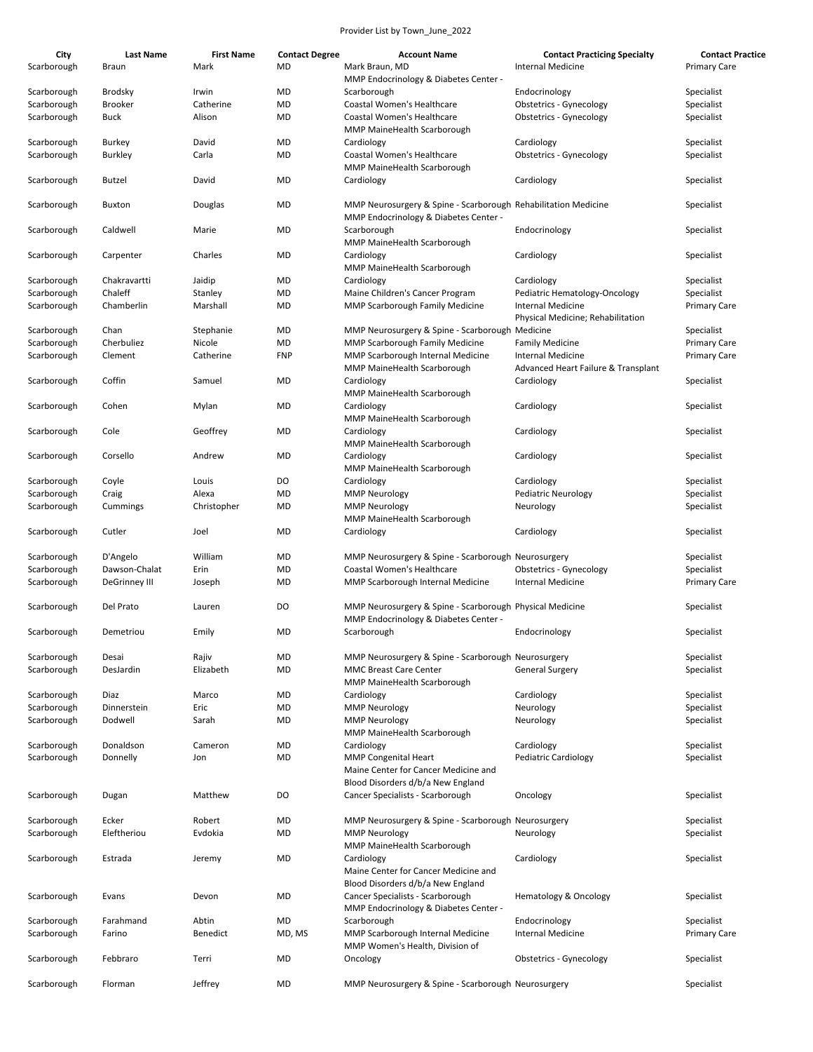| City        | <b>Last Name</b> | <b>First Name</b>   | <b>Contact Degree</b> | <b>Account Name</b>                                                                                            | <b>Contact Practicing Specialty</b> | <b>Contact Practice</b> |
|-------------|------------------|---------------------|-----------------------|----------------------------------------------------------------------------------------------------------------|-------------------------------------|-------------------------|
| Scarborough | Braun            | Mark                | MD                    | Mark Braun, MD                                                                                                 | <b>Internal Medicine</b>            | <b>Primary Care</b>     |
|             |                  |                     |                       | MMP Endocrinology & Diabetes Center -                                                                          |                                     |                         |
| Scarborough | Brodsky          | Irwin               | <b>MD</b>             | Scarborough                                                                                                    | Endocrinology                       | Specialist              |
| Scarborough | <b>Brooker</b>   | Catherine           | <b>MD</b>             | Coastal Women's Healthcare                                                                                     | <b>Obstetrics - Gynecology</b>      | Specialist              |
| Scarborough | <b>Buck</b>      | Alison              | MD                    | Coastal Women's Healthcare                                                                                     | <b>Obstetrics - Gynecology</b>      | Specialist              |
|             |                  |                     |                       | MMP MaineHealth Scarborough                                                                                    |                                     |                         |
| Scarborough | <b>Burkey</b>    | David               | MD                    | Cardiology                                                                                                     | Cardiology                          | Specialist              |
| Scarborough | Burkley          | Carla               | <b>MD</b>             | Coastal Women's Healthcare<br>MMP MaineHealth Scarborough                                                      | Obstetrics - Gynecology             | Specialist              |
| Scarborough | <b>Butzel</b>    | David               | MD                    | Cardiology                                                                                                     | Cardiology                          | Specialist              |
| Scarborough | Buxton           | Douglas             | MD                    | MMP Neurosurgery & Spine - Scarborough Rehabilitation Medicine<br>MMP Endocrinology & Diabetes Center -        |                                     | Specialist              |
| Scarborough | Caldwell         | Marie               | MD                    | Scarborough<br>MMP MaineHealth Scarborough                                                                     | Endocrinology                       | Specialist              |
| Scarborough | Carpenter        | Charles             | MD                    | Cardiology<br>MMP MaineHealth Scarborough                                                                      | Cardiology                          | Specialist              |
| Scarborough | Chakravartti     | Jaidip              | MD                    | Cardiology                                                                                                     | Cardiology                          | Specialist              |
| Scarborough | Chaleff          |                     | MD                    | Maine Children's Cancer Program                                                                                | Pediatric Hematology-Oncology       | Specialist              |
|             | Chamberlin       | Stanley<br>Marshall | MD                    | <b>MMP Scarborough Family Medicine</b>                                                                         | <b>Internal Medicine</b>            |                         |
| Scarborough |                  |                     |                       |                                                                                                                | Physical Medicine; Rehabilitation   | <b>Primary Care</b>     |
| Scarborough | Chan             | Stephanie           | MD                    | MMP Neurosurgery & Spine - Scarborough Medicine                                                                |                                     | Specialist              |
| Scarborough | Cherbuliez       | Nicole              | <b>MD</b>             | MMP Scarborough Family Medicine                                                                                | <b>Family Medicine</b>              | <b>Primary Care</b>     |
| Scarborough | Clement          | Catherine           | <b>FNP</b>            | MMP Scarborough Internal Medicine                                                                              | <b>Internal Medicine</b>            | <b>Primary Care</b>     |
|             |                  |                     |                       | MMP MaineHealth Scarborough                                                                                    | Advanced Heart Failure & Transplant |                         |
| Scarborough | Coffin           | Samuel              | MD                    | Cardiology                                                                                                     | Cardiology                          | Specialist              |
|             |                  |                     |                       | MMP MaineHealth Scarborough                                                                                    |                                     |                         |
| Scarborough | Cohen            | Mylan               | MD                    | Cardiology<br>MMP MaineHealth Scarborough                                                                      | Cardiology                          | Specialist              |
| Scarborough | Cole             | Geoffrey            | <b>MD</b>             | Cardiology                                                                                                     | Cardiology                          | Specialist              |
|             |                  |                     |                       | MMP MaineHealth Scarborough                                                                                    |                                     |                         |
| Scarborough | Corsello         | Andrew              | MD                    | Cardiology<br>MMP MaineHealth Scarborough                                                                      | Cardiology                          | Specialist              |
| Scarborough | Coyle            | Louis               | DO                    | Cardiology                                                                                                     | Cardiology                          | Specialist              |
| Scarborough | Craig            | Alexa               | MD                    | <b>MMP Neurology</b>                                                                                           | <b>Pediatric Neurology</b>          | Specialist              |
| Scarborough | Cummings         | Christopher         | MD                    | <b>MMP Neurology</b>                                                                                           | Neurology                           | Specialist              |
| Scarborough | Cutler           | Joel                | MD                    | MMP MaineHealth Scarborough<br>Cardiology                                                                      | Cardiology                          | Specialist              |
| Scarborough | D'Angelo         | William             | MD                    | MMP Neurosurgery & Spine - Scarborough Neurosurgery                                                            |                                     | Specialist              |
| Scarborough | Dawson-Chalat    | Erin                | MD                    | Coastal Women's Healthcare                                                                                     | <b>Obstetrics - Gynecology</b>      | Specialist              |
| Scarborough | DeGrinney III    | Joseph              | MD                    | MMP Scarborough Internal Medicine                                                                              | <b>Internal Medicine</b>            | <b>Primary Care</b>     |
| Scarborough | Del Prato        | Lauren              | DO                    | MMP Neurosurgery & Spine - Scarborough Physical Medicine<br>MMP Endocrinology & Diabetes Center -              |                                     | Specialist              |
| Scarborough | Demetriou        | Emily               | <b>MD</b>             | Scarborough                                                                                                    | Endocrinology                       | Specialist              |
| Scarborough | Desai            |                     | MD                    | MMP Neurosurgery & Spine - Scarborough Neurosurgery                                                            |                                     | Specialist              |
|             |                  | Rajiv               |                       |                                                                                                                |                                     |                         |
| Scarborough | DesJardin        | Elizabeth           | <b>MD</b>             | <b>MMC Breast Care Center</b><br>MMP MaineHealth Scarborough                                                   | <b>General Surgery</b>              | Specialist              |
| Scarborough | Diaz             | Marco               | MD                    | Cardiology                                                                                                     | Cardiology                          | Specialist              |
| Scarborough | Dinnerstein      | Eric                | MD                    | <b>MMP Neurology</b>                                                                                           | Neurology                           | Specialist              |
| Scarborough | Dodwell          | Sarah               | MD                    | <b>MMP Neurology</b>                                                                                           | Neurology                           | Specialist              |
|             |                  |                     |                       | MMP MaineHealth Scarborough                                                                                    |                                     |                         |
| Scarborough | Donaldson        | Cameron             | <b>MD</b>             | Cardiology                                                                                                     | Cardiology                          | Specialist              |
| Scarborough | Donnelly         | Jon                 | MD                    | <b>MMP Congenital Heart</b><br>Maine Center for Cancer Medicine and                                            | Pediatric Cardiology                | Specialist              |
|             |                  |                     |                       | Blood Disorders d/b/a New England                                                                              |                                     |                         |
| Scarborough | Dugan            | Matthew             | DO                    | Cancer Specialists - Scarborough                                                                               | Oncology                            | Specialist              |
|             |                  |                     |                       |                                                                                                                |                                     |                         |
| Scarborough | Ecker            | Robert              | MD                    | MMP Neurosurgery & Spine - Scarborough Neurosurgery                                                            |                                     | Specialist              |
| Scarborough | Eleftheriou      | Evdokia             | MD                    | <b>MMP Neurology</b><br>MMP MaineHealth Scarborough                                                            | Neurology                           | Specialist              |
| Scarborough | Estrada          | Jeremy              | MD                    | Cardiology<br>Maine Center for Cancer Medicine and                                                             | Cardiology                          | Specialist              |
| Scarborough | Evans            | Devon               | MD                    | Blood Disorders d/b/a New England<br>Cancer Specialists - Scarborough<br>MMP Endocrinology & Diabetes Center - | Hematology & Oncology               | Specialist              |
| Scarborough | Farahmand        | Abtin               | <b>MD</b>             | Scarborough                                                                                                    | Endocrinology                       | Specialist              |
| Scarborough | Farino           | Benedict            | MD, MS                | MMP Scarborough Internal Medicine                                                                              | <b>Internal Medicine</b>            | <b>Primary Care</b>     |
| Scarborough | Febbraro         | Terri               | MD                    | MMP Women's Health, Division of<br>Oncology                                                                    | Obstetrics - Gynecology             | Specialist              |
| Scarborough | Florman          | Jeffrey             | MD                    | MMP Neurosurgery & Spine - Scarborough Neurosurgery                                                            |                                     | Specialist              |
|             |                  |                     |                       |                                                                                                                |                                     |                         |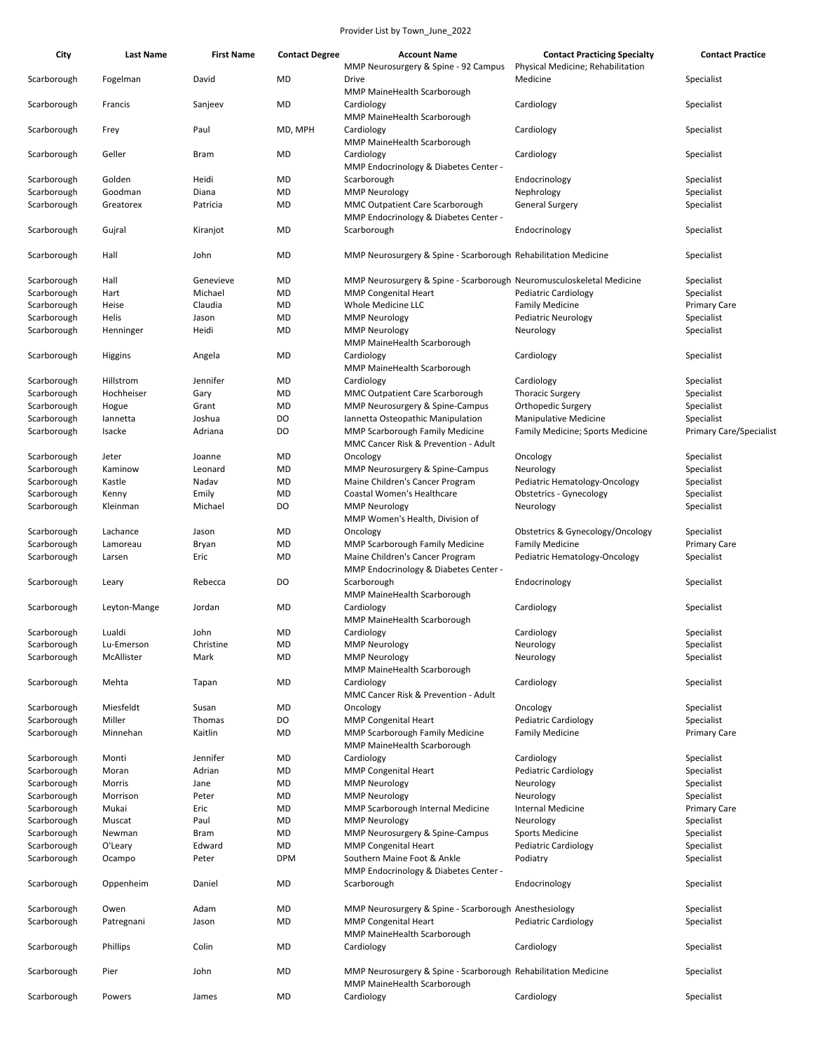| City        | <b>Last Name</b> | <b>First Name</b> | <b>Contact Degree</b> | <b>Account Name</b><br>MMP Neurosurgery & Spine - 92 Campus                                   | <b>Contact Practicing Specialty</b><br>Physical Medicine; Rehabilitation | <b>Contact Practice</b>        |
|-------------|------------------|-------------------|-----------------------|-----------------------------------------------------------------------------------------------|--------------------------------------------------------------------------|--------------------------------|
| Scarborough | Fogelman         | David             | MD                    | Drive                                                                                         | Medicine                                                                 | Specialist                     |
|             |                  |                   |                       | MMP MaineHealth Scarborough                                                                   |                                                                          |                                |
| Scarborough | Francis          | Sanjeev           | MD                    | Cardiology<br>MMP MaineHealth Scarborough                                                     | Cardiology                                                               | Specialist                     |
| Scarborough | Frey             | Paul              | MD, MPH               | Cardiology<br>MMP MaineHealth Scarborough                                                     | Cardiology                                                               | Specialist                     |
| Scarborough | Geller           | <b>Bram</b>       | MD                    | Cardiology                                                                                    | Cardiology                                                               | Specialist                     |
| Scarborough | Golden           | Heidi             | MD                    | MMP Endocrinology & Diabetes Center -<br>Scarborough                                          | Endocrinology                                                            | Specialist                     |
| Scarborough | Goodman          | Diana             | MD                    | <b>MMP Neurology</b>                                                                          | Nephrology                                                               | Specialist                     |
| Scarborough | Greatorex        | Patricia          | MD                    | MMC Outpatient Care Scarborough                                                               | <b>General Surgery</b>                                                   | Specialist                     |
|             |                  |                   |                       | MMP Endocrinology & Diabetes Center -                                                         |                                                                          |                                |
| Scarborough | Gujral           | Kiranjot          | MD                    | Scarborough                                                                                   | Endocrinology                                                            | Specialist                     |
| Scarborough | Hall             | John              | MD                    | MMP Neurosurgery & Spine - Scarborough Rehabilitation Medicine                                |                                                                          | Specialist                     |
| Scarborough | Hall             | Genevieve         | MD                    | MMP Neurosurgery & Spine - Scarborough Neuromusculoskeletal Medicine                          |                                                                          | Specialist                     |
| Scarborough | Hart             | Michael           | MD                    | <b>MMP Congenital Heart</b>                                                                   | <b>Pediatric Cardiology</b>                                              | Specialist                     |
| Scarborough | Heise            | Claudia           | MD                    | Whole Medicine LLC                                                                            | <b>Family Medicine</b>                                                   | <b>Primary Care</b>            |
| Scarborough | Helis            | Jason             | MD                    | <b>MMP Neurology</b>                                                                          | <b>Pediatric Neurology</b>                                               | Specialist                     |
| Scarborough | Henninger        | Heidi             | MD                    | <b>MMP Neurology</b>                                                                          | Neurology                                                                | Specialist                     |
|             |                  |                   |                       | MMP MaineHealth Scarborough                                                                   |                                                                          |                                |
| Scarborough | Higgins          | Angela            | MD                    | Cardiology<br>MMP MaineHealth Scarborough                                                     | Cardiology                                                               | Specialist                     |
| Scarborough | Hillstrom        | Jennifer          | MD                    | Cardiology                                                                                    | Cardiology                                                               | Specialist                     |
| Scarborough | Hochheiser       | Gary              | MD                    | MMC Outpatient Care Scarborough                                                               | <b>Thoracic Surgery</b>                                                  | Specialist                     |
| Scarborough | Hogue            | Grant             | <b>MD</b>             | MMP Neurosurgery & Spine-Campus                                                               | Orthopedic Surgery                                                       | Specialist                     |
| Scarborough | lannetta         | Joshua            | DO                    | Iannetta Osteopathic Manipulation                                                             | <b>Manipulative Medicine</b>                                             | Specialist                     |
| Scarborough | Isacke           | Adriana           | DO                    | MMP Scarborough Family Medicine                                                               | Family Medicine; Sports Medicine                                         | <b>Primary Care/Specialist</b> |
|             |                  |                   |                       | MMC Cancer Risk & Prevention - Adult                                                          |                                                                          |                                |
| Scarborough | Jeter            | Joanne            | MD                    | Oncology                                                                                      | Oncology                                                                 | Specialist                     |
| Scarborough | Kaminow          | Leonard           | MD                    | MMP Neurosurgery & Spine-Campus                                                               | Neurology                                                                | Specialist                     |
| Scarborough | Kastle           | Nadav             | MD                    | Maine Children's Cancer Program                                                               | Pediatric Hematology-Oncology                                            | Specialist                     |
| Scarborough | Kenny            | Emily             | MD                    | Coastal Women's Healthcare                                                                    | <b>Obstetrics - Gynecology</b>                                           | Specialist                     |
| Scarborough | Kleinman         | Michael           | DO                    | <b>MMP Neurology</b>                                                                          | Neurology                                                                | Specialist                     |
|             |                  |                   |                       | MMP Women's Health, Division of                                                               |                                                                          |                                |
| Scarborough | Lachance         | Jason             | MD                    | Oncology                                                                                      | Obstetrics & Gynecology/Oncology                                         | Specialist                     |
| Scarborough | Lamoreau         | Bryan             | MD                    | <b>MMP Scarborough Family Medicine</b>                                                        | <b>Family Medicine</b>                                                   | <b>Primary Care</b>            |
| Scarborough | Larsen           | Eric              | MD                    | Maine Children's Cancer Program<br>MMP Endocrinology & Diabetes Center -                      | Pediatric Hematology-Oncology                                            | Specialist                     |
| Scarborough | Leary            | Rebecca           | DO                    | Scarborough<br>MMP MaineHealth Scarborough                                                    | Endocrinology                                                            | Specialist                     |
| Scarborough | Leyton-Mange     | Jordan            | MD                    | Cardiology<br>MMP MaineHealth Scarborough                                                     | Cardiology                                                               | Specialist                     |
| Scarborough | Lualdi           | John              | MD                    | Cardiology                                                                                    | Cardiology                                                               | Specialist                     |
| Scarborough | Lu-Emerson       | Christine         | MD                    | <b>MMP Neurology</b>                                                                          | Neurology                                                                | Specialist                     |
| Scarborough | McAllister       | Mark              | MD                    | <b>MMP Neurology</b>                                                                          | Neurology                                                                | Specialist                     |
|             |                  |                   |                       | MMP MaineHealth Scarborough                                                                   |                                                                          |                                |
| Scarborough | Mehta            | Tapan             | MD                    | Cardiology<br>MMC Cancer Risk & Prevention - Adult                                            | Cardiology                                                               | Specialist                     |
| Scarborough | Miesfeldt        | Susan             | MD                    | Oncology                                                                                      | Oncology                                                                 | Specialist                     |
| Scarborough | Miller           | Thomas            | DO                    | <b>MMP Congenital Heart</b>                                                                   | Pediatric Cardiology                                                     | Specialist                     |
| Scarborough | Minnehan         | Kaitlin           | MD                    | MMP Scarborough Family Medicine<br>MMP MaineHealth Scarborough                                | <b>Family Medicine</b>                                                   | <b>Primary Care</b>            |
| Scarborough | Monti            | Jennifer          | MD                    | Cardiology                                                                                    | Cardiology                                                               | Specialist                     |
| Scarborough | Moran            | Adrian            | MD                    | <b>MMP Congenital Heart</b>                                                                   | <b>Pediatric Cardiology</b>                                              | Specialist                     |
| Scarborough | Morris           |                   | MD                    | <b>MMP Neurology</b>                                                                          |                                                                          |                                |
|             |                  | Jane              |                       |                                                                                               | Neurology                                                                | Specialist                     |
| Scarborough | Morrison         | Peter             | MD                    | <b>MMP Neurology</b>                                                                          | Neurology                                                                | Specialist                     |
| Scarborough | Mukai            | Eric              | MD                    | MMP Scarborough Internal Medicine                                                             | Internal Medicine                                                        | <b>Primary Care</b>            |
| Scarborough | Muscat           | Paul              | MD                    | <b>MMP Neurology</b>                                                                          | Neurology                                                                | Specialist                     |
| Scarborough | Newman           | Bram              | MD                    | MMP Neurosurgery & Spine-Campus                                                               | <b>Sports Medicine</b>                                                   | Specialist                     |
| Scarborough | O'Leary          | Edward            | MD                    | <b>MMP Congenital Heart</b>                                                                   | Pediatric Cardiology                                                     | Specialist                     |
| Scarborough | Ocampo           | Peter             | <b>DPM</b>            | Southern Maine Foot & Ankle<br>MMP Endocrinology & Diabetes Center -                          | Podiatry                                                                 | Specialist                     |
| Scarborough | Oppenheim        | Daniel            | MD                    | Scarborough                                                                                   | Endocrinology                                                            | Specialist                     |
| Scarborough | Owen             | Adam              | MD                    | MMP Neurosurgery & Spine - Scarborough Anesthesiology                                         |                                                                          | Specialist                     |
| Scarborough | Patregnani       | Jason             | MD                    | <b>MMP Congenital Heart</b>                                                                   | Pediatric Cardiology                                                     | Specialist                     |
|             |                  |                   |                       | MMP MaineHealth Scarborough                                                                   |                                                                          |                                |
| Scarborough | Phillips         | Colin             | MD                    | Cardiology                                                                                    | Cardiology                                                               | Specialist                     |
| Scarborough | Pier             | John              | MD                    | MMP Neurosurgery & Spine - Scarborough Rehabilitation Medicine<br>MMP MaineHealth Scarborough |                                                                          | Specialist                     |
| Scarborough | Powers           | James             | MD                    | Cardiology                                                                                    | Cardiology                                                               | Specialist                     |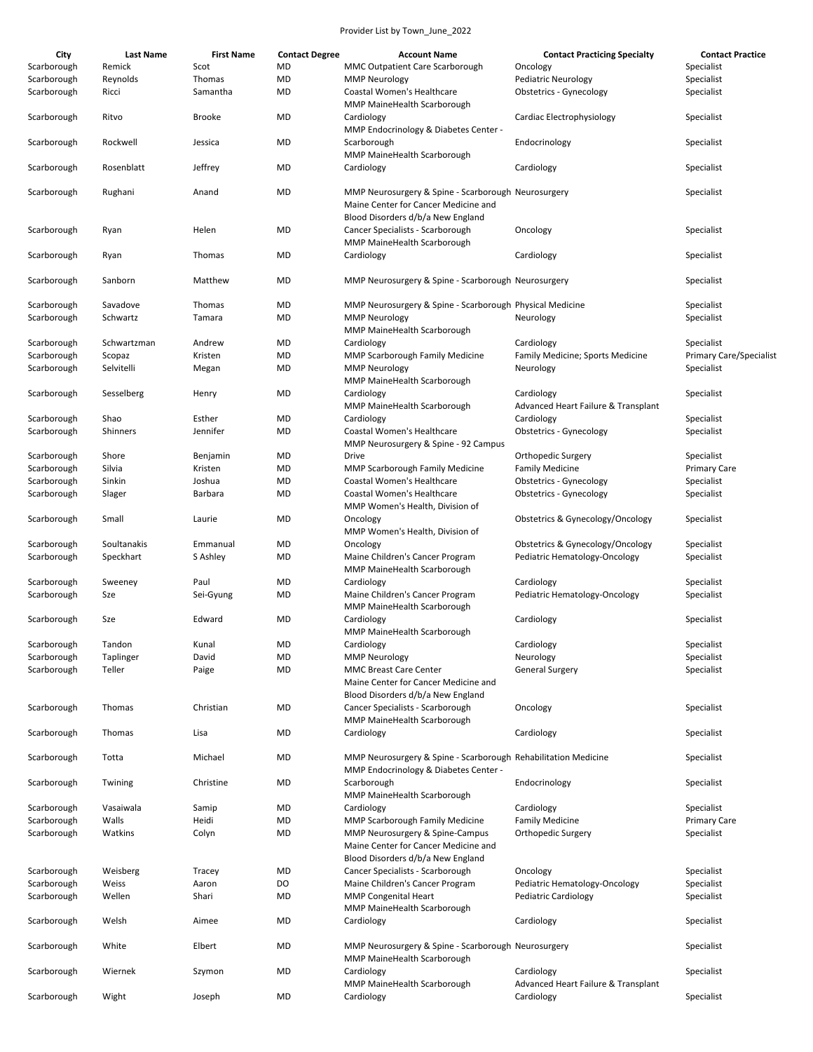| City        | <b>Last Name</b>     | <b>First Name</b> | <b>Contact Degree</b> | <b>Account Name</b>                                                              | <b>Contact Practicing Specialty</b> | <b>Contact Practice</b>        |
|-------------|----------------------|-------------------|-----------------------|----------------------------------------------------------------------------------|-------------------------------------|--------------------------------|
| Scarborough | Remick               | Scot              | MD                    | MMC Outpatient Care Scarborough                                                  | Oncology                            | Specialist                     |
| Scarborough | Reynolds             | Thomas            | MD                    | <b>MMP Neurology</b>                                                             | <b>Pediatric Neurology</b>          | Specialist                     |
| Scarborough | Ricci                | Samantha          | MD                    | Coastal Women's Healthcare                                                       | <b>Obstetrics - Gynecology</b>      | Specialist                     |
|             |                      |                   |                       | MMP MaineHealth Scarborough                                                      |                                     |                                |
| Scarborough | Ritvo                | <b>Brooke</b>     | MD                    | Cardiology                                                                       | Cardiac Electrophysiology           | Specialist                     |
|             |                      |                   |                       | MMP Endocrinology & Diabetes Center -                                            |                                     |                                |
| Scarborough | Rockwell             | Jessica           | MD                    | Scarborough                                                                      | Endocrinology                       | Specialist                     |
|             |                      |                   |                       | MMP MaineHealth Scarborough                                                      |                                     |                                |
| Scarborough | Rosenblatt           | Jeffrey           | MD                    | Cardiology                                                                       | Cardiology                          | Specialist                     |
|             |                      |                   |                       |                                                                                  |                                     |                                |
| Scarborough | Rughani              | Anand             | MD                    | MMP Neurosurgery & Spine - Scarborough Neurosurgery                              |                                     | Specialist                     |
|             |                      |                   |                       | Maine Center for Cancer Medicine and                                             |                                     |                                |
|             |                      |                   |                       | Blood Disorders d/b/a New England                                                |                                     |                                |
| Scarborough | Ryan                 | Helen             | MD                    | Cancer Specialists - Scarborough                                                 | Oncology                            | Specialist                     |
|             |                      |                   |                       | MMP MaineHealth Scarborough                                                      |                                     |                                |
| Scarborough | Ryan                 | Thomas            | MD                    | Cardiology                                                                       | Cardiology                          | Specialist                     |
|             |                      |                   |                       |                                                                                  |                                     |                                |
| Scarborough | Sanborn              | Matthew           | MD                    | MMP Neurosurgery & Spine - Scarborough Neurosurgery                              |                                     | Specialist                     |
|             |                      | Thomas            | MD                    |                                                                                  |                                     |                                |
| Scarborough | Savadove<br>Schwartz | Tamara            | MD                    | MMP Neurosurgery & Spine - Scarborough Physical Medicine<br><b>MMP Neurology</b> | Neurology                           | Specialist<br>Specialist       |
| Scarborough |                      |                   |                       | MMP MaineHealth Scarborough                                                      |                                     |                                |
| Scarborough | Schwartzman          | Andrew            | MD                    | Cardiology                                                                       | Cardiology                          | Specialist                     |
| Scarborough | Scopaz               | Kristen           | MD                    | MMP Scarborough Family Medicine                                                  | Family Medicine; Sports Medicine    | <b>Primary Care/Specialist</b> |
| Scarborough | Selvitelli           | Megan             | MD                    | <b>MMP Neurology</b>                                                             | Neurology                           | Specialist                     |
|             |                      |                   |                       | MMP MaineHealth Scarborough                                                      |                                     |                                |
| Scarborough | Sesselberg           | Henry             | MD                    | Cardiology                                                                       | Cardiology                          | Specialist                     |
|             |                      |                   |                       | MMP MaineHealth Scarborough                                                      | Advanced Heart Failure & Transplant |                                |
| Scarborough | Shao                 | Esther            | MD                    | Cardiology                                                                       | Cardiology                          | Specialist                     |
| Scarborough | Shinners             | Jennifer          | MD                    | Coastal Women's Healthcare                                                       | Obstetrics - Gynecology             | Specialist                     |
|             |                      |                   |                       | MMP Neurosurgery & Spine - 92 Campus                                             |                                     |                                |
| Scarborough | Shore                | Benjamin          | MD                    | Drive                                                                            | Orthopedic Surgery                  | Specialist                     |
| Scarborough | Silvia               | Kristen           | MD                    | MMP Scarborough Family Medicine                                                  | <b>Family Medicine</b>              | <b>Primary Care</b>            |
| Scarborough | Sinkin               | Joshua            | MD                    | Coastal Women's Healthcare                                                       | Obstetrics - Gynecology             | Specialist                     |
| Scarborough | Slager               | Barbara           | MD                    | Coastal Women's Healthcare                                                       | <b>Obstetrics - Gynecology</b>      | Specialist                     |
|             |                      |                   |                       | MMP Women's Health, Division of                                                  |                                     |                                |
| Scarborough | Small                | Laurie            | MD                    | Oncology                                                                         | Obstetrics & Gynecology/Oncology    | Specialist                     |
|             |                      |                   |                       | MMP Women's Health, Division of                                                  |                                     |                                |
| Scarborough | Soultanakis          | Emmanual          | MD                    | Oncology                                                                         | Obstetrics & Gynecology/Oncology    | Specialist                     |
| Scarborough | Speckhart            | S Ashley          | MD                    | Maine Children's Cancer Program                                                  | Pediatric Hematology-Oncology       | Specialist                     |
|             |                      |                   |                       | MMP MaineHealth Scarborough                                                      |                                     |                                |
| Scarborough | Sweeney              | Paul              | MD                    | Cardiology                                                                       | Cardiology                          | Specialist                     |
| Scarborough | Sze                  | Sei-Gyung         | MD                    | Maine Children's Cancer Program                                                  | Pediatric Hematology-Oncology       | Specialist                     |
|             |                      |                   |                       | MMP MaineHealth Scarborough                                                      |                                     |                                |
| Scarborough | Sze                  | Edward            | MD                    | Cardiology                                                                       | Cardiology                          | Specialist                     |
|             |                      |                   |                       | MMP MaineHealth Scarborough                                                      |                                     |                                |
| Scarborough | Tandon               | Kunal             | MD                    | Cardiology                                                                       | Cardiology                          | Specialist                     |
| Scarborough | Taplinger            | David             | MD                    | <b>MMP Neurology</b>                                                             | Neurology                           | Specialist                     |
| Scarborough | Teller               | Paige             | MD                    | MMC Breast Care Center                                                           | <b>General Surgery</b>              | Specialist                     |
|             |                      |                   |                       | Maine Center for Cancer Medicine and                                             |                                     |                                |
|             |                      |                   |                       | Blood Disorders d/b/a New England                                                |                                     |                                |
| Scarborough | Thomas               | Christian         | MD                    | Cancer Specialists - Scarborough                                                 | Oncology                            | Specialist                     |
|             |                      |                   |                       | MMP MaineHealth Scarborough                                                      |                                     |                                |
| Scarborough | Thomas               | Lisa              | MD                    | Cardiology                                                                       | Cardiology                          | Specialist                     |
|             |                      |                   |                       |                                                                                  |                                     |                                |
| Scarborough | Totta                | Michael           | MD                    | MMP Neurosurgery & Spine - Scarborough Rehabilitation Medicine                   |                                     | Specialist                     |
|             |                      |                   |                       | MMP Endocrinology & Diabetes Center -                                            |                                     |                                |
| Scarborough | Twining              | Christine         | MD                    | Scarborough                                                                      | Endocrinology                       | Specialist                     |
|             |                      |                   |                       | MMP MaineHealth Scarborough                                                      |                                     |                                |
| Scarborough | Vasaiwala            | Samip             | MD                    | Cardiology                                                                       | Cardiology                          | Specialist                     |
| Scarborough | Walls                | Heidi             | MD                    | MMP Scarborough Family Medicine                                                  | <b>Family Medicine</b>              | Primary Care                   |
| Scarborough | Watkins              | Colyn             | MD                    | MMP Neurosurgery & Spine-Campus                                                  | Orthopedic Surgery                  | Specialist                     |
|             |                      |                   |                       | Maine Center for Cancer Medicine and                                             |                                     |                                |
|             |                      |                   |                       | Blood Disorders d/b/a New England                                                |                                     |                                |
| Scarborough | Weisberg             | Tracey            | MD                    | Cancer Specialists - Scarborough                                                 | Oncology                            | Specialist                     |
| Scarborough | Weiss                | Aaron             | DO                    | Maine Children's Cancer Program                                                  | Pediatric Hematology-Oncology       | Specialist                     |
| Scarborough | Wellen               | Shari             | MD                    | <b>MMP Congenital Heart</b>                                                      | Pediatric Cardiology                | Specialist                     |
|             |                      |                   |                       | MMP MaineHealth Scarborough                                                      |                                     |                                |
| Scarborough | Welsh                | Aimee             | MD                    | Cardiology                                                                       | Cardiology                          | Specialist                     |
| Scarborough | White                | Elbert            | MD                    | MMP Neurosurgery & Spine - Scarborough Neurosurgery                              |                                     | Specialist                     |
|             |                      |                   |                       | MMP MaineHealth Scarborough                                                      |                                     |                                |
| Scarborough | Wiernek              | Szymon            | MD                    | Cardiology                                                                       | Cardiology                          | Specialist                     |
|             |                      |                   |                       | MMP MaineHealth Scarborough                                                      | Advanced Heart Failure & Transplant |                                |
| Scarborough | Wight                | Joseph            | MD                    | Cardiology                                                                       | Cardiology                          | Specialist                     |
|             |                      |                   |                       |                                                                                  |                                     |                                |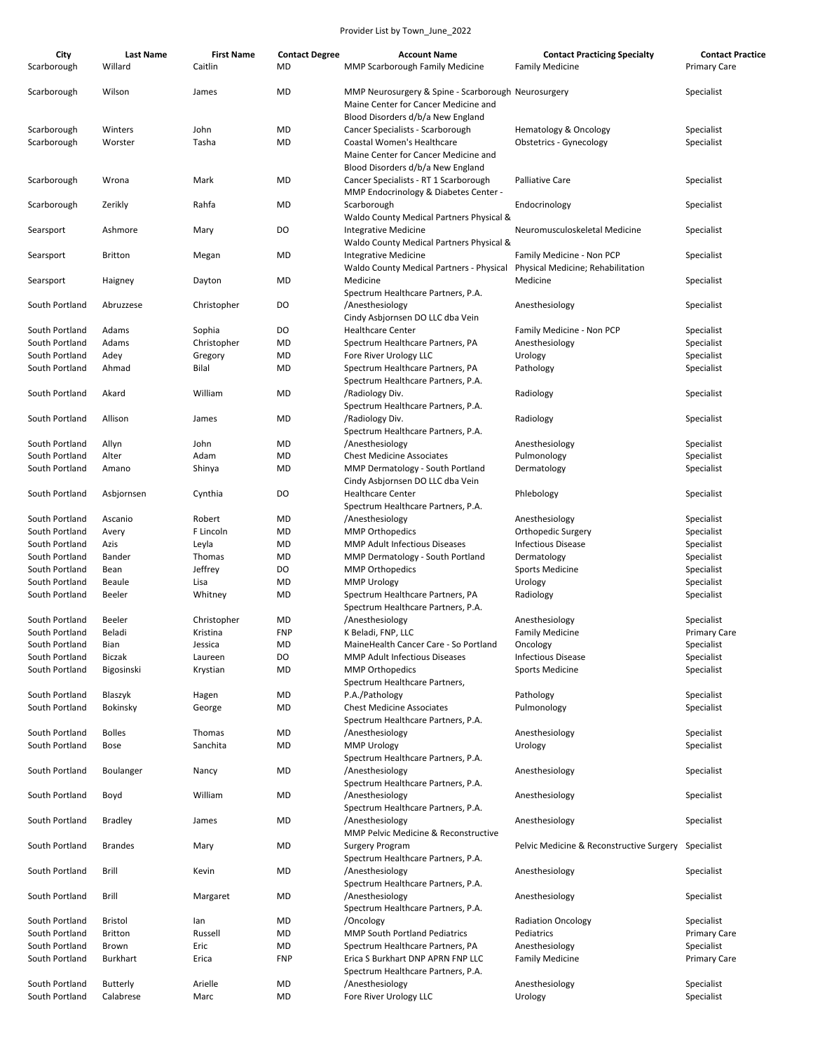| City                       | <b>Last Name</b>   | <b>First Name</b> | <b>Contact Degree</b> | <b>Account Name</b>                                                   | <b>Contact Practicing Specialty</b>                     | <b>Contact Practice</b> |
|----------------------------|--------------------|-------------------|-----------------------|-----------------------------------------------------------------------|---------------------------------------------------------|-------------------------|
| Scarborough                | Willard            | Caitlin           | MD                    | MMP Scarborough Family Medicine                                       | <b>Family Medicine</b>                                  | <b>Primary Care</b>     |
|                            |                    |                   |                       |                                                                       |                                                         |                         |
| Scarborough                | Wilson             | James             | <b>MD</b>             | MMP Neurosurgery & Spine - Scarborough Neurosurgery                   |                                                         | Specialist              |
|                            |                    |                   |                       | Maine Center for Cancer Medicine and                                  |                                                         |                         |
|                            |                    |                   |                       | Blood Disorders d/b/a New England<br>Cancer Specialists - Scarborough |                                                         | Specialist              |
| Scarborough<br>Scarborough | Winters<br>Worster | John<br>Tasha     | MD<br>MD              | Coastal Women's Healthcare                                            | Hematology & Oncology<br><b>Obstetrics - Gynecology</b> | Specialist              |
|                            |                    |                   |                       | Maine Center for Cancer Medicine and                                  |                                                         |                         |
|                            |                    |                   |                       | Blood Disorders d/b/a New England                                     |                                                         |                         |
| Scarborough                | Wrona              | Mark              | MD                    | Cancer Specialists - RT 1 Scarborough                                 | Palliative Care                                         | Specialist              |
|                            |                    |                   |                       | MMP Endocrinology & Diabetes Center -                                 |                                                         |                         |
| Scarborough                | Zerikly            | Rahfa             | MD                    | Scarborough                                                           | Endocrinology                                           | Specialist              |
|                            |                    |                   |                       | Waldo County Medical Partners Physical &                              |                                                         |                         |
| Searsport                  | Ashmore            | Mary              | DO                    | <b>Integrative Medicine</b>                                           | Neuromusculoskeletal Medicine                           | Specialist              |
|                            |                    |                   |                       | Waldo County Medical Partners Physical &                              |                                                         |                         |
| Searsport                  | <b>Britton</b>     | Megan             | MD                    | <b>Integrative Medicine</b>                                           | Family Medicine - Non PCP                               | Specialist              |
|                            |                    |                   |                       | Waldo County Medical Partners - Physical                              | Physical Medicine; Rehabilitation                       |                         |
| Searsport                  | Haigney            | Dayton            | <b>MD</b>             | Medicine                                                              | Medicine                                                | Specialist              |
|                            |                    |                   |                       | Spectrum Healthcare Partners, P.A.                                    |                                                         |                         |
| South Portland             | Abruzzese          | Christopher       | DO                    | /Anesthesiology                                                       | Anesthesiology                                          | Specialist              |
|                            |                    |                   |                       | Cindy Asbjornsen DO LLC dba Vein                                      |                                                         |                         |
| South Portland             | Adams              | Sophia            | DO                    | <b>Healthcare Center</b>                                              | Family Medicine - Non PCP                               | Specialist              |
| South Portland             | Adams              | Christopher       | MD                    | Spectrum Healthcare Partners, PA                                      | Anesthesiology                                          | Specialist              |
| South Portland             | Adey               | Gregory           | <b>MD</b>             | Fore River Urology LLC                                                | Urology                                                 | Specialist              |
| South Portland             | Ahmad              | Bilal             | <b>MD</b>             | Spectrum Healthcare Partners, PA                                      | Pathology                                               | Specialist              |
|                            |                    |                   |                       | Spectrum Healthcare Partners, P.A.                                    |                                                         |                         |
| South Portland             | Akard              | William           | <b>MD</b>             | /Radiology Div.                                                       | Radiology                                               | Specialist              |
|                            |                    |                   |                       | Spectrum Healthcare Partners, P.A.                                    |                                                         |                         |
| South Portland             | Allison            | James             | MD                    | /Radiology Div.                                                       | Radiology                                               | Specialist              |
|                            |                    |                   |                       | Spectrum Healthcare Partners, P.A.                                    |                                                         |                         |
| South Portland             | Allyn              | John              | MD                    | /Anesthesiology                                                       | Anesthesiology                                          | Specialist              |
| South Portland             | Alter              | Adam              | MD                    | <b>Chest Medicine Associates</b>                                      | Pulmonology                                             | Specialist              |
| South Portland             | Amano              | Shinya            | MD                    | MMP Dermatology - South Portland                                      | Dermatology                                             | Specialist              |
|                            |                    |                   |                       | Cindy Asbjornsen DO LLC dba Vein                                      |                                                         |                         |
| South Portland             | Asbjornsen         | Cynthia           | DO                    | <b>Healthcare Center</b>                                              | Phlebology                                              | Specialist              |
|                            |                    |                   |                       | Spectrum Healthcare Partners, P.A.                                    |                                                         |                         |
| South Portland             | Ascanio            | Robert            | MD                    | /Anesthesiology                                                       | Anesthesiology                                          | Specialist              |
| South Portland             | Avery              | F Lincoln         | MD                    | <b>MMP Orthopedics</b>                                                | Orthopedic Surgery                                      | Specialist              |
| South Portland             | Azis               | Leyla             | MD                    | <b>MMP Adult Infectious Diseases</b>                                  | <b>Infectious Disease</b>                               | Specialist              |
| South Portland             | Bander             | Thomas            | <b>MD</b>             | MMP Dermatology - South Portland                                      | Dermatology                                             | Specialist              |
| South Portland             | Bean               | Jeffrey           | DO                    | <b>MMP Orthopedics</b>                                                | <b>Sports Medicine</b>                                  | Specialist              |
| South Portland             | Beaule             | Lisa              | MD                    | <b>MMP Urology</b>                                                    | Urology                                                 | Specialist              |
| South Portland             | Beeler             | Whitney           | MD                    | Spectrum Healthcare Partners, PA                                      | Radiology                                               | Specialist              |
|                            |                    |                   |                       | Spectrum Healthcare Partners, P.A.                                    |                                                         |                         |
| South Portland             | Beeler             | Christopher       | MD                    | /Anesthesiology                                                       | Anesthesiology                                          | Specialist              |
| South Portland             | Beladi             | Kristina          | <b>FNP</b>            | K Beladi, FNP, LLC                                                    | <b>Family Medicine</b>                                  | <b>Primary Care</b>     |
| South Portland             | Bian               | Jessica           | MD                    | MaineHealth Cancer Care - So Portland                                 | Oncology                                                | Specialist              |
| South Portland             | Biczak             | Laureen           | DO                    | <b>MMP Adult Infectious Diseases</b>                                  | <b>Infectious Disease</b>                               | Specialist              |
| South Portland             | Bigosinski         | Krystian          | MD                    | <b>MMP Orthopedics</b>                                                | <b>Sports Medicine</b>                                  | Specialist              |
|                            |                    |                   |                       | Spectrum Healthcare Partners,                                         |                                                         |                         |
| South Portland             | Blaszyk            | Hagen             | MD                    | P.A./Pathology                                                        | Pathology                                               | Specialist              |
| South Portland             | Bokinsky           | George            | MD                    | <b>Chest Medicine Associates</b>                                      | Pulmonology                                             | Specialist              |
|                            |                    |                   |                       | Spectrum Healthcare Partners, P.A.                                    |                                                         |                         |
| South Portland             | <b>Bolles</b>      | Thomas            | MD                    | /Anesthesiology                                                       | Anesthesiology                                          | Specialist              |
| South Portland             | Bose               | Sanchita          | MD                    | <b>MMP Urology</b>                                                    | Urology                                                 | Specialist              |
|                            |                    |                   |                       | Spectrum Healthcare Partners, P.A.                                    |                                                         |                         |
| South Portland             | Boulanger          | Nancy             | MD                    | /Anesthesiology                                                       | Anesthesiology                                          | Specialist              |
|                            |                    |                   |                       | Spectrum Healthcare Partners, P.A.                                    |                                                         |                         |
| South Portland             | Boyd               | William           | MD                    | /Anesthesiology                                                       | Anesthesiology                                          | Specialist              |
|                            |                    |                   |                       | Spectrum Healthcare Partners, P.A.                                    |                                                         |                         |
| South Portland             | <b>Bradley</b>     | James             | MD                    | /Anesthesiology                                                       | Anesthesiology                                          | Specialist              |
|                            |                    |                   |                       | MMP Pelvic Medicine & Reconstructive                                  |                                                         |                         |
| South Portland             | <b>Brandes</b>     | Mary              | MD                    | Surgery Program                                                       | Pelvic Medicine & Reconstructive Surgery                | Specialist              |
|                            |                    |                   |                       | Spectrum Healthcare Partners, P.A.                                    |                                                         |                         |
| South Portland             | Brill              | Kevin             | MD                    | /Anesthesiology                                                       | Anesthesiology                                          | Specialist              |
|                            |                    |                   |                       | Spectrum Healthcare Partners, P.A.                                    |                                                         |                         |
| South Portland             | Brill              | Margaret          | MD                    | /Anesthesiology                                                       | Anesthesiology                                          | Specialist              |
|                            |                    |                   |                       | Spectrum Healthcare Partners, P.A.                                    |                                                         |                         |
| South Portland             | Bristol            | lan               | MD                    | /Oncology                                                             | <b>Radiation Oncology</b>                               | Specialist              |
| South Portland             | <b>Britton</b>     | Russell           | MD                    | <b>MMP South Portland Pediatrics</b>                                  | Pediatrics                                              | <b>Primary Care</b>     |
| South Portland             | Brown              | Eric              | MD                    | Spectrum Healthcare Partners, PA                                      | Anesthesiology                                          | Specialist              |
| South Portland             | <b>Burkhart</b>    | Erica             | <b>FNP</b>            | Erica S Burkhart DNP APRN FNP LLC                                     | <b>Family Medicine</b>                                  | <b>Primary Care</b>     |
|                            |                    |                   |                       | Spectrum Healthcare Partners, P.A.                                    |                                                         |                         |
| South Portland             | Butterly           | Arielle           | MD                    | /Anesthesiology                                                       | Anesthesiology                                          | Specialist              |
| South Portland             | Calabrese          | Marc              | MD                    | Fore River Urology LLC                                                | Urology                                                 | Specialist              |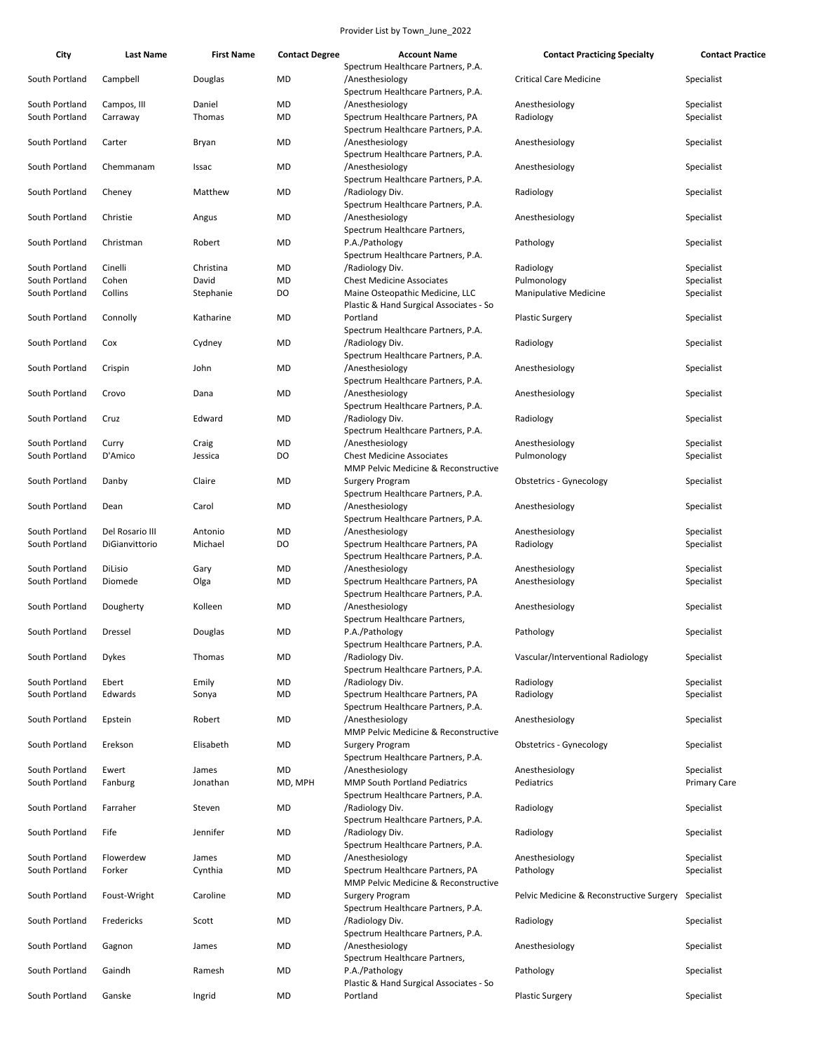| City                             | <b>Last Name</b> | <b>First Name</b> | <b>Contact Degree</b> | <b>Account Name</b>                                                      | <b>Contact Practicing Specialty</b>                 | Contact      |
|----------------------------------|------------------|-------------------|-----------------------|--------------------------------------------------------------------------|-----------------------------------------------------|--------------|
| South Portland                   | Campbell         | Douglas           | MD                    | Spectrum Healthcare Partners, P.A.<br>/Anesthesiology                    | <b>Critical Care Medicine</b>                       | Specialist   |
|                                  |                  |                   |                       | Spectrum Healthcare Partners, P.A.                                       |                                                     |              |
| South Portland                   | Campos, III      | Daniel            | <b>MD</b>             | /Anesthesiology                                                          | Anesthesiology                                      | Specialist   |
| South Portland                   | Carraway         | Thomas            | <b>MD</b>             | Spectrum Healthcare Partners, PA<br>Spectrum Healthcare Partners, P.A.   | Radiology                                           | Specialist   |
| South Portland                   | Carter           | Bryan             | MD                    | /Anesthesiology                                                          | Anesthesiology                                      | Specialist   |
| South Portland                   | Chemmanam        | Issac             | MD                    | Spectrum Healthcare Partners, P.A.<br>/Anesthesiology                    | Anesthesiology                                      | Specialist   |
|                                  |                  |                   |                       | Spectrum Healthcare Partners, P.A.                                       |                                                     |              |
| South Portland                   | Cheney           | Matthew           | <b>MD</b>             | /Radiology Div.<br>Spectrum Healthcare Partners, P.A.                    | Radiology                                           | Specialist   |
| South Portland                   | Christie         | Angus             | MD                    | /Anesthesiology                                                          | Anesthesiology                                      | Specialist   |
|                                  |                  |                   |                       | Spectrum Healthcare Partners,                                            |                                                     |              |
| South Portland                   | Christman        | Robert            | <b>MD</b>             | P.A./Pathology<br>Spectrum Healthcare Partners, P.A.                     | Pathology                                           | Specialist   |
| South Portland                   | Cinelli          | Christina         | <b>MD</b>             | /Radiology Div.                                                          | Radiology                                           | Specialist   |
| South Portland                   | Cohen            | David             | <b>MD</b>             | <b>Chest Medicine Associates</b>                                         | Pulmonology                                         | Specialist   |
| South Portland                   | Collins          | Stephanie         | DO                    | Maine Osteopathic Medicine, LLC                                          | Manipulative Medicine                               | Specialist   |
|                                  |                  |                   |                       | Plastic & Hand Surgical Associates - So                                  |                                                     |              |
| South Portland                   | Connolly         | Katharine         | <b>MD</b>             | Portland<br>Spectrum Healthcare Partners, P.A.                           | <b>Plastic Surgery</b>                              | Specialist   |
| South Portland                   | Cox              | Cydney            | MD                    | /Radiology Div.                                                          | Radiology                                           | Specialist   |
|                                  |                  |                   |                       | Spectrum Healthcare Partners, P.A.                                       |                                                     |              |
| South Portland                   | Crispin          | John              | MD                    | /Anesthesiology                                                          | Anesthesiology                                      | Specialist   |
| South Portland                   | Crovo            | Dana              | MD                    | Spectrum Healthcare Partners, P.A.<br>/Anesthesiology                    | Anesthesiology                                      | Specialist   |
|                                  |                  |                   |                       | Spectrum Healthcare Partners, P.A.                                       |                                                     |              |
| South Portland                   | Cruz             | Edward            | MD                    | /Radiology Div.                                                          | Radiology                                           | Specialist   |
|                                  |                  |                   |                       | Spectrum Healthcare Partners, P.A.                                       |                                                     |              |
| South Portland                   | Curry            | Craig             | <b>MD</b>             | /Anesthesiology                                                          | Anesthesiology                                      | Specialist   |
| South Portland                   | D'Amico          | Jessica           | DO                    | <b>Chest Medicine Associates</b><br>MMP Pelvic Medicine & Reconstructive | Pulmonology                                         | Specialist   |
| South Portland                   | Danby            | Claire            | <b>MD</b>             | <b>Surgery Program</b>                                                   | Obstetrics - Gynecology                             | Specialist   |
|                                  |                  |                   |                       | Spectrum Healthcare Partners, P.A.                                       |                                                     |              |
| South Portland                   | Dean             | Carol             | MD                    | /Anesthesiology                                                          | Anesthesiology                                      | Specialist   |
|                                  |                  |                   |                       | Spectrum Healthcare Partners, P.A.                                       |                                                     |              |
| South Portland                   | Del Rosario III  | Antonio           | MD                    | /Anesthesiology                                                          | Anesthesiology                                      | Specialist   |
| South Portland                   | DiGianvittorio   | Michael           | DO                    | Spectrum Healthcare Partners, PA<br>Spectrum Healthcare Partners, P.A.   | Radiology                                           | Specialist   |
| South Portland                   | DiLisio          | Gary              | MD                    | /Anesthesiology                                                          | Anesthesiology                                      | Specialist   |
| South Portland                   | Diomede          | Olga              | MD                    | Spectrum Healthcare Partners, PA                                         | Anesthesiology                                      | Specialist   |
|                                  |                  |                   |                       | Spectrum Healthcare Partners, P.A.                                       |                                                     |              |
| South Portland                   | Dougherty        | Kolleen           | <b>MD</b>             | /Anesthesiology                                                          | Anesthesiology                                      | Specialist   |
| South Portland                   | Dressel          | Douglas           | MD                    | Spectrum Healthcare Partners,<br>P.A./Pathology                          |                                                     | Specialist   |
|                                  |                  |                   |                       | Spectrum Healthcare Partners, P.A.                                       | Pathology                                           |              |
| South Portland                   | <b>Dykes</b>     | Thomas            | MD                    | /Radiology Div.                                                          | Vascular/Interventional Radiology                   | Specialist   |
|                                  |                  |                   |                       | Spectrum Healthcare Partners, P.A.                                       |                                                     |              |
| South Portland                   | Ebert            | Emily             | MD                    | /Radiology Div.                                                          | Radiology                                           | Specialist   |
| South Portland                   | Edwards          | Sonya             | MD                    | Spectrum Healthcare Partners, PA                                         | Radiology                                           | Specialist   |
| South Portland                   | Epstein          | Robert            | MD                    | Spectrum Healthcare Partners, P.A.<br>/Anesthesiology                    | Anesthesiology                                      | Specialist   |
|                                  |                  |                   |                       | MMP Pelvic Medicine & Reconstructive                                     |                                                     |              |
| South Portland                   | Erekson          | Elisabeth         | MD                    | <b>Surgery Program</b>                                                   | Obstetrics - Gynecology                             | Specialist   |
|                                  |                  |                   |                       | Spectrum Healthcare Partners, P.A.                                       |                                                     |              |
| South Portland<br>South Portland | Ewert            | James<br>Jonathan | <b>MD</b>             | /Anesthesiology<br><b>MMP South Portland Pediatrics</b>                  | Anesthesiology<br>Pediatrics                        | Specialist   |
|                                  | Fanburg          |                   | MD, MPH               | Spectrum Healthcare Partners, P.A.                                       |                                                     | Primary Care |
| South Portland                   | Farraher         | Steven            | MD                    | /Radiology Div.                                                          | Radiology                                           | Specialist   |
|                                  |                  |                   |                       | Spectrum Healthcare Partners, P.A.                                       |                                                     |              |
| South Portland                   | Fife             | Jennifer          | MD                    | /Radiology Div.<br>Spectrum Healthcare Partners, P.A.                    | Radiology                                           | Specialist   |
| South Portland                   | Flowerdew        | James             | MD                    | /Anesthesiology                                                          | Anesthesiology                                      | Specialist   |
| South Portland                   | Forker           | Cynthia           | MD                    | Spectrum Healthcare Partners, PA                                         | Pathology                                           | Specialist   |
|                                  |                  |                   |                       | MMP Pelvic Medicine & Reconstructive                                     |                                                     |              |
| South Portland                   | Foust-Wright     | Caroline          | MD                    | <b>Surgery Program</b>                                                   | Pelvic Medicine & Reconstructive Surgery Specialist |              |
|                                  |                  |                   |                       | Spectrum Healthcare Partners, P.A.                                       |                                                     |              |
| South Portland                   | Fredericks       | Scott             | MD                    | /Radiology Div.<br>Spectrum Healthcare Partners, P.A.                    | Radiology                                           | Specialist   |
| South Portland                   | Gagnon           | James             | MD                    | /Anesthesiology                                                          | Anesthesiology                                      | Specialist   |
|                                  |                  |                   |                       | Spectrum Healthcare Partners,                                            |                                                     |              |
| South Portland                   | Gaindh           | Ramesh            | MD                    | P.A./Pathology                                                           | Pathology                                           | Specialist   |
| South Portland                   | Ganske           | Ingrid            | MD                    | Plastic & Hand Surgical Associates - So<br>Portland                      | <b>Plastic Surgery</b>                              | Specialist   |
|                                  |                  |                   |                       |                                                                          |                                                     |              |

| <b>Account Name</b>                                                 | <b>Contact Practicing Specialty</b>      | <b>Contact Practice</b> |
|---------------------------------------------------------------------|------------------------------------------|-------------------------|
| Spectrum Healthcare Partners, P.A.                                  |                                          |                         |
| /Anesthesiology                                                     | <b>Critical Care Medicine</b>            | Specialist              |
| Spectrum Healthcare Partners, P.A.<br>/Anesthesiology               | Anesthesiology                           | Specialist              |
| Spectrum Healthcare Partners, PA                                    | Radiology                                | Specialist              |
| Spectrum Healthcare Partners, P.A.                                  |                                          |                         |
| /Anesthesiology                                                     | Anesthesiology                           | Specialist              |
| Spectrum Healthcare Partners, P.A.                                  |                                          |                         |
| /Anesthesiology                                                     | Anesthesiology                           | Specialist              |
| Spectrum Healthcare Partners, P.A.                                  |                                          |                         |
| /Radiology Div.                                                     | Radiology                                | Specialist              |
| Spectrum Healthcare Partners, P.A.<br>/Anesthesiology               | Anesthesiology                           |                         |
| Spectrum Healthcare Partners,                                       |                                          | Specialist              |
| P.A./Pathology                                                      | Pathology                                | Specialist              |
| Spectrum Healthcare Partners, P.A.                                  |                                          |                         |
| /Radiology Div.                                                     | Radiology                                | Specialist              |
| <b>Chest Medicine Associates</b>                                    | Pulmonology                              | Specialist              |
| Maine Osteopathic Medicine, LLC                                     | Manipulative Medicine                    | Specialist              |
| Plastic & Hand Surgical Associates - So                             |                                          |                         |
| Portland                                                            | <b>Plastic Surgery</b>                   | Specialist              |
| Spectrum Healthcare Partners, P.A.                                  |                                          |                         |
| /Radiology Div.<br>Spectrum Healthcare Partners, P.A.               | Radiology                                | Specialist              |
| /Anesthesiology                                                     | Anesthesiology                           | Specialist              |
| Spectrum Healthcare Partners, P.A.                                  |                                          |                         |
| /Anesthesiology                                                     | Anesthesiology                           | Specialist              |
| Spectrum Healthcare Partners, P.A.                                  |                                          |                         |
| /Radiology Div.                                                     | Radiology                                | Specialist              |
| Spectrum Healthcare Partners, P.A.                                  |                                          |                         |
| /Anesthesiology                                                     | Anesthesiology                           | Specialist              |
| <b>Chest Medicine Associates</b>                                    | Pulmonology                              | Specialist              |
| MMP Pelvic Medicine & Reconstructive                                |                                          |                         |
| <b>Surgery Program</b>                                              | <b>Obstetrics - Gynecology</b>           | Specialist              |
| Spectrum Healthcare Partners, P.A.<br>/Anesthesiology               | Anesthesiology                           | Specialist              |
| Spectrum Healthcare Partners, P.A.                                  |                                          |                         |
| /Anesthesiology                                                     | Anesthesiology                           | Specialist              |
| Spectrum Healthcare Partners, PA                                    | Radiology                                | Specialist              |
| Spectrum Healthcare Partners, P.A.                                  |                                          |                         |
| /Anesthesiology                                                     | Anesthesiology                           | Specialist              |
| Spectrum Healthcare Partners, PA                                    | Anesthesiology                           | Specialist              |
| Spectrum Healthcare Partners, P.A.                                  |                                          |                         |
| /Anesthesiology                                                     | Anesthesiology                           | Specialist              |
| Spectrum Healthcare Partners,                                       |                                          |                         |
| P.A./Pathology                                                      | Pathology                                | Specialist              |
| Spectrum Healthcare Partners, P.A.<br>/Radiology Div.               | Vascular/Interventional Radiology        | Specialist              |
| Spectrum Healthcare Partners, P.A.                                  |                                          |                         |
| /Radiology Div.                                                     | Radiology                                | Specialist              |
| Spectrum Healthcare Partners, PA                                    | Radiology                                | Specialist              |
| Spectrum Healthcare Partners, P.A.                                  |                                          |                         |
| /Anesthesiology                                                     | Anesthesiology                           | Specialist              |
| MMP Pelvic Medicine & Reconstructive                                |                                          |                         |
| <b>Surgery Program</b>                                              | <b>Obstetrics - Gynecology</b>           | Specialist              |
| Spectrum Healthcare Partners, P.A.                                  |                                          |                         |
| /Anesthesiology                                                     | Anesthesiology                           | Specialist              |
| MMP South Portland Pediatrics<br>Spectrum Healthcare Partners, P.A. | Pediatrics                               | Primary Care            |
| /Radiology Div.                                                     | Radiology                                | Specialist              |
| Spectrum Healthcare Partners, P.A.                                  |                                          |                         |
| /Radiology Div.                                                     | Radiology                                | Specialist              |
| Spectrum Healthcare Partners, P.A.                                  |                                          |                         |
| /Anesthesiology                                                     | Anesthesiology                           | Specialist              |
| Spectrum Healthcare Partners, PA                                    | Pathology                                | Specialist              |
| MMP Pelvic Medicine & Reconstructive                                |                                          |                         |
| <b>Surgery Program</b>                                              | Pelvic Medicine & Reconstructive Surgery | Specialist              |
| Spectrum Healthcare Partners, P.A.                                  |                                          |                         |
| /Radiology Div.                                                     | Radiology                                | Specialist              |
| Spectrum Healthcare Partners, P.A.<br>/Anesthesiology               | Anesthesiology                           | Specialist              |
| Spectrum Healthcare Partners,                                       |                                          |                         |
| P.A./Pathology                                                      | Pathology                                | Specialist              |
| Plastic & Hand Surgical Associates - So                             |                                          |                         |
| Portland                                                            | <b>Plastic Surgery</b>                   | Specialist              |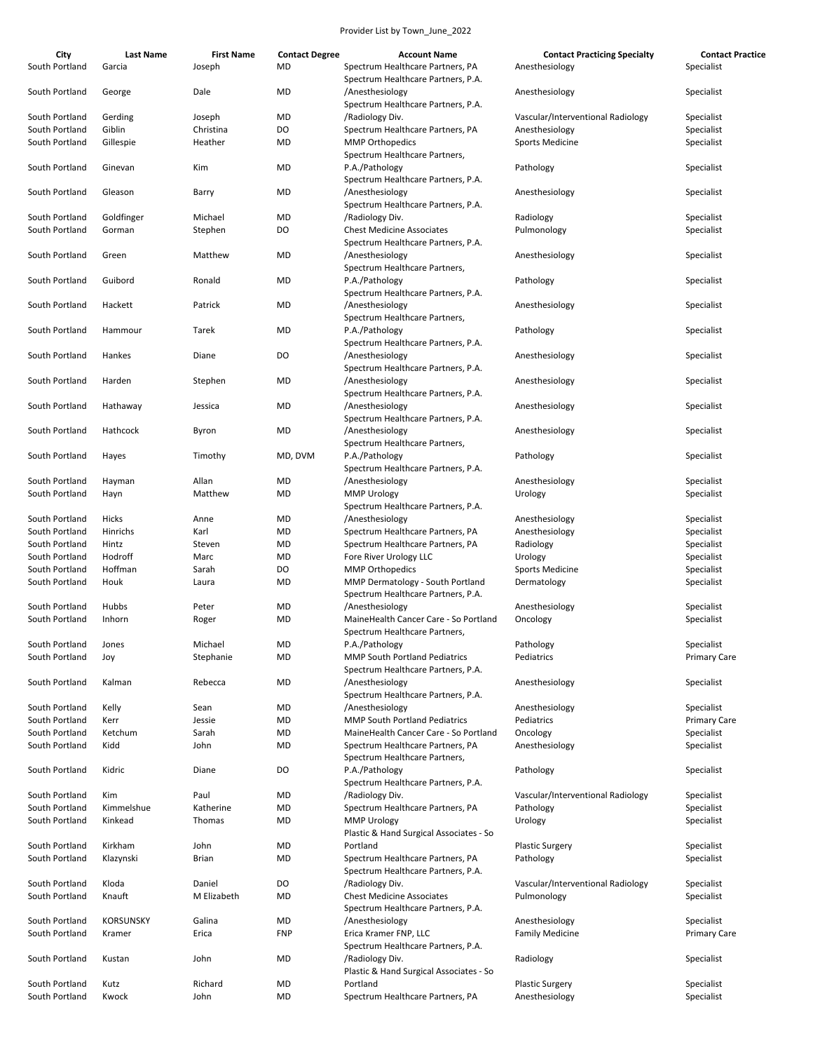| City           | <b>Last Name</b> | <b>First Name</b> | <b>Contact Degree</b> | <b>Account Name</b>                     | <b>Contact Practicing Specialty</b> | Contact      |
|----------------|------------------|-------------------|-----------------------|-----------------------------------------|-------------------------------------|--------------|
| South Portland | Garcia           | Joseph            | MD                    | Spectrum Healthcare Partners, PA        | Anesthesiology                      | Specialist   |
|                |                  |                   |                       | Spectrum Healthcare Partners, P.A.      |                                     |              |
| South Portland | George           | Dale              | MD                    | /Anesthesiology                         | Anesthesiology                      | Specialist   |
|                |                  |                   |                       | Spectrum Healthcare Partners, P.A.      |                                     |              |
| South Portland | Gerding          | Joseph            | <b>MD</b>             | /Radiology Div.                         | Vascular/Interventional Radiology   | Specialist   |
| South Portland | Giblin           | Christina         | DO                    | Spectrum Healthcare Partners, PA        | Anesthesiology                      | Specialist   |
| South Portland | Gillespie        | Heather           | MD                    | <b>MMP Orthopedics</b>                  | <b>Sports Medicine</b>              | Specialist   |
|                |                  |                   |                       | Spectrum Healthcare Partners,           |                                     |              |
| South Portland | Ginevan          | Kim               | MD                    | P.A./Pathology                          | Pathology                           | Specialist   |
|                |                  |                   |                       | Spectrum Healthcare Partners, P.A.      |                                     |              |
| South Portland | Gleason          | Barry             | MD                    | /Anesthesiology                         | Anesthesiology                      | Specialist   |
|                |                  |                   |                       | Spectrum Healthcare Partners, P.A.      |                                     |              |
|                |                  |                   |                       |                                         |                                     |              |
| South Portland | Goldfinger       | Michael           | MD                    | /Radiology Div.                         | Radiology                           | Specialist   |
| South Portland | Gorman           | Stephen           | DO                    | <b>Chest Medicine Associates</b>        | Pulmonology                         | Specialist   |
|                |                  |                   |                       | Spectrum Healthcare Partners, P.A.      |                                     |              |
| South Portland | Green            | Matthew           | MD                    | /Anesthesiology                         | Anesthesiology                      | Specialist   |
|                |                  |                   |                       | Spectrum Healthcare Partners,           |                                     |              |
| South Portland | Guibord          | Ronald            | <b>MD</b>             | P.A./Pathology                          | Pathology                           | Specialist   |
|                |                  |                   |                       | Spectrum Healthcare Partners, P.A.      |                                     |              |
| South Portland | Hackett          | Patrick           | MD                    | /Anesthesiology                         | Anesthesiology                      | Specialist   |
|                |                  |                   |                       | Spectrum Healthcare Partners,           |                                     |              |
| South Portland | Hammour          | Tarek             | MD                    | P.A./Pathology                          | Pathology                           | Specialist   |
|                |                  |                   |                       | Spectrum Healthcare Partners, P.A.      |                                     |              |
| South Portland | Hankes           | Diane             | DO                    | /Anesthesiology                         | Anesthesiology                      | Specialist   |
|                |                  |                   |                       | Spectrum Healthcare Partners, P.A.      |                                     |              |
| South Portland | Harden           | Stephen           | MD                    |                                         | Anesthesiology                      |              |
|                |                  |                   |                       | /Anesthesiology                         |                                     | Specialist   |
|                |                  |                   |                       | Spectrum Healthcare Partners, P.A.      |                                     |              |
| South Portland | Hathaway         | Jessica           | <b>MD</b>             | /Anesthesiology                         | Anesthesiology                      | Specialist   |
|                |                  |                   |                       | Spectrum Healthcare Partners, P.A.      |                                     |              |
| South Portland | Hathcock         | Byron             | MD                    | /Anesthesiology                         | Anesthesiology                      | Specialist   |
|                |                  |                   |                       | Spectrum Healthcare Partners,           |                                     |              |
| South Portland | Hayes            | Timothy           | MD, DVM               | P.A./Pathology                          | Pathology                           | Specialist   |
|                |                  |                   |                       | Spectrum Healthcare Partners, P.A.      |                                     |              |
| South Portland | Hayman           | Allan             | MD                    | /Anesthesiology                         | Anesthesiology                      | Specialist   |
| South Portland | Hayn             | Matthew           | MD                    | <b>MMP Urology</b>                      | Urology                             | Specialist   |
|                |                  |                   |                       | Spectrum Healthcare Partners, P.A.      |                                     |              |
| South Portland | Hicks            | Anne              | MD                    | /Anesthesiology                         | Anesthesiology                      | Specialist   |
| South Portland | Hinrichs         | Karl              | MD                    | Spectrum Healthcare Partners, PA        | Anesthesiology                      | Specialist   |
| South Portland | Hintz            | Steven            | MD                    | Spectrum Healthcare Partners, PA        | Radiology                           | Specialist   |
|                |                  |                   |                       |                                         |                                     |              |
| South Portland | Hodroff          | Marc              | MD                    | Fore River Urology LLC                  | Urology                             | Specialist   |
| South Portland | Hoffman          | Sarah             | DO                    | <b>MMP Orthopedics</b>                  | <b>Sports Medicine</b>              | Specialist   |
| South Portland | Houk             | Laura             | MD                    | MMP Dermatology - South Portland        | Dermatology                         | Specialist   |
|                |                  |                   |                       | Spectrum Healthcare Partners, P.A.      |                                     |              |
| South Portland | Hubbs            | Peter             | MD                    | /Anesthesiology                         | Anesthesiology                      | Specialist   |
| South Portland | Inhorn           | Roger             | MD                    | MaineHealth Cancer Care - So Portland   | Oncology                            | Specialist   |
|                |                  |                   |                       | Spectrum Healthcare Partners,           |                                     |              |
| South Portland | Jones            | Michael           | MD                    | P.A./Pathology                          | Pathology                           | Specialist   |
| South Portland | Joy              | Stephanie         | MD                    | <b>MMP South Portland Pediatrics</b>    | Pediatrics                          | Primary Care |
|                |                  |                   |                       | Spectrum Healthcare Partners, P.A.      |                                     |              |
| South Portland | Kalman           | Rebecca           | MD                    | /Anesthesiology                         | Anesthesiology                      | Specialist   |
|                |                  |                   |                       | Spectrum Healthcare Partners, P.A.      |                                     |              |
| South Portland | Kelly            | Sean              | MD                    | /Anesthesiology                         | Anesthesiology                      | Specialist   |
| South Portland | Kerr             | Jessie            | MD                    | MMP South Portland Pediatrics           | Pediatrics                          | Primary Care |
| South Portland | Ketchum          | Sarah             | MD                    | MaineHealth Cancer Care - So Portland   | Oncology                            | Specialist   |
| South Portland | Kidd             | John              | MD                    |                                         |                                     | Specialist   |
|                |                  |                   |                       | Spectrum Healthcare Partners, PA        | Anesthesiology                      |              |
|                |                  |                   |                       | Spectrum Healthcare Partners,           |                                     |              |
| South Portland | Kidric           | Diane             | DO                    | P.A./Pathology                          | Pathology                           | Specialist   |
|                |                  |                   |                       | Spectrum Healthcare Partners, P.A.      |                                     |              |
| South Portland | Kim              | Paul              | MD                    | /Radiology Div.                         | Vascular/Interventional Radiology   | Specialist   |
| South Portland | Kimmelshue       | Katherine         | MD                    | Spectrum Healthcare Partners, PA        | Pathology                           | Specialist   |
| South Portland | Kinkead          | Thomas            | MD                    | <b>MMP Urology</b>                      | Urology                             | Specialist   |
|                |                  |                   |                       | Plastic & Hand Surgical Associates - So |                                     |              |
| South Portland | Kirkham          | John              | MD                    | Portland                                | <b>Plastic Surgery</b>              | Specialist   |
| South Portland | Klazynski        | Brian             | MD                    | Spectrum Healthcare Partners, PA        | Pathology                           | Specialist   |
|                |                  |                   |                       | Spectrum Healthcare Partners, P.A.      |                                     |              |
| South Portland | Kloda            | Daniel            | DO                    | /Radiology Div.                         | Vascular/Interventional Radiology   | Specialist   |
| South Portland | Knauft           | M Elizabeth       | MD                    | <b>Chest Medicine Associates</b>        | Pulmonology                         | Specialist   |
|                |                  |                   |                       | Spectrum Healthcare Partners, P.A.      |                                     |              |
|                |                  |                   |                       |                                         |                                     |              |
| South Portland | <b>KORSUNSKY</b> | Galina            | MD                    | /Anesthesiology                         | Anesthesiology                      | Specialist   |
| South Portland | Kramer           | Erica             | <b>FNP</b>            | Erica Kramer FNP, LLC                   | <b>Family Medicine</b>              | Primary Care |
|                |                  |                   |                       | Spectrum Healthcare Partners, P.A.      |                                     |              |
| South Portland | Kustan           | John              | MD                    | /Radiology Div.                         | Radiology                           | Specialist   |
|                |                  |                   |                       | Plastic & Hand Surgical Associates - So |                                     |              |
| South Portland | Kutz             | Richard           | MD                    | Portland                                | <b>Plastic Surgery</b>              | Specialist   |
| South Portland | Kwock            | John              | MD                    | Spectrum Healthcare Partners, PA        | Anesthesiology                      | Specialist   |

| <b>Account Name</b><br>Spectrum Healthcare Partners, PA                | <b>Contact Practicing Specialty</b><br>Anesthesiology | <b>Contact Practice</b><br>Specialist |
|------------------------------------------------------------------------|-------------------------------------------------------|---------------------------------------|
| Spectrum Healthcare Partners, P.A.<br>/Anesthesiology                  | Anesthesiology                                        | Specialist                            |
| Spectrum Healthcare Partners, P.A.<br>/Radiology Div.                  | Vascular/Interventional Radiology                     | Specialist                            |
| Spectrum Healthcare Partners, PA                                       | Anesthesiology                                        | Specialist                            |
| <b>MMP Orthopedics</b>                                                 | <b>Sports Medicine</b>                                | Specialist                            |
| Spectrum Healthcare Partners,                                          |                                                       |                                       |
| P.A./Pathology                                                         | Pathology                                             | Specialist                            |
| Spectrum Healthcare Partners, P.A.                                     |                                                       |                                       |
| /Anesthesiology                                                        | Anesthesiology                                        | Specialist                            |
| Spectrum Healthcare Partners, P.A.                                     |                                                       |                                       |
| /Radiology Div.                                                        | Radiology                                             | Specialist                            |
| <b>Chest Medicine Associates</b>                                       | Pulmonology                                           | Specialist                            |
| Spectrum Healthcare Partners, P.A.                                     |                                                       |                                       |
| /Anesthesiology                                                        | Anesthesiology                                        | Specialist                            |
| Spectrum Healthcare Partners,                                          |                                                       |                                       |
| P.A./Pathology                                                         | Pathology                                             | Specialist                            |
| Spectrum Healthcare Partners, P.A.                                     |                                                       |                                       |
| /Anesthesiology                                                        | Anesthesiology                                        | Specialist                            |
| Spectrum Healthcare Partners,                                          |                                                       |                                       |
| P.A./Pathology                                                         | Pathology                                             | Specialist                            |
| Spectrum Healthcare Partners, P.A.                                     |                                                       |                                       |
| /Anesthesiology                                                        | Anesthesiology                                        | Specialist                            |
| Spectrum Healthcare Partners, P.A.<br>/Anesthesiology                  | Anesthesiology                                        | Specialist                            |
| Spectrum Healthcare Partners, P.A.                                     |                                                       |                                       |
| /Anesthesiology                                                        | Anesthesiology                                        | Specialist                            |
| Spectrum Healthcare Partners, P.A.                                     |                                                       |                                       |
| /Anesthesiology                                                        | Anesthesiology                                        | Specialist                            |
| Spectrum Healthcare Partners,                                          |                                                       |                                       |
| P.A./Pathology                                                         | Pathology                                             | Specialist                            |
| Spectrum Healthcare Partners, P.A.                                     |                                                       |                                       |
| /Anesthesiology                                                        | Anesthesiology                                        | Specialist                            |
| <b>MMP Urology</b>                                                     | Urology                                               | Specialist                            |
| Spectrum Healthcare Partners, P.A.                                     |                                                       |                                       |
| /Anesthesiology                                                        | Anesthesiology                                        | Specialist                            |
| Spectrum Healthcare Partners, PA                                       | Anesthesiology                                        | Specialist                            |
| Spectrum Healthcare Partners, PA                                       | Radiology                                             | Specialist                            |
| Fore River Urology LLC                                                 | Urology                                               | Specialist                            |
| <b>MMP Orthopedics</b>                                                 | <b>Sports Medicine</b>                                | Specialist                            |
| MMP Dermatology - South Portland                                       | Dermatology                                           | Specialist                            |
| Spectrum Healthcare Partners, P.A.                                     |                                                       |                                       |
| /Anesthesiology                                                        | Anesthesiology                                        | Specialist                            |
| MaineHealth Cancer Care - So Portland<br>Spectrum Healthcare Partners, | Oncology                                              | Specialist                            |
| P.A./Pathology                                                         |                                                       | Specialist                            |
| MMP South Portland Pediatrics                                          | Pathology<br>Pediatrics                               | <b>Primary Care</b>                   |
| Spectrum Healthcare Partners, P.A.                                     |                                                       |                                       |
| /Anesthesiology                                                        | Anesthesiology                                        | Specialist                            |
| Spectrum Healthcare Partners, P.A.                                     |                                                       |                                       |
| /Anesthesiology                                                        | Anesthesiology                                        | Specialist                            |
| <b>MMP South Portland Pediatrics</b>                                   | Pediatrics                                            | <b>Primary Care</b>                   |
| MaineHealth Cancer Care - So Portland                                  | Oncology                                              | Specialist                            |
| Spectrum Healthcare Partners, PA                                       | Anesthesiology                                        | Specialist                            |
| Spectrum Healthcare Partners,                                          |                                                       |                                       |
| P.A./Pathology                                                         | Pathology                                             | Specialist                            |
| Spectrum Healthcare Partners, P.A.                                     |                                                       |                                       |
| /Radiology Div.                                                        | Vascular/Interventional Radiology                     | Specialist                            |
| Spectrum Healthcare Partners, PA                                       | Pathology                                             | Specialist                            |
| <b>MMP Urology</b>                                                     | Urology                                               | Specialist                            |
| Plastic & Hand Surgical Associates - So                                |                                                       |                                       |
| Portland                                                               | <b>Plastic Surgery</b>                                | Specialist                            |
| Spectrum Healthcare Partners, PA                                       | Pathology                                             | Specialist                            |
| Spectrum Healthcare Partners, P.A.                                     |                                                       |                                       |
| /Radiology Div.                                                        | Vascular/Interventional Radiology                     | Specialist                            |
| <b>Chest Medicine Associates</b>                                       | Pulmonology                                           | Specialist                            |
| Spectrum Healthcare Partners, P.A.                                     |                                                       |                                       |
| /Anesthesiology                                                        | Anesthesiology                                        | Specialist                            |
| Erica Kramer FNP, LLC<br>Spectrum Healthcare Partners, P.A.            | <b>Family Medicine</b>                                | Primary Care                          |
| /Radiology Div.                                                        | Radiology                                             | Specialist                            |
| Plastic & Hand Surgical Associates - So                                |                                                       |                                       |
| Portland                                                               | <b>Plastic Surgery</b>                                | Specialist                            |
| Spectrum Healthcare Partners, PA                                       | Anesthesiology                                        | Specialist                            |
|                                                                        |                                                       |                                       |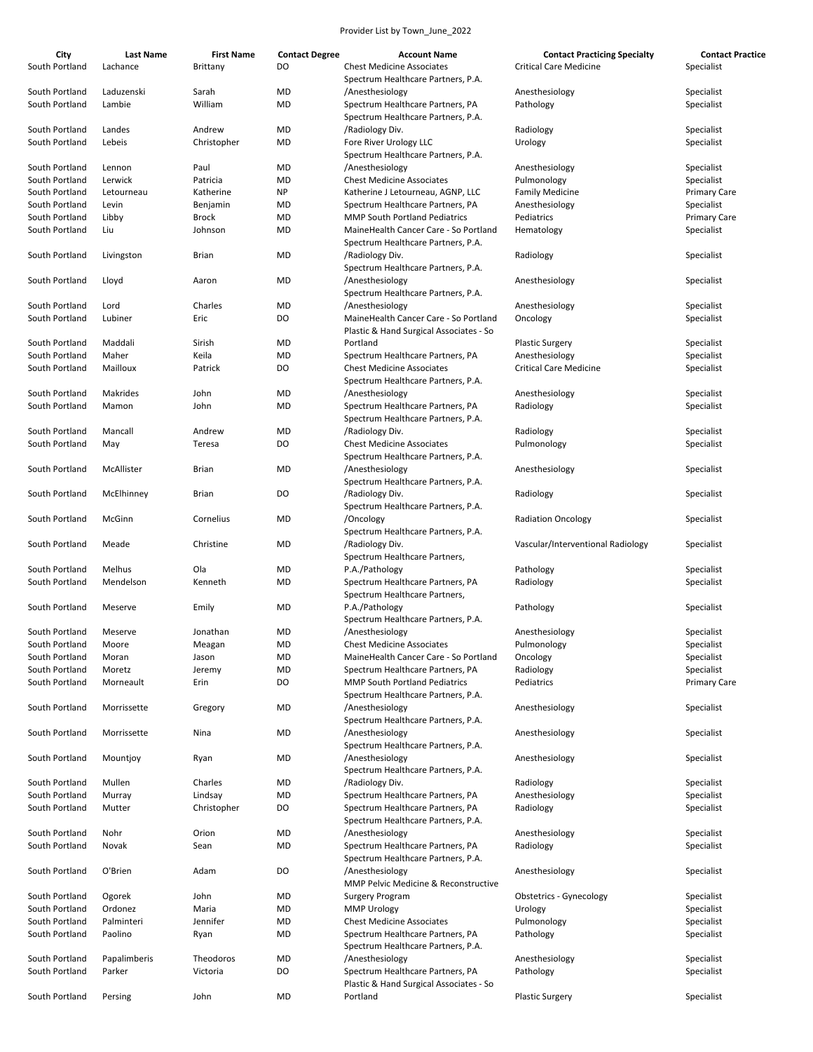| City           | Last Name    | <b>First Name</b> | <b>Contact Degree</b> | <b>Account Name</b>                                                              | <b>Contact Practicing Specialty</b> | <b>Contact Practice</b> |
|----------------|--------------|-------------------|-----------------------|----------------------------------------------------------------------------------|-------------------------------------|-------------------------|
| South Portland | Lachance     | Brittany          | DO                    | <b>Chest Medicine Associates</b><br>Spectrum Healthcare Partners, P.A.           | <b>Critical Care Medicine</b>       | Specialist              |
| South Portland | Laduzenski   | Sarah             | MD                    | /Anesthesiology                                                                  | Anesthesiology                      | Specialist              |
| South Portland | Lambie       | William           | MD                    | Spectrum Healthcare Partners, PA<br>Spectrum Healthcare Partners, P.A.           | Pathology                           | Specialist              |
| South Portland | Landes       | Andrew            | MD                    | /Radiology Div.                                                                  | Radiology                           | Specialist              |
| South Portland | Lebeis       | Christopher       | MD                    | Fore River Urology LLC<br>Spectrum Healthcare Partners, P.A.                     | Urology                             | Specialist              |
| South Portland | Lennon       | Paul              | MD                    | /Anesthesiology                                                                  | Anesthesiology                      | Specialist              |
| South Portland | Lerwick      | Patricia          | MD                    | <b>Chest Medicine Associates</b>                                                 | Pulmonology                         | Specialist              |
| South Portland | Letourneau   |                   |                       |                                                                                  |                                     |                         |
|                |              | Katherine         | <b>NP</b>             | Katherine J Letourneau, AGNP, LLC                                                | <b>Family Medicine</b>              | <b>Primary Care</b>     |
| South Portland | Levin        | Benjamin          | MD                    | Spectrum Healthcare Partners, PA                                                 | Anesthesiology                      | Specialist              |
| South Portland | Libby        | Brock             | MD                    | <b>MMP South Portland Pediatrics</b>                                             | Pediatrics                          | <b>Primary Care</b>     |
| South Portland | Liu          | Johnson           | MD                    | MaineHealth Cancer Care - So Portland<br>Spectrum Healthcare Partners, P.A.      | Hematology                          | Specialist              |
| South Portland | Livingston   | Brian             | MD                    | /Radiology Div.<br>Spectrum Healthcare Partners, P.A.                            | Radiology                           | Specialist              |
| South Portland | Lloyd        | Aaron             | MD                    | /Anesthesiology<br>Spectrum Healthcare Partners, P.A.                            | Anesthesiology                      | Specialist              |
| South Portland | Lord         | Charles           | MD                    | /Anesthesiology                                                                  | Anesthesiology                      | Specialist              |
| South Portland | Lubiner      | Eric              | DO                    | MaineHealth Cancer Care - So Portland<br>Plastic & Hand Surgical Associates - So | Oncology                            | Specialist              |
| South Portland | Maddali      | Sirish            | MD                    | Portland                                                                         | <b>Plastic Surgery</b>              | Specialist              |
| South Portland | Maher        | Keila             | MD                    |                                                                                  | Anesthesiology                      | Specialist              |
|                |              |                   |                       | Spectrum Healthcare Partners, PA                                                 |                                     |                         |
| South Portland | Mailloux     | Patrick           | DO                    | <b>Chest Medicine Associates</b><br>Spectrum Healthcare Partners, P.A.           | <b>Critical Care Medicine</b>       | Specialist              |
| South Portland | Makrides     | John              | MD                    | /Anesthesiology                                                                  | Anesthesiology                      | Specialist              |
| South Portland | Mamon        | John              | MD                    | Spectrum Healthcare Partners, PA<br>Spectrum Healthcare Partners, P.A.           | Radiology                           | Specialist              |
| South Portland | Mancall      | Andrew            | MD                    | /Radiology Div.                                                                  | Radiology                           | Specialist              |
| South Portland | May          | Teresa            | DO                    | <b>Chest Medicine Associates</b><br>Spectrum Healthcare Partners, P.A.           | Pulmonology                         | Specialist              |
| South Portland | McAllister   | Brian             | MD                    | /Anesthesiology<br>Spectrum Healthcare Partners, P.A.                            | Anesthesiology                      | Specialist              |
| South Portland | McElhinney   | Brian             | DO                    | /Radiology Div.<br>Spectrum Healthcare Partners, P.A.                            | Radiology                           | Specialist              |
| South Portland | McGinn       | Cornelius         | MD                    | /Oncology<br>Spectrum Healthcare Partners, P.A.                                  | <b>Radiation Oncology</b>           | Specialist              |
| South Portland | Meade        | Christine         | MD                    | /Radiology Div.<br>Spectrum Healthcare Partners,                                 | Vascular/Interventional Radiology   | Specialist              |
| South Portland | Melhus       | Ola               | MD                    | P.A./Pathology                                                                   | Pathology                           | Specialist              |
| South Portland | Mendelson    | Kenneth           | MD                    | Spectrum Healthcare Partners, PA<br>Spectrum Healthcare Partners,                | Radiology                           | Specialist              |
| South Portland | Meserve      | Emily             | MD                    | P.A./Pathology<br>Spectrum Healthcare Partners, P.A.                             | Pathology                           | Specialist              |
| South Portland | Meserve      | Jonathan          | MD                    | /Anesthesiology                                                                  | Anesthesiology                      | Specialist              |
| South Portland | Moore        | Meagan            | MD                    | <b>Chest Medicine Associates</b>                                                 | Pulmonology                         | Specialist              |
|                |              |                   | MD                    |                                                                                  |                                     | Specialist              |
| South Portland | Moran        | Jason             |                       | MaineHealth Cancer Care - So Portland                                            | Oncology                            |                         |
| South Portland | Moretz       | Jeremy            | MD                    | Spectrum Healthcare Partners, PA                                                 | Radiology                           | Specialist              |
| South Portland | Morneault    | Erin              | DO                    | <b>MMP South Portland Pediatrics</b><br>Spectrum Healthcare Partners, P.A.       | Pediatrics                          | <b>Primary Care</b>     |
| South Portland | Morrissette  | Gregory           | MD                    | /Anesthesiology<br>Spectrum Healthcare Partners, P.A.                            | Anesthesiology                      | Specialist              |
| South Portland | Morrissette  | Nina              | MD                    | /Anesthesiology<br>Spectrum Healthcare Partners, P.A.                            | Anesthesiology                      | Specialist              |
| South Portland | Mountjoy     | Ryan              | MD                    | /Anesthesiology<br>Spectrum Healthcare Partners, P.A.                            | Anesthesiology                      | Specialist              |
| South Portland | Mullen       | Charles           | MD                    | /Radiology Div.                                                                  | Radiology                           | Specialist              |
| South Portland | Murray       | Lindsay           | MD                    | Spectrum Healthcare Partners, PA                                                 | Anesthesiology                      | Specialist              |
| South Portland | Mutter       | Christopher       | DO                    | Spectrum Healthcare Partners, PA<br>Spectrum Healthcare Partners, P.A.           | Radiology                           | Specialist              |
| South Portland | Nohr         | Orion             | MD                    | /Anesthesiology                                                                  | Anesthesiology                      | Specialist              |
| South Portland | Novak        | Sean              | MD                    | Spectrum Healthcare Partners, PA                                                 | Radiology                           | Specialist              |
|                |              |                   |                       | Spectrum Healthcare Partners, P.A.                                               |                                     |                         |
| South Portland | O'Brien      | Adam              | DO                    | /Anesthesiology<br>MMP Pelvic Medicine & Reconstructive                          | Anesthesiology                      | Specialist              |
| South Portland | Ogorek       | John              | MD                    | <b>Surgery Program</b>                                                           | <b>Obstetrics - Gynecology</b>      | Specialist              |
| South Portland | Ordonez      | Maria             | MD                    | <b>MMP Urology</b>                                                               | Urology                             | Specialist              |
| South Portland | Palminteri   | Jennifer          | MD                    | <b>Chest Medicine Associates</b>                                                 | Pulmonology                         | Specialist              |
| South Portland | Paolino      | Ryan              | MD                    | Spectrum Healthcare Partners, PA<br>Spectrum Healthcare Partners, P.A.           | Pathology                           | Specialist              |
| South Portland | Papalimberis | Theodoros         | MD                    | /Anesthesiology                                                                  | Anesthesiology                      | Specialist              |
| South Portland | Parker       | Victoria          | DO                    | Spectrum Healthcare Partners, PA<br>Plastic & Hand Surgical Associates - So      | Pathology                           | Specialist              |
| South Portland | Persing      | John              | MD                    | Portland                                                                         | <b>Plastic Surgery</b>              | Specialist              |

| Account Name                            | Contact Practicing Specialty      | Contact Pract       |
|-----------------------------------------|-----------------------------------|---------------------|
| <b>Chest Medicine Associates</b>        | <b>Critical Care Medicine</b>     | Specialist          |
| Spectrum Healthcare Partners, P.A.      |                                   |                     |
| /Anesthesiology                         | Anesthesiology                    | Specialist          |
| Spectrum Healthcare Partners, PA        | Pathology                         | Specialist          |
| Spectrum Healthcare Partners, P.A.      |                                   |                     |
| /Radiology Div.                         | Radiology                         | Specialist          |
|                                         |                                   |                     |
| Fore River Urology LLC                  | Urology                           | Specialist          |
| Spectrum Healthcare Partners, P.A.      |                                   |                     |
| /Anesthesiology                         | Anesthesiology                    | Specialist          |
| <b>Chest Medicine Associates</b>        | Pulmonology                       | Specialist          |
| Katherine J Letourneau, AGNP, LLC       | <b>Family Medicine</b>            | <b>Primary Care</b> |
| Spectrum Healthcare Partners, PA        | Anesthesiology                    | Specialist          |
| <b>MMP South Portland Pediatrics</b>    | Pediatrics                        | <b>Primary Care</b> |
| MaineHealth Cancer Care - So Portland   | Hematology                        | Specialist          |
| Spectrum Healthcare Partners, P.A.      |                                   |                     |
|                                         |                                   |                     |
| /Radiology Div.                         | Radiology                         | Specialist          |
| Spectrum Healthcare Partners, P.A.      |                                   |                     |
| /Anesthesiology                         | Anesthesiology                    | Specialist          |
| Spectrum Healthcare Partners, P.A.      |                                   |                     |
| /Anesthesiology                         | Anesthesiology                    | Specialist          |
| MaineHealth Cancer Care - So Portland   | Oncology                          | Specialist          |
| Plastic & Hand Surgical Associates - So |                                   |                     |
| Portland                                | <b>Plastic Surgery</b>            | Specialist          |
| Spectrum Healthcare Partners, PA        | Anesthesiology                    | Specialist          |
|                                         | <b>Critical Care Medicine</b>     |                     |
| <b>Chest Medicine Associates</b>        |                                   | Specialist          |
| Spectrum Healthcare Partners, P.A.      |                                   |                     |
| /Anesthesiology                         | Anesthesiology                    | Specialist          |
| Spectrum Healthcare Partners, PA        | Radiology                         | Specialist          |
| Spectrum Healthcare Partners, P.A.      |                                   |                     |
| /Radiology Div.                         | Radiology                         | Specialist          |
| <b>Chest Medicine Associates</b>        | Pulmonology                       | Specialist          |
| Spectrum Healthcare Partners, P.A.      |                                   |                     |
|                                         |                                   |                     |
| /Anesthesiology                         | Anesthesiology                    | Specialist          |
| Spectrum Healthcare Partners, P.A.      |                                   |                     |
| /Radiology Div.                         | Radiology                         | Specialist          |
| Spectrum Healthcare Partners, P.A.      |                                   |                     |
| /Oncology                               | <b>Radiation Oncology</b>         | Specialist          |
| Spectrum Healthcare Partners, P.A.      |                                   |                     |
| /Radiology Div.                         | Vascular/Interventional Radiology | Specialist          |
| Spectrum Healthcare Partners,           |                                   |                     |
|                                         |                                   |                     |
| P.A./Pathology                          | Pathology                         | Specialist          |
| Spectrum Healthcare Partners, PA        | Radiology                         | Specialist          |
| Spectrum Healthcare Partners,           |                                   |                     |
| P.A./Pathology                          | Pathology                         | Specialist          |
| Spectrum Healthcare Partners, P.A.      |                                   |                     |
| /Anesthesiology                         | Anesthesiology                    | Specialist          |
| <b>Chest Medicine Associates</b>        | Pulmonology                       | Specialist          |
| MaineHealth Cancer Care - So Portland   | Oncology                          |                     |
|                                         |                                   | Specialist          |
| Spectrum Healthcare Partners, PA        | Radiology                         | Specialist          |
| <b>MMP South Portland Pediatrics</b>    | Pediatrics                        | <b>Primary Care</b> |
| Spectrum Healthcare Partners, P.A.      |                                   |                     |
| /Anesthesiology                         | Anesthesiology                    | Specialist          |
| Spectrum Healthcare Partners, P.A.      |                                   |                     |
| /Anesthesiology                         | Anesthesiology                    | Specialist          |
| Spectrum Healthcare Partners, P.A.      |                                   |                     |
| /Anesthesiology                         |                                   |                     |
|                                         | Anesthesiology                    | Specialist          |
| Spectrum Healthcare Partners, P.A.      |                                   |                     |
| /Radiology Div.                         | Radiology                         | Specialist          |
| Spectrum Healthcare Partners, PA        | Anesthesiology                    | Specialist          |
| Spectrum Healthcare Partners, PA        | Radiology                         | Specialist          |
| Spectrum Healthcare Partners, P.A.      |                                   |                     |
| /Anesthesiology                         | Anesthesiology                    | Specialist          |
| Spectrum Healthcare Partners, PA        | Radiology                         | Specialist          |
| Spectrum Healthcare Partners, P.A.      |                                   |                     |
|                                         |                                   |                     |
| /Anesthesiology                         | Anesthesiology                    | Specialist          |
| MMP Pelvic Medicine & Reconstructive    |                                   |                     |
| <b>Surgery Program</b>                  | <b>Obstetrics - Gynecology</b>    | Specialist          |
| <b>MMP Urology</b>                      | Urology                           | Specialist          |
| <b>Chest Medicine Associates</b>        | Pulmonology                       | Specialist          |
| Spectrum Healthcare Partners, PA        | Pathology                         | Specialist          |
| Spectrum Healthcare Partners, P.A.      |                                   |                     |
| /Anesthesiology                         | Anesthesiology                    | Specialist          |
|                                         |                                   |                     |
| Spectrum Healthcare Partners, PA        | Pathology                         | Specialist          |
| Plastic & Hand Surgical Associates - So |                                   |                     |
| Portland                                | <b>Plastic Surgery</b>            | Specialist          |
|                                         |                                   |                     |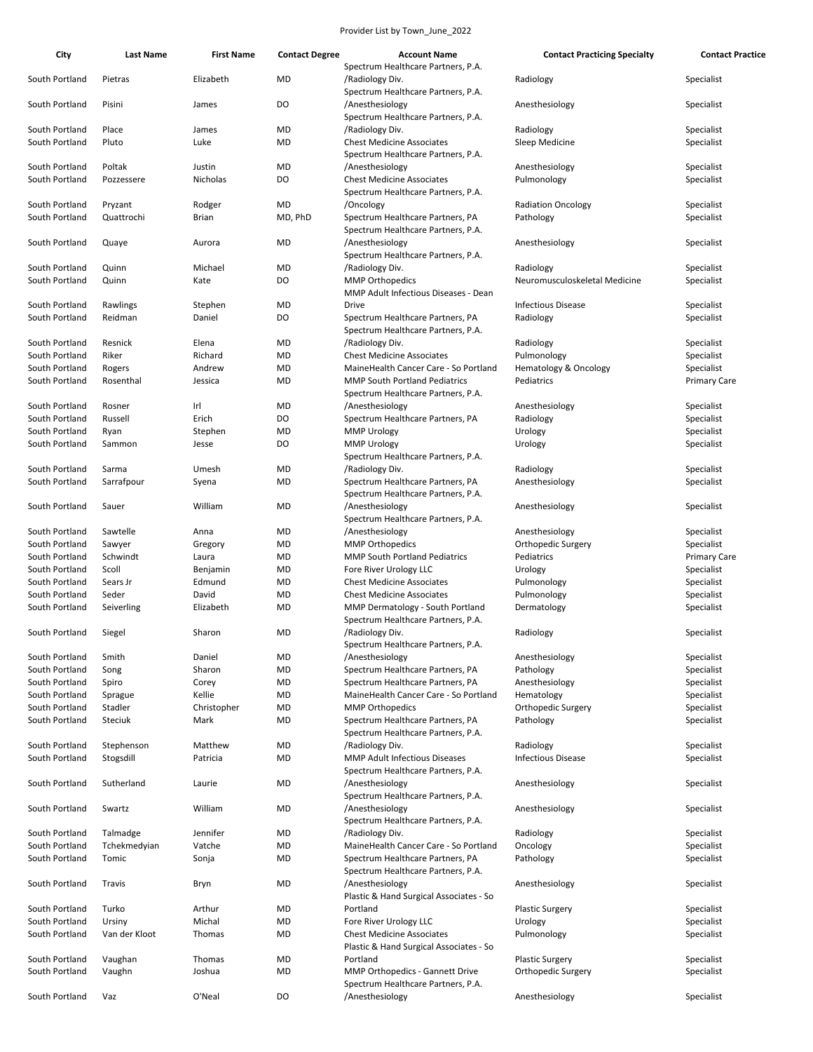| City           | <b>Last Name</b> | <b>First Name</b> | <b>Contact Degree</b> | <b>Account Name</b>                                                    | <b>Contact Practicing Specialty</b> | Contact             |
|----------------|------------------|-------------------|-----------------------|------------------------------------------------------------------------|-------------------------------------|---------------------|
|                |                  |                   |                       | Spectrum Healthcare Partners, P.A.                                     |                                     |                     |
| South Portland | Pietras          | Elizabeth         | <b>MD</b>             | /Radiology Div.<br>Spectrum Healthcare Partners, P.A.                  | Radiology                           | Specialist          |
| South Portland | Pisini           | James             | DO                    | /Anesthesiology<br>Spectrum Healthcare Partners, P.A.                  | Anesthesiology                      | Specialist          |
| South Portland | Place            | James             | MD                    | /Radiology Div.                                                        | Radiology                           | Specialist          |
| South Portland | Pluto            | Luke              | MD                    | <b>Chest Medicine Associates</b>                                       | Sleep Medicine                      | Specialist          |
|                |                  |                   |                       | Spectrum Healthcare Partners, P.A.                                     |                                     |                     |
| South Portland | Poltak           | Justin            | <b>MD</b>             | /Anesthesiology                                                        | Anesthesiology                      | Specialist          |
| South Portland | Pozzessere       | Nicholas          | DO                    | <b>Chest Medicine Associates</b>                                       | Pulmonology                         | Specialist          |
| South Portland | Pryzant          | Rodger            | MD                    | Spectrum Healthcare Partners, P.A.<br>/Oncology                        | <b>Radiation Oncology</b>           | Specialist          |
| South Portland | Quattrochi       | <b>Brian</b>      | MD, PhD               | Spectrum Healthcare Partners, PA                                       | Pathology                           | Specialist          |
|                |                  |                   |                       | Spectrum Healthcare Partners, P.A.                                     |                                     |                     |
| South Portland | Quaye            | Aurora            | <b>MD</b>             | /Anesthesiology<br>Spectrum Healthcare Partners, P.A.                  | Anesthesiology                      | Specialist          |
| South Portland | Quinn            | Michael           | MD                    | /Radiology Div.                                                        | Radiology                           | Specialist          |
| South Portland | Quinn            | Kate              | DO                    | <b>MMP Orthopedics</b>                                                 | Neuromusculoskeletal Medicine       | Specialist          |
|                |                  |                   |                       | MMP Adult Infectious Diseases - Dean                                   |                                     |                     |
| South Portland | Rawlings         | Stephen           | MD                    | Drive                                                                  | <b>Infectious Disease</b>           | Specialist          |
| South Portland | Reidman          | Daniel            | DO                    | Spectrum Healthcare Partners, PA                                       | Radiology                           | Specialist          |
|                |                  |                   |                       | Spectrum Healthcare Partners, P.A.                                     |                                     |                     |
| South Portland | Resnick          | Elena             | MD                    | /Radiology Div.                                                        | Radiology                           | Specialist          |
| South Portland | Riker            | Richard           | MD                    | <b>Chest Medicine Associates</b>                                       | Pulmonology                         | Specialist          |
| South Portland | Rogers           | Andrew            | MD                    | MaineHealth Cancer Care - So Portland                                  | Hematology & Oncology               | Specialist          |
| South Portland | Rosenthal        | Jessica           | <b>MD</b>             | <b>MMP South Portland Pediatrics</b>                                   | Pediatrics                          | <b>Primary Care</b> |
|                |                  |                   |                       | Spectrum Healthcare Partners, P.A.                                     |                                     |                     |
| South Portland | Rosner           | Irl               | <b>MD</b>             | /Anesthesiology                                                        | Anesthesiology                      | Specialist          |
| South Portland | Russell          | Erich             | DO                    | Spectrum Healthcare Partners, PA                                       | Radiology                           | Specialist          |
| South Portland | Ryan             | Stephen           | MD                    | <b>MMP Urology</b>                                                     | Urology                             | Specialist          |
| South Portland | Sammon           | Jesse             | DO                    | <b>MMP Urology</b>                                                     | Urology                             | Specialist          |
|                |                  |                   |                       | Spectrum Healthcare Partners, P.A.                                     |                                     |                     |
| South Portland | Sarma            | Umesh             | MD                    | /Radiology Div.                                                        | Radiology                           | Specialist          |
| South Portland | Sarrafpour       | Syena             | MD                    | Spectrum Healthcare Partners, PA                                       | Anesthesiology                      | Specialist          |
|                |                  |                   |                       | Spectrum Healthcare Partners, P.A.                                     |                                     |                     |
| South Portland | Sauer            | William           | MD                    | /Anesthesiology<br>Spectrum Healthcare Partners, P.A.                  | Anesthesiology                      | Specialist          |
| South Portland | Sawtelle         | Anna              | MD                    | /Anesthesiology                                                        | Anesthesiology                      | Specialist          |
| South Portland | Sawyer           | Gregory           | MD                    | <b>MMP Orthopedics</b>                                                 | Orthopedic Surgery                  | Specialist          |
| South Portland | Schwindt         | Laura             | MD                    | <b>MMP South Portland Pediatrics</b>                                   | Pediatrics                          | Primary Care        |
| South Portland | Scoll            | Benjamin          | MD                    | Fore River Urology LLC                                                 | Urology                             | Specialist          |
| South Portland | Sears Jr         | Edmund            | MD                    | <b>Chest Medicine Associates</b>                                       | Pulmonology                         | Specialist          |
| South Portland | Seder            | David             | MD                    | <b>Chest Medicine Associates</b>                                       | Pulmonology                         | Specialist          |
| South Portland | Seiverling       | Elizabeth         | MD                    | MMP Dermatology - South Portland                                       | Dermatology                         | Specialist          |
|                |                  |                   |                       | Spectrum Healthcare Partners, P.A.                                     |                                     |                     |
| South Portland | Siegel           | Sharon            | MD                    | /Radiology Div.                                                        | Radiology                           | Specialist          |
|                |                  |                   |                       | Spectrum Healthcare Partners, P.A.                                     |                                     |                     |
| South Portland | Smith            | Daniel            | MD                    | /Anesthesiology                                                        | Anesthesiology                      | Specialist          |
| South Portland | Song             | Sharon            | MD                    | Spectrum Healthcare Partners, PA                                       | Pathology                           | Specialist          |
| South Portland | Spiro            | Corey             | MD                    | Spectrum Healthcare Partners, PA                                       | Anesthesiology                      | Specialist          |
| South Portland | Sprague          | Kellie            | MD                    | MaineHealth Cancer Care - So Portland                                  | Hematology                          | Specialist          |
| South Portland | Stadler          | Christopher       | MD                    | <b>MMP Orthopedics</b>                                                 | Orthopedic Surgery                  | Specialist          |
| South Portland | Steciuk          | Mark              | MD                    | Spectrum Healthcare Partners, PA                                       | Pathology                           | Specialist          |
|                |                  |                   |                       | Spectrum Healthcare Partners, P.A.                                     |                                     |                     |
| South Portland | Stephenson       | Matthew           | MD                    | /Radiology Div.                                                        | Radiology                           | Specialist          |
| South Portland | Stogsdill        | Patricia          | MD                    | <b>MMP Adult Infectious Diseases</b>                                   | <b>Infectious Disease</b>           | Specialist          |
| South Portland | Sutherland       | Laurie            | MD                    | Spectrum Healthcare Partners, P.A.<br>/Anesthesiology                  | Anesthesiology                      | Specialist          |
|                |                  |                   |                       | Spectrum Healthcare Partners, P.A.                                     |                                     |                     |
| South Portland | Swartz           | William           | MD                    | /Anesthesiology                                                        | Anesthesiology                      | Specialist          |
|                |                  |                   |                       | Spectrum Healthcare Partners, P.A.                                     |                                     |                     |
| South Portland | Talmadge         | Jennifer          | MD                    | /Radiology Div.                                                        | Radiology                           | Specialist          |
| South Portland | Tchekmedyian     | Vatche            | MD                    | MaineHealth Cancer Care - So Portland                                  | Oncology                            | Specialist          |
| South Portland | Tomic            | Sonja             | MD                    | Spectrum Healthcare Partners, PA<br>Spectrum Healthcare Partners, P.A. | Pathology                           | Specialist          |
| South Portland | Travis           | Bryn              | MD                    | /Anesthesiology<br>Plastic & Hand Surgical Associates - So             | Anesthesiology                      | Specialist          |
| South Portland | Turko            | Arthur            | MD                    | Portland                                                               | <b>Plastic Surgery</b>              | Specialist          |
| South Portland | Ursiny           | Michal            | MD                    | Fore River Urology LLC                                                 | Urology                             | Specialist          |
| South Portland | Van der Kloot    | Thomas            | MD                    | <b>Chest Medicine Associates</b>                                       | Pulmonology                         | Specialist          |
|                |                  |                   |                       | Plastic & Hand Surgical Associates - So                                |                                     |                     |
| South Portland | Vaughan          | Thomas            | MD                    | Portland                                                               | <b>Plastic Surgery</b>              | Specialist          |
| South Portland | Vaughn           | Joshua            | MD                    | MMP Orthopedics - Gannett Drive                                        | Orthopedic Surgery                  | Specialist          |
|                |                  |                   |                       | Spectrum Healthcare Partners, P.A.                                     |                                     |                     |
| South Portland | Vaz              | O'Neal            | DO                    | /Anesthesiology                                                        | Anesthesiology                      | Specialist          |

| <b>Account Name</b><br>Spectrum Healthcare Partners, P.A. | <b>Contact Practicing Specialty</b> | <b>Contact Practice</b> |
|-----------------------------------------------------------|-------------------------------------|-------------------------|
| /Radiology Div.                                           | Radiology                           | Specialist              |
| Spectrum Healthcare Partners, P.A.                        |                                     |                         |
| /Anesthesiology                                           | Anesthesiology                      | Specialist              |
| Spectrum Healthcare Partners, P.A.                        |                                     |                         |
| /Radiology Div.                                           | Radiology                           | Specialist              |
| <b>Chest Medicine Associates</b>                          | Sleep Medicine                      | Specialist              |
| Spectrum Healthcare Partners, P.A.                        |                                     |                         |
| /Anesthesiology                                           | Anesthesiology                      | Specialist              |
| <b>Chest Medicine Associates</b>                          | Pulmonology                         | Specialist              |
| Spectrum Healthcare Partners, P.A.                        |                                     |                         |
| /Oncology                                                 | <b>Radiation Oncology</b>           | Specialist              |
| Spectrum Healthcare Partners, PA                          | Pathology                           | Specialist              |
| Spectrum Healthcare Partners, P.A.                        |                                     |                         |
| /Anesthesiology                                           | Anesthesiology                      | Specialist              |
| Spectrum Healthcare Partners, P.A.                        |                                     |                         |
| /Radiology Div.                                           | Radiology                           | Specialist              |
| <b>MMP Orthopedics</b>                                    | Neuromusculoskeletal Medicine       | Specialist              |
| MMP Adult Infectious Diseases - Dean                      |                                     |                         |
| Drive                                                     | <b>Infectious Disease</b>           | Specialist              |
| Spectrum Healthcare Partners, PA                          |                                     | Specialist              |
|                                                           | Radiology                           |                         |
| Spectrum Healthcare Partners, P.A.                        |                                     |                         |
| /Radiology Div.                                           | Radiology                           | Specialist              |
| <b>Chest Medicine Associates</b>                          | Pulmonology                         | Specialist              |
| MaineHealth Cancer Care - So Portland                     | Hematology & Oncology               | Specialist              |
| <b>MMP South Portland Pediatrics</b>                      | Pediatrics                          | <b>Primary Care</b>     |
| Spectrum Healthcare Partners, P.A.                        |                                     |                         |
| /Anesthesiology                                           | Anesthesiology                      | Specialist              |
| Spectrum Healthcare Partners, PA                          | Radiology                           | Specialist              |
| MMP Urology                                               | Urology                             | Specialist              |
| <b>MMP Urology</b>                                        | Urology                             | Specialist              |
| Spectrum Healthcare Partners, P.A.                        |                                     |                         |
| /Radiology Div.                                           | Radiology                           | Specialist              |
| Spectrum Healthcare Partners, PA                          | Anesthesiology                      | Specialist              |
| Spectrum Healthcare Partners, P.A.                        |                                     |                         |
| /Anesthesiology                                           | Anesthesiology                      | Specialist              |
| Spectrum Healthcare Partners, P.A.                        |                                     |                         |
| /Anesthesiology                                           | Anesthesiology                      | Specialist              |
| <b>MMP Orthopedics</b>                                    | Orthopedic Surgery                  | Specialist              |
| <b>MMP South Portland Pediatrics</b>                      | Pediatrics                          | <b>Primary Care</b>     |
| Fore River Urology LLC                                    | Urology                             | Specialist              |
| <b>Chest Medicine Associates</b>                          | Pulmonology                         | Specialist              |
| <b>Chest Medicine Associates</b>                          | Pulmonology                         | Specialist              |
| MMP Dermatology - South Portland                          | Dermatology                         | Specialist              |
| Spectrum Healthcare Partners, P.A.                        |                                     |                         |
| /Radiology Div.                                           | Radiology                           | Specialist              |
| Spectrum Healthcare Partners, P.A.                        |                                     |                         |
| /Anesthesiology                                           | Anesthesiology                      | Specialist              |
| Spectrum Healthcare Partners, PA                          | Pathology                           | Specialist              |
| Spectrum Healthcare Partners, PA                          | Anesthesiology                      | Specialist              |
| MaineHealth Cancer Care - So Portland                     | Hematology                          | Specialist              |
| <b>MMP Orthopedics</b>                                    | Orthopedic Surgery                  | Specialist              |
| Spectrum Healthcare Partners, PA                          | Pathology                           | Specialist              |
| Spectrum Healthcare Partners, P.A.                        |                                     |                         |
| /Radiology Div.                                           | Radiology                           | Specialist              |
| MMP Adult Infectious Diseases                             | <b>Infectious Disease</b>           | Specialist              |
|                                                           |                                     |                         |
| Spectrum Healthcare Partners, P.A.                        |                                     |                         |
| /Anesthesiology                                           | Anesthesiology                      | Specialist              |
| Spectrum Healthcare Partners, P.A.                        |                                     |                         |
| /Anesthesiology                                           | Anesthesiology                      | Specialist              |
| Spectrum Healthcare Partners, P.A.                        |                                     |                         |
| /Radiology Div.                                           | Radiology                           | Specialist              |
| MaineHealth Cancer Care - So Portland                     | Oncology                            | Specialist              |
| Spectrum Healthcare Partners, PA                          | Pathology                           | Specialist              |
| Spectrum Healthcare Partners, P.A.                        |                                     |                         |
| /Anesthesiology                                           | Anesthesiology                      | Specialist              |
| Plastic & Hand Surgical Associates - So                   |                                     |                         |
| Portland                                                  | <b>Plastic Surgery</b>              | Specialist              |
| Fore River Urology LLC                                    | Urology                             | Specialist              |
| <b>Chest Medicine Associates</b>                          | Pulmonology                         | Specialist              |
| Plastic & Hand Surgical Associates - So                   |                                     |                         |
| Portland                                                  | <b>Plastic Surgery</b>              | Specialist              |
| MMP Orthopedics - Gannett Drive                           | Orthopedic Surgery                  | Specialist              |
| Spectrum Healthcare Partners, P.A.                        |                                     |                         |
| /Anesthesiology                                           | Anesthesiology                      | Specialist              |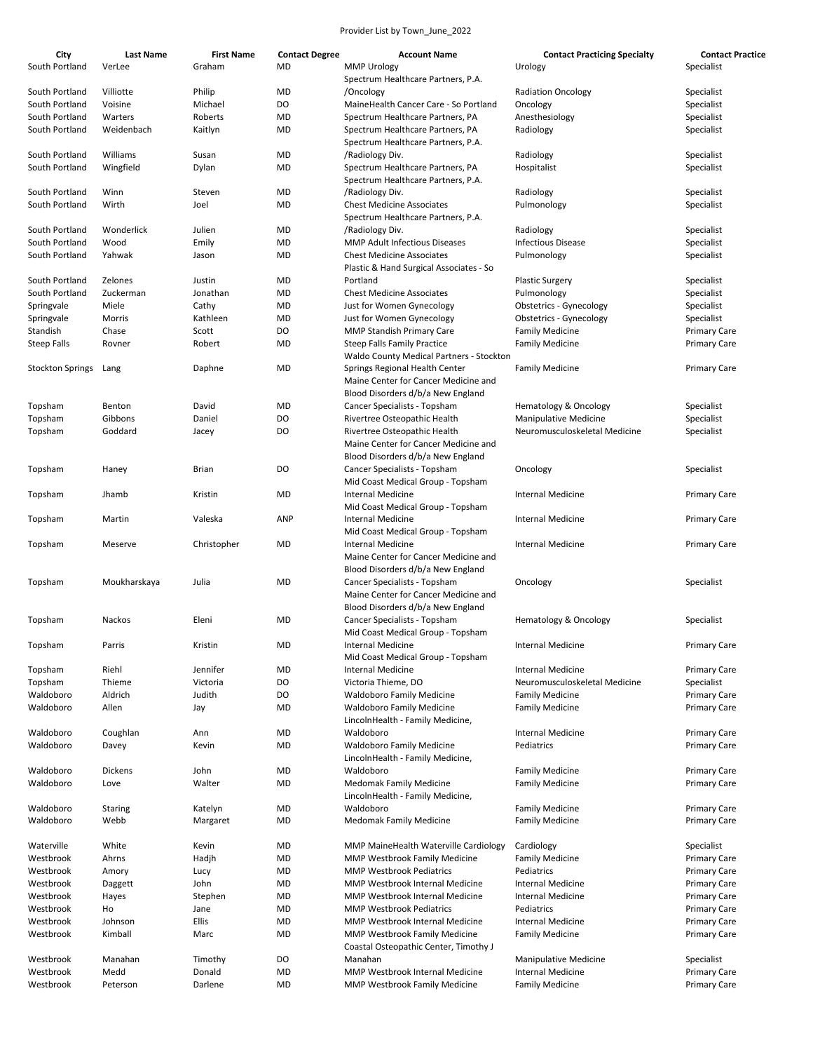| City               | Last Name    | <b>First Name</b> | <b>Contact Degree</b> | <b>Account Name</b>                                                         | <b>Contact Practicing Specialty</b> | <b>Contact Practice</b> |
|--------------------|--------------|-------------------|-----------------------|-----------------------------------------------------------------------------|-------------------------------------|-------------------------|
| South Portland     | VerLee       | Graham            | MD                    | <b>MMP Urology</b>                                                          | Urology                             | Specialist              |
|                    |              |                   |                       | Spectrum Healthcare Partners, P.A.                                          |                                     |                         |
| South Portland     | Villiotte    | Philip            | MD                    | /Oncology                                                                   | <b>Radiation Oncology</b>           | Specialist              |
| South Portland     | Voisine      | Michael           | DO                    | MaineHealth Cancer Care - So Portland                                       | Oncology                            | Specialist              |
|                    |              |                   |                       |                                                                             |                                     |                         |
| South Portland     | Warters      | Roberts           | MD                    | Spectrum Healthcare Partners, PA                                            | Anesthesiology                      | Specialist              |
| South Portland     | Weidenbach   | Kaitlyn           | MD                    | Spectrum Healthcare Partners, PA<br>Spectrum Healthcare Partners, P.A.      | Radiology                           | Specialist              |
| South Portland     | Williams     | Susan             | MD                    | /Radiology Div.                                                             | Radiology                           | Specialist              |
| South Portland     | Wingfield    | Dylan             | MD                    | Spectrum Healthcare Partners, PA                                            | Hospitalist                         | Specialist              |
|                    |              |                   |                       |                                                                             |                                     |                         |
|                    |              |                   |                       | Spectrum Healthcare Partners, P.A.                                          |                                     |                         |
| South Portland     | Winn         | Steven            | MD                    | /Radiology Div.                                                             | Radiology                           | Specialist              |
| South Portland     | Wirth        | Joel              | MD                    | <b>Chest Medicine Associates</b><br>Spectrum Healthcare Partners, P.A.      | Pulmonology                         | Specialist              |
| South Portland     | Wonderlick   | Julien            | MD                    | /Radiology Div.                                                             | Radiology                           | Specialist              |
| South Portland     | Wood         | Emily             | MD                    | <b>MMP Adult Infectious Diseases</b>                                        | <b>Infectious Disease</b>           | Specialist              |
|                    |              |                   |                       |                                                                             |                                     |                         |
| South Portland     | Yahwak       | Jason             | MD                    | <b>Chest Medicine Associates</b><br>Plastic & Hand Surgical Associates - So | Pulmonology                         | Specialist              |
| South Portland     | Zelones      | Justin            | MD                    | Portland                                                                    | <b>Plastic Surgery</b>              | Specialist              |
| South Portland     | Zuckerman    | Jonathan          | MD                    | <b>Chest Medicine Associates</b>                                            | Pulmonology                         | Specialist              |
| Springvale         | Miele        | Cathy             | MD                    | Just for Women Gynecology                                                   | <b>Obstetrics - Gynecology</b>      | Specialist              |
|                    |              |                   |                       |                                                                             |                                     |                         |
| Springvale         | Morris       | Kathleen          | MD                    | Just for Women Gynecology                                                   | <b>Obstetrics - Gynecology</b>      | Specialist              |
| Standish           | Chase        | Scott             | DO                    | MMP Standish Primary Care                                                   | <b>Family Medicine</b>              | <b>Primary Care</b>     |
| <b>Steep Falls</b> | Rovner       | Robert            | MD                    | Steep Falls Family Practice<br>Waldo County Medical Partners - Stockton     | <b>Family Medicine</b>              | <b>Primary Care</b>     |
| Stockton Springs   | Lang         | Daphne            | MD                    | Springs Regional Health Center                                              | <b>Family Medicine</b>              | <b>Primary Care</b>     |
|                    |              |                   |                       | Maine Center for Cancer Medicine and                                        |                                     |                         |
|                    |              |                   |                       |                                                                             |                                     |                         |
|                    |              |                   |                       | Blood Disorders d/b/a New England                                           |                                     |                         |
| Topsham            | Benton       | David             | MD                    | Cancer Specialists - Topsham                                                | Hematology & Oncology               | Specialist              |
| Topsham            | Gibbons      | Daniel            | DO                    | Rivertree Osteopathic Health                                                | <b>Manipulative Medicine</b>        | Specialist              |
| Topsham            | Goddard      | Jacey             | DO                    | Rivertree Osteopathic Health                                                | Neuromusculoskeletal Medicine       | Specialist              |
|                    |              |                   |                       | Maine Center for Cancer Medicine and<br>Blood Disorders d/b/a New England   |                                     |                         |
|                    |              |                   |                       |                                                                             |                                     |                         |
| Topsham            | Haney        | Brian             | DO                    | Cancer Specialists - Topsham                                                | Oncology                            | Specialist              |
|                    |              |                   |                       | Mid Coast Medical Group - Topsham                                           |                                     |                         |
| Topsham            | Jhamb        | Kristin           | MD                    | <b>Internal Medicine</b>                                                    | <b>Internal Medicine</b>            | Primary Care            |
|                    |              |                   |                       | Mid Coast Medical Group - Topsham                                           |                                     |                         |
| Topsham            | Martin       | Valeska           | <b>ANP</b>            | Internal Medicine                                                           | <b>Internal Medicine</b>            | <b>Primary Care</b>     |
|                    |              |                   |                       | Mid Coast Medical Group - Topsham                                           |                                     |                         |
| Topsham            | Meserve      | Christopher       | MD                    | <b>Internal Medicine</b>                                                    | <b>Internal Medicine</b>            | <b>Primary Care</b>     |
|                    |              |                   |                       | Maine Center for Cancer Medicine and                                        |                                     |                         |
|                    |              |                   |                       |                                                                             |                                     |                         |
|                    |              |                   |                       | Blood Disorders d/b/a New England                                           |                                     |                         |
| Topsham            | Moukharskaya | Julia             | <b>MD</b>             | Cancer Specialists - Topsham                                                | Oncology                            | Specialist              |
|                    |              |                   |                       | Maine Center for Cancer Medicine and                                        |                                     |                         |
|                    |              |                   |                       | Blood Disorders d/b/a New England                                           |                                     |                         |
| Topsham            | Nackos       | Eleni             | MD                    | Cancer Specialists - Topsham                                                | Hematology & Oncology               | Specialist              |
|                    |              |                   |                       | Mid Coast Medical Group - Topsham                                           |                                     |                         |
|                    |              |                   |                       |                                                                             |                                     |                         |
| Topsham            | Parris       | Kristin           | MD                    | Internal Medicine                                                           | Internal Medicine                   | Primary Care            |
|                    |              |                   |                       | Mid Coast Medical Group - Topsham                                           |                                     |                         |
| Topsham            | Riehl        | Jennifer          | MD                    | Internal Medicine                                                           | <b>Internal Medicine</b>            | <b>Primary Care</b>     |
| Topsham            | Thieme       | Victoria          | DO                    | Victoria Thieme, DO                                                         | Neuromusculoskeletal Medicine       | Specialist              |
| Waldoboro          | Aldrich      | Judith            | DO                    | <b>Waldoboro Family Medicine</b>                                            | <b>Family Medicine</b>              | <b>Primary Care</b>     |
| Waldoboro          | Allen        | Jay               | MD                    | <b>Waldoboro Family Medicine</b>                                            | <b>Family Medicine</b>              | <b>Primary Care</b>     |
|                    |              |                   |                       | LincolnHealth - Family Medicine,                                            |                                     |                         |
| Waldoboro          | Coughlan     | Ann               | MD                    | Waldoboro                                                                   | <b>Internal Medicine</b>            | <b>Primary Care</b>     |
|                    |              |                   |                       |                                                                             |                                     |                         |
| Waldoboro          | Davey        | Kevin             | MD                    | <b>Waldoboro Family Medicine</b>                                            | Pediatrics                          | <b>Primary Care</b>     |
|                    |              |                   |                       | LincolnHealth - Family Medicine,                                            |                                     |                         |
| Waldoboro          | Dickens      | John              | MD                    | Waldoboro                                                                   | <b>Family Medicine</b>              | <b>Primary Care</b>     |
| Waldoboro          | Love         | Walter            | MD                    | <b>Medomak Family Medicine</b>                                              | <b>Family Medicine</b>              | <b>Primary Care</b>     |
|                    |              |                   |                       | LincolnHealth - Family Medicine,                                            |                                     |                         |
| Waldoboro          | Staring      | Katelyn           | MD                    | Waldoboro                                                                   | <b>Family Medicine</b>              | <b>Primary Care</b>     |
| Waldoboro          | Webb         | Margaret          | MD                    | <b>Medomak Family Medicine</b>                                              | <b>Family Medicine</b>              | Primary Care            |
|                    |              |                   |                       |                                                                             |                                     |                         |
|                    |              |                   |                       |                                                                             |                                     |                         |
| Waterville         | White        | Kevin             | MD                    | MMP MaineHealth Waterville Cardiology                                       | Cardiology                          | Specialist              |
| Westbrook          | Ahrns        | Hadjh             | MD                    | MMP Westbrook Family Medicine                                               | <b>Family Medicine</b>              | <b>Primary Care</b>     |
| Westbrook          | Amory        | Lucy              | MD                    | <b>MMP Westbrook Pediatrics</b>                                             | Pediatrics                          | <b>Primary Care</b>     |
| Westbrook          | Daggett      | John              | MD                    | MMP Westbrook Internal Medicine                                             | Internal Medicine                   | <b>Primary Care</b>     |
| Westbrook          | Hayes        | Stephen           | MD                    | MMP Westbrook Internal Medicine                                             | <b>Internal Medicine</b>            | <b>Primary Care</b>     |
| Westbrook          | Ho           | Jane              | MD                    | <b>MMP Westbrook Pediatrics</b>                                             | Pediatrics                          | <b>Primary Care</b>     |
|                    |              |                   |                       |                                                                             |                                     |                         |
| Westbrook          | Johnson      | Ellis             | MD                    | MMP Westbrook Internal Medicine                                             | <b>Internal Medicine</b>            | <b>Primary Care</b>     |
| Westbrook          | Kimball      | Marc              | MD                    | MMP Westbrook Family Medicine                                               | <b>Family Medicine</b>              | <b>Primary Care</b>     |
|                    |              |                   |                       | Coastal Osteopathic Center, Timothy J                                       |                                     |                         |
| Westbrook          | Manahan      | Timothy           | DO                    | Manahan                                                                     | <b>Manipulative Medicine</b>        | Specialist              |
| Westbrook          | Medd         | Donald            | MD                    | MMP Westbrook Internal Medicine                                             | <b>Internal Medicine</b>            | <b>Primary Care</b>     |
| Westbrook          | Peterson     | Darlene           | MD                    | MMP Westbrook Family Medicine                                               | <b>Family Medicine</b>              | <b>Primary Care</b>     |
|                    |              |                   |                       |                                                                             |                                     |                         |